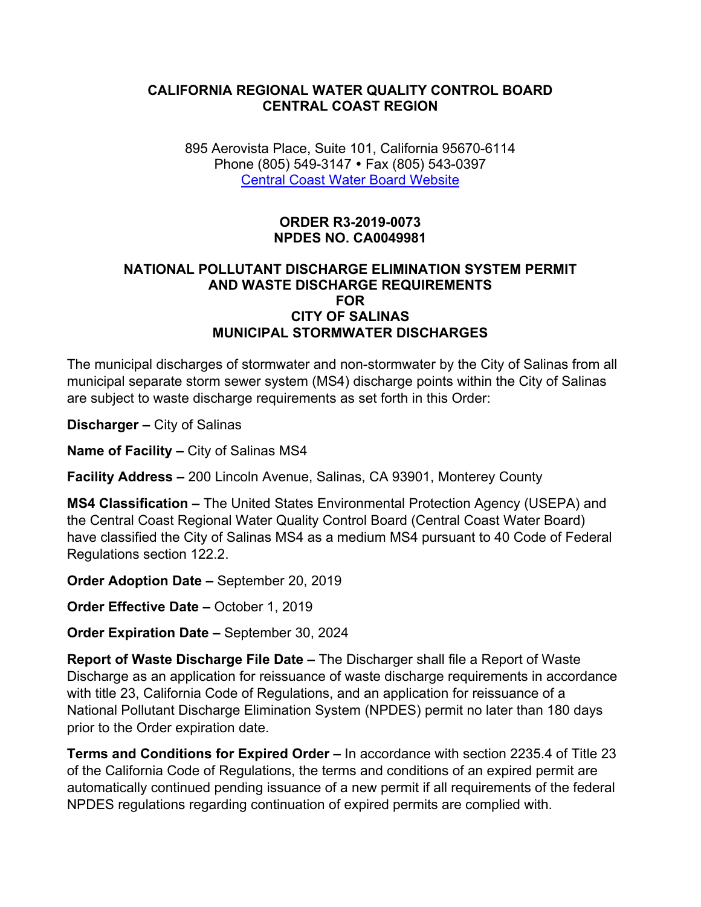#### **CALIFORNIA REGIONAL WATER QUALITY CONTROL BOARD CENTRAL COAST REGION**

895 Aerovista Place, Suite 101, California 95670-6114 Phone (805) 549-3147 • Fax (805) 543-0397 [Central Coast Water Board Website](https://www.waterboards.ca.gov/centralcoast/)

> **ORDER R3-2019-0073 NPDES NO. CA0049981**

#### **NATIONAL POLLUTANT DISCHARGE ELIMINATION SYSTEM PERMIT AND WASTE DISCHARGE REQUIREMENTS FOR CITY OF SALINAS MUNICIPAL STORMWATER DISCHARGES**

The municipal discharges of stormwater and non-stormwater by the City of Salinas from all municipal separate storm sewer system (MS4) discharge points within the City of Salinas are subject to waste discharge requirements as set forth in this Order:

**Discharger –** City of Salinas

**Name of Facility –** City of Salinas MS4

**Facility Address –** 200 Lincoln Avenue, Salinas, CA 93901, Monterey County

**MS4 Classification –** The United States Environmental Protection Agency (USEPA) and the Central Coast Regional Water Quality Control Board (Central Coast Water Board) have classified the City of Salinas MS4 as a medium MS4 pursuant to 40 Code of Federal Regulations section 122.2.

**Order Adoption Date –** September 20, 2019

**Order Effective Date –** October 1, 2019

**Order Expiration Date –** September 30, 2024

**Report of Waste Discharge File Date –** The Discharger shall file a Report of Waste Discharge as an application for reissuance of waste discharge requirements in accordance with title 23, California Code of Regulations, and an application for reissuance of a National Pollutant Discharge Elimination System (NPDES) permit no later than 180 days prior to the Order expiration date.

**Terms and Conditions for Expired Order –** In accordance with section 2235.4 of Title 23 of the California Code of Regulations, the terms and conditions of an expired permit are automatically continued pending issuance of a new permit if all requirements of the federal NPDES regulations regarding continuation of expired permits are complied with.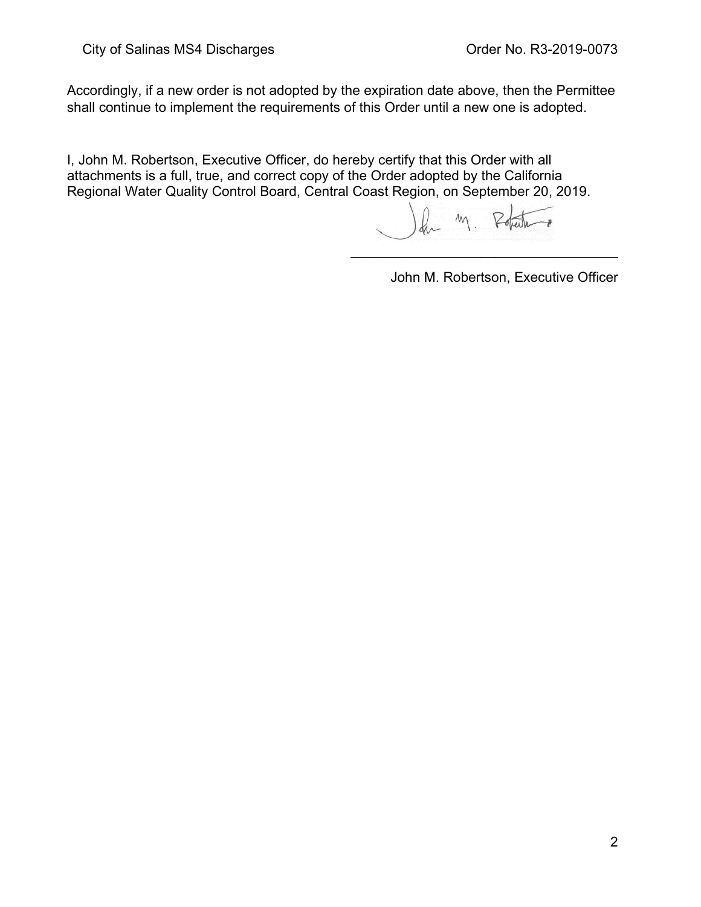Accordingly, if a new order is not adopted by the expiration date above, then the Permittee shall continue to implement the requirements of this Order until a new one is adopted.

I, John M. Robertson, Executive Officer, do hereby certify that this Order with all attachments is a full, true, and correct copy of the Order adopted by the California Regional Water Quality Control Board, Central Coast Region, on September 20, 2019.

 $M<sub>1</sub>$ 

\_\_\_\_\_\_\_\_\_\_\_\_\_\_\_\_\_\_\_\_\_\_\_\_\_\_\_\_\_\_\_\_\_\_\_

John M. Robertson, Executive Officer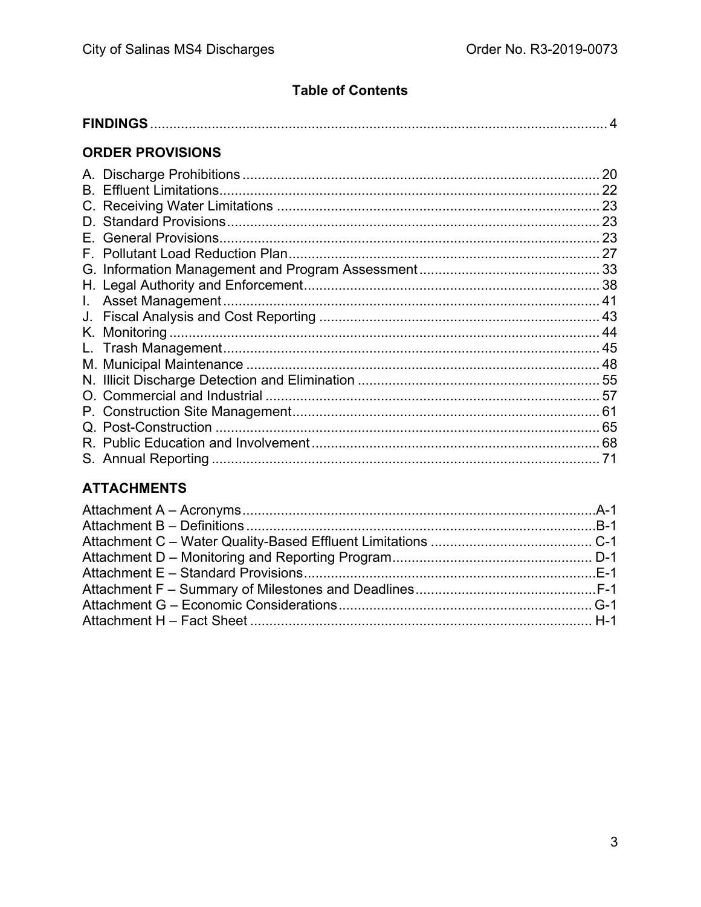# **Table of Contents**

|--|--|

# **ORDER PROVISIONS**

|    | 20 |
|----|----|
|    | 22 |
|    | 23 |
|    |    |
| Е. |    |
|    |    |
|    |    |
|    |    |
|    |    |
|    |    |
|    |    |
|    |    |
|    |    |
|    |    |
|    |    |
|    | 61 |
|    | 65 |
|    |    |
|    |    |

# **ATTACHMENTS**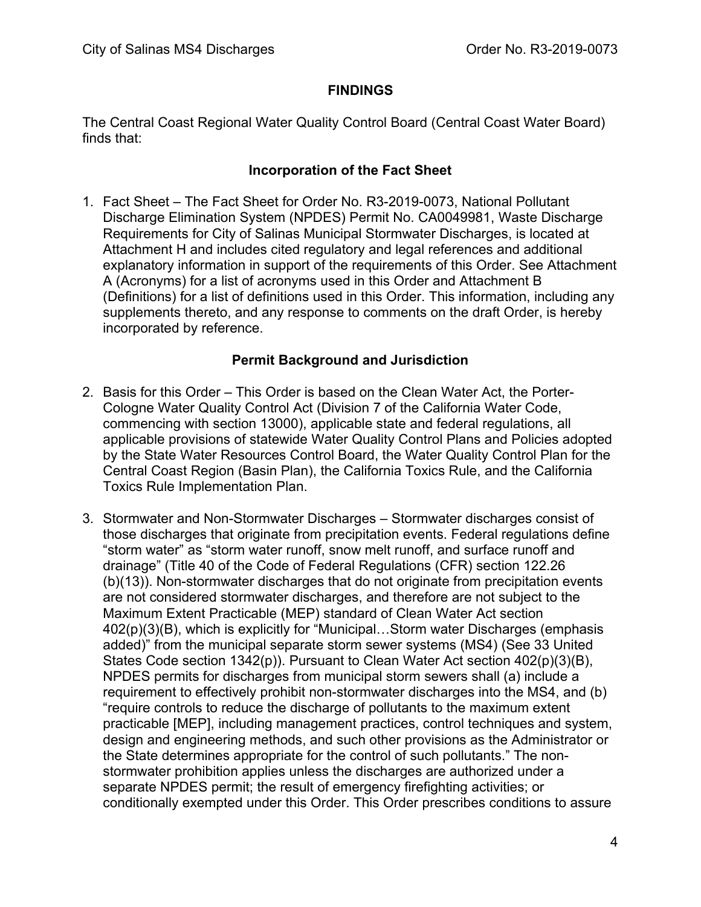#### **FINDINGS**

<span id="page-3-0"></span>The Central Coast Regional Water Quality Control Board (Central Coast Water Board) finds that:

#### **Incorporation of the Fact Sheet**

1. Fact Sheet – The Fact Sheet for Order No. R3-2019-0073, National Pollutant Discharge Elimination System (NPDES) Permit No. CA0049981, Waste Discharge Requirements for City of Salinas Municipal Stormwater Discharges, is located at Attachment H and includes cited regulatory and legal references and additional explanatory information in support of the requirements of this Order. See Attachment A (Acronyms) for a list of acronyms used in this Order and Attachment B (Definitions) for a list of definitions used in this Order. This information, including any supplements thereto, and any response to comments on the draft Order, is hereby incorporated by reference.

#### **Permit Background and Jurisdiction**

- 2. Basis for this Order This Order is based on the Clean Water Act, the Porter-Cologne Water Quality Control Act (Division 7 of the California Water Code, commencing with section 13000), applicable state and federal regulations, all applicable provisions of statewide Water Quality Control Plans and Policies adopted by the State Water Resources Control Board, the Water Quality Control Plan for the Central Coast Region (Basin Plan), the California Toxics Rule, and the California Toxics Rule Implementation Plan.
- 3. Stormwater and Non-Stormwater Discharges Stormwater discharges consist of those discharges that originate from precipitation events. Federal regulations define "storm water" as "storm water runoff, snow melt runoff, and surface runoff and drainage" (Title 40 of the Code of Federal Regulations (CFR) section 122.26 (b)(13)). Non-stormwater discharges that do not originate from precipitation events are not considered stormwater discharges, and therefore are not subject to the Maximum Extent Practicable (MEP) standard of Clean Water Act section 402(p)(3)(B), which is explicitly for "Municipal…Storm water Discharges (emphasis added)" from the municipal separate storm sewer systems (MS4) (See 33 United States Code section 1342(p)). Pursuant to Clean Water Act section 402(p)(3)(B), NPDES permits for discharges from municipal storm sewers shall (a) include a requirement to effectively prohibit non-stormwater discharges into the MS4, and (b) "require controls to reduce the discharge of pollutants to the maximum extent practicable [MEP], including management practices, control techniques and system, design and engineering methods, and such other provisions as the Administrator or the State determines appropriate for the control of such pollutants." The nonstormwater prohibition applies unless the discharges are authorized under a separate NPDES permit; the result of emergency firefighting activities; or conditionally exempted under this Order. This Order prescribes conditions to assure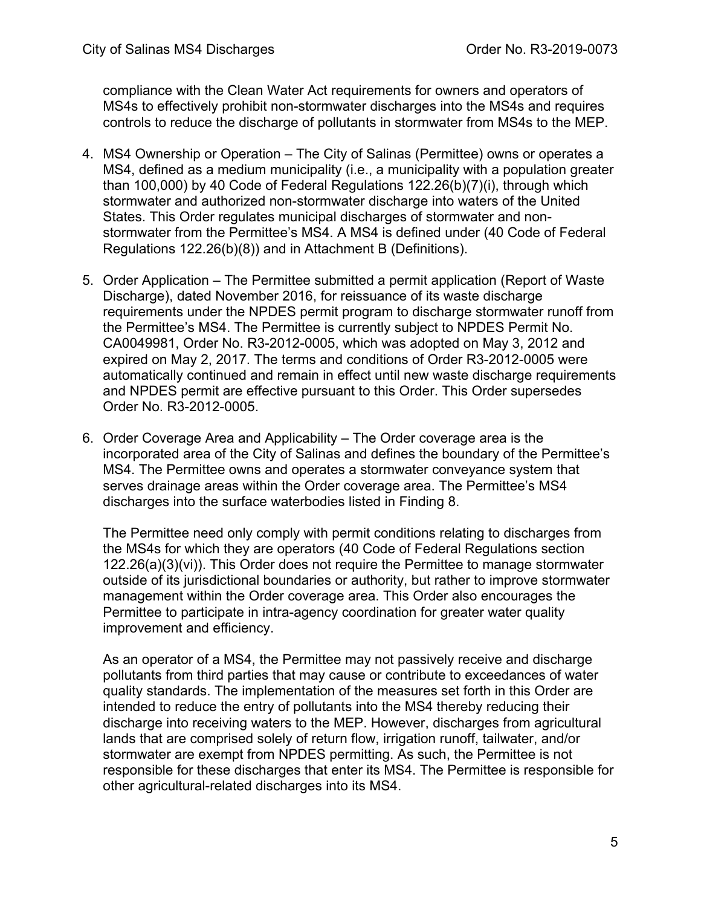compliance with the Clean Water Act requirements for owners and operators of MS4s to effectively prohibit non-stormwater discharges into the MS4s and requires controls to reduce the discharge of pollutants in stormwater from MS4s to the MEP.

- 4. MS4 Ownership or Operation The City of Salinas (Permittee) owns or operates a MS4, defined as a medium municipality (i.e., a municipality with a population greater than 100,000) by 40 Code of Federal Regulations 122.26(b)(7)(i), through which stormwater and authorized non-stormwater discharge into waters of the United States. This Order regulates municipal discharges of stormwater and nonstormwater from the Permittee's MS4. A MS4 is defined under (40 Code of Federal Regulations 122.26(b)(8)) and in Attachment B (Definitions).
- 5. Order Application The Permittee submitted a permit application (Report of Waste Discharge), dated November 2016, for reissuance of its waste discharge requirements under the NPDES permit program to discharge stormwater runoff from the Permittee's MS4. The Permittee is currently subject to NPDES Permit No. CA0049981, Order No. R3-2012-0005, which was adopted on May 3, 2012 and expired on May 2, 2017. The terms and conditions of Order R3-2012-0005 were automatically continued and remain in effect until new waste discharge requirements and NPDES permit are effective pursuant to this Order. This Order supersedes Order No. R3-2012-0005.
- 6. Order Coverage Area and Applicability The Order coverage area is the incorporated area of the City of Salinas and defines the boundary of the Permittee's MS4. The Permittee owns and operates a stormwater conveyance system that serves drainage areas within the Order coverage area. The Permittee's MS4 discharges into the surface waterbodies listed in Finding 8.

The Permittee need only comply with permit conditions relating to discharges from the MS4s for which they are operators (40 Code of Federal Regulations section 122.26(a)(3)(vi)). This Order does not require the Permittee to manage stormwater outside of its jurisdictional boundaries or authority, but rather to improve stormwater management within the Order coverage area. This Order also encourages the Permittee to participate in intra-agency coordination for greater water quality improvement and efficiency.

As an operator of a MS4, the Permittee may not passively receive and discharge pollutants from third parties that may cause or contribute to exceedances of water quality standards. The implementation of the measures set forth in this Order are intended to reduce the entry of pollutants into the MS4 thereby reducing their discharge into receiving waters to the MEP. However, discharges from agricultural lands that are comprised solely of return flow, irrigation runoff, tailwater, and/or stormwater are exempt from NPDES permitting. As such, the Permittee is not responsible for these discharges that enter its MS4. The Permittee is responsible for other agricultural-related discharges into its MS4.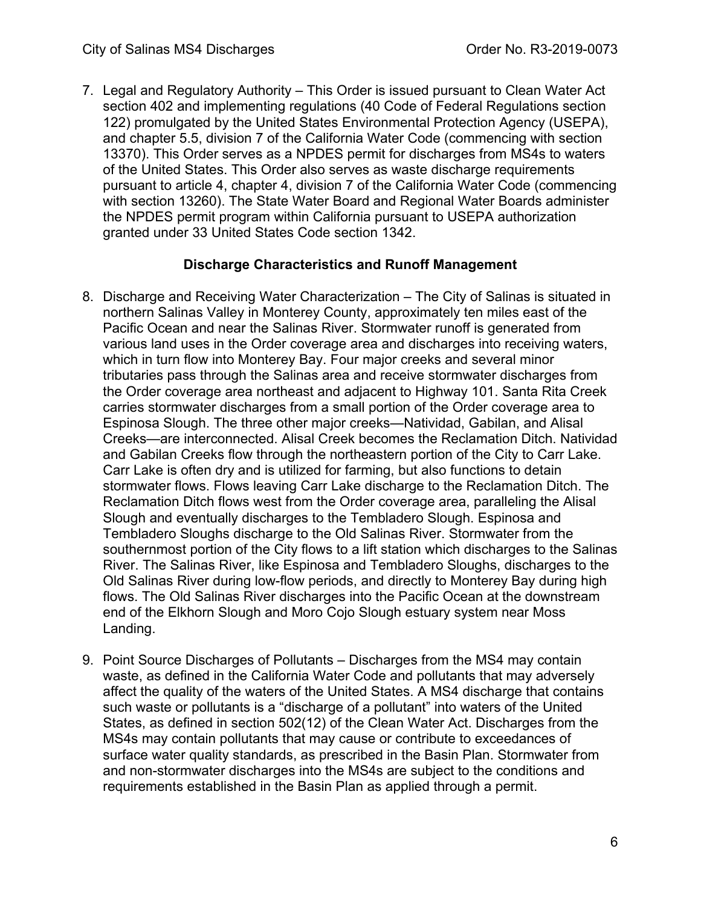7. Legal and Regulatory Authority – This Order is issued pursuant to Clean Water Act section 402 and implementing regulations (40 Code of Federal Regulations section 122) promulgated by the United States Environmental Protection Agency (USEPA), and chapter 5.5, division 7 of the California Water Code (commencing with section 13370). This Order serves as a NPDES permit for discharges from MS4s to waters of the United States. This Order also serves as waste discharge requirements pursuant to article 4, chapter 4, division 7 of the California Water Code (commencing with section 13260). The State Water Board and Regional Water Boards administer the NPDES permit program within California pursuant to USEPA authorization granted under 33 United States Code section 1342.

### **Discharge Characteristics and Runoff Management**

- 8. Discharge and Receiving Water Characterization The City of Salinas is situated in northern Salinas Valley in Monterey County, approximately ten miles east of the Pacific Ocean and near the Salinas River. Stormwater runoff is generated from various land uses in the Order coverage area and discharges into receiving waters, which in turn flow into Monterey Bay. Four major creeks and several minor tributaries pass through the Salinas area and receive stormwater discharges from the Order coverage area northeast and adjacent to Highway 101. Santa Rita Creek carries stormwater discharges from a small portion of the Order coverage area to Espinosa Slough. The three other major creeks—Natividad, Gabilan, and Alisal Creeks—are interconnected. Alisal Creek becomes the Reclamation Ditch. Natividad and Gabilan Creeks flow through the northeastern portion of the City to Carr Lake. Carr Lake is often dry and is utilized for farming, but also functions to detain stormwater flows. Flows leaving Carr Lake discharge to the Reclamation Ditch. The Reclamation Ditch flows west from the Order coverage area, paralleling the Alisal Slough and eventually discharges to the Tembladero Slough. Espinosa and Tembladero Sloughs discharge to the Old Salinas River. Stormwater from the southernmost portion of the City flows to a lift station which discharges to the Salinas River. The Salinas River, like Espinosa and Tembladero Sloughs, discharges to the Old Salinas River during low-flow periods, and directly to Monterey Bay during high flows. The Old Salinas River discharges into the Pacific Ocean at the downstream end of the Elkhorn Slough and Moro Cojo Slough estuary system near Moss Landing.
- 9. Point Source Discharges of Pollutants Discharges from the MS4 may contain waste, as defined in the California Water Code and pollutants that may adversely affect the quality of the waters of the United States. A MS4 discharge that contains such waste or pollutants is a "discharge of a pollutant" into waters of the United States, as defined in section 502(12) of the Clean Water Act. Discharges from the MS4s may contain pollutants that may cause or contribute to exceedances of surface water quality standards, as prescribed in the Basin Plan. Stormwater from and non-stormwater discharges into the MS4s are subject to the conditions and requirements established in the Basin Plan as applied through a permit.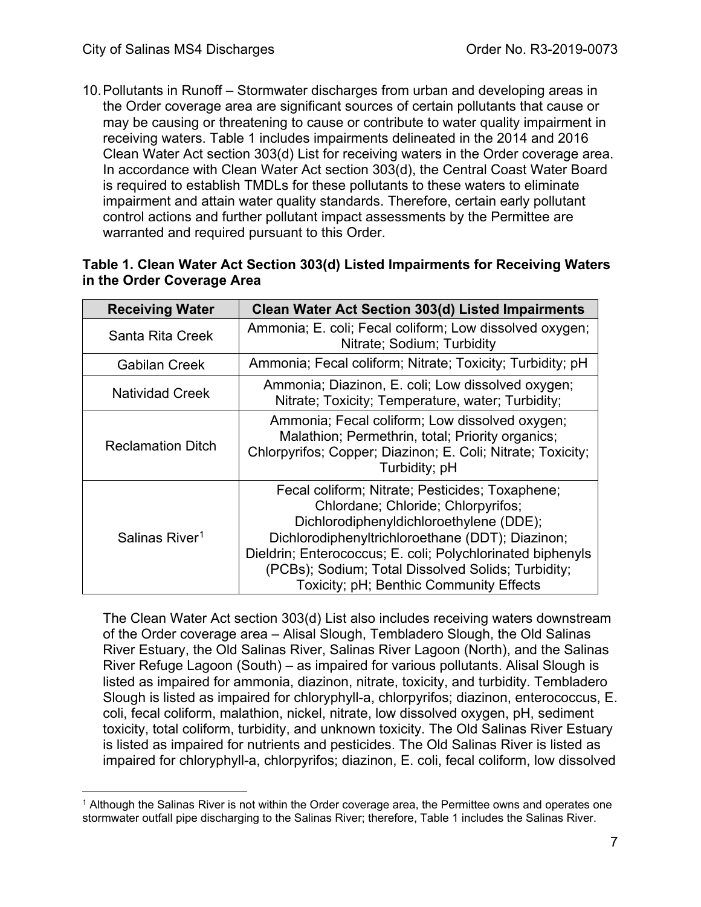10.Pollutants in Runoff – Stormwater discharges from urban and developing areas in the Order coverage area are significant sources of certain pollutants that cause or may be causing or threatening to cause or contribute to water quality impairment in receiving waters. Table 1 includes impairments delineated in the 2014 and 2016 Clean Water Act section 303(d) List for receiving waters in the Order coverage area. In accordance with Clean Water Act section 303(d), the Central Coast Water Board is required to establish TMDLs for these pollutants to these waters to eliminate impairment and attain water quality standards. Therefore, certain early pollutant control actions and further pollutant impact assessments by the Permittee are warranted and required pursuant to this Order.

#### **Table 1. Clean Water Act Section 303(d) Listed Impairments for Receiving Waters in the Order Coverage Area**

| <b>Receiving Water</b>     | <b>Clean Water Act Section 303(d) Listed Impairments</b>                                                                                                                                                                                                                                                                                            |
|----------------------------|-----------------------------------------------------------------------------------------------------------------------------------------------------------------------------------------------------------------------------------------------------------------------------------------------------------------------------------------------------|
| Santa Rita Creek           | Ammonia; E. coli; Fecal coliform; Low dissolved oxygen;<br>Nitrate: Sodium; Turbidity                                                                                                                                                                                                                                                               |
| <b>Gabilan Creek</b>       | Ammonia; Fecal coliform; Nitrate; Toxicity; Turbidity; pH                                                                                                                                                                                                                                                                                           |
| <b>Natividad Creek</b>     | Ammonia; Diazinon, E. coli; Low dissolved oxygen;<br>Nitrate; Toxicity; Temperature, water; Turbidity;                                                                                                                                                                                                                                              |
| <b>Reclamation Ditch</b>   | Ammonia; Fecal coliform; Low dissolved oxygen;<br>Malathion; Permethrin, total; Priority organics;<br>Chlorpyrifos; Copper; Diazinon; E. Coli; Nitrate; Toxicity;<br>Turbidity; pH                                                                                                                                                                  |
| Salinas River <sup>1</sup> | Fecal coliform; Nitrate; Pesticides; Toxaphene;<br>Chlordane; Chloride; Chlorpyrifos;<br>Dichlorodiphenyldichloroethylene (DDE);<br>Dichlorodiphenyltrichloroethane (DDT); Diazinon;<br>Dieldrin; Enterococcus; E. coli; Polychlorinated biphenyls<br>(PCBs); Sodium; Total Dissolved Solids; Turbidity;<br>Toxicity; pH; Benthic Community Effects |

The Clean Water Act section 303(d) List also includes receiving waters downstream of the Order coverage area – Alisal Slough, Tembladero Slough, the Old Salinas River Estuary, the Old Salinas River, Salinas River Lagoon (North), and the Salinas River Refuge Lagoon (South) – as impaired for various pollutants. Alisal Slough is listed as impaired for ammonia, diazinon, nitrate, toxicity, and turbidity. Tembladero Slough is listed as impaired for chloryphyll-a, chlorpyrifos; diazinon, enterococcus, E. coli, fecal coliform, malathion, nickel, nitrate, low dissolved oxygen, pH, sediment toxicity, total coliform, turbidity, and unknown toxicity. The Old Salinas River Estuary is listed as impaired for nutrients and pesticides. The Old Salinas River is listed as impaired for chloryphyll-a, chlorpyrifos; diazinon, E. coli, fecal coliform, low dissolved

<span id="page-6-0"></span> $1$  Although the Salinas River is not within the Order coverage area, the Permittee owns and operates one stormwater outfall pipe discharging to the Salinas River; therefore, Table 1 includes the Salinas River.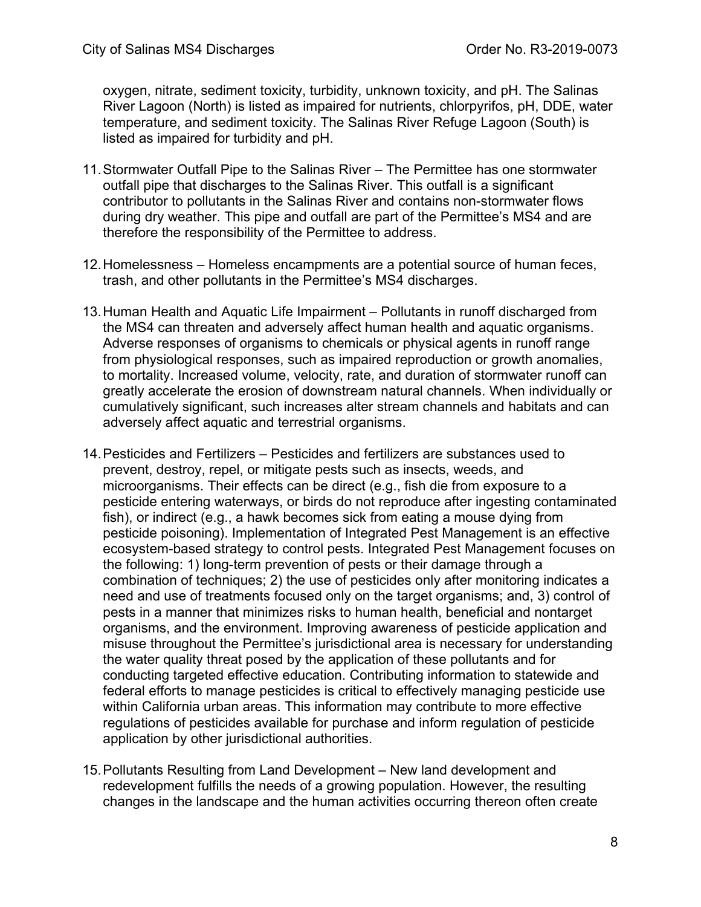oxygen, nitrate, sediment toxicity, turbidity, unknown toxicity, and pH. The Salinas River Lagoon (North) is listed as impaired for nutrients, chlorpyrifos, pH, DDE, water temperature, and sediment toxicity. The Salinas River Refuge Lagoon (South) is listed as impaired for turbidity and pH.

- 11.Stormwater Outfall Pipe to the Salinas River The Permittee has one stormwater outfall pipe that discharges to the Salinas River. This outfall is a significant contributor to pollutants in the Salinas River and contains non-stormwater flows during dry weather. This pipe and outfall are part of the Permittee's MS4 and are therefore the responsibility of the Permittee to address.
- 12.Homelessness Homeless encampments are a potential source of human feces, trash, and other pollutants in the Permittee's MS4 discharges.
- 13.Human Health and Aquatic Life Impairment Pollutants in runoff discharged from the MS4 can threaten and adversely affect human health and aquatic organisms. Adverse responses of organisms to chemicals or physical agents in runoff range from physiological responses, such as impaired reproduction or growth anomalies, to mortality. Increased volume, velocity, rate, and duration of stormwater runoff can greatly accelerate the erosion of downstream natural channels. When individually or cumulatively significant, such increases alter stream channels and habitats and can adversely affect aquatic and terrestrial organisms.
- 14.Pesticides and Fertilizers Pesticides and fertilizers are substances used to prevent, destroy, repel, or mitigate pests such as insects, weeds, and microorganisms. Their effects can be direct (e.g., fish die from exposure to a pesticide entering waterways, or birds do not reproduce after ingesting contaminated fish), or indirect (e.g., a hawk becomes sick from eating a mouse dying from pesticide poisoning). Implementation of Integrated Pest Management is an effective ecosystem-based strategy to control pests. Integrated Pest Management focuses on the following: 1) long-term prevention of pests or their damage through a combination of techniques; 2) the use of pesticides only after monitoring indicates a need and use of treatments focused only on the target organisms; and, 3) control of pests in a manner that minimizes risks to human health, beneficial and nontarget organisms, and the environment. Improving awareness of pesticide application and misuse throughout the Permittee's jurisdictional area is necessary for understanding the water quality threat posed by the application of these pollutants and for conducting targeted effective education. Contributing information to statewide and federal efforts to manage pesticides is critical to effectively managing pesticide use within California urban areas. This information may contribute to more effective regulations of pesticides available for purchase and inform regulation of pesticide application by other jurisdictional authorities.
- 15.Pollutants Resulting from Land Development New land development and redevelopment fulfills the needs of a growing population. However, the resulting changes in the landscape and the human activities occurring thereon often create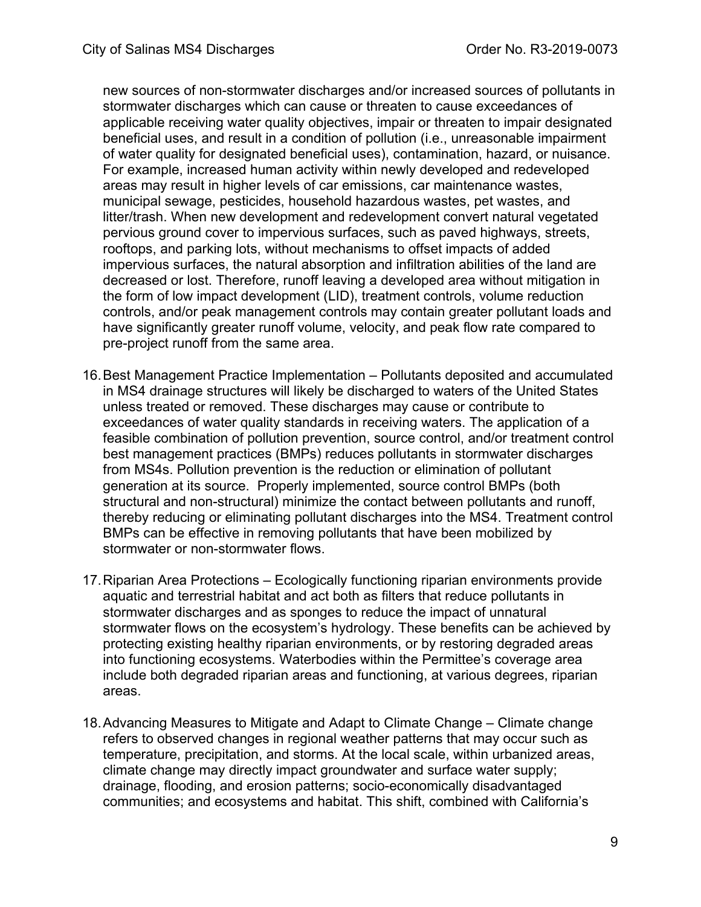new sources of non-stormwater discharges and/or increased sources of pollutants in stormwater discharges which can cause or threaten to cause exceedances of applicable receiving water quality objectives, impair or threaten to impair designated beneficial uses, and result in a condition of pollution (i.e., unreasonable impairment of water quality for designated beneficial uses), contamination, hazard, or nuisance. For example, increased human activity within newly developed and redeveloped areas may result in higher levels of car emissions, car maintenance wastes, municipal sewage, pesticides, household hazardous wastes, pet wastes, and litter/trash. When new development and redevelopment convert natural vegetated pervious ground cover to impervious surfaces, such as paved highways, streets, rooftops, and parking lots, without mechanisms to offset impacts of added impervious surfaces, the natural absorption and infiltration abilities of the land are decreased or lost. Therefore, runoff leaving a developed area without mitigation in the form of low impact development (LID), treatment controls, volume reduction controls, and/or peak management controls may contain greater pollutant loads and have significantly greater runoff volume, velocity, and peak flow rate compared to pre-project runoff from the same area.

- 16.Best Management Practice Implementation Pollutants deposited and accumulated in MS4 drainage structures will likely be discharged to waters of the United States unless treated or removed. These discharges may cause or contribute to exceedances of water quality standards in receiving waters. The application of a feasible combination of pollution prevention, source control, and/or treatment control best management practices (BMPs) reduces pollutants in stormwater discharges from MS4s. Pollution prevention is the reduction or elimination of pollutant generation at its source. Properly implemented, source control BMPs (both structural and non-structural) minimize the contact between pollutants and runoff, thereby reducing or eliminating pollutant discharges into the MS4. Treatment control BMPs can be effective in removing pollutants that have been mobilized by stormwater or non-stormwater flows.
- 17.Riparian Area Protections Ecologically functioning riparian environments provide aquatic and terrestrial habitat and act both as filters that reduce pollutants in stormwater discharges and as sponges to reduce the impact of unnatural stormwater flows on the ecosystem's hydrology. These benefits can be achieved by protecting existing healthy riparian environments, or by restoring degraded areas into functioning ecosystems. Waterbodies within the Permittee's coverage area include both degraded riparian areas and functioning, at various degrees, riparian areas.
- 18.Advancing Measures to Mitigate and Adapt to Climate Change Climate change refers to observed changes in regional weather patterns that may occur such as temperature, precipitation, and storms. At the local scale, within urbanized areas, climate change may directly impact groundwater and surface water supply; drainage, flooding, and erosion patterns; socio-economically disadvantaged communities; and ecosystems and habitat. This shift, combined with California's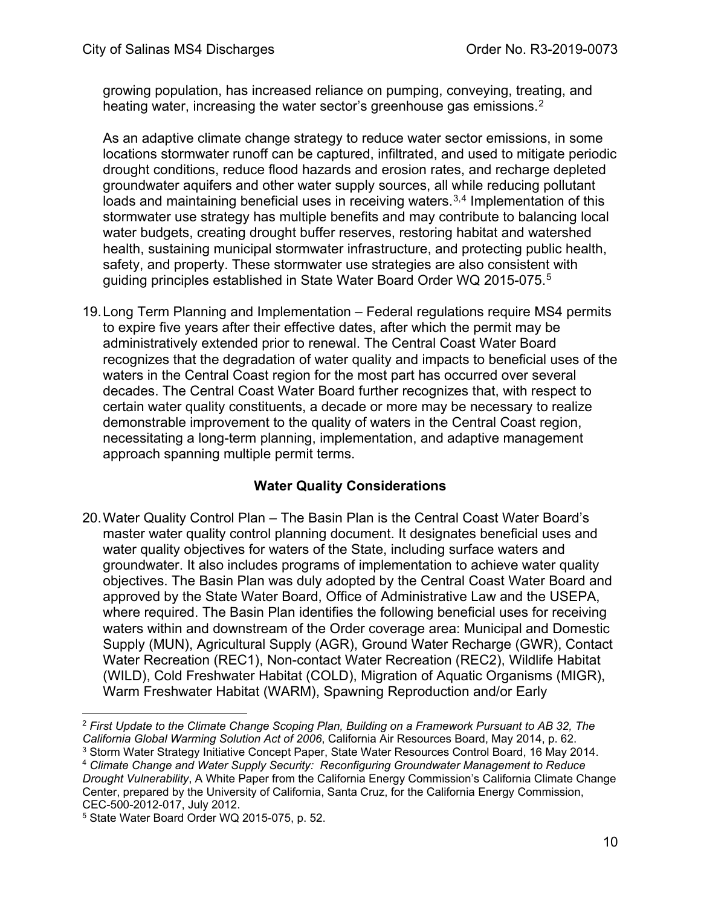growing population, has increased reliance on pumping, conveying, treating, and heating water, increasing the water sector's greenhouse gas emissions.<sup>[2](#page-9-0)</sup>

As an adaptive climate change strategy to reduce water sector emissions, in some locations stormwater runoff can be captured, infiltrated, and used to mitigate periodic drought conditions, reduce flood hazards and erosion rates, and recharge depleted groundwater aquifers and other water supply sources, all while reducing pollutant loads and maintaining beneficial uses in receiving waters.<sup>[3](#page-9-1),[4](#page-9-2)</sup> Implementation of this stormwater use strategy has multiple benefits and may contribute to balancing local water budgets, creating drought buffer reserves, restoring habitat and watershed health, sustaining municipal stormwater infrastructure, and protecting public health, safety, and property. These stormwater use strategies are also consistent with guiding principles established in State Water Board Order WQ 201[5](#page-9-3)-075.<sup>5</sup>

19.Long Term Planning and Implementation – Federal regulations require MS4 permits to expire five years after their effective dates, after which the permit may be administratively extended prior to renewal. The Central Coast Water Board recognizes that the degradation of water quality and impacts to beneficial uses of the waters in the Central Coast region for the most part has occurred over several decades. The Central Coast Water Board further recognizes that, with respect to certain water quality constituents, a decade or more may be necessary to realize demonstrable improvement to the quality of waters in the Central Coast region, necessitating a long-term planning, implementation, and adaptive management approach spanning multiple permit terms.

# **Water Quality Considerations**

20.Water Quality Control Plan – The Basin Plan is the Central Coast Water Board's master water quality control planning document. It designates beneficial uses and water quality objectives for waters of the State, including surface waters and groundwater. It also includes programs of implementation to achieve water quality objectives. The Basin Plan was duly adopted by the Central Coast Water Board and approved by the State Water Board, Office of Administrative Law and the USEPA, where required. The Basin Plan identifies the following beneficial uses for receiving waters within and downstream of the Order coverage area: Municipal and Domestic Supply (MUN), Agricultural Supply (AGR), Ground Water Recharge (GWR), Contact Water Recreation (REC1), Non-contact Water Recreation (REC2), Wildlife Habitat (WILD), Cold Freshwater Habitat (COLD), Migration of Aquatic Organisms (MIGR), Warm Freshwater Habitat (WARM), Spawning Reproduction and/or Early

<span id="page-9-0"></span><sup>2</sup> *First Update to the Climate Change Scoping Plan, Building on a Framework Pursuant to AB 32, The California Global Warming Solution Act of 2006*, California Air Resources Board, May 2014, p. 62. <sup>3</sup> Storm Water Strategy Initiative Concept Paper, State Water Resources Control Board, 16 May 2014.

<span id="page-9-2"></span><span id="page-9-1"></span><sup>4</sup> *Climate Change and Water Supply Security: Reconfiguring Groundwater Management to Reduce Drought Vulnerability*, A White Paper from the California Energy Commission's California Climate Change Center, prepared by the University of California, Santa Cruz, for the California Energy Commission,

<span id="page-9-3"></span>CEC-500-2012-017, July 2012. 5 State Water Board Order WQ 2015-075, p. 52.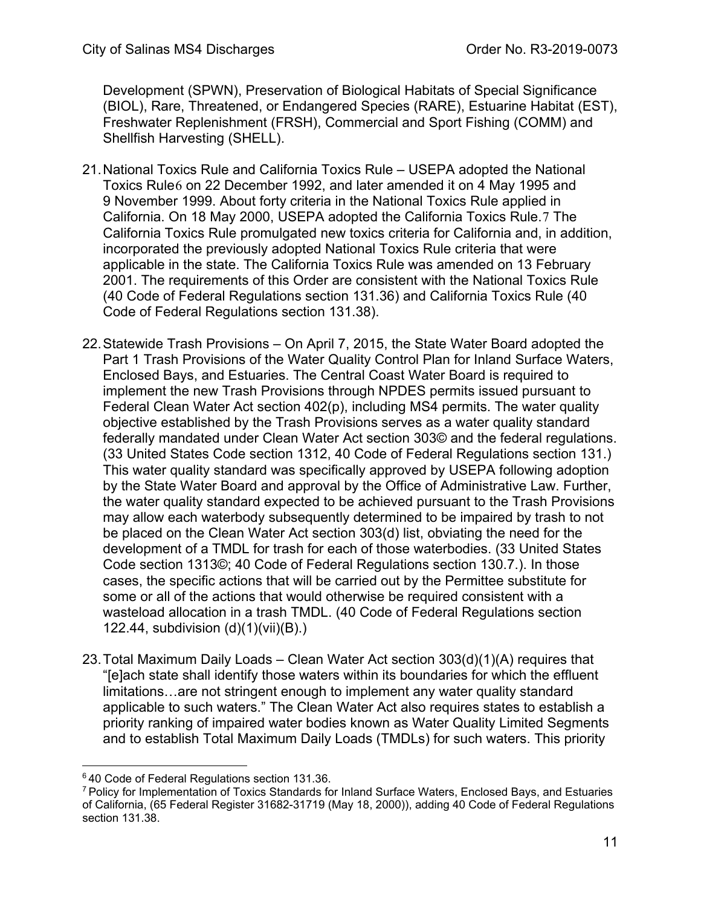Development (SPWN), Preservation of Biological Habitats of Special Significance (BIOL), Rare, Threatened, or Endangered Species (RARE), Estuarine Habitat (EST), Freshwater Replenishment (FRSH), Commercial and Sport Fishing (COMM) and Shellfish Harvesting (SHELL).

- 21.National Toxics Rule and California Toxics Rule USEPA adopted the National Toxics Rule[6](#page-10-0) on 22 December 1992, and later amended it on 4 May 1995 and 9 November 1999. About forty criteria in the National Toxics Rule applied in California. On 18 May 2000, USEPA adopted the California Toxics Rule.[7](#page-10-1) The California Toxics Rule promulgated new toxics criteria for California and, in addition, incorporated the previously adopted National Toxics Rule criteria that were applicable in the state. The California Toxics Rule was amended on 13 February 2001. The requirements of this Order are consistent with the National Toxics Rule (40 Code of Federal Regulations section 131.36) and California Toxics Rule (40 Code of Federal Regulations section 131.38).
- 22.Statewide Trash Provisions On April 7, 2015, the State Water Board adopted the Part 1 Trash Provisions of the Water Quality Control Plan for Inland Surface Waters, Enclosed Bays, and Estuaries. The Central Coast Water Board is required to implement the new Trash Provisions through NPDES permits issued pursuant to Federal Clean Water Act section 402(p), including MS4 permits. The water quality objective established by the Trash Provisions serves as a water quality standard federally mandated under Clean Water Act section 303© and the federal regulations. (33 United States Code section 1312, 40 Code of Federal Regulations section 131.) This water quality standard was specifically approved by USEPA following adoption by the State Water Board and approval by the Office of Administrative Law. Further, the water quality standard expected to be achieved pursuant to the Trash Provisions may allow each waterbody subsequently determined to be impaired by trash to not be placed on the Clean Water Act section 303(d) list, obviating the need for the development of a TMDL for trash for each of those waterbodies. (33 United States Code section 1313©; 40 Code of Federal Regulations section 130.7.). In those cases, the specific actions that will be carried out by the Permittee substitute for some or all of the actions that would otherwise be required consistent with a wasteload allocation in a trash TMDL. (40 Code of Federal Regulations section 122.44, subdivision (d)(1)(vii)(B).)
- 23.Total Maximum Daily Loads Clean Water Act section 303(d)(1)(A) requires that "[e]ach state shall identify those waters within its boundaries for which the effluent limitations…are not stringent enough to implement any water quality standard applicable to such waters." The Clean Water Act also requires states to establish a priority ranking of impaired water bodies known as Water Quality Limited Segments and to establish Total Maximum Daily Loads (TMDLs) for such waters. This priority

<span id="page-10-1"></span><span id="page-10-0"></span> $6$ 40 Code of Federal Regulations section 131.36.<br>7 Policy for Implementation of Toxics Standards for Inland Surface Waters, Enclosed Bays, and Estuaries of California, (65 Federal Register 31682-31719 (May 18, 2000)), adding 40 Code of Federal Regulations section 131.38.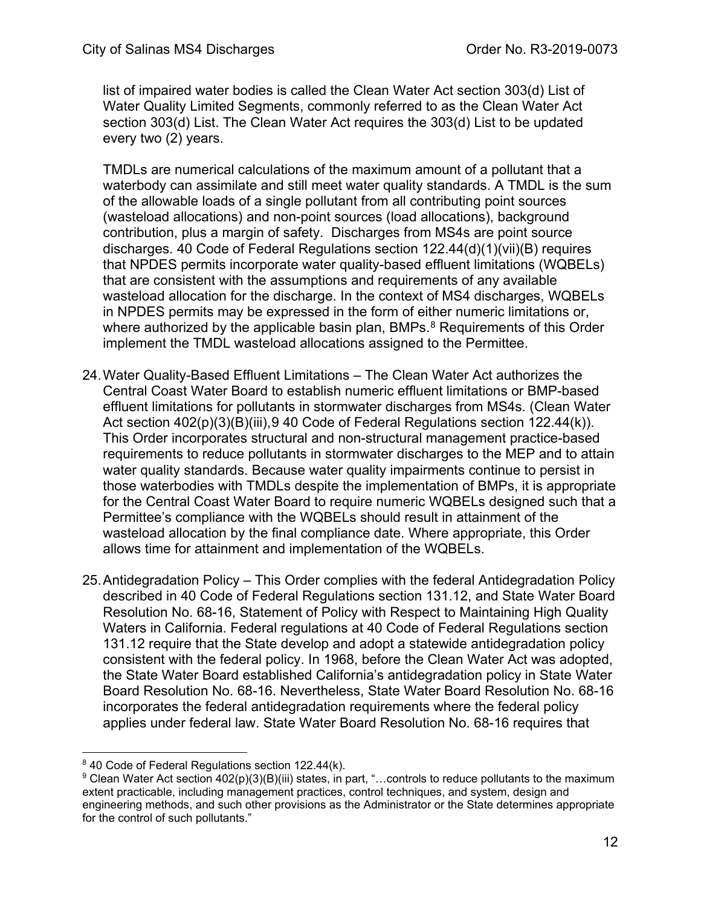list of impaired water bodies is called the Clean Water Act section 303(d) List of Water Quality Limited Segments, commonly referred to as the Clean Water Act section 303(d) List. The Clean Water Act requires the 303(d) List to be updated every two (2) years.

TMDLs are numerical calculations of the maximum amount of a pollutant that a waterbody can assimilate and still meet water quality standards. A TMDL is the sum of the allowable loads of a single pollutant from all contributing point sources (wasteload allocations) and non-point sources (load allocations), background contribution, plus a margin of safety. Discharges from MS4s are point source discharges. 40 Code of Federal Regulations section  $122.44(d)(1)(vi)(B)$  requires that NPDES permits incorporate water quality-based effluent limitations (WQBELs) that are consistent with the assumptions and requirements of any available wasteload allocation for the discharge. In the context of MS4 discharges, WQBELs in NPDES permits may be expressed in the form of either numeric limitations or, where authorized by the applicable basin plan, BMPs. $8$  Requirements of this Order implement the TMDL wasteload allocations assigned to the Permittee.

- 24.Water Quality-Based Effluent Limitations The Clean Water Act authorizes the Central Coast Water Board to establish numeric effluent limitations or BMP-based effluent limitations for pollutants in stormwater discharges from MS4s. (Clean Water Act section 402(p)(3)(B)(iii), [9](#page-11-1) 40 Code of Federal Regulations section 122.44(k)). This Order incorporates structural and non-structural management practice-based requirements to reduce pollutants in stormwater discharges to the MEP and to attain water quality standards. Because water quality impairments continue to persist in those waterbodies with TMDLs despite the implementation of BMPs, it is appropriate for the Central Coast Water Board to require numeric WQBELs designed such that a Permittee's compliance with the WQBELs should result in attainment of the wasteload allocation by the final compliance date. Where appropriate, this Order allows time for attainment and implementation of the WQBELs.
- 25.Antidegradation Policy This Order complies with the federal Antidegradation Policy described in 40 Code of Federal Regulations section 131.12, and State Water Board Resolution No. 68-16, Statement of Policy with Respect to Maintaining High Quality Waters in California. Federal regulations at 40 Code of Federal Regulations section 131.12 require that the State develop and adopt a statewide antidegradation policy consistent with the federal policy. In 1968, before the Clean Water Act was adopted, the State Water Board established California's antidegradation policy in State Water Board Resolution No. 68-16. Nevertheless, State Water Board Resolution No. 68-16 incorporates the federal antidegradation requirements where the federal policy applies under federal law. State Water Board Resolution No. 68-16 requires that

<span id="page-11-1"></span><span id="page-11-0"></span><sup>&</sup>lt;sup>8</sup> 40 Code of Federal Regulations section 122.44(k).<br><sup>9</sup> Clean Water Act section 402(p)(3)(B)(iii) states, in part, "…controls to reduce pollutants to the maximum extent practicable, including management practices, control techniques, and system, design and engineering methods, and such other provisions as the Administrator or the State determines appropriate for the control of such pollutants."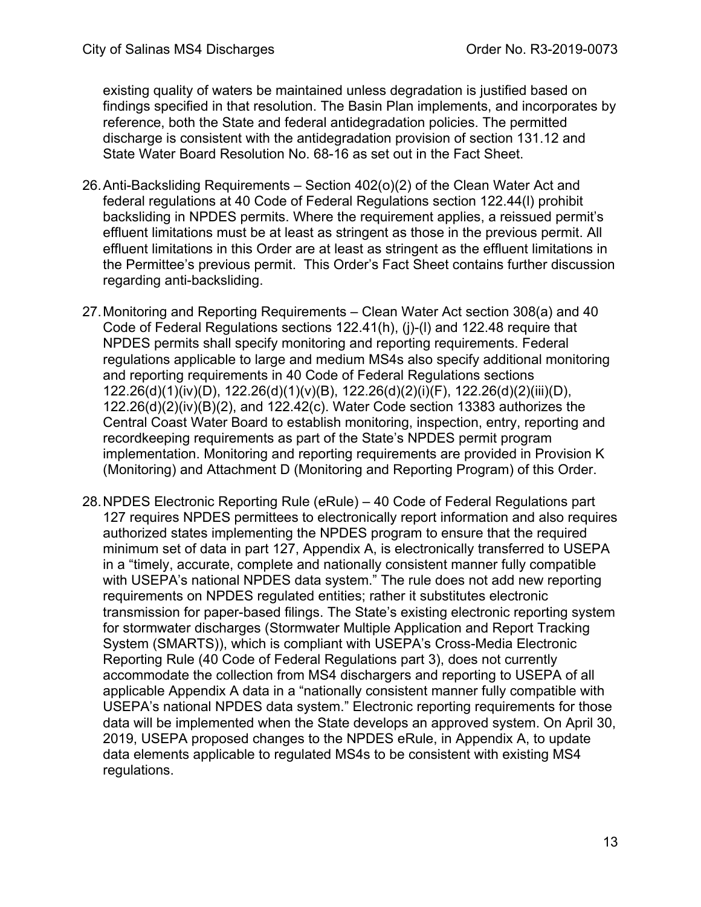existing quality of waters be maintained unless degradation is justified based on findings specified in that resolution. The Basin Plan implements, and incorporates by reference, both the State and federal antidegradation policies. The permitted discharge is consistent with the antidegradation provision of section 131.12 and State Water Board Resolution No. 68-16 as set out in the Fact Sheet.

- 26.Anti-Backsliding Requirements Section 402(o)(2) of the Clean Water Act and federal regulations at 40 Code of Federal Regulations section 122.44(l) prohibit backsliding in NPDES permits. Where the requirement applies, a reissued permit's effluent limitations must be at least as stringent as those in the previous permit. All effluent limitations in this Order are at least as stringent as the effluent limitations in the Permittee's previous permit. This Order's Fact Sheet contains further discussion regarding anti-backsliding.
- 27.Monitoring and Reporting Requirements Clean Water Act section 308(a) and 40 Code of Federal Regulations sections 122.41(h), (j)-(l) and 122.48 require that NPDES permits shall specify monitoring and reporting requirements. Federal regulations applicable to large and medium MS4s also specify additional monitoring and reporting requirements in 40 Code of Federal Regulations sections 122.26(d)(1)(iv)(D), 122.26(d)(1)(v)(B), 122.26(d)(2)(i)(F), 122.26(d)(2)(iii)(D), 122.26(d)(2)(iv)(B)(2), and 122.42(c). Water Code section 13383 authorizes the Central Coast Water Board to establish monitoring, inspection, entry, reporting and recordkeeping requirements as part of the State's NPDES permit program implementation. Monitoring and reporting requirements are provided in Provision K (Monitoring) and Attachment D (Monitoring and Reporting Program) of this Order.
- 28.NPDES Electronic Reporting Rule (eRule) 40 Code of Federal Regulations part 127 requires NPDES permittees to electronically report information and also requires authorized states implementing the NPDES program to ensure that the required minimum set of data in part 127, Appendix A, is electronically transferred to USEPA in a "timely, accurate, complete and nationally consistent manner fully compatible with USEPA's national NPDES data system." The rule does not add new reporting requirements on NPDES regulated entities; rather it substitutes electronic transmission for paper-based filings. The State's existing electronic reporting system for stormwater discharges (Stormwater Multiple Application and Report Tracking System (SMARTS)), which is compliant with USEPA's Cross-Media Electronic Reporting Rule (40 Code of Federal Regulations part 3), does not currently accommodate the collection from MS4 dischargers and reporting to USEPA of all applicable Appendix A data in a "nationally consistent manner fully compatible with USEPA's national NPDES data system." Electronic reporting requirements for those data will be implemented when the State develops an approved system. On April 30, 2019, USEPA proposed changes to the NPDES eRule, in Appendix A, to update data elements applicable to regulated MS4s to be consistent with existing MS4 regulations.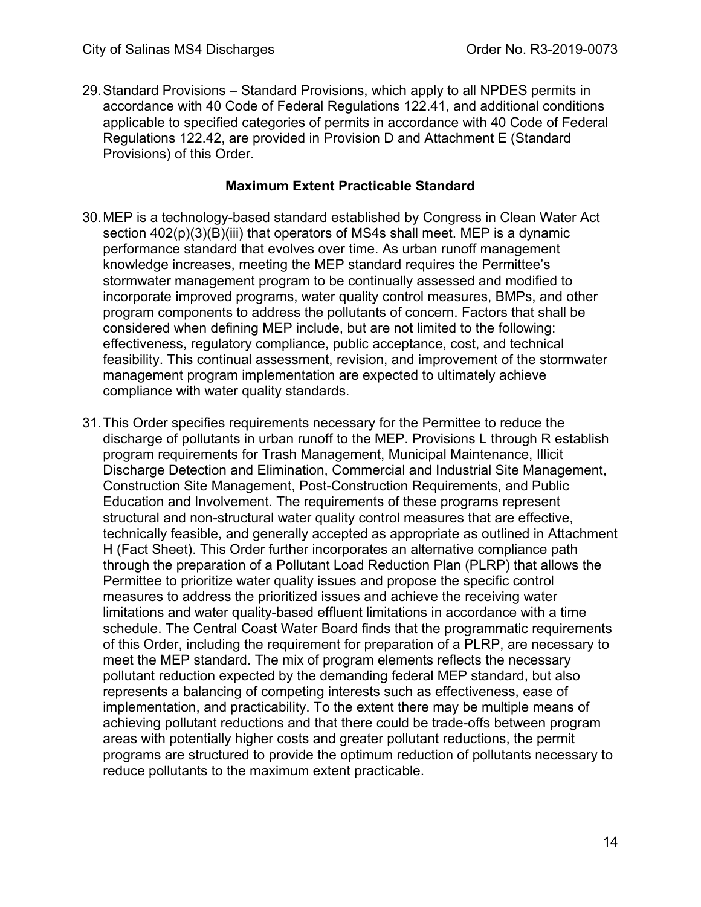29.Standard Provisions – Standard Provisions, which apply to all NPDES permits in accordance with 40 Code of Federal Regulations 122.41, and additional conditions applicable to specified categories of permits in accordance with 40 Code of Federal Regulations 122.42, are provided in Provision D and Attachment E (Standard Provisions) of this Order.

#### **Maximum Extent Practicable Standard**

- 30.MEP is a technology-based standard established by Congress in Clean Water Act section 402(p)(3)(B)(iii) that operators of MS4s shall meet. MEP is a dynamic performance standard that evolves over time. As urban runoff management knowledge increases, meeting the MEP standard requires the Permittee's stormwater management program to be continually assessed and modified to incorporate improved programs, water quality control measures, BMPs, and other program components to address the pollutants of concern. Factors that shall be considered when defining MEP include, but are not limited to the following: effectiveness, regulatory compliance, public acceptance, cost, and technical feasibility. This continual assessment, revision, and improvement of the stormwater management program implementation are expected to ultimately achieve compliance with water quality standards.
- 31.This Order specifies requirements necessary for the Permittee to reduce the discharge of pollutants in urban runoff to the MEP. Provisions L through R establish program requirements for Trash Management, Municipal Maintenance, Illicit Discharge Detection and Elimination, Commercial and Industrial Site Management, Construction Site Management, Post-Construction Requirements, and Public Education and Involvement. The requirements of these programs represent structural and non-structural water quality control measures that are effective, technically feasible, and generally accepted as appropriate as outlined in Attachment H (Fact Sheet). This Order further incorporates an alternative compliance path through the preparation of a Pollutant Load Reduction Plan (PLRP) that allows the Permittee to prioritize water quality issues and propose the specific control measures to address the prioritized issues and achieve the receiving water limitations and water quality-based effluent limitations in accordance with a time schedule. The Central Coast Water Board finds that the programmatic requirements of this Order, including the requirement for preparation of a PLRP, are necessary to meet the MEP standard. The mix of program elements reflects the necessary pollutant reduction expected by the demanding federal MEP standard, but also represents a balancing of competing interests such as effectiveness, ease of implementation, and practicability. To the extent there may be multiple means of achieving pollutant reductions and that there could be trade-offs between program areas with potentially higher costs and greater pollutant reductions, the permit programs are structured to provide the optimum reduction of pollutants necessary to reduce pollutants to the maximum extent practicable.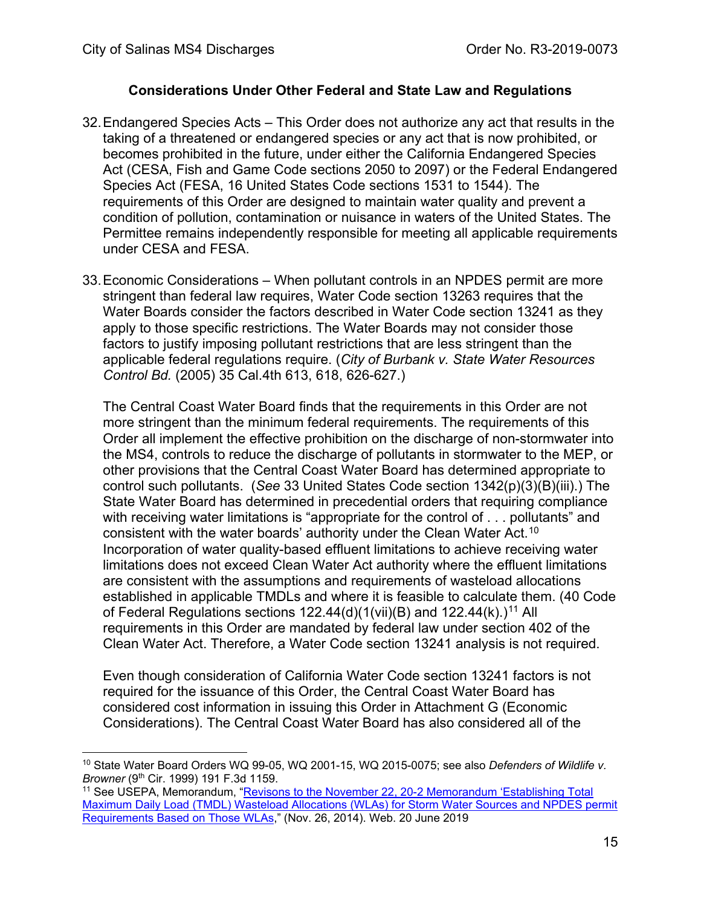#### **Considerations Under Other Federal and State Law and Regulations**

- 32.Endangered Species Acts This Order does not authorize any act that results in the taking of a threatened or endangered species or any act that is now prohibited, or becomes prohibited in the future, under either the California Endangered Species Act (CESA, Fish and Game Code sections 2050 to 2097) or the Federal Endangered Species Act (FESA, 16 United States Code sections 1531 to 1544). The requirements of this Order are designed to maintain water quality and prevent a condition of pollution, contamination or nuisance in waters of the United States. The Permittee remains independently responsible for meeting all applicable requirements under CESA and FESA.
- 33.Economic Considerations When pollutant controls in an NPDES permit are more stringent than federal law requires, Water Code section 13263 requires that the Water Boards consider the factors described in Water Code section 13241 as they apply to those specific restrictions. The Water Boards may not consider those factors to justify imposing pollutant restrictions that are less stringent than the applicable federal regulations require. (*City of Burbank v. State Water Resources Control Bd.* (2005) 35 Cal.4th 613, 618, 626-627.)

The Central Coast Water Board finds that the requirements in this Order are not more stringent than the minimum federal requirements. The requirements of this Order all implement the effective prohibition on the discharge of non-stormwater into the MS4, controls to reduce the discharge of pollutants in stormwater to the MEP, or other provisions that the Central Coast Water Board has determined appropriate to control such pollutants. (*See* 33 United States Code section 1342(p)(3)(B)(iii).) The State Water Board has determined in precedential orders that requiring compliance with receiving water limitations is "appropriate for the control of . . . pollutants" and consistent with the water boards' authority under the Clean Water Act.[10](#page-14-0) Incorporation of water quality-based effluent limitations to achieve receiving water limitations does not exceed Clean Water Act authority where the effluent limitations are consistent with the assumptions and requirements of wasteload allocations established in applicable TMDLs and where it is feasible to calculate them. (40 Code of Federal Regulations sections  $122.44(d)(1(vii)(B)$  and  $122.44(k).$ <sup>11</sup> All requirements in this Order are mandated by federal law under section 402 of the Clean Water Act. Therefore, a Water Code section 13241 analysis is not required.

Even though consideration of California Water Code section 13241 factors is not required for the issuance of this Order, the Central Coast Water Board has considered cost information in issuing this Order in Attachment G (Economic Considerations). The Central Coast Water Board has also considered all of the

<span id="page-14-0"></span><sup>10</sup> State Water Board Orders WQ 99-05, WQ 2001-15, WQ 2015-0075; see also *Defenders of Wildlife v. Browner* (9th Cir. 1999) 191 F.3d 1159.

<span id="page-14-1"></span><sup>11</sup> See USEPA, Memorandum, ["Revisons to the November 22, 20-2 Memorandum 'Establishing Total](https://www3.epa.gov/npdes/pubs/EPA_SW_TMDL_Memo.pdf)  [Maximum Daily Load \(TMDL\) Wasteload Allocations \(WLAs\) for Storm Water Sources and NPDES permit](https://www3.epa.gov/npdes/pubs/EPA_SW_TMDL_Memo.pdf)  [Requirements Based on Those WLAs,](https://www3.epa.gov/npdes/pubs/EPA_SW_TMDL_Memo.pdf)" (Nov. 26, 2014). Web. 20 June 2019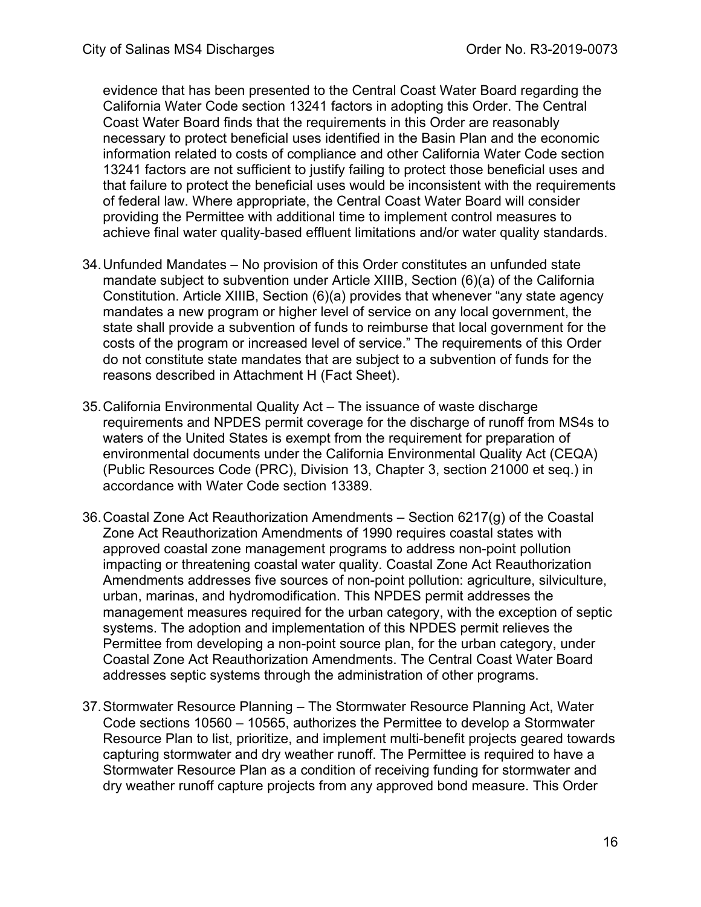evidence that has been presented to the Central Coast Water Board regarding the California Water Code section 13241 factors in adopting this Order. The Central Coast Water Board finds that the requirements in this Order are reasonably necessary to protect beneficial uses identified in the Basin Plan and the economic information related to costs of compliance and other California Water Code section 13241 factors are not sufficient to justify failing to protect those beneficial uses and that failure to protect the beneficial uses would be inconsistent with the requirements of federal law. Where appropriate, the Central Coast Water Board will consider providing the Permittee with additional time to implement control measures to achieve final water quality-based effluent limitations and/or water quality standards.

- 34.Unfunded Mandates No provision of this Order constitutes an unfunded state mandate subject to subvention under Article XIIIB, Section (6)(a) of the California Constitution. Article XIIIB, Section (6)(a) provides that whenever "any state agency mandates a new program or higher level of service on any local government, the state shall provide a subvention of funds to reimburse that local government for the costs of the program or increased level of service." The requirements of this Order do not constitute state mandates that are subject to a subvention of funds for the reasons described in Attachment H (Fact Sheet).
- 35.California Environmental Quality Act The issuance of waste discharge requirements and NPDES permit coverage for the discharge of runoff from MS4s to waters of the United States is exempt from the requirement for preparation of environmental documents under the California Environmental Quality Act (CEQA) (Public Resources Code (PRC), Division 13, Chapter 3, section 21000 et seq.) in accordance with Water Code section 13389.
- 36.Coastal Zone Act Reauthorization Amendments Section 6217(g) of the Coastal Zone Act Reauthorization Amendments of 1990 requires coastal states with approved coastal zone management programs to address non-point pollution impacting or threatening coastal water quality. Coastal Zone Act Reauthorization Amendments addresses five sources of non-point pollution: agriculture, silviculture, urban, marinas, and hydromodification. This NPDES permit addresses the management measures required for the urban category, with the exception of septic systems. The adoption and implementation of this NPDES permit relieves the Permittee from developing a non-point source plan, for the urban category, under Coastal Zone Act Reauthorization Amendments. The Central Coast Water Board addresses septic systems through the administration of other programs.
- 37.Stormwater Resource Planning The Stormwater Resource Planning Act, Water Code sections 10560 – 10565, authorizes the Permittee to develop a Stormwater Resource Plan to list, prioritize, and implement multi-benefit projects geared towards capturing stormwater and dry weather runoff. The Permittee is required to have a Stormwater Resource Plan as a condition of receiving funding for stormwater and dry weather runoff capture projects from any approved bond measure. This Order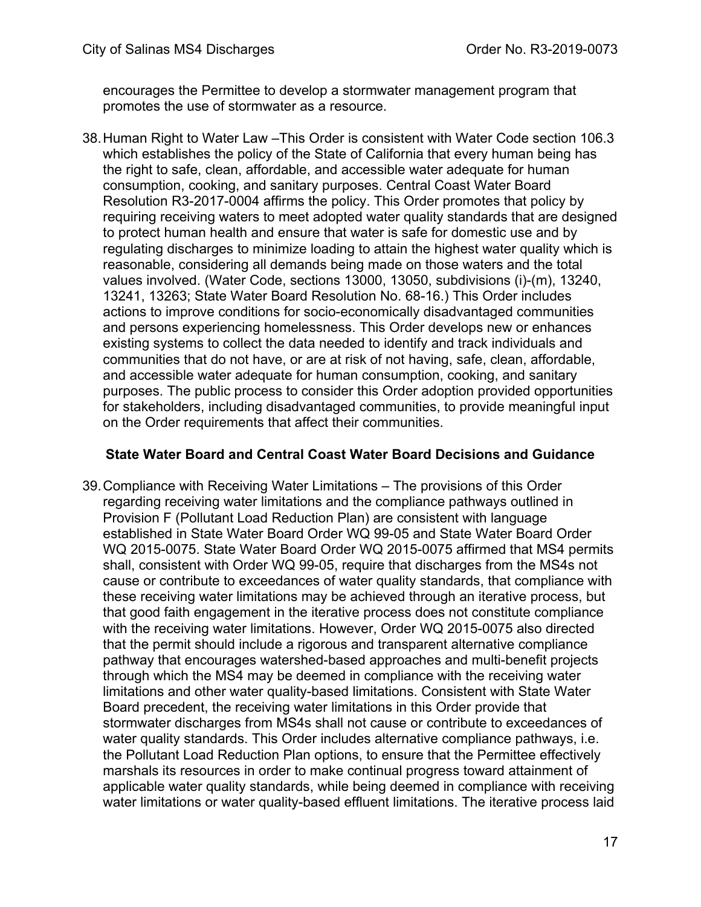encourages the Permittee to develop a stormwater management program that promotes the use of stormwater as a resource.

38.Human Right to Water Law –This Order is consistent with Water Code section 106.3 which establishes the policy of the State of California that every human being has the right to safe, clean, affordable, and accessible water adequate for human consumption, cooking, and sanitary purposes. Central Coast Water Board Resolution R3-2017-0004 affirms the policy. This Order promotes that policy by requiring receiving waters to meet adopted water quality standards that are designed to protect human health and ensure that water is safe for domestic use and by regulating discharges to minimize loading to attain the highest water quality which is reasonable, considering all demands being made on those waters and the total values involved. (Water Code, sections 13000, 13050, subdivisions (i)-(m), 13240, 13241, 13263; State Water Board Resolution No. 68-16.) This Order includes actions to improve conditions for socio-economically disadvantaged communities and persons experiencing homelessness. This Order develops new or enhances existing systems to collect the data needed to identify and track individuals and communities that do not have, or are at risk of not having, safe, clean, affordable, and accessible water adequate for human consumption, cooking, and sanitary purposes. The public process to consider this Order adoption provided opportunities for stakeholders, including disadvantaged communities, to provide meaningful input on the Order requirements that affect their communities.

#### **State Water Board and Central Coast Water Board Decisions and Guidance**

39.Compliance with Receiving Water Limitations – The provisions of this Order regarding receiving water limitations and the compliance pathways outlined in Provision F (Pollutant Load Reduction Plan) are consistent with language established in State Water Board Order WQ 99-05 and State Water Board Order WQ 2015-0075. State Water Board Order WQ 2015-0075 affirmed that MS4 permits shall, consistent with Order WQ 99-05, require that discharges from the MS4s not cause or contribute to exceedances of water quality standards, that compliance with these receiving water limitations may be achieved through an iterative process, but that good faith engagement in the iterative process does not constitute compliance with the receiving water limitations. However, Order WQ 2015-0075 also directed that the permit should include a rigorous and transparent alternative compliance pathway that encourages watershed-based approaches and multi-benefit projects through which the MS4 may be deemed in compliance with the receiving water limitations and other water quality-based limitations. Consistent with State Water Board precedent, the receiving water limitations in this Order provide that stormwater discharges from MS4s shall not cause or contribute to exceedances of water quality standards. This Order includes alternative compliance pathways, i.e. the Pollutant Load Reduction Plan options, to ensure that the Permittee effectively marshals its resources in order to make continual progress toward attainment of applicable water quality standards, while being deemed in compliance with receiving water limitations or water quality-based effluent limitations. The iterative process laid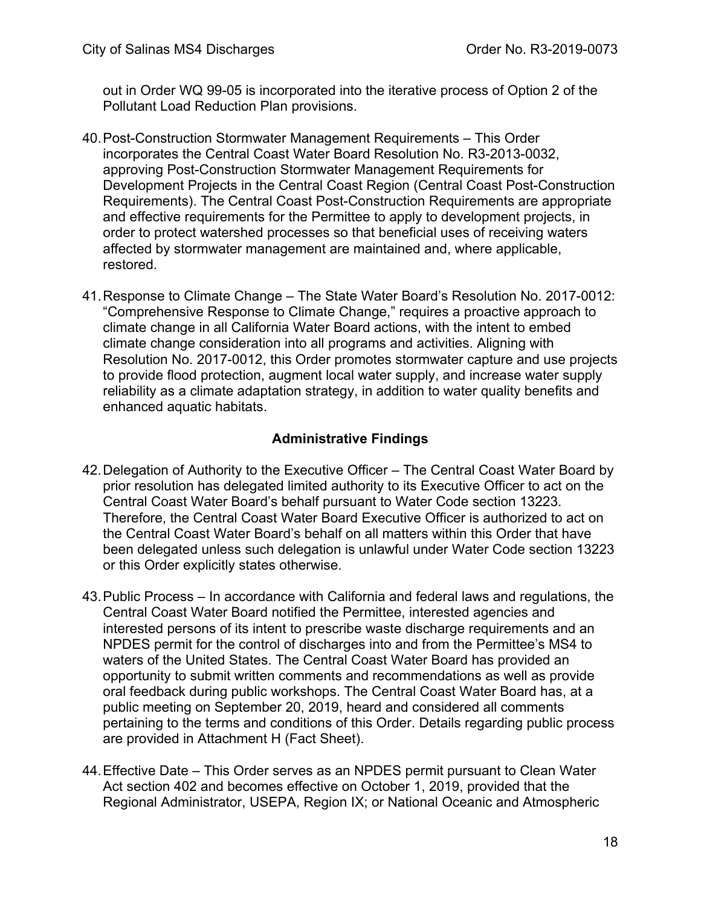out in Order WQ 99-05 is incorporated into the iterative process of Option 2 of the Pollutant Load Reduction Plan provisions.

- 40.Post-Construction Stormwater Management Requirements This Order incorporates the Central Coast Water Board Resolution No. R3-2013-0032, approving Post-Construction Stormwater Management Requirements for Development Projects in the Central Coast Region (Central Coast Post-Construction Requirements). The Central Coast Post-Construction Requirements are appropriate and effective requirements for the Permittee to apply to development projects, in order to protect watershed processes so that beneficial uses of receiving waters affected by stormwater management are maintained and, where applicable, restored.
- 41.Response to Climate Change The State Water Board's Resolution No. 2017-0012: "Comprehensive Response to Climate Change," requires a proactive approach to climate change in all California Water Board actions, with the intent to embed climate change consideration into all programs and activities. Aligning with Resolution No. 2017-0012, this Order promotes stormwater capture and use projects to provide flood protection, augment local water supply, and increase water supply reliability as a climate adaptation strategy, in addition to water quality benefits and enhanced aquatic habitats.

### **Administrative Findings**

- 42.Delegation of Authority to the Executive Officer The Central Coast Water Board by prior resolution has delegated limited authority to its Executive Officer to act on the Central Coast Water Board's behalf pursuant to Water Code section 13223. Therefore, the Central Coast Water Board Executive Officer is authorized to act on the Central Coast Water Board's behalf on all matters within this Order that have been delegated unless such delegation is unlawful under Water Code section 13223 or this Order explicitly states otherwise.
- 43. Public Process In accordance with California and federal laws and regulations, the Central Coast Water Board notified the Permittee, interested agencies and interested persons of its intent to prescribe waste discharge requirements and an NPDES permit for the control of discharges into and from the Permittee's MS4 to waters of the United States. The Central Coast Water Board has provided an opportunity to submit written comments and recommendations as well as provide oral feedback during public workshops. The Central Coast Water Board has, at a public meeting on September 20, 2019, heard and considered all comments pertaining to the terms and conditions of this Order. Details regarding public process are provided in Attachment H (Fact Sheet).
- 44.Effective Date This Order serves as an NPDES permit pursuant to Clean Water Act section 402 and becomes effective on October 1, 2019, provided that the Regional Administrator, USEPA, Region IX; or National Oceanic and Atmospheric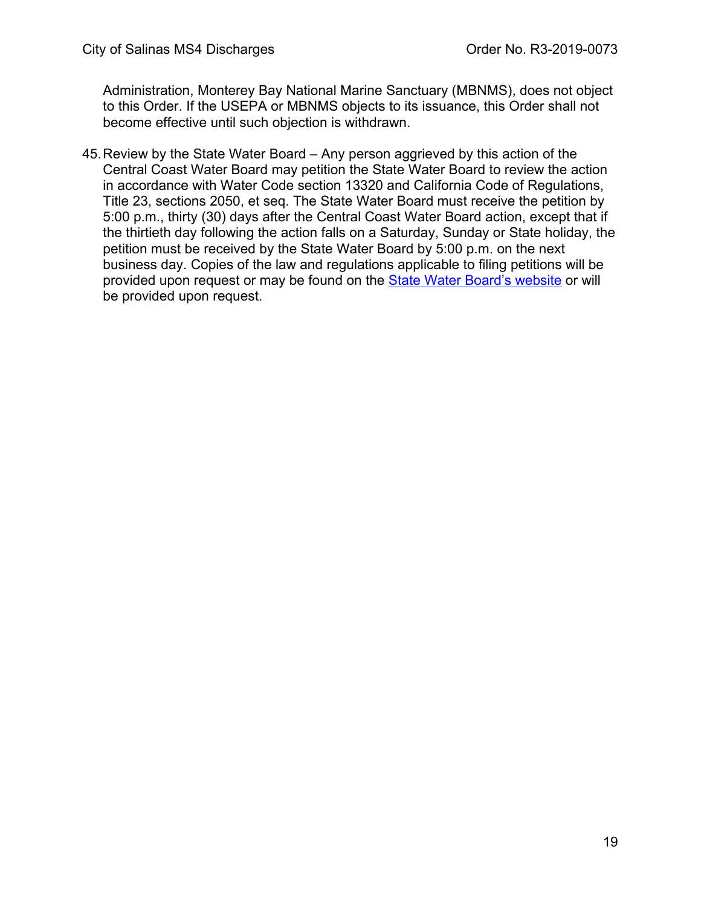Administration, Monterey Bay National Marine Sanctuary (MBNMS), does not object to this Order. If the USEPA or MBNMS objects to its issuance, this Order shall not become effective until such objection is withdrawn.

45.Review by the State Water Board – Any person aggrieved by this action of the Central Coast Water Board may petition the State Water Board to review the action in accordance with Water Code section 13320 and California Code of Regulations, Title 23, sections 2050, et seq. The State Water Board must receive the petition by 5:00 p.m., thirty (30) days after the Central Coast Water Board action, except that if the thirtieth day following the action falls on a Saturday, Sunday or State holiday, the petition must be received by the State Water Board by 5:00 p.m. on the next business day. Copies of the law and regulations applicable to filing petitions will be provided upon request or may be found on the [State Water Board's website](https://www.waterboards.ca.gov/public_notices/petitions/water_quality/wqpetition_instr.shtml) or will be provided upon request.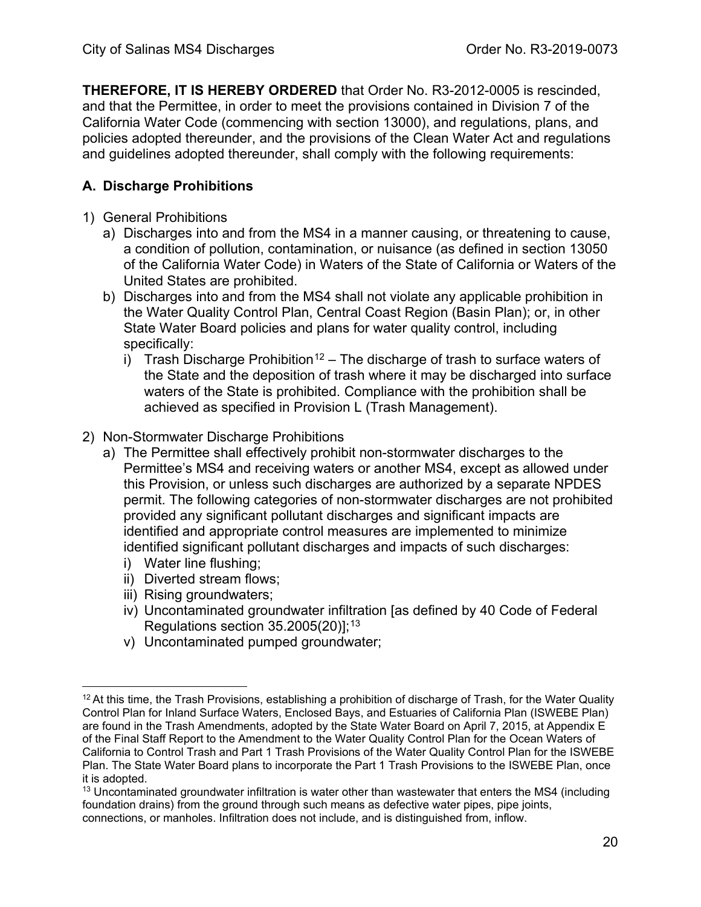<span id="page-19-0"></span>**THEREFORE, IT IS HEREBY ORDERED** that Order No. R3-2012-0005 is rescinded, and that the Permittee, in order to meet the provisions contained in Division 7 of the California Water Code (commencing with section 13000), and regulations, plans, and policies adopted thereunder, and the provisions of the Clean Water Act and regulations and guidelines adopted thereunder, shall comply with the following requirements:

# <span id="page-19-1"></span>**A. Discharge Prohibitions**

- 1) General Prohibitions
	- a) Discharges into and from the MS4 in a manner causing, or threatening to cause, a condition of pollution, contamination, or nuisance (as defined in section 13050 of the California Water Code) in Waters of the State of California or Waters of the United States are prohibited.
	- b) Discharges into and from the MS4 shall not violate any applicable prohibition in the Water Quality Control Plan, Central Coast Region (Basin Plan); or, in other State Water Board policies and plans for water quality control, including specifically:
		- i) Trash Discharge Prohibition<sup>[12](#page-19-2)</sup> The discharge of trash to surface waters of the State and the deposition of trash where it may be discharged into surface waters of the State is prohibited. Compliance with the prohibition shall be achieved as specified in Provision L (Trash Management).

#### 2) Non-Stormwater Discharge Prohibitions

- a) The Permittee shall effectively prohibit non-stormwater discharges to the Permittee's MS4 and receiving waters or another MS4, except as allowed under this Provision, or unless such discharges are authorized by a separate NPDES permit. The following categories of non-stormwater discharges are not prohibited provided any significant pollutant discharges and significant impacts are identified and appropriate control measures are implemented to minimize identified significant pollutant discharges and impacts of such discharges:
	- i) Water line flushing;
	- ii) Diverted stream flows;
	- iii) Rising groundwaters;
	- iv) Uncontaminated groundwater infiltration [as defined by 40 Code of Federal Regulations section  $35.2005(20)$ ]; $^{\rm 13}$  $^{\rm 13}$  $^{\rm 13}$
	- v) Uncontaminated pumped groundwater;

<span id="page-19-2"></span><sup>&</sup>lt;sup>12</sup> At this time, the Trash Provisions, establishing a prohibition of discharge of Trash, for the Water Quality Control Plan for Inland Surface Waters, Enclosed Bays, and Estuaries of California Plan (ISWEBE Plan) are found in the Trash Amendments, adopted by the State Water Board on April 7, 2015, at Appendix E of the Final Staff Report to the Amendment to the Water Quality Control Plan for the Ocean Waters of California to Control Trash and Part 1 Trash Provisions of the Water Quality Control Plan for the ISWEBE Plan. The State Water Board plans to incorporate the Part 1 Trash Provisions to the ISWEBE Plan, once it is adopted.

<span id="page-19-3"></span> $13$  Uncontaminated groundwater infiltration is water other than wastewater that enters the MS4 (including foundation drains) from the ground through such means as defective water pipes, pipe joints, connections, or manholes. Infiltration does not include, and is distinguished from, inflow.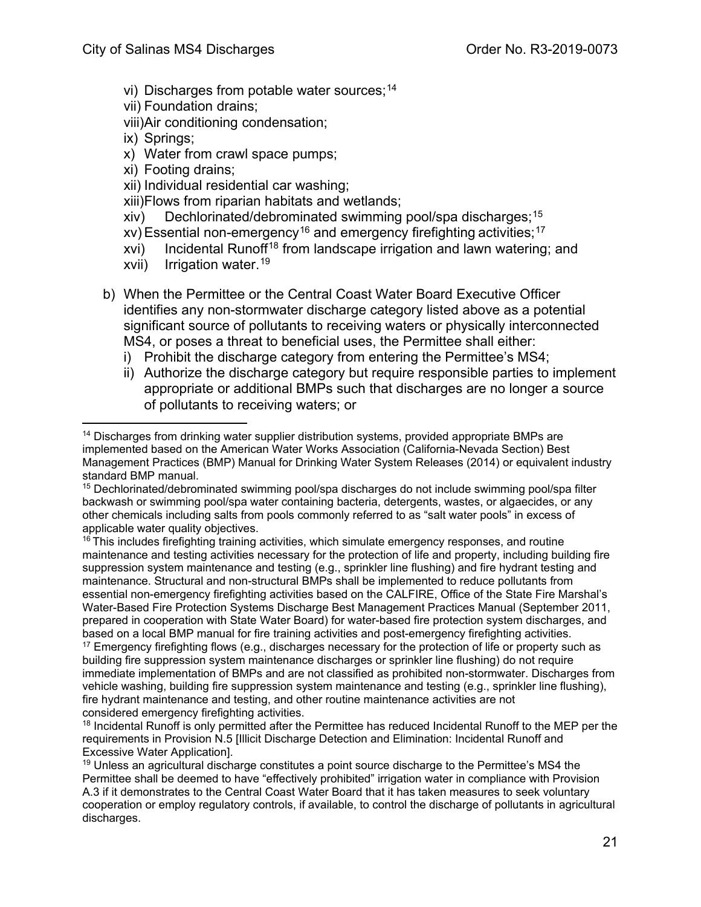- vi) Discharges from potable water sources; [14](#page-20-0)
- vii) Foundation drains;
- viii)Air conditioning condensation;
- ix) Springs;
- x) Water from crawl space pumps;
- xi) Footing drains;
- xii) Individual residential car washing;
- xiii)Flows from riparian habitats and wetlands;
- xiv) Dechlorinated/debrominated swimming pool/spa discharges; [15](#page-20-1)
- xv) Essential non-emergency $^{\mathsf{16}}$  $^{\mathsf{16}}$  $^{\mathsf{16}}$  and emergency firefighting activities; $^{\mathsf{17}}$  $^{\mathsf{17}}$  $^{\mathsf{17}}$
- xvi) Incidental Runoff<sup>[18](#page-20-4)</sup> from landscape irrigation and lawn watering; and
- xvii) Irrigation water.<sup>[19](#page-20-5)</sup>
- b) When the Permittee or the Central Coast Water Board Executive Officer identifies any non-stormwater discharge category listed above as a potential significant source of pollutants to receiving waters or physically interconnected MS4, or poses a threat to beneficial uses, the Permittee shall either:
	- i) Prohibit the discharge category from entering the Permittee's MS4;
	- ii) Authorize the discharge category but require responsible parties to implement appropriate or additional BMPs such that discharges are no longer a source of pollutants to receiving waters; or

<span id="page-20-2"></span> $16$  This includes firefighting training activities, which simulate emergency responses, and routine maintenance and testing activities necessary for the protection of life and property, including building fire suppression system maintenance and testing (e.g., sprinkler line flushing) and fire hydrant testing and maintenance. Structural and non-structural BMPs shall be implemented to reduce pollutants from essential non-emergency firefighting activities based on the CALFIRE, Office of the State Fire Marshal's Water-Based Fire Protection Systems Discharge Best Management Practices Manual (September 2011, prepared in cooperation with State Water Board) for water-based fire protection system discharges, and based on a local BMP manual for fire training activities and post-emergency firefighting activities.

<span id="page-20-3"></span> $17$  Emergency firefighting flows (e.g., discharges necessary for the protection of life or property such as building fire suppression system maintenance discharges or sprinkler line flushing) do not require immediate implementation of BMPs and are not classified as prohibited non-stormwater. Discharges from vehicle washing, building fire suppression system maintenance and testing (e.g., sprinkler line flushing), fire hydrant maintenance and testing, and other routine maintenance activities are not considered emergency firefighting activities.

<span id="page-20-0"></span><sup>&</sup>lt;sup>14</sup> Discharges from drinking water supplier distribution systems, provided appropriate BMPs are implemented based on the American Water Works Association (California-Nevada Section) Best Management Practices (BMP) Manual for Drinking Water System Releases (2014) or equivalent industry standard BMP manual.

<span id="page-20-1"></span><sup>15</sup> Dechlorinated/debrominated swimming pool/spa discharges do not include swimming pool/spa filter backwash or swimming pool/spa water containing bacteria, detergents, wastes, or algaecides, or any other chemicals including salts from pools commonly referred to as "salt water pools" in excess of applicable water quality objectives.

<span id="page-20-4"></span><sup>&</sup>lt;sup>18</sup> Incidental Runoff is only permitted after the Permittee has reduced Incidental Runoff to the MEP per the requirements in Provision N.5 [Illicit Discharge Detection and Elimination: Incidental Runoff and Excessive Water Application].

<span id="page-20-5"></span> $19$  Unless an agricultural discharge constitutes a point source discharge to the Permittee's MS4 the Permittee shall be deemed to have "effectively prohibited" irrigation water in compliance with Provision A.3 if it demonstrates to the Central Coast Water Board that it has taken measures to seek voluntary cooperation or employ regulatory controls, if available, to control the discharge of pollutants in agricultural discharges.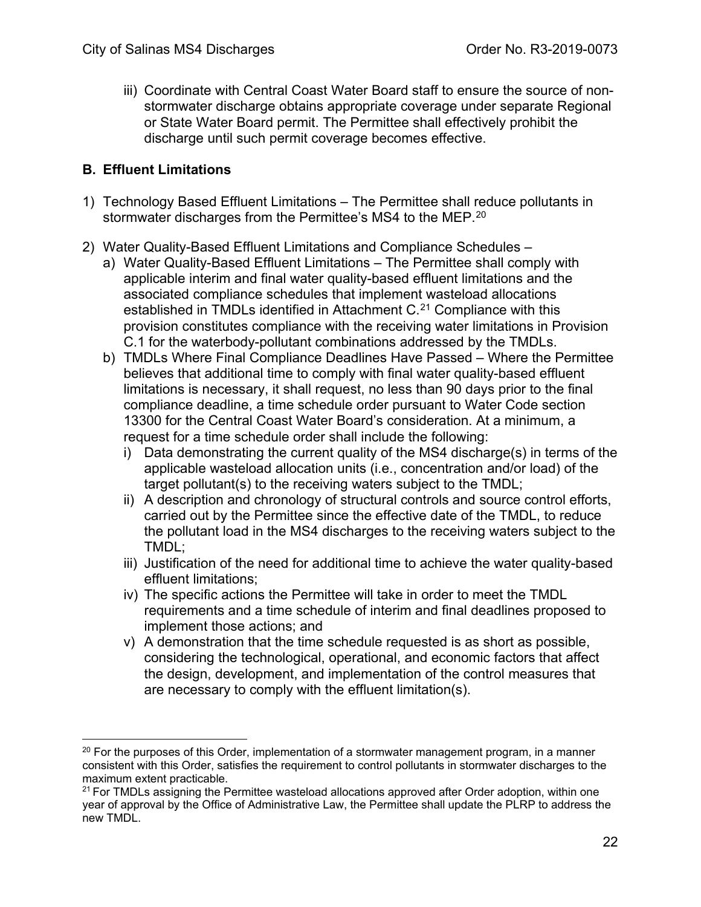iii) Coordinate with Central Coast Water Board staff to ensure the source of nonstormwater discharge obtains appropriate coverage under separate Regional or State Water Board permit. The Permittee shall effectively prohibit the discharge until such permit coverage becomes effective.

### <span id="page-21-0"></span>**B. Effluent Limitations**

- 1) Technology Based Effluent Limitations The Permittee shall reduce pollutants in stormwater discharges from the Permittee's MS4 to the MEP. $^\mathrm{20}$  $^\mathrm{20}$  $^\mathrm{20}$
- 2) Water Quality-Based Effluent Limitations and Compliance Schedules
	- a) Water Quality-Based Effluent Limitations The Permittee shall comply with applicable interim and final water quality-based effluent limitations and the associated compliance schedules that implement wasteload allocations established in TMDLs identified in Attachment C.<sup>[21](#page-21-2)</sup> Compliance with this provision constitutes compliance with the receiving water limitations in Provision C.1 for the waterbody-pollutant combinations addressed by the TMDLs.
	- b) TMDLs Where Final Compliance Deadlines Have Passed Where the Permittee believes that additional time to comply with final water quality-based effluent limitations is necessary, it shall request, no less than 90 days prior to the final compliance deadline, a time schedule order pursuant to Water Code section 13300 for the Central Coast Water Board's consideration. At a minimum, a request for a time schedule order shall include the following:
		- i) Data demonstrating the current quality of the MS4 discharge(s) in terms of the applicable wasteload allocation units (i.e., concentration and/or load) of the target pollutant(s) to the receiving waters subject to the TMDL;
		- ii) A description and chronology of structural controls and source control efforts, carried out by the Permittee since the effective date of the TMDL, to reduce the pollutant load in the MS4 discharges to the receiving waters subject to the TMDL;
		- iii) Justification of the need for additional time to achieve the water quality-based effluent limitations;
		- iv) The specific actions the Permittee will take in order to meet the TMDL requirements and a time schedule of interim and final deadlines proposed to implement those actions; and
		- v) A demonstration that the time schedule requested is as short as possible, considering the technological, operational, and economic factors that affect the design, development, and implementation of the control measures that are necessary to comply with the effluent limitation(s).

<span id="page-21-1"></span> $20$  For the purposes of this Order, implementation of a stormwater management program, in a manner consistent with this Order, satisfies the requirement to control pollutants in stormwater discharges to the maximum extent practicable.

<span id="page-21-2"></span> $21$  For TMDLs assigning the Permittee wasteload allocations approved after Order adoption, within one year of approval by the Office of Administrative Law, the Permittee shall update the PLRP to address the new TMDL.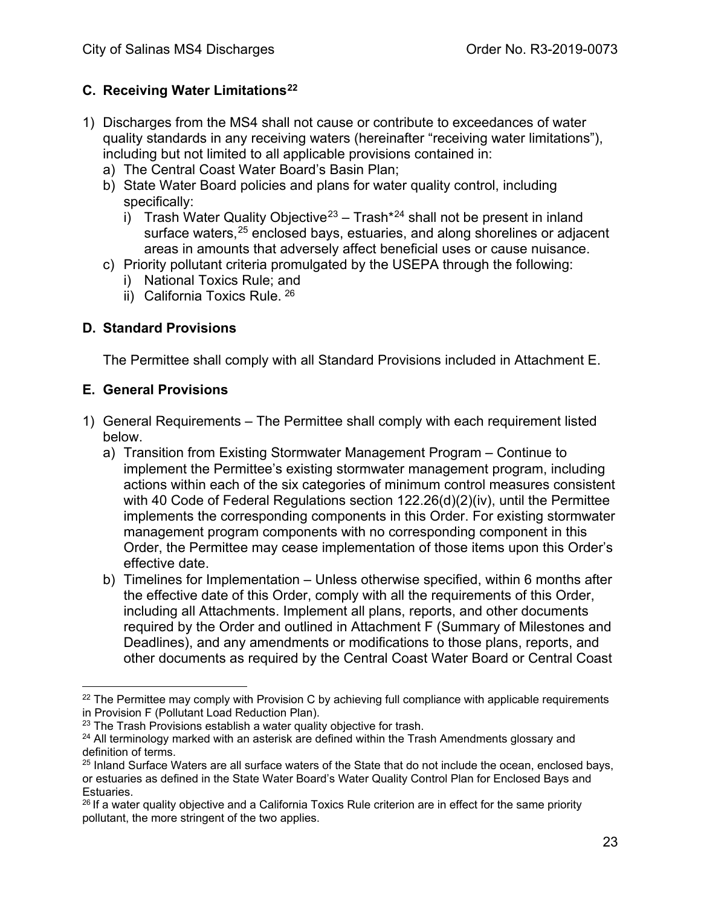# <span id="page-22-0"></span>**C. Receiving Water Limitations[22](#page-22-3)**

- 1) Discharges from the MS4 shall not cause or contribute to exceedances of water quality standards in any receiving waters (hereinafter "receiving water limitations"), including but not limited to all applicable provisions contained in:
	- a) The Central Coast Water Board's Basin Plan;
	- b) State Water Board policies and plans for water quality control, including specifically:
		- i) Trash Water Quality Objective<sup>[23](#page-22-4)</sup> Trash<sup>\*[24](#page-22-5)</sup> shall not be present in inland surface waters, <sup>[25](#page-22-6)</sup> enclosed bays, estuaries, and along shorelines or adjacent areas in amounts that adversely affect beneficial uses or cause nuisance.
	- c) Priority pollutant criteria promulgated by the USEPA through the following:
		- i) National Toxics Rule; and
		- ii) California Toxics Rule. [26](#page-22-7)

### <span id="page-22-1"></span>**D. Standard Provisions**

The Permittee shall comply with all Standard Provisions included in Attachment E.

### <span id="page-22-2"></span>**E. General Provisions**

- 1) General Requirements The Permittee shall comply with each requirement listed below.
	- a) Transition from Existing Stormwater Management Program Continue to implement the Permittee's existing stormwater management program, including actions within each of the six categories of minimum control measures consistent with 40 Code of Federal Regulations section 122.26(d)(2)(iv), until the Permittee implements the corresponding components in this Order. For existing stormwater management program components with no corresponding component in this Order, the Permittee may cease implementation of those items upon this Order's effective date.
	- b) Timelines for Implementation Unless otherwise specified, within 6 months after the effective date of this Order, comply with all the requirements of this Order, including all Attachments. Implement all plans, reports, and other documents required by the Order and outlined in Attachment F (Summary of Milestones and Deadlines), and any amendments or modifications to those plans, reports, and other documents as required by the Central Coast Water Board or Central Coast

<span id="page-22-3"></span> $22$  The Permittee may comply with Provision C by achieving full compliance with applicable requirements in Provision F (Pollutant Load Reduction Plan).

<span id="page-22-4"></span> $23$  The Trash Provisions establish a water quality objective for trash.

<span id="page-22-5"></span> $24$  All terminology marked with an asterisk are defined within the Trash Amendments glossary and definition of terms.<br><sup>25</sup> Inland Surface Waters are all surface waters of the State that do not include the ocean, enclosed bays,

<span id="page-22-6"></span>or estuaries as defined in the State Water Board's Water Quality Control Plan for Enclosed Bays and Estuaries.<br><sup>26</sup> If a water quality objective and a California Toxics Rule criterion are in effect for the same priority

<span id="page-22-7"></span>pollutant, the more stringent of the two applies.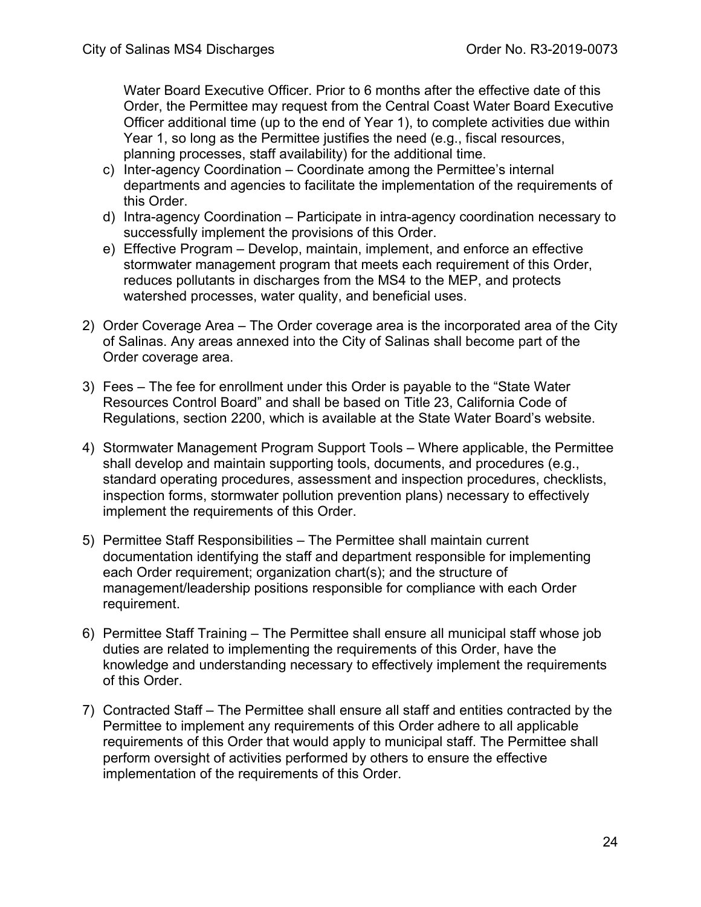Water Board Executive Officer. Prior to 6 months after the effective date of this Order, the Permittee may request from the Central Coast Water Board Executive Officer additional time (up to the end of Year 1), to complete activities due within Year 1, so long as the Permittee justifies the need (e.g., fiscal resources, planning processes, staff availability) for the additional time.

- c) Inter-agency Coordination Coordinate among the Permittee's internal departments and agencies to facilitate the implementation of the requirements of this Order.
- d) Intra-agency Coordination Participate in intra-agency coordination necessary to successfully implement the provisions of this Order.
- e) Effective Program Develop, maintain, implement, and enforce an effective stormwater management program that meets each requirement of this Order, reduces pollutants in discharges from the MS4 to the MEP, and protects watershed processes, water quality, and beneficial uses.
- 2) Order Coverage Area The Order coverage area is the incorporated area of the City of Salinas. Any areas annexed into the City of Salinas shall become part of the Order coverage area.
- 3) Fees The fee for enrollment under this Order is payable to the "State Water Resources Control Board" and shall be based on Title 23, California Code of Regulations, section 2200, which is available at the State Water Board's website.
- 4) Stormwater Management Program Support Tools Where applicable, the Permittee shall develop and maintain supporting tools, documents, and procedures (e.g., standard operating procedures, assessment and inspection procedures, checklists, inspection forms, stormwater pollution prevention plans) necessary to effectively implement the requirements of this Order.
- 5) Permittee Staff Responsibilities The Permittee shall maintain current documentation identifying the staff and department responsible for implementing each Order requirement; organization chart(s); and the structure of management/leadership positions responsible for compliance with each Order requirement.
- 6) Permittee Staff Training The Permittee shall ensure all municipal staff whose job duties are related to implementing the requirements of this Order, have the knowledge and understanding necessary to effectively implement the requirements of this Order.
- 7) Contracted Staff The Permittee shall ensure all staff and entities contracted by the Permittee to implement any requirements of this Order adhere to all applicable requirements of this Order that would apply to municipal staff. The Permittee shall perform oversight of activities performed by others to ensure the effective implementation of the requirements of this Order.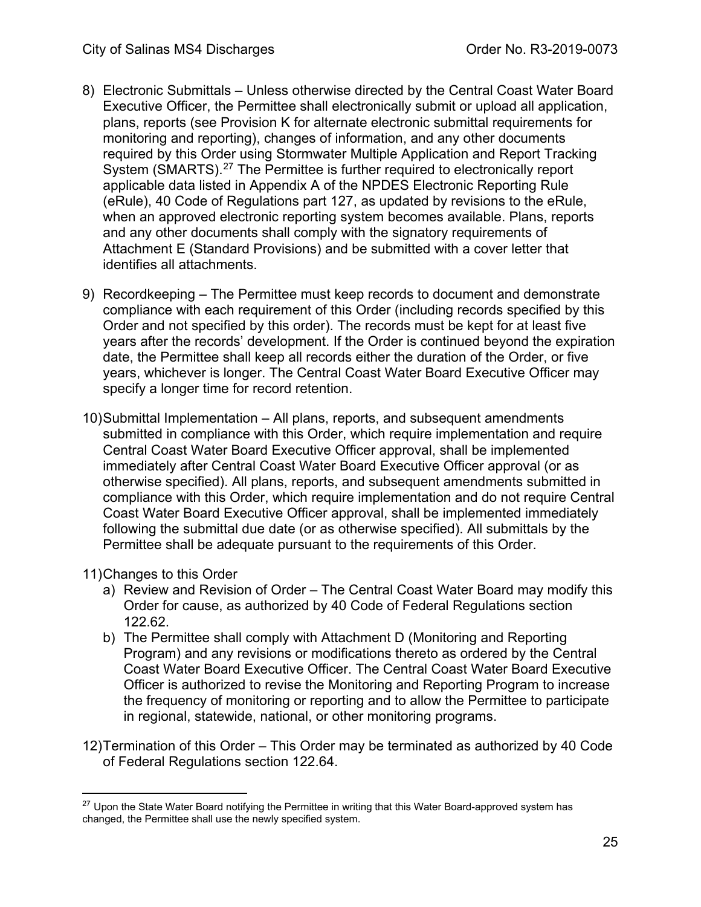- 8) Electronic Submittals Unless otherwise directed by the Central Coast Water Board Executive Officer, the Permittee shall electronically submit or upload all application, plans, reports (see Provision K for alternate electronic submittal requirements for monitoring and reporting), changes of information, and any other documents required by this Order using Stormwater Multiple Application and Report Tracking System (SMARTS).<sup>[27](#page-24-0)</sup> The Permittee is further required to electronically report applicable data listed in Appendix A of the NPDES Electronic Reporting Rule (eRule), 40 Code of Regulations part 127, as updated by revisions to the eRule, when an approved electronic reporting system becomes available. Plans, reports and any other documents shall comply with the signatory requirements of Attachment E (Standard Provisions) and be submitted with a cover letter that identifies all attachments.
- 9) Recordkeeping The Permittee must keep records to document and demonstrate compliance with each requirement of this Order (including records specified by this Order and not specified by this order). The records must be kept for at least five years after the records' development. If the Order is continued beyond the expiration date, the Permittee shall keep all records either the duration of the Order, or five years, whichever is longer. The Central Coast Water Board Executive Officer may specify a longer time for record retention.
- 10)Submittal Implementation All plans, reports, and subsequent amendments submitted in compliance with this Order, which require implementation and require Central Coast Water Board Executive Officer approval, shall be implemented immediately after Central Coast Water Board Executive Officer approval (or as otherwise specified). All plans, reports, and subsequent amendments submitted in compliance with this Order, which require implementation and do not require Central Coast Water Board Executive Officer approval, shall be implemented immediately following the submittal due date (or as otherwise specified). All submittals by the Permittee shall be adequate pursuant to the requirements of this Order.
- 11)Changes to this Order
	- a) Review and Revision of Order The Central Coast Water Board may modify this Order for cause, as authorized by 40 Code of Federal Regulations section 122.62.
	- b) The Permittee shall comply with Attachment D (Monitoring and Reporting Program) and any revisions or modifications thereto as ordered by the Central Coast Water Board Executive Officer. The Central Coast Water Board Executive Officer is authorized to revise the Monitoring and Reporting Program to increase the frequency of monitoring or reporting and to allow the Permittee to participate in regional, statewide, national, or other monitoring programs.
- 12)Termination of this Order This Order may be terminated as authorized by 40 Code of Federal Regulations section 122.64.

<span id="page-24-0"></span><sup>&</sup>lt;sup>27</sup> Upon the State Water Board notifying the Permittee in writing that this Water Board-approved system has changed, the Permittee shall use the newly specified system.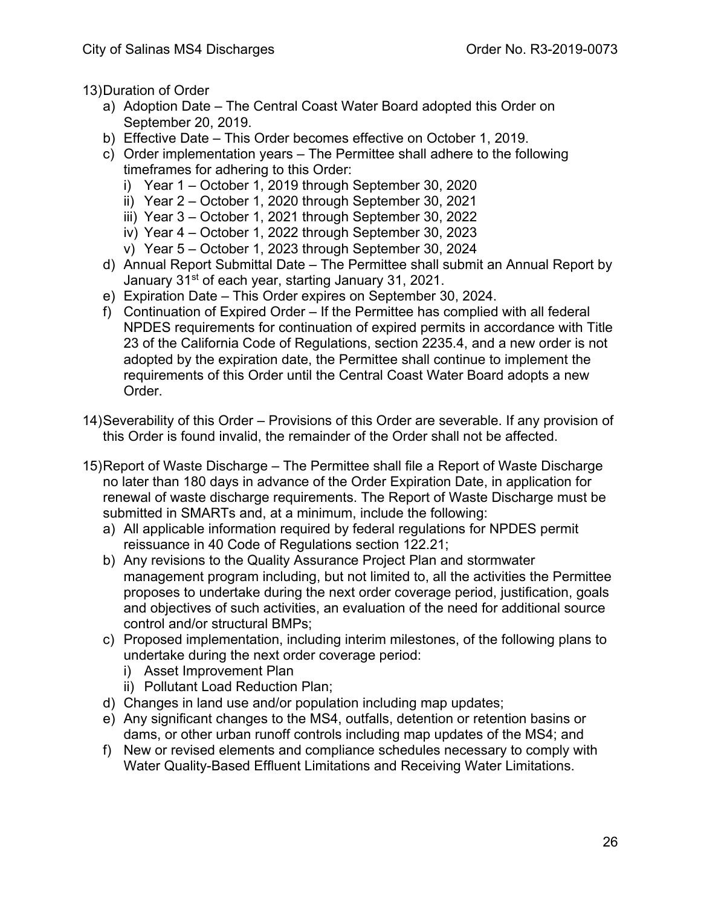13)Duration of Order

- a) Adoption Date The Central Coast Water Board adopted this Order on September 20, 2019.
- b) Effective Date This Order becomes effective on October 1, 2019.
- c) Order implementation years The Permittee shall adhere to the following timeframes for adhering to this Order:
	- i) Year 1 October 1, 2019 through September 30, 2020
	- ii) Year 2 October 1, 2020 through September 30, 2021
	- iii) Year 3 October 1, 2021 through September 30, 2022
	- iv) Year 4 October 1, 2022 through September 30, 2023
	- v) Year 5 October 1, 2023 through September 30, 2024
- d) Annual Report Submittal Date The Permittee shall submit an Annual Report by January 31<sup>st</sup> of each year, starting January 31, 2021.
- e) Expiration Date This Order expires on September 30, 2024.
- f) Continuation of Expired Order If the Permittee has complied with all federal NPDES requirements for continuation of expired permits in accordance with Title 23 of the California Code of Regulations, section 2235.4, and a new order is not adopted by the expiration date, the Permittee shall continue to implement the requirements of this Order until the Central Coast Water Board adopts a new Order.
- 14)Severability of this Order Provisions of this Order are severable. If any provision of this Order is found invalid, the remainder of the Order shall not be affected.
- <span id="page-25-0"></span>15)Report of Waste Discharge – The Permittee shall file a Report of Waste Discharge no later than 180 days in advance of the Order Expiration Date, in application for renewal of waste discharge requirements. The Report of Waste Discharge must be submitted in SMARTs and, at a minimum, include the following:
	- a) All applicable information required by federal regulations for NPDES permit reissuance in 40 Code of Regulations section 122.21;
	- b) Any revisions to the Quality Assurance Project Plan and stormwater management program including, but not limited to, all the activities the Permittee proposes to undertake during the next order coverage period, justification, goals and objectives of such activities, an evaluation of the need for additional source control and/or structural BMPs;
	- c) Proposed implementation, including interim milestones, of the following plans to undertake during the next order coverage period:
		- i) Asset Improvement Plan
		- ii) Pollutant Load Reduction Plan;
	- d) Changes in land use and/or population including map updates;
	- e) Any significant changes to the MS4, outfalls, detention or retention basins or dams, or other urban runoff controls including map updates of the MS4; and
	- f) New or revised elements and compliance schedules necessary to comply with Water Quality-Based Effluent Limitations and Receiving Water Limitations.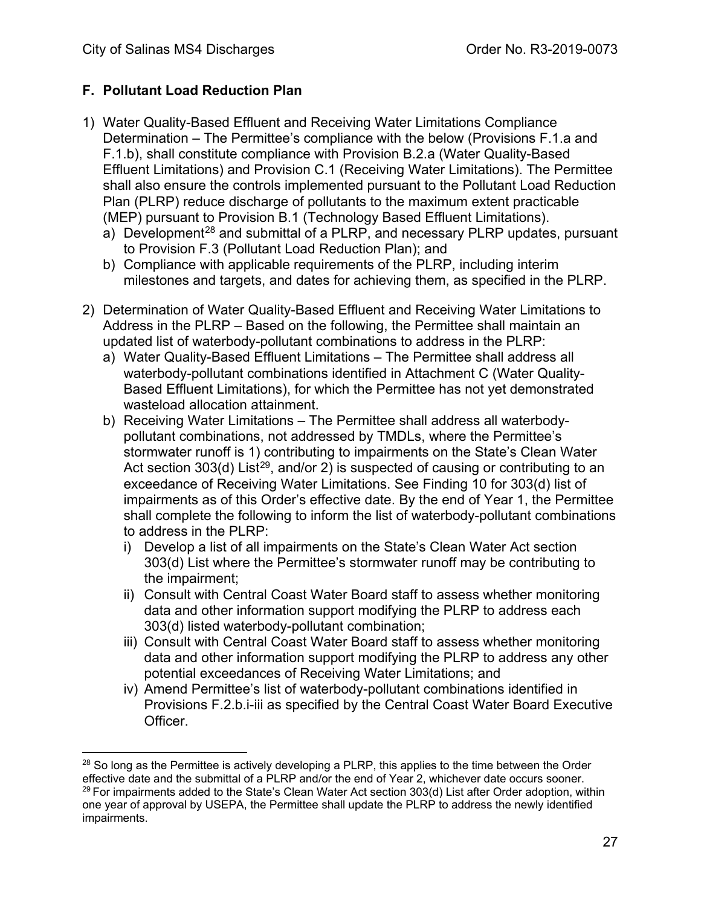# **F. Pollutant Load Reduction Plan**

- 1) Water Quality-Based Effluent and Receiving Water Limitations Compliance Determination – The Permittee's compliance with the below (Provisions F.1.a and F.1.b), shall constitute compliance with Provision B.2.a (Water Quality-Based Effluent Limitations) and Provision C.1 (Receiving Water Limitations). The Permittee shall also ensure the controls implemented pursuant to the Pollutant Load Reduction Plan (PLRP) reduce discharge of pollutants to the maximum extent practicable (MEP) pursuant to Provision B.1 (Technology Based Effluent Limitations).
	- a) Development<sup>[28](#page-26-0)</sup> and submittal of a PLRP, and necessary PLRP updates, pursuant to Provision F.3 (Pollutant Load Reduction Plan); and
	- b) Compliance with applicable requirements of the PLRP, including interim milestones and targets, and dates for achieving them, as specified in the PLRP.
- 2) Determination of Water Quality-Based Effluent and Receiving Water Limitations to Address in the PLRP – Based on the following, the Permittee shall maintain an updated list of waterbody-pollutant combinations to address in the PLRP:
	- a) Water Quality-Based Effluent Limitations The Permittee shall address all waterbody-pollutant combinations identified in Attachment C (Water Quality-Based Effluent Limitations), for which the Permittee has not yet demonstrated wasteload allocation attainment.
	- b) Receiving Water Limitations The Permittee shall address all waterbodypollutant combinations, not addressed by TMDLs, where the Permittee's stormwater runoff is 1) contributing to impairments on the State's Clean Water Act section 303(d) List<sup>[29](#page-26-1)</sup>, and/or 2) is suspected of causing or contributing to an exceedance of Receiving Water Limitations. See Finding 10 for 303(d) list of impairments as of this Order's effective date. By the end of Year 1, the Permittee shall complete the following to inform the list of waterbody-pollutant combinations to address in the PLRP:
		- i) Develop a list of all impairments on the State's Clean Water Act section 303(d) List where the Permittee's stormwater runoff may be contributing to the impairment;
		- ii) Consult with Central Coast Water Board staff to assess whether monitoring data and other information support modifying the PLRP to address each 303(d) listed waterbody-pollutant combination;
		- iii) Consult with Central Coast Water Board staff to assess whether monitoring data and other information support modifying the PLRP to address any other potential exceedances of Receiving Water Limitations; and
		- iv) Amend Permittee's list of waterbody-pollutant combinations identified in Provisions F.2.b.i-iii as specified by the Central Coast Water Board Executive Officer.

<span id="page-26-1"></span><span id="page-26-0"></span> $28$  So long as the Permittee is actively developing a PLRP, this applies to the time between the Order effective date and the submittal of a PLRP and/or the end of Year 2, whichever date occurs sooner.  $^{29}$  For impairments added to the State's Clean Water Act section 303(d) List after Order adoption, within one year of approval by USEPA, the Permittee shall update the PLRP to address the newly identified impairments.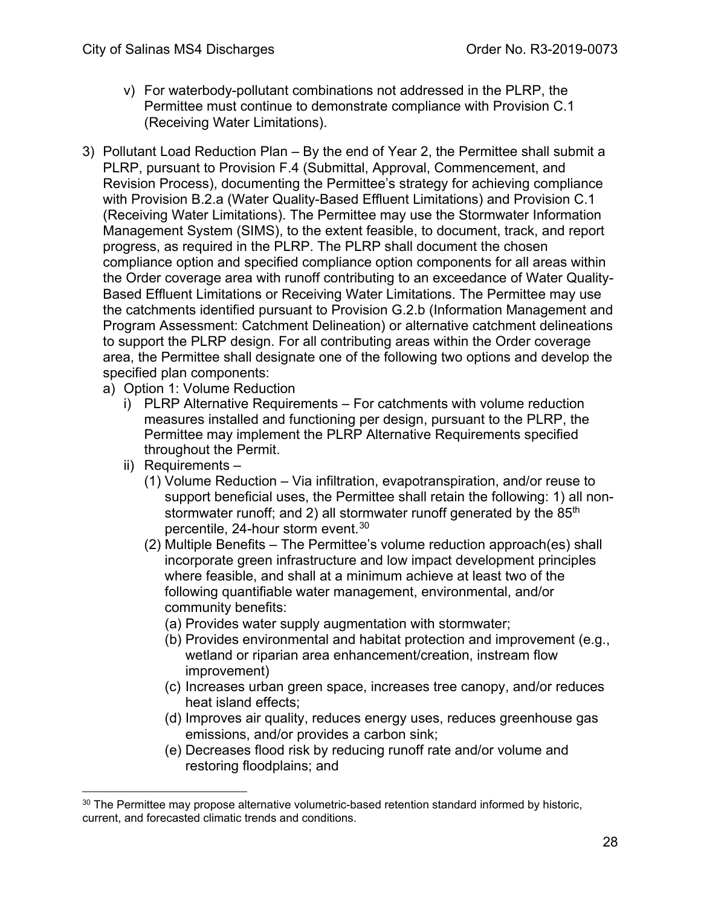- v) For waterbody-pollutant combinations not addressed in the PLRP, the Permittee must continue to demonstrate compliance with Provision C.1 (Receiving Water Limitations).
- 3) Pollutant Load Reduction Plan By the end of Year 2, the Permittee shall submit a PLRP, pursuant to Provision F.4 (Submittal, Approval, Commencement, and Revision Process), documenting the Permittee's strategy for achieving compliance with Provision B.2.a (Water Quality-Based Effluent Limitations) and Provision C.1 (Receiving Water Limitations). The Permittee may use the Stormwater Information Management System (SIMS), to the extent feasible, to document, track, and report progress, as required in the PLRP. The PLRP shall document the chosen compliance option and specified compliance option components for all areas within the Order coverage area with runoff contributing to an exceedance of Water Quality-Based Effluent Limitations or Receiving Water Limitations. The Permittee may use the catchments identified pursuant to Provision G.2.b (Information Management and Program Assessment: Catchment Delineation) or alternative catchment delineations to support the PLRP design. For all contributing areas within the Order coverage area, the Permittee shall designate one of the following two options and develop the specified plan components:
	- a) Option 1: Volume Reduction
		- i) PLRP Alternative Requirements For catchments with volume reduction measures installed and functioning per design, pursuant to the PLRP, the Permittee may implement the PLRP Alternative Requirements specified throughout the Permit.
		- ii) Requirements
			- (1) Volume Reduction Via infiltration, evapotranspiration, and/or reuse to support beneficial uses, the Permittee shall retain the following: 1) all nonstormwater runoff; and 2) all stormwater runoff generated by the 85<sup>th</sup> percentile, 24-hour storm event. [30](#page-27-0)
			- (2) Multiple Benefits The Permittee's volume reduction approach(es) shall incorporate green infrastructure and low impact development principles where feasible, and shall at a minimum achieve at least two of the following quantifiable water management, environmental, and/or community benefits:
				- (a) Provides water supply augmentation with stormwater;
				- (b) Provides environmental and habitat protection and improvement (e.g., wetland or riparian area enhancement/creation, instream flow improvement)
				- (c) Increases urban green space, increases tree canopy, and/or reduces heat island effects;
				- (d) Improves air quality, reduces energy uses, reduces greenhouse gas emissions, and/or provides a carbon sink;
				- (e) Decreases flood risk by reducing runoff rate and/or volume and restoring floodplains; and

<span id="page-27-0"></span> $30$  The Permittee may propose alternative volumetric-based retention standard informed by historic, current, and forecasted climatic trends and conditions.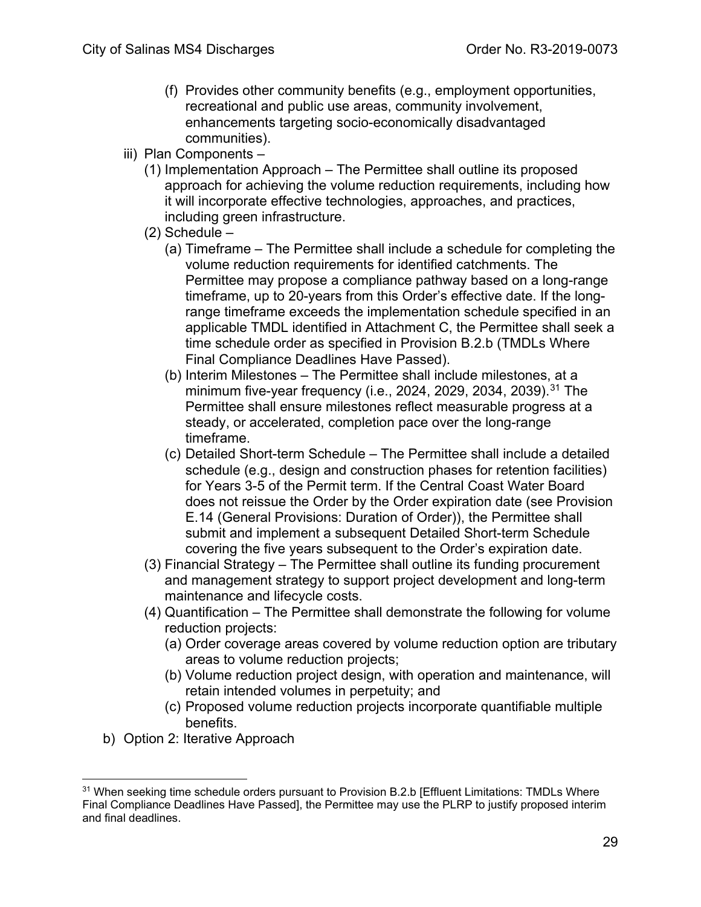- (f) Provides other community benefits (e.g., employment opportunities, recreational and public use areas, community involvement, enhancements targeting socio-economically disadvantaged communities).
- iii) Plan Components
	- (1) Implementation Approach The Permittee shall outline its proposed approach for achieving the volume reduction requirements, including how it will incorporate effective technologies, approaches, and practices, including green infrastructure.
	- (2) Schedule
		- (a) Timeframe The Permittee shall include a schedule for completing the volume reduction requirements for identified catchments. The Permittee may propose a compliance pathway based on a long-range timeframe, up to 20-years from this Order's effective date. If the longrange timeframe exceeds the implementation schedule specified in an applicable TMDL identified in Attachment C, the Permittee shall seek a time schedule order as specified in Provision B.2.b (TMDLs Where Final Compliance Deadlines Have Passed).
		- (b) Interim Milestones The Permittee shall include milestones, at a minimum five-year frequency (i.e., 2024, 2029, 2034, 2039).[31](#page-28-0) The Permittee shall ensure milestones reflect measurable progress at a steady, or accelerated, completion pace over the long-range timeframe.
		- (c) Detailed Short-term Schedule The Permittee shall include a detailed schedule (e.g., design and construction phases for retention facilities) for Years 3-5 of the Permit term. If the Central Coast Water Board does not reissue the Order by the Order expiration date (see Provision E.14 (General Provisions: Duration of Order)), the Permittee shall submit and implement a subsequent Detailed Short-term Schedule covering the five years subsequent to the Order's expiration date.
	- (3) Financial Strategy The Permittee shall outline its funding procurement and management strategy to support project development and long-term maintenance and lifecycle costs.
	- (4) Quantification The Permittee shall demonstrate the following for volume reduction projects:
		- (a) Order coverage areas covered by volume reduction option are tributary areas to volume reduction projects;
		- (b) Volume reduction project design, with operation and maintenance, will retain intended volumes in perpetuity; and
		- (c) Proposed volume reduction projects incorporate quantifiable multiple benefits.
- b) Option 2: Iterative Approach

<span id="page-28-0"></span><sup>&</sup>lt;sup>31</sup> When seeking time schedule orders pursuant to Provision B.2.b [Effluent Limitations: TMDLs Where Final Compliance Deadlines Have Passed], the Permittee may use the PLRP to justify proposed interim and final deadlines.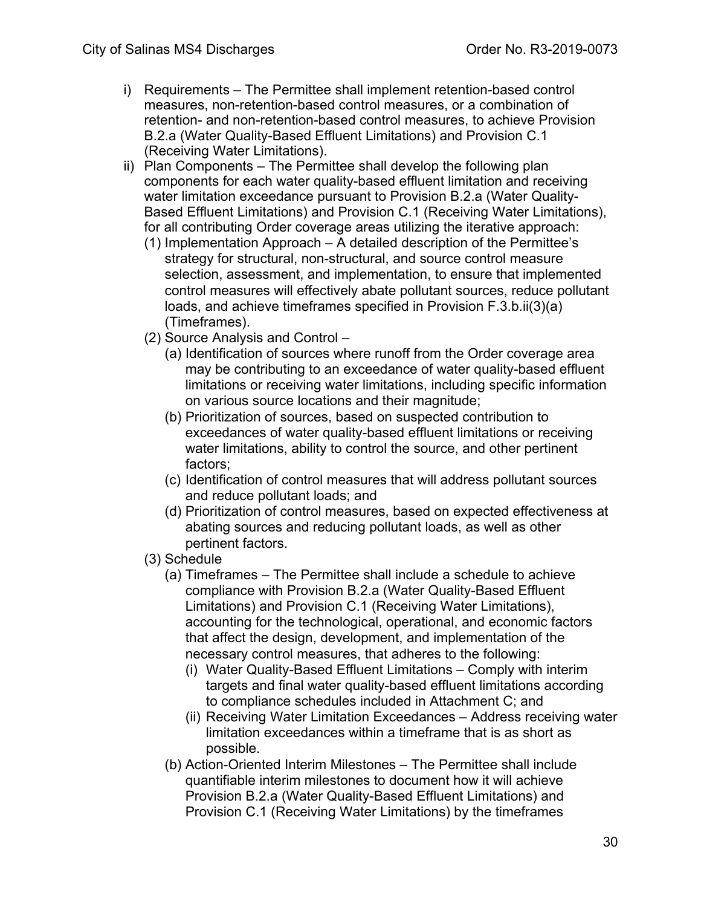- i) Requirements The Permittee shall implement retention-based control measures, non-retention-based control measures, or a combination of retention- and non-retention-based control measures, to achieve Provision B.2.a (Water Quality-Based Effluent Limitations) and Provision C.1 (Receiving Water Limitations).
- ii) Plan Components The Permittee shall develop the following plan components for each water quality-based effluent limitation and receiving water limitation exceedance pursuant to Provision B.2.a (Water Quality-Based Effluent Limitations) and Provision C.1 (Receiving Water Limitations), for all contributing Order coverage areas utilizing the iterative approach:
	- (1) Implementation Approach A detailed description of the Permittee's strategy for structural, non-structural, and source control measure selection, assessment, and implementation, to ensure that implemented control measures will effectively abate pollutant sources, reduce pollutant loads, and achieve timeframes specified in Provision F.3.b.ii(3)(a) (Timeframes).
	- (2) Source Analysis and Control
		- (a) Identification of sources where runoff from the Order coverage area may be contributing to an exceedance of water quality-based effluent limitations or receiving water limitations, including specific information on various source locations and their magnitude;
		- (b) Prioritization of sources, based on suspected contribution to exceedances of water quality-based effluent limitations or receiving water limitations, ability to control the source, and other pertinent factors;
		- (c) Identification of control measures that will address pollutant sources and reduce pollutant loads; and
		- (d) Prioritization of control measures, based on expected effectiveness at abating sources and reducing pollutant loads, as well as other pertinent factors.
	- (3) Schedule
		- (a) Timeframes The Permittee shall include a schedule to achieve compliance with Provision B.2.a (Water Quality-Based Effluent Limitations) and Provision C.1 (Receiving Water Limitations), accounting for the technological, operational, and economic factors that affect the design, development, and implementation of the necessary control measures, that adheres to the following:
			- (i) Water Quality-Based Effluent Limitations Comply with interim targets and final water quality-based effluent limitations according to compliance schedules included in Attachment C; and
			- (ii) Receiving Water Limitation Exceedances Address receiving water limitation exceedances within a timeframe that is as short as possible.
		- (b) Action-Oriented Interim Milestones The Permittee shall include quantifiable interim milestones to document how it will achieve Provision B.2.a (Water Quality-Based Effluent Limitations) and Provision C.1 (Receiving Water Limitations) by the timeframes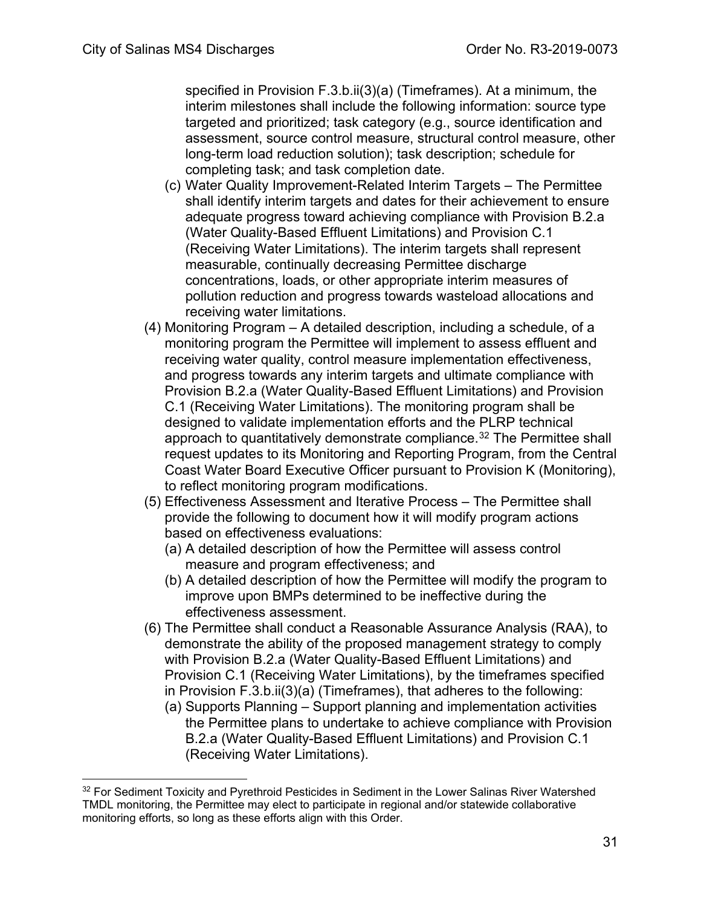specified in Provision F.3.b.ii(3)(a) (Timeframes). At a minimum, the interim milestones shall include the following information: source type targeted and prioritized; task category (e.g., source identification and assessment, source control measure, structural control measure, other long-term load reduction solution); task description; schedule for completing task; and task completion date.

- (c) Water Quality Improvement-Related Interim Targets The Permittee shall identify interim targets and dates for their achievement to ensure adequate progress toward achieving compliance with Provision B.2.a (Water Quality-Based Effluent Limitations) and Provision C.1 (Receiving Water Limitations). The interim targets shall represent measurable, continually decreasing Permittee discharge concentrations, loads, or other appropriate interim measures of pollution reduction and progress towards wasteload allocations and receiving water limitations.
- (4) Monitoring Program A detailed description, including a schedule, of a monitoring program the Permittee will implement to assess effluent and receiving water quality, control measure implementation effectiveness, and progress towards any interim targets and ultimate compliance with Provision B.2.a (Water Quality-Based Effluent Limitations) and Provision C.1 (Receiving Water Limitations). The monitoring program shall be designed to validate implementation efforts and the PLRP technical approach to quantitatively demonstrate compliance.<sup>[32](#page-30-0)</sup> The Permittee shall request updates to its Monitoring and Reporting Program, from the Central Coast Water Board Executive Officer pursuant to Provision K (Monitoring), to reflect monitoring program modifications.
- (5) Effectiveness Assessment and Iterative Process The Permittee shall provide the following to document how it will modify program actions based on effectiveness evaluations:
	- (a) A detailed description of how the Permittee will assess control measure and program effectiveness; and
	- (b) A detailed description of how the Permittee will modify the program to improve upon BMPs determined to be ineffective during the effectiveness assessment.
- (6) The Permittee shall conduct a Reasonable Assurance Analysis (RAA), to demonstrate the ability of the proposed management strategy to comply with Provision B.2.a (Water Quality-Based Effluent Limitations) and Provision C.1 (Receiving Water Limitations), by the timeframes specified in Provision F.3.b.ii(3)(a) (Timeframes), that adheres to the following:
	- (a) Supports Planning Support planning and implementation activities the Permittee plans to undertake to achieve compliance with Provision B.2.a (Water Quality-Based Effluent Limitations) and Provision C.1 (Receiving Water Limitations).

<span id="page-30-0"></span><sup>&</sup>lt;sup>32</sup> For Sediment Toxicity and Pyrethroid Pesticides in Sediment in the Lower Salinas River Watershed TMDL monitoring, the Permittee may elect to participate in regional and/or statewide collaborative monitoring efforts, so long as these efforts align with this Order.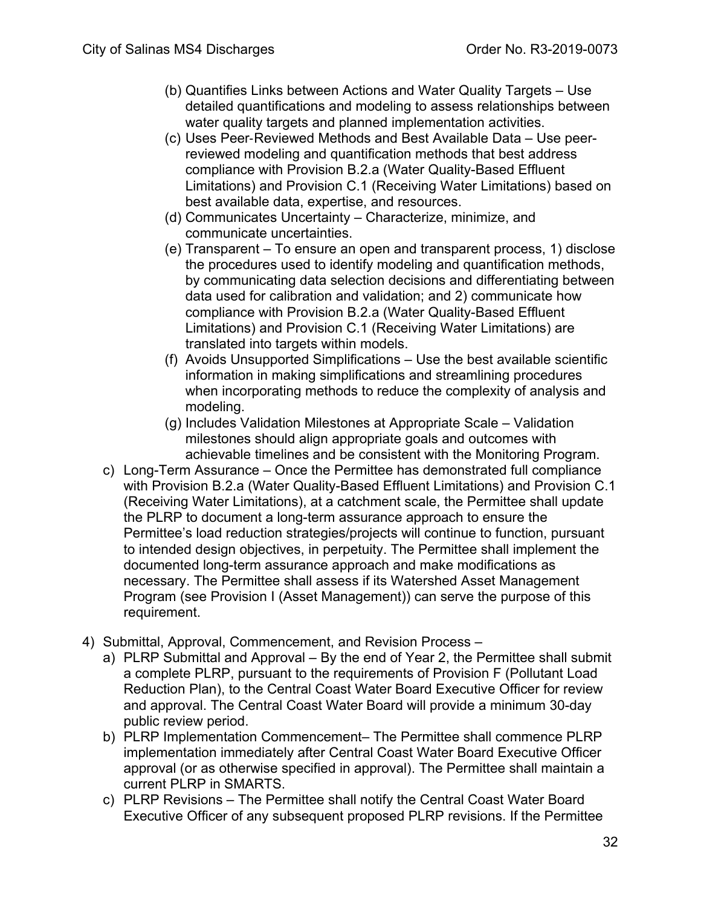- (b) Quantifies Links between Actions and Water Quality Targets Use detailed quantifications and modeling to assess relationships between water quality targets and planned implementation activities.
- (c) Uses Peer‐Reviewed Methods and Best Available Data Use peerreviewed modeling and quantification methods that best address compliance with Provision B.2.a (Water Quality-Based Effluent Limitations) and Provision C.1 (Receiving Water Limitations) based on best available data, expertise, and resources.
- (d) Communicates Uncertainty Characterize, minimize, and communicate uncertainties.
- (e) Transparent To ensure an open and transparent process, 1) disclose the procedures used to identify modeling and quantification methods, by communicating data selection decisions and differentiating between data used for calibration and validation; and 2) communicate how compliance with Provision B.2.a (Water Quality-Based Effluent Limitations) and Provision C.1 (Receiving Water Limitations) are translated into targets within models.
- (f) Avoids Unsupported Simplifications Use the best available scientific information in making simplifications and streamlining procedures when incorporating methods to reduce the complexity of analysis and modeling.
- (g) Includes Validation Milestones at Appropriate Scale Validation milestones should align appropriate goals and outcomes with achievable timelines and be consistent with the Monitoring Program.
- c) Long-Term Assurance Once the Permittee has demonstrated full compliance with Provision B.2.a (Water Quality-Based Effluent Limitations) and Provision C.1 (Receiving Water Limitations), at a catchment scale, the Permittee shall update the PLRP to document a long-term assurance approach to ensure the Permittee's load reduction strategies/projects will continue to function, pursuant to intended design objectives, in perpetuity. The Permittee shall implement the documented long-term assurance approach and make modifications as necessary. The Permittee shall assess if its Watershed Asset Management Program (see Provision I (Asset Management)) can serve the purpose of this requirement.
- 4) Submittal, Approval, Commencement, and Revision Process
	- a) PLRP Submittal and Approval By the end of Year 2, the Permittee shall submit a complete PLRP, pursuant to the requirements of Provision F (Pollutant Load Reduction Plan), to the Central Coast Water Board Executive Officer for review and approval. The Central Coast Water Board will provide a minimum 30-day public review period.
	- b) PLRP Implementation Commencement– The Permittee shall commence PLRP implementation immediately after Central Coast Water Board Executive Officer approval (or as otherwise specified in approval). The Permittee shall maintain a current PLRP in SMARTS.
	- c) PLRP Revisions The Permittee shall notify the Central Coast Water Board Executive Officer of any subsequent proposed PLRP revisions. If the Permittee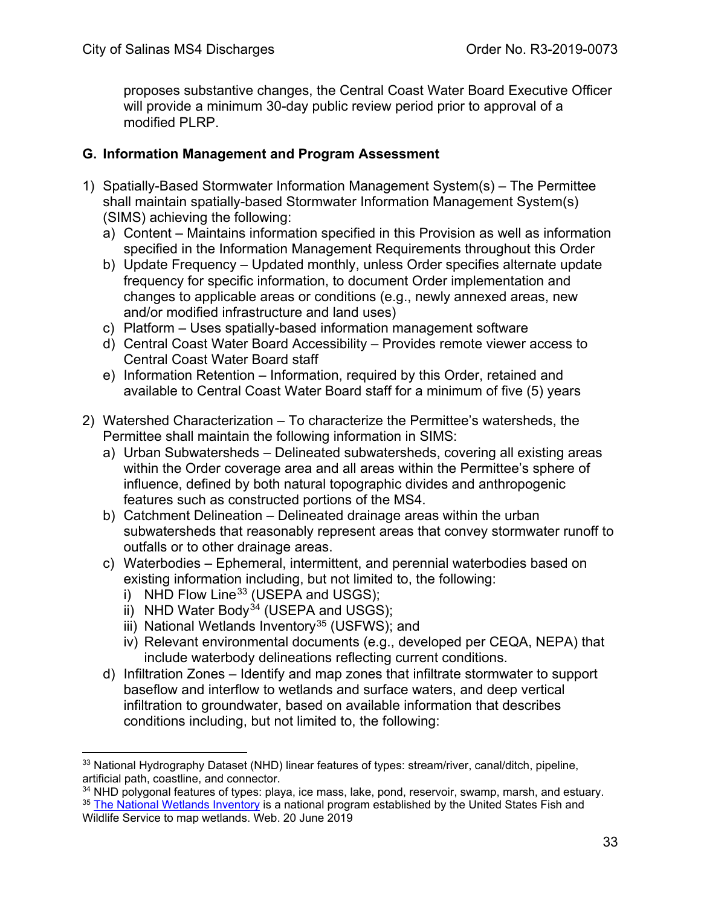proposes substantive changes, the Central Coast Water Board Executive Officer will provide a minimum 30-day public review period prior to approval of a modified PLRP.

### <span id="page-32-0"></span>**G. Information Management and Program Assessment**

- 1) Spatially-Based Stormwater Information Management System(s) The Permittee shall maintain spatially-based Stormwater Information Management System(s) (SIMS) achieving the following:
	- a) Content Maintains information specified in this Provision as well as information specified in the Information Management Requirements throughout this Order
	- b) Update Frequency Updated monthly, unless Order specifies alternate update frequency for specific information, to document Order implementation and changes to applicable areas or conditions (e.g., newly annexed areas, new and/or modified infrastructure and land uses)
	- c) Platform Uses spatially-based information management software
	- d) Central Coast Water Board Accessibility Provides remote viewer access to Central Coast Water Board staff
	- e) Information Retention Information, required by this Order, retained and available to Central Coast Water Board staff for a minimum of five (5) years
- 2) Watershed Characterization To characterize the Permittee's watersheds, the Permittee shall maintain the following information in SIMS:
	- a) Urban Subwatersheds Delineated subwatersheds, covering all existing areas within the Order coverage area and all areas within the Permittee's sphere of influence, defined by both natural topographic divides and anthropogenic features such as constructed portions of the MS4.
	- b) Catchment Delineation Delineated drainage areas within the urban subwatersheds that reasonably represent areas that convey stormwater runoff to outfalls or to other drainage areas.
	- c) Waterbodies Ephemeral, intermittent, and perennial waterbodies based on existing information including, but not limited to, the following:
		- i) NHD Flow Line<sup>[33](#page-32-1)</sup> (USEPA and USGS);
		- ii) NHD Water Body<sup>[34](#page-32-2)</sup> (USEPA and USGS);
		- iii) National Wetlands Inventory<sup>[35](#page-32-3)</sup> (USFWS); and
		- iv) Relevant environmental documents (e.g., developed per CEQA, NEPA) that include waterbody delineations reflecting current conditions.
	- d) Infiltration Zones Identify and map zones that infiltrate stormwater to support baseflow and interflow to wetlands and surface waters, and deep vertical infiltration to groundwater, based on available information that describes conditions including, but not limited to, the following:

<span id="page-32-3"></span><span id="page-32-2"></span><sup>34</sup> NHD polygonal features of types: playa, ice mass, lake, pond, reservoir, swamp, marsh, and estuary. <sup>35</sup> [The National Wetlands Inventory](http://www.fws.gov/wetlands/) is a national program established by the United States Fish and Wildlife Service to map wetlands. Web. 20 June 2019

<span id="page-32-1"></span><sup>&</sup>lt;sup>33</sup> National Hydrography Dataset (NHD) linear features of types: stream/river, canal/ditch, pipeline, artificial path, coastline, and connector.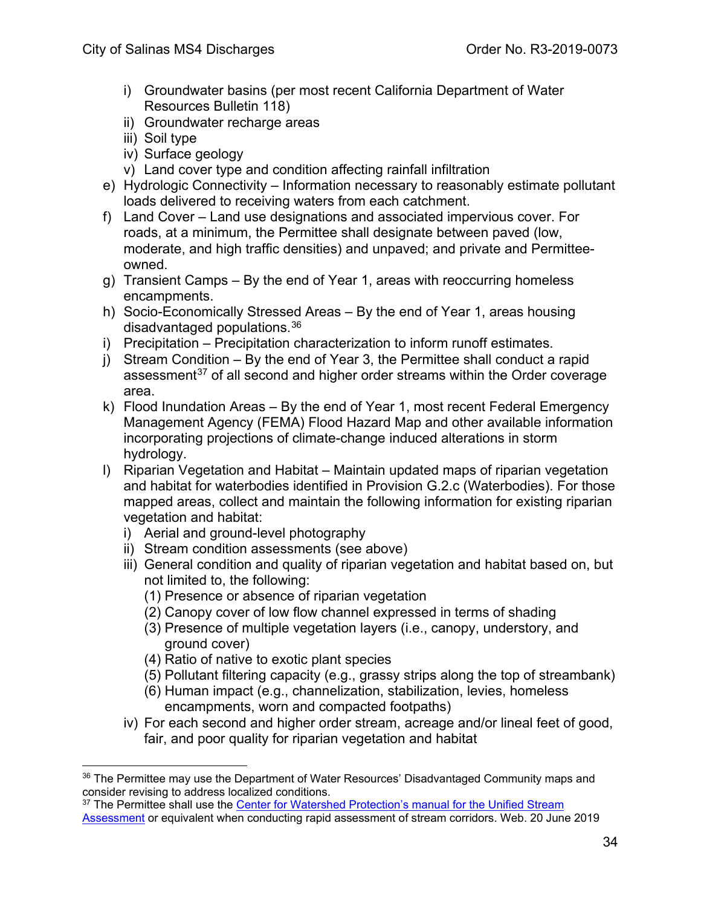- i) Groundwater basins (per most recent California Department of Water Resources Bulletin 118)
- ii) Groundwater recharge areas
- iii) Soil type
- iv) Surface geology
- v) Land cover type and condition affecting rainfall infiltration
- e) Hydrologic Connectivity Information necessary to reasonably estimate pollutant loads delivered to receiving waters from each catchment.
- f) Land Cover Land use designations and associated impervious cover. For roads, at a minimum, the Permittee shall designate between paved (low, moderate, and high traffic densities) and unpaved; and private and Permitteeowned.
- g) Transient Camps By the end of Year 1, areas with reoccurring homeless encampments.
- h) Socio-Economically Stressed Areas By the end of Year 1, areas housing disadvantaged populations. [36](#page-33-0)
- i) Precipitation Precipitation characterization to inform runoff estimates.
- j) Stream Condition By the end of Year 3, the Permittee shall conduct a rapid assessment<sup>[37](#page-33-1)</sup> of all second and higher order streams within the Order coverage area.
- k) Flood Inundation Areas By the end of Year 1, most recent Federal Emergency Management Agency (FEMA) Flood Hazard Map and other available information incorporating projections of climate-change induced alterations in storm hydrology.
- l) Riparian Vegetation and Habitat Maintain updated maps of riparian vegetation and habitat for waterbodies identified in Provision G.2.c (Waterbodies). For those mapped areas, collect and maintain the following information for existing riparian vegetation and habitat:
	- i) Aerial and ground-level photography
	- ii) Stream condition assessments (see above)
	- iii) General condition and quality of riparian vegetation and habitat based on, but not limited to, the following:
		- (1) Presence or absence of riparian vegetation
		- (2) Canopy cover of low flow channel expressed in terms of shading
		- (3) Presence of multiple vegetation layers (i.e., canopy, understory, and ground cover)
		- (4) Ratio of native to exotic plant species
		- (5) Pollutant filtering capacity (e.g., grassy strips along the top of streambank)
		- (6) Human impact (e.g., channelization, stabilization, levies, homeless encampments, worn and compacted footpaths)
	- iv) For each second and higher order stream, acreage and/or lineal feet of good, fair, and poor quality for riparian vegetation and habitat

<span id="page-33-1"></span><sup>37</sup> The Permittee shall use the Center for Watershed Protection's manual for the Unified Stream [Assessment](http://www.cwp.org/) or equivalent when conducting rapid assessment of stream corridors. Web. 20 June 2019

<span id="page-33-0"></span><sup>&</sup>lt;sup>36</sup> The Permittee may use the Department of Water Resources' Disadvantaged Community maps and consider revising to address localized conditions.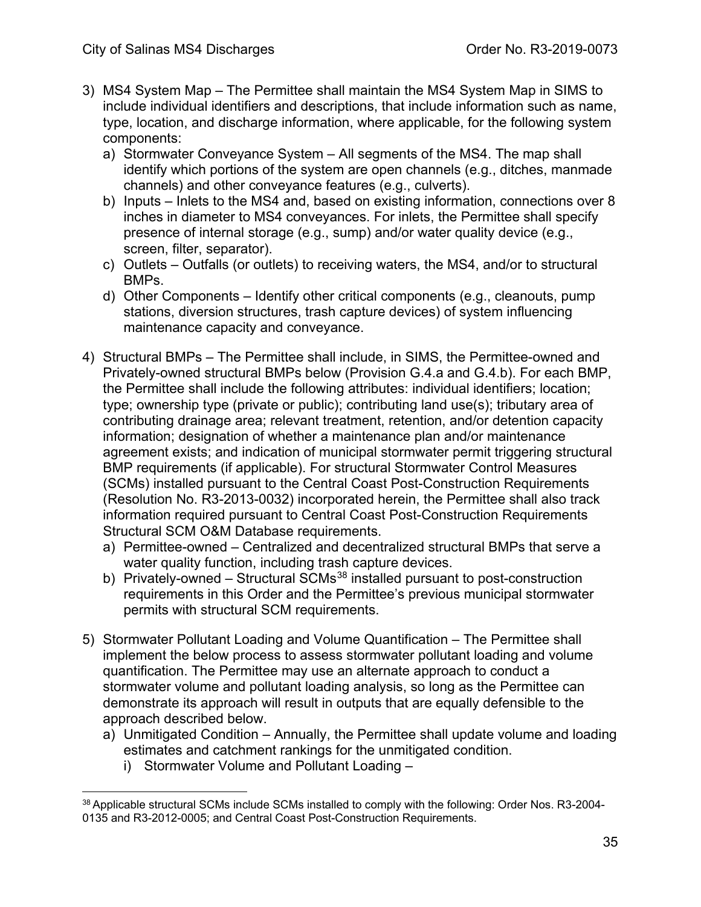- 3) MS4 System Map The Permittee shall maintain the MS4 System Map in SIMS to include individual identifiers and descriptions, that include information such as name, type, location, and discharge information, where applicable, for the following system components:
	- a) Stormwater Conveyance System All segments of the MS4. The map shall identify which portions of the system are open channels (e.g., ditches, manmade channels) and other conveyance features (e.g., culverts).
	- b) Inputs Inlets to the MS4 and, based on existing information, connections over 8 inches in diameter to MS4 conveyances. For inlets, the Permittee shall specify presence of internal storage (e.g., sump) and/or water quality device (e.g., screen, filter, separator).
	- c) Outlets Outfalls (or outlets) to receiving waters, the MS4, and/or to structural BMPs.
	- d) Other Components Identify other critical components (e.g., cleanouts, pump stations, diversion structures, trash capture devices) of system influencing maintenance capacity and conveyance.
- 4) Structural BMPs The Permittee shall include, in SIMS, the Permittee-owned and Privately-owned structural BMPs below (Provision G.4.a and G.4.b). For each BMP, the Permittee shall include the following attributes: individual identifiers; location; type; ownership type (private or public); contributing land use(s); tributary area of contributing drainage area; relevant treatment, retention, and/or detention capacity information; designation of whether a maintenance plan and/or maintenance agreement exists; and indication of municipal stormwater permit triggering structural BMP requirements (if applicable). For structural Stormwater Control Measures (SCMs) installed pursuant to the Central Coast Post-Construction Requirements (Resolution No. R3-2013-0032) incorporated herein, the Permittee shall also track information required pursuant to Central Coast Post-Construction Requirements Structural SCM O&M Database requirements.
	- a) Permittee-owned Centralized and decentralized structural BMPs that serve a water quality function, including trash capture devices.
	- b) Privately-owned Structural SCMs<sup>[38](#page-34-0)</sup> installed pursuant to post-construction requirements in this Order and the Permittee's previous municipal stormwater permits with structural SCM requirements.
- 5) Stormwater Pollutant Loading and Volume Quantification The Permittee shall implement the below process to assess stormwater pollutant loading and volume quantification. The Permittee may use an alternate approach to conduct a stormwater volume and pollutant loading analysis, so long as the Permittee can demonstrate its approach will result in outputs that are equally defensible to the approach described below.
	- a) Unmitigated Condition Annually, the Permittee shall update volume and loading estimates and catchment rankings for the unmitigated condition.
		- i) Stormwater Volume and Pollutant Loading –

<span id="page-34-0"></span><sup>&</sup>lt;sup>38</sup> Applicable structural SCMs include SCMs installed to comply with the following: Order Nos. R3-2004-0135 and R3-2012-0005; and Central Coast Post-Construction Requirements.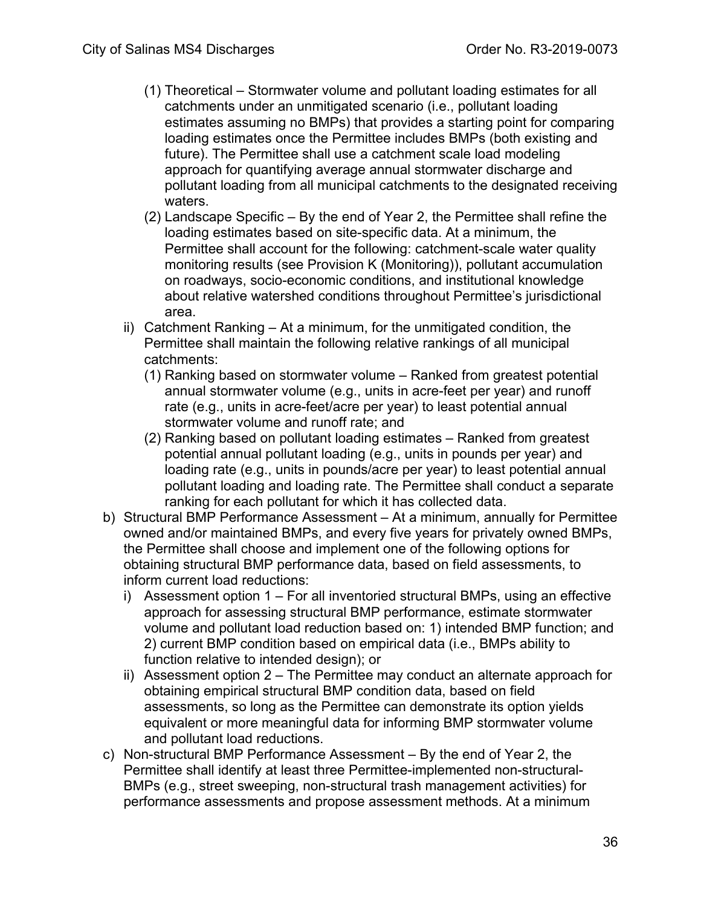- (1) Theoretical Stormwater volume and pollutant loading estimates for all catchments under an unmitigated scenario (i.e., pollutant loading estimates assuming no BMPs) that provides a starting point for comparing loading estimates once the Permittee includes BMPs (both existing and future). The Permittee shall use a catchment scale load modeling approach for quantifying average annual stormwater discharge and pollutant loading from all municipal catchments to the designated receiving waters.
- (2) Landscape Specific By the end of Year 2, the Permittee shall refine the loading estimates based on site-specific data. At a minimum, the Permittee shall account for the following: catchment-scale water quality monitoring results (see Provision K (Monitoring)), pollutant accumulation on roadways, socio-economic conditions, and institutional knowledge about relative watershed conditions throughout Permittee's jurisdictional area.
- ii) Catchment Ranking At a minimum, for the unmitigated condition, the Permittee shall maintain the following relative rankings of all municipal catchments:
	- (1) Ranking based on stormwater volume Ranked from greatest potential annual stormwater volume (e.g., units in acre-feet per year) and runoff rate (e.g., units in acre-feet/acre per year) to least potential annual stormwater volume and runoff rate; and
	- (2) Ranking based on pollutant loading estimates Ranked from greatest potential annual pollutant loading (e.g., units in pounds per year) and loading rate (e.g., units in pounds/acre per year) to least potential annual pollutant loading and loading rate. The Permittee shall conduct a separate ranking for each pollutant for which it has collected data.
- b) Structural BMP Performance Assessment At a minimum, annually for Permittee owned and/or maintained BMPs, and every five years for privately owned BMPs, the Permittee shall choose and implement one of the following options for obtaining structural BMP performance data, based on field assessments, to inform current load reductions:
	- i) Assessment option 1 For all inventoried structural BMPs, using an effective approach for assessing structural BMP performance, estimate stormwater volume and pollutant load reduction based on: 1) intended BMP function; and 2) current BMP condition based on empirical data (i.e., BMPs ability to function relative to intended design); or
	- ii) Assessment option 2 The Permittee may conduct an alternate approach for obtaining empirical structural BMP condition data, based on field assessments, so long as the Permittee can demonstrate its option yields equivalent or more meaningful data for informing BMP stormwater volume and pollutant load reductions.
- c) Non-structural BMP Performance Assessment By the end of Year 2, the Permittee shall identify at least three Permittee-implemented non-structural-BMPs (e.g., street sweeping, non-structural trash management activities) for performance assessments and propose assessment methods. At a minimum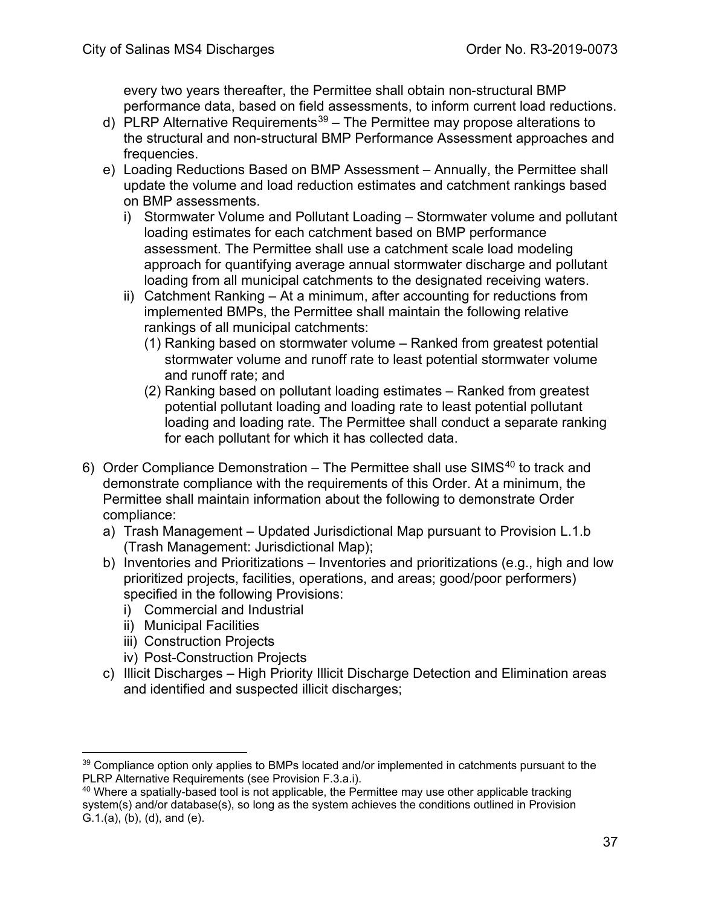every two years thereafter, the Permittee shall obtain non-structural BMP performance data, based on field assessments, to inform current load reductions.

- d) PLRP Alternative Requirements<sup>39</sup> The Permittee may propose alterations to the structural and non-structural BMP Performance Assessment approaches and frequencies.
- e) Loading Reductions Based on BMP Assessment Annually, the Permittee shall update the volume and load reduction estimates and catchment rankings based on BMP assessments.
	- i) Stormwater Volume and Pollutant Loading Stormwater volume and pollutant loading estimates for each catchment based on BMP performance assessment. The Permittee shall use a catchment scale load modeling approach for quantifying average annual stormwater discharge and pollutant loading from all municipal catchments to the designated receiving waters.
	- ii) Catchment Ranking At a minimum, after accounting for reductions from implemented BMPs, the Permittee shall maintain the following relative rankings of all municipal catchments:
		- (1) Ranking based on stormwater volume Ranked from greatest potential stormwater volume and runoff rate to least potential stormwater volume and runoff rate; and
		- (2) Ranking based on pollutant loading estimates Ranked from greatest potential pollutant loading and loading rate to least potential pollutant loading and loading rate. The Permittee shall conduct a separate ranking for each pollutant for which it has collected data.
- 6) Order Compliance Demonstration The Permittee shall use SIMS<sup>[40](#page-36-1)</sup> to track and demonstrate compliance with the requirements of this Order. At a minimum, the Permittee shall maintain information about the following to demonstrate Order compliance:
	- a) Trash Management Updated Jurisdictional Map pursuant to Provision L.1.b (Trash Management: Jurisdictional Map);
	- b) Inventories and Prioritizations Inventories and prioritizations (e.g., high and low prioritized projects, facilities, operations, and areas; good/poor performers) specified in the following Provisions:
		- i) Commercial and Industrial
		- ii) Municipal Facilities
		- iii) Construction Projects
		- iv) Post-Construction Projects
	- c) Illicit Discharges High Priority Illicit Discharge Detection and Elimination areas and identified and suspected illicit discharges;

<span id="page-36-0"></span><sup>&</sup>lt;sup>39</sup> Compliance option only applies to BMPs located and/or implemented in catchments pursuant to the PLRP Alternative Requirements (see Provision F.3.a.i).

<span id="page-36-1"></span><sup>&</sup>lt;sup>40</sup> Where a spatially-based tool is not applicable, the Permittee may use other applicable tracking system(s) and/or database(s), so long as the system achieves the conditions outlined in Provision G.1.(a), (b), (d), and (e).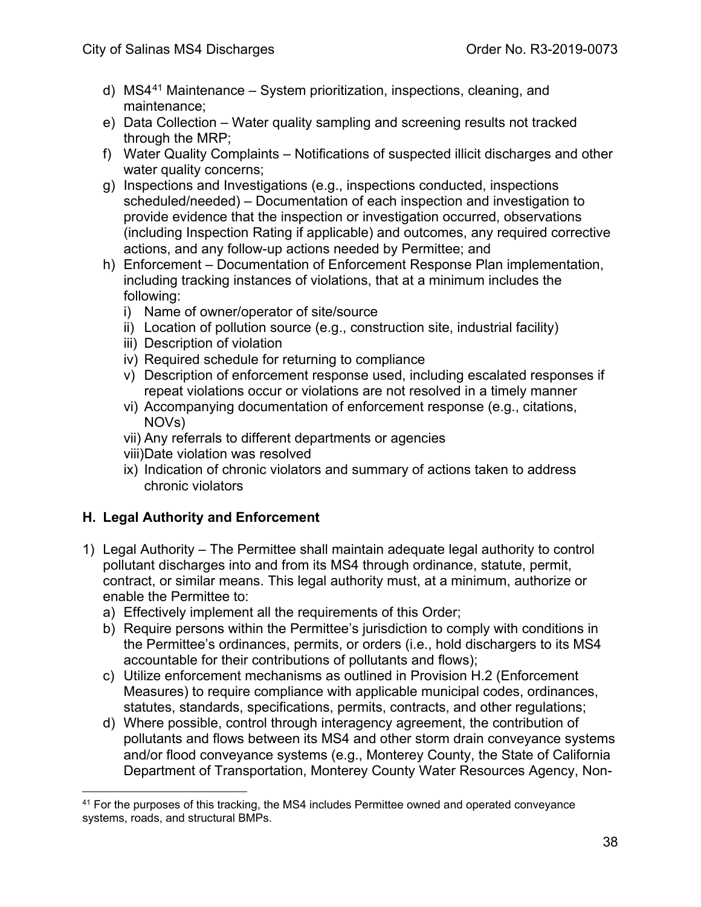- d) MS4[41](#page-37-0) Maintenance System prioritization, inspections, cleaning, and maintenance;
- e) Data Collection Water quality sampling and screening results not tracked through the MRP;
- f) Water Quality Complaints Notifications of suspected illicit discharges and other water quality concerns;
- g) Inspections and Investigations (e.g., inspections conducted, inspections scheduled/needed) – Documentation of each inspection and investigation to provide evidence that the inspection or investigation occurred, observations (including Inspection Rating if applicable) and outcomes, any required corrective actions, and any follow-up actions needed by Permittee; and
- h) Enforcement Documentation of Enforcement Response Plan implementation, including tracking instances of violations, that at a minimum includes the following:
	- i) Name of owner/operator of site/source
	- ii) Location of pollution source (e.g., construction site, industrial facility)
	- iii) Description of violation
	- iv) Required schedule for returning to compliance
	- v) Description of enforcement response used, including escalated responses if repeat violations occur or violations are not resolved in a timely manner
	- vi) Accompanying documentation of enforcement response (e.g., citations, NOVs)
	- vii) Any referrals to different departments or agencies
	- viii)Date violation was resolved
	- ix) Indication of chronic violators and summary of actions taken to address chronic violators

## **H. Legal Authority and Enforcement**

- 1) Legal Authority The Permittee shall maintain adequate legal authority to control pollutant discharges into and from its MS4 through ordinance, statute, permit, contract, or similar means. This legal authority must, at a minimum, authorize or enable the Permittee to:
	- a) Effectively implement all the requirements of this Order;
	- b) Require persons within the Permittee's jurisdiction to comply with conditions in the Permittee's ordinances, permits, or orders (i.e., hold dischargers to its MS4 accountable for their contributions of pollutants and flows);
	- c) Utilize enforcement mechanisms as outlined in Provision H.2 (Enforcement Measures) to require compliance with applicable municipal codes, ordinances, statutes, standards, specifications, permits, contracts, and other regulations;
	- d) Where possible, control through interagency agreement, the contribution of pollutants and flows between its MS4 and other storm drain conveyance systems and/or flood conveyance systems (e.g., Monterey County, the State of California Department of Transportation, Monterey County Water Resources Agency, Non-

<span id="page-37-0"></span> $41$  For the purposes of this tracking, the MS4 includes Permittee owned and operated conveyance systems, roads, and structural BMPs.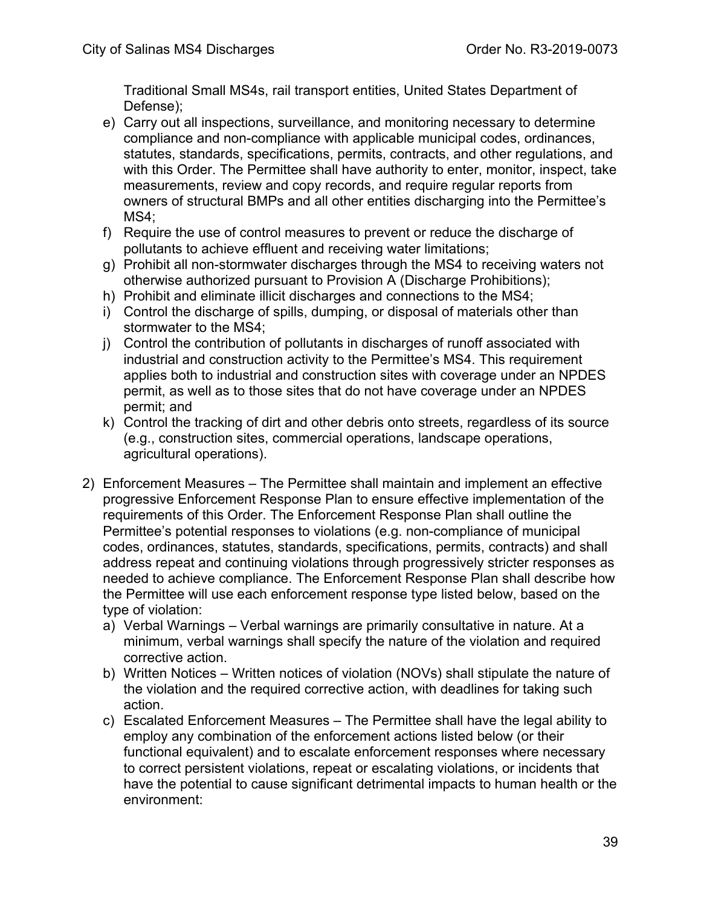Traditional Small MS4s, rail transport entities, United States Department of Defense);

- e) Carry out all inspections, surveillance, and monitoring necessary to determine compliance and non-compliance with applicable municipal codes, ordinances, statutes, standards, specifications, permits, contracts, and other regulations, and with this Order. The Permittee shall have authority to enter, monitor, inspect, take measurements, review and copy records, and require regular reports from owners of structural BMPs and all other entities discharging into the Permittee's MS4:
- f) Require the use of control measures to prevent or reduce the discharge of pollutants to achieve effluent and receiving water limitations;
- g) Prohibit all non-stormwater discharges through the MS4 to receiving waters not otherwise authorized pursuant to Provision A (Discharge Prohibitions);
- h) Prohibit and eliminate illicit discharges and connections to the MS4;
- i) Control the discharge of spills, dumping, or disposal of materials other than stormwater to the MS4;
- j) Control the contribution of pollutants in discharges of runoff associated with industrial and construction activity to the Permittee's MS4. This requirement applies both to industrial and construction sites with coverage under an NPDES permit, as well as to those sites that do not have coverage under an NPDES permit; and
- k) Control the tracking of dirt and other debris onto streets, regardless of its source (e.g., construction sites, commercial operations, landscape operations, agricultural operations).
- 2) Enforcement Measures The Permittee shall maintain and implement an effective progressive Enforcement Response Plan to ensure effective implementation of the requirements of this Order. The Enforcement Response Plan shall outline the Permittee's potential responses to violations (e.g. non-compliance of municipal codes, ordinances, statutes, standards, specifications, permits, contracts) and shall address repeat and continuing violations through progressively stricter responses as needed to achieve compliance. The Enforcement Response Plan shall describe how the Permittee will use each enforcement response type listed below, based on the type of violation:
	- a) Verbal Warnings Verbal warnings are primarily consultative in nature. At a minimum, verbal warnings shall specify the nature of the violation and required corrective action.
	- b) Written Notices Written notices of violation (NOVs) shall stipulate the nature of the violation and the required corrective action, with deadlines for taking such action.
	- c) Escalated Enforcement Measures The Permittee shall have the legal ability to employ any combination of the enforcement actions listed below (or their functional equivalent) and to escalate enforcement responses where necessary to correct persistent violations, repeat or escalating violations, or incidents that have the potential to cause significant detrimental impacts to human health or the environment: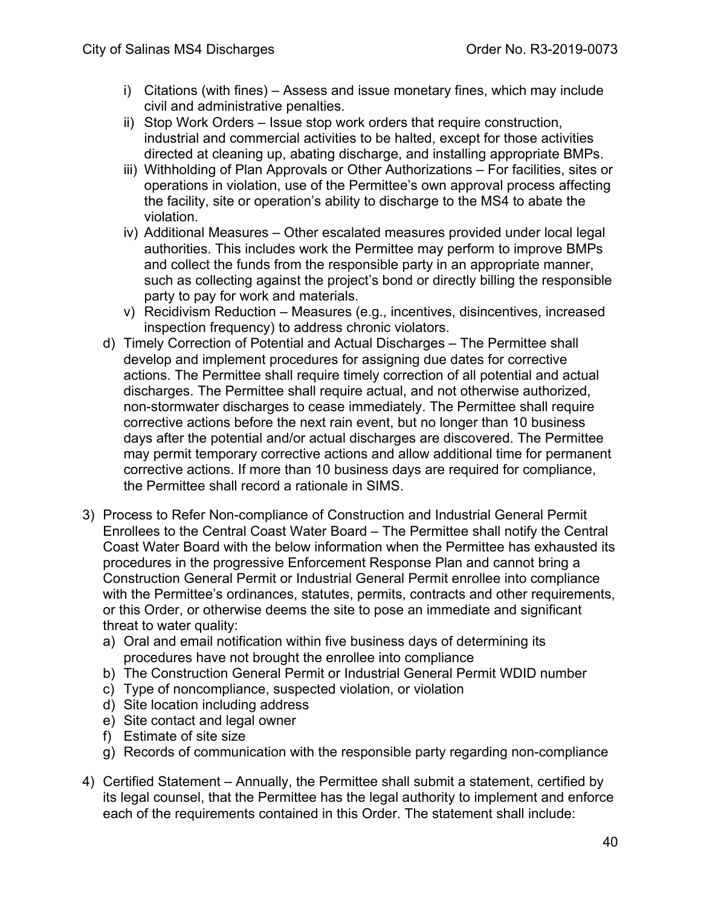- i) Citations (with fines) Assess and issue monetary fines, which may include civil and administrative penalties.
- ii) Stop Work Orders Issue stop work orders that require construction, industrial and commercial activities to be halted, except for those activities directed at cleaning up, abating discharge, and installing appropriate BMPs.
- iii) Withholding of Plan Approvals or Other Authorizations For facilities, sites or operations in violation, use of the Permittee's own approval process affecting the facility, site or operation's ability to discharge to the MS4 to abate the violation.
- iv) Additional Measures Other escalated measures provided under local legal authorities. This includes work the Permittee may perform to improve BMPs and collect the funds from the responsible party in an appropriate manner, such as collecting against the project's bond or directly billing the responsible party to pay for work and materials.
- v) Recidivism Reduction Measures (e.g., incentives, disincentives, increased inspection frequency) to address chronic violators.
- d) Timely Correction of Potential and Actual Discharges The Permittee shall develop and implement procedures for assigning due dates for corrective actions. The Permittee shall require timely correction of all potential and actual discharges. The Permittee shall require actual, and not otherwise authorized, non-stormwater discharges to cease immediately. The Permittee shall require corrective actions before the next rain event, but no longer than 10 business days after the potential and/or actual discharges are discovered. The Permittee may permit temporary corrective actions and allow additional time for permanent corrective actions. If more than 10 business days are required for compliance, the Permittee shall record a rationale in SIMS.
- 3) Process to Refer Non-compliance of Construction and Industrial General Permit Enrollees to the Central Coast Water Board – The Permittee shall notify the Central Coast Water Board with the below information when the Permittee has exhausted its procedures in the progressive Enforcement Response Plan and cannot bring a Construction General Permit or Industrial General Permit enrollee into compliance with the Permittee's ordinances, statutes, permits, contracts and other requirements, or this Order, or otherwise deems the site to pose an immediate and significant threat to water quality:
	- a) Oral and email notification within five business days of determining its procedures have not brought the enrollee into compliance
	- b) The Construction General Permit or Industrial General Permit WDID number
	- c) Type of noncompliance, suspected violation, or violation
	- d) Site location including address
	- e) Site contact and legal owner
	- f) Estimate of site size
	- g) Records of communication with the responsible party regarding non-compliance
- 4) Certified Statement Annually, the Permittee shall submit a statement, certified by its legal counsel, that the Permittee has the legal authority to implement and enforce each of the requirements contained in this Order. The statement shall include: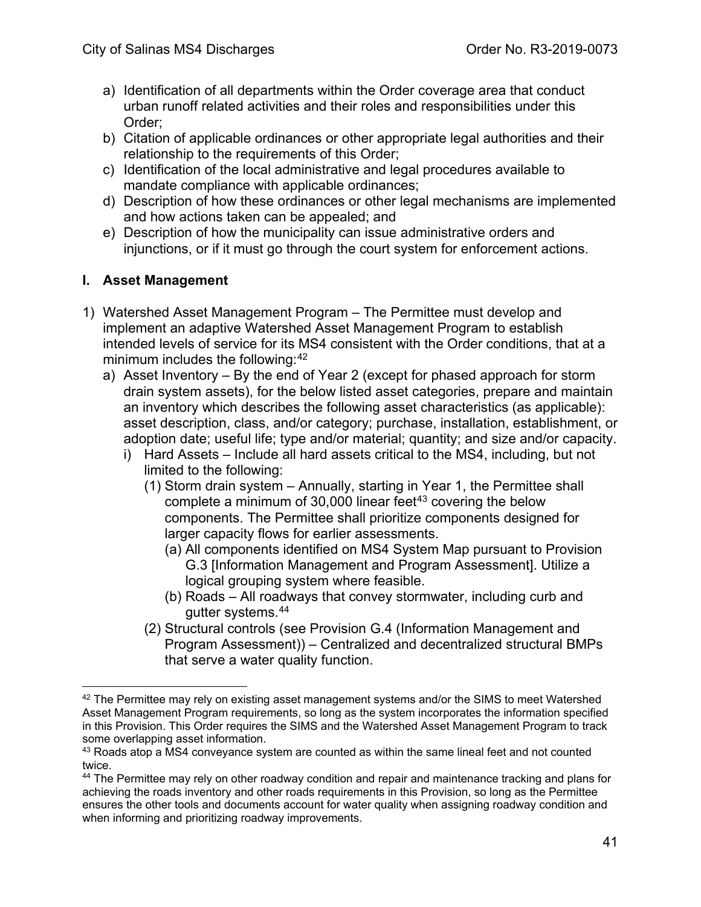- a) Identification of all departments within the Order coverage area that conduct urban runoff related activities and their roles and responsibilities under this Order;
- b) Citation of applicable ordinances or other appropriate legal authorities and their relationship to the requirements of this Order;
- c) Identification of the local administrative and legal procedures available to mandate compliance with applicable ordinances;
- d) Description of how these ordinances or other legal mechanisms are implemented and how actions taken can be appealed; and
- e) Description of how the municipality can issue administrative orders and injunctions, or if it must go through the court system for enforcement actions.

## **I. Asset Management**

- 1) Watershed Asset Management Program The Permittee must develop and implement an adaptive Watershed Asset Management Program to establish intended levels of service for its MS4 consistent with the Order conditions, that at a minimum includes the following:<sup>42</sup>
	- a) Asset Inventory By the end of Year 2 (except for phased approach for storm drain system assets), for the below listed asset categories, prepare and maintain an inventory which describes the following asset characteristics (as applicable): asset description, class, and/or category; purchase, installation, establishment, or adoption date; useful life; type and/or material; quantity; and size and/or capacity.
		- i) Hard Assets Include all hard assets critical to the MS4, including, but not limited to the following:
			- (1) Storm drain system Annually, starting in Year 1, the Permittee shall complete a minimum of  $30,000$  linear feet<sup>[43](#page-40-1)</sup> covering the below components. The Permittee shall prioritize components designed for larger capacity flows for earlier assessments.
				- (a) All components identified on MS4 System Map pursuant to Provision G.3 [Information Management and Program Assessment]. Utilize a logical grouping system where feasible.
				- (b) Roads All roadways that convey stormwater, including curb and gutter systems.[44](#page-40-2)
			- (2) Structural controls (see Provision G.4 (Information Management and Program Assessment)) – Centralized and decentralized structural BMPs that serve a water quality function.

<span id="page-40-0"></span> $42$  The Permittee may rely on existing asset management systems and/or the SIMS to meet Watershed Asset Management Program requirements, so long as the system incorporates the information specified in this Provision. This Order requires the SIMS and the Watershed Asset Management Program to track some overlapping asset information.

<span id="page-40-1"></span><sup>&</sup>lt;sup>43</sup> Roads atop a MS4 conveyance system are counted as within the same lineal feet and not counted twice.

<span id="page-40-2"></span><sup>44</sup> The Permittee may rely on other roadway condition and repair and maintenance tracking and plans for achieving the roads inventory and other roads requirements in this Provision, so long as the Permittee ensures the other tools and documents account for water quality when assigning roadway condition and when informing and prioritizing roadway improvements.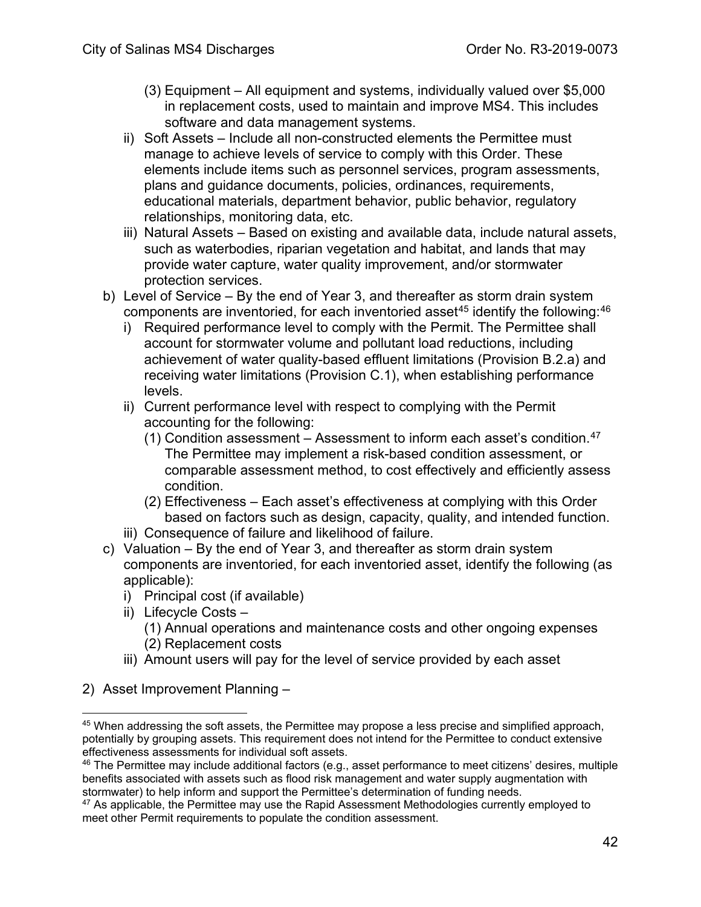- (3) Equipment All equipment and systems, individually valued over \$5,000 in replacement costs, used to maintain and improve MS4. This includes software and data management systems.
- ii) Soft Assets Include all non-constructed elements the Permittee must manage to achieve levels of service to comply with this Order. These elements include items such as personnel services, program assessments, plans and guidance documents, policies, ordinances, requirements, educational materials, department behavior, public behavior, regulatory relationships, monitoring data, etc.
- iii) Natural Assets Based on existing and available data, include natural assets, such as waterbodies, riparian vegetation and habitat, and lands that may provide water capture, water quality improvement, and/or stormwater protection services.
- b) Level of Service By the end of Year 3, and thereafter as storm drain system components are inventoried, for each inventoried asset<sup>[45](#page-41-0)</sup> identify the following:  $46$ 
	- i) Required performance level to comply with the Permit. The Permittee shall account for stormwater volume and pollutant load reductions, including achievement of water quality-based effluent limitations (Provision B.2.a) and receiving water limitations (Provision C.1), when establishing performance levels.
	- ii) Current performance level with respect to complying with the Permit accounting for the following:
		- (1) Condition assessment Assessment to inform each asset's condition.<sup>[47](#page-41-2)</sup> The Permittee may implement a risk-based condition assessment, or comparable assessment method, to cost effectively and efficiently assess condition.
		- (2) Effectiveness Each asset's effectiveness at complying with this Order based on factors such as design, capacity, quality, and intended function.
	- iii) Consequence of failure and likelihood of failure.
- c) Valuation By the end of Year 3, and thereafter as storm drain system components are inventoried, for each inventoried asset, identify the following (as applicable):
	- i) Principal cost (if available)
	- ii) Lifecycle Costs
		- (1) Annual operations and maintenance costs and other ongoing expenses (2) Replacement costs
	- iii) Amount users will pay for the level of service provided by each asset
- 2) Asset Improvement Planning –

<span id="page-41-0"></span><sup>&</sup>lt;sup>45</sup> When addressing the soft assets, the Permittee may propose a less precise and simplified approach, potentially by grouping assets. This requirement does not intend for the Permittee to conduct extensive effectiveness assessments for individual soft assets.

<span id="page-41-1"></span><sup>&</sup>lt;sup>46</sup> The Permittee may include additional factors (e.g., asset performance to meet citizens' desires, multiple benefits associated with assets such as flood risk management and water supply augmentation with stormwater) to help inform and support the Permittee's determination of funding needs.

<span id="page-41-2"></span> $47$  As applicable, the Permittee may use the Rapid Assessment Methodologies currently employed to meet other Permit requirements to populate the condition assessment.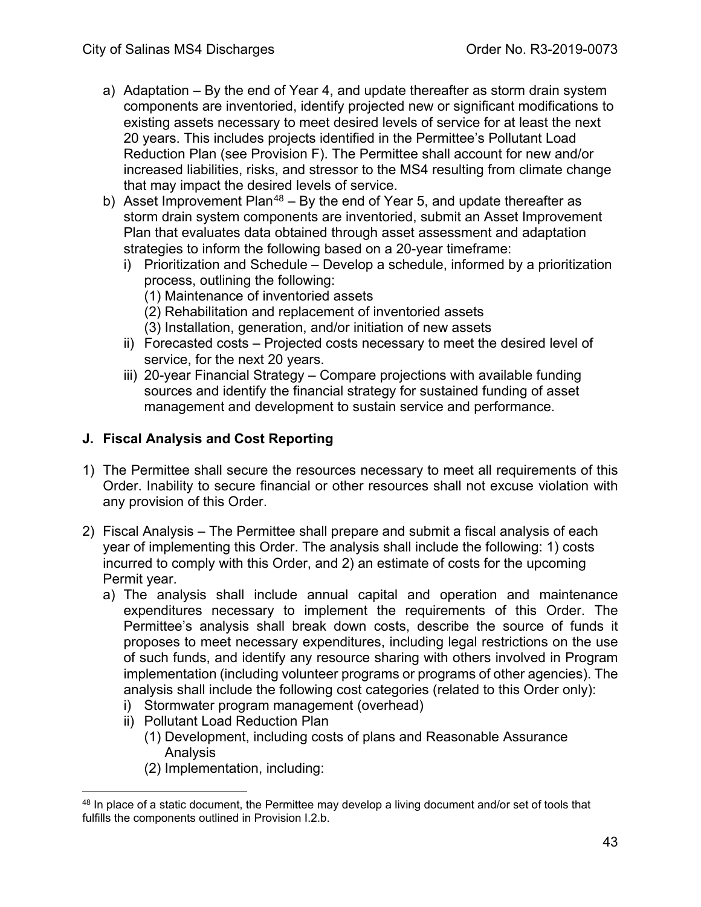- a) Adaptation By the end of Year 4, and update thereafter as storm drain system components are inventoried, identify projected new or significant modifications to existing assets necessary to meet desired levels of service for at least the next 20 years. This includes projects identified in the Permittee's Pollutant Load Reduction Plan (see Provision F). The Permittee shall account for new and/or increased liabilities, risks, and stressor to the MS4 resulting from climate change that may impact the desired levels of service.
- b) Asset Improvement Plan<sup>[48](#page-42-0)</sup> By the end of Year 5, and update thereafter as storm drain system components are inventoried, submit an Asset Improvement Plan that evaluates data obtained through asset assessment and adaptation strategies to inform the following based on a 20-year timeframe:
	- i) Prioritization and Schedule Develop a schedule, informed by a prioritization process, outlining the following:
		- (1) Maintenance of inventoried assets
		- (2) Rehabilitation and replacement of inventoried assets
		- (3) Installation, generation, and/or initiation of new assets
	- ii) Forecasted costs Projected costs necessary to meet the desired level of service, for the next 20 years.
	- iii) 20-year Financial Strategy Compare projections with available funding sources and identify the financial strategy for sustained funding of asset management and development to sustain service and performance.

#### **J. Fiscal Analysis and Cost Reporting**

- 1) The Permittee shall secure the resources necessary to meet all requirements of this Order. Inability to secure financial or other resources shall not excuse violation with any provision of this Order.
- 2) Fiscal Analysis The Permittee shall prepare and submit a fiscal analysis of each year of implementing this Order. The analysis shall include the following: 1) costs incurred to comply with this Order, and 2) an estimate of costs for the upcoming Permit year.
	- a) The analysis shall include annual capital and operation and maintenance expenditures necessary to implement the requirements of this Order. The Permittee's analysis shall break down costs, describe the source of funds it proposes to meet necessary expenditures, including legal restrictions on the use of such funds, and identify any resource sharing with others involved in Program implementation (including volunteer programs or programs of other agencies). The analysis shall include the following cost categories (related to this Order only):
		- i) Stormwater program management (overhead)
		- ii) Pollutant Load Reduction Plan
			- (1) Development, including costs of plans and Reasonable Assurance Analysis
			- (2) Implementation, including:

<span id="page-42-0"></span> $48$  In place of a static document, the Permittee may develop a living document and/or set of tools that fulfills the components outlined in Provision I.2.b.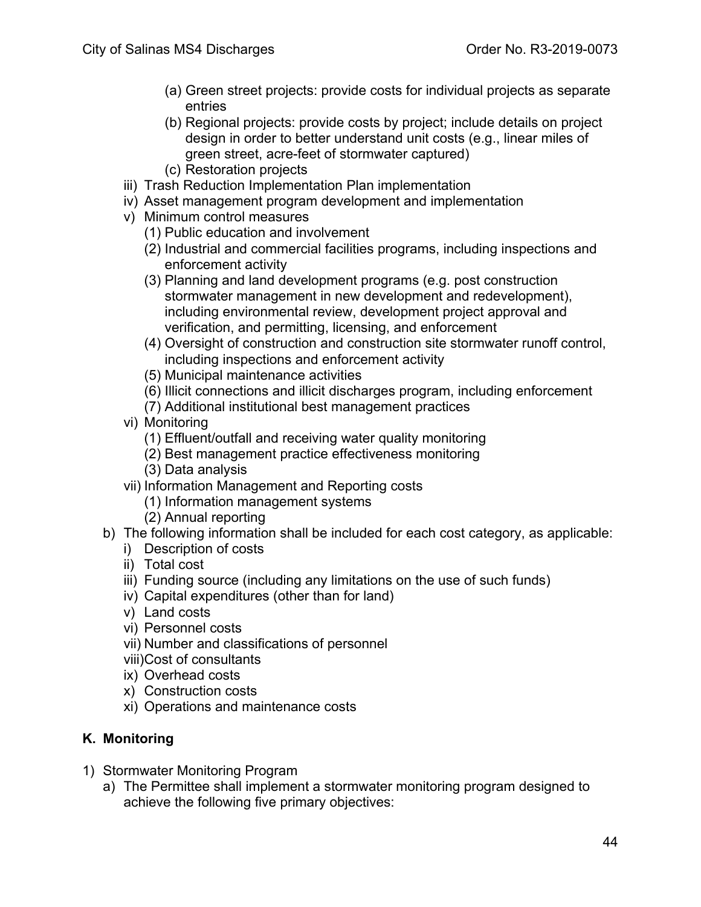- (a) Green street projects: provide costs for individual projects as separate entries
- (b) Regional projects: provide costs by project; include details on project design in order to better understand unit costs (e.g., linear miles of green street, acre-feet of stormwater captured)
- (c) Restoration projects
- iii) Trash Reduction Implementation Plan implementation
- iv) Asset management program development and implementation
- v) Minimum control measures
	- (1) Public education and involvement
	- (2) Industrial and commercial facilities programs, including inspections and enforcement activity
	- (3) Planning and land development programs (e.g. post construction stormwater management in new development and redevelopment), including environmental review, development project approval and verification, and permitting, licensing, and enforcement
	- (4) Oversight of construction and construction site stormwater runoff control, including inspections and enforcement activity
	- (5) Municipal maintenance activities
	- (6) Illicit connections and illicit discharges program, including enforcement
	- (7) Additional institutional best management practices
- vi) Monitoring
	- (1) Effluent/outfall and receiving water quality monitoring
	- (2) Best management practice effectiveness monitoring
	- (3) Data analysis
- vii) Information Management and Reporting costs
	- (1) Information management systems
	- (2) Annual reporting
- b) The following information shall be included for each cost category, as applicable:
	- i) Description of costs
	- ii) Total cost
	- iii) Funding source (including any limitations on the use of such funds)
	- iv) Capital expenditures (other than for land)
	- v) Land costs
	- vi) Personnel costs
	- vii) Number and classifications of personnel
	- viii)Cost of consultants
	- ix) Overhead costs
	- x) Construction costs
	- xi) Operations and maintenance costs

#### **K. Monitoring**

- 1) Stormwater Monitoring Program
	- a) The Permittee shall implement a stormwater monitoring program designed to achieve the following five primary objectives: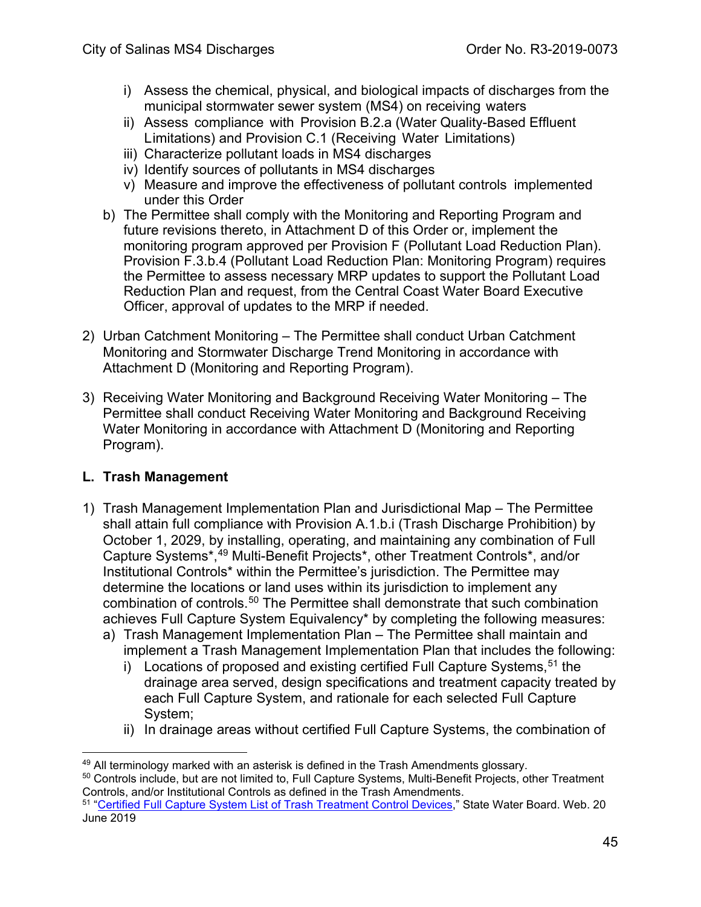- i) Assess the chemical, physical, and biological impacts of discharges from the municipal stormwater sewer system (MS4) on receiving waters
- ii) Assess compliance with Provision B.2.a (Water Quality-Based Effluent Limitations) and Provision C.1 (Receiving Water Limitations)
- iii) Characterize pollutant loads in MS4 discharges
- iv) Identify sources of pollutants in MS4 discharges
- v) Measure and improve the effectiveness of pollutant controls implemented under this Order
- b) The Permittee shall comply with the Monitoring and Reporting Program and future revisions thereto, in Attachment D of this Order or, implement the monitoring program approved per Provision F (Pollutant Load Reduction Plan). Provision F.3.b.4 (Pollutant Load Reduction Plan: Monitoring Program) requires the Permittee to assess necessary MRP updates to support the Pollutant Load Reduction Plan and request, from the Central Coast Water Board Executive Officer, approval of updates to the MRP if needed.
- 2) Urban Catchment Monitoring The Permittee shall conduct Urban Catchment Monitoring and Stormwater Discharge Trend Monitoring in accordance with Attachment D (Monitoring and Reporting Program).
- 3) Receiving Water Monitoring and Background Receiving Water Monitoring The Permittee shall conduct Receiving Water Monitoring and Background Receiving Water Monitoring in accordance with Attachment D (Monitoring and Reporting Program).

## **L. Trash Management**

- 1) Trash Management Implementation Plan and Jurisdictional Map The Permittee shall attain full compliance with Provision A.1.b.i (Trash Discharge Prohibition) by October 1, 2029, by installing, operating, and maintaining any combination of Full Capture Systems\*, [49](#page-44-0) Multi-Benefit Projects\*, other Treatment Controls\*, and/or Institutional Controls\* within the Permittee's jurisdiction. The Permittee may determine the locations or land uses within its jurisdiction to implement any combination of controls.<sup>[50](#page-44-1)</sup> The Permittee shall demonstrate that such combination achieves Full Capture System Equivalency\* by completing the following measures:
	- a) Trash Management Implementation Plan The Permittee shall maintain and implement a Trash Management Implementation Plan that includes the following:
		- i) Locations of proposed and existing certified Full Capture Systems, [51](#page-44-2) the drainage area served, design specifications and treatment capacity treated by each Full Capture System, and rationale for each selected Full Capture System;
		- ii) In drainage areas without certified Full Capture Systems, the combination of

<span id="page-44-1"></span><span id="page-44-0"></span> $^{49}$  All terminology marked with an asterisk is defined in the Trash Amendments glossary.<br><sup>50</sup> Controls include, but are not limited to, Full Capture Systems, Multi-Benefit Projects, other Treatment Controls, and/or Institutional Controls as defined in the Trash Amendments.

<span id="page-44-2"></span><sup>51</sup> ["Certified Full Capture System List of Trash Treatment Control Devices,](https://www.waterboards.ca.gov/water_issues/programs/stormwater/trash_implementation.html)" State Water Board. Web. 20 June 2019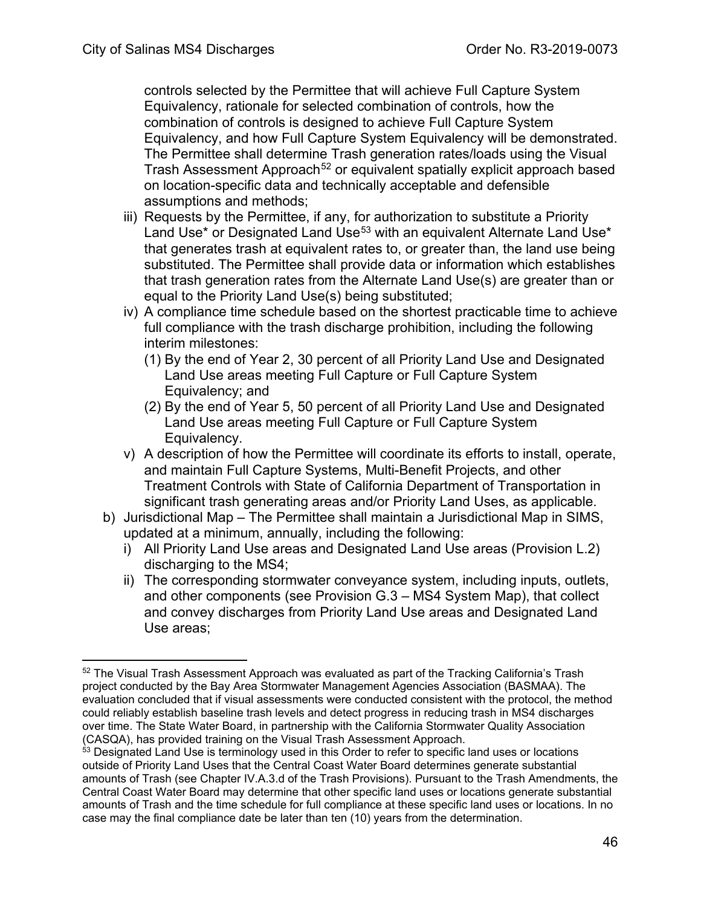controls selected by the Permittee that will achieve Full Capture System Equivalency, rationale for selected combination of controls, how the combination of controls is designed to achieve Full Capture System Equivalency, and how Full Capture System Equivalency will be demonstrated. The Permittee shall determine Trash generation rates/loads using the Visual Trash Assessment Approach<sup>[52](#page-45-0)</sup> or equivalent spatially explicit approach based on location-specific data and technically acceptable and defensible assumptions and methods;

- iii) Requests by the Permittee, if any, for authorization to substitute a Priority Land Use<sup>\*</sup> or Designated Land Use<sup>[53](#page-45-1)</sup> with an equivalent Alternate Land Use<sup>\*</sup> that generates trash at equivalent rates to, or greater than, the land use being substituted. The Permittee shall provide data or information which establishes that trash generation rates from the Alternate Land Use(s) are greater than or equal to the Priority Land Use(s) being substituted;
- iv) A compliance time schedule based on the shortest practicable time to achieve full compliance with the trash discharge prohibition, including the following interim milestones:
	- (1) By the end of Year 2, 30 percent of all Priority Land Use and Designated Land Use areas meeting Full Capture or Full Capture System Equivalency; and
	- (2) By the end of Year 5, 50 percent of all Priority Land Use and Designated Land Use areas meeting Full Capture or Full Capture System Equivalency.
- v) A description of how the Permittee will coordinate its efforts to install, operate, and maintain Full Capture Systems, Multi-Benefit Projects, and other Treatment Controls with State of California Department of Transportation in significant trash generating areas and/or Priority Land Uses, as applicable.
- b) Jurisdictional Map The Permittee shall maintain a Jurisdictional Map in SIMS, updated at a minimum, annually, including the following:
	- i) All Priority Land Use areas and Designated Land Use areas (Provision L.2) discharging to the MS4;
	- ii) The corresponding stormwater conveyance system, including inputs, outlets, and other components (see Provision G.3 – MS4 System Map), that collect and convey discharges from Priority Land Use areas and Designated Land Use areas;

<span id="page-45-0"></span><sup>&</sup>lt;sup>52</sup> The Visual Trash Assessment Approach was evaluated as part of the Tracking California's Trash project conducted by the Bay Area Stormwater Management Agencies Association (BASMAA). The evaluation concluded that if visual assessments were conducted consistent with the protocol, the method could reliably establish baseline trash levels and detect progress in reducing trash in MS4 discharges over time. The State Water Board, in partnership with the California Stormwater Quality Association (CASQA), has provided training on the Visual Trash Assessment Approach.

<span id="page-45-1"></span><sup>&</sup>lt;sup>53</sup> Designated Land Use is terminology used in this Order to refer to specific land uses or locations outside of Priority Land Uses that the Central Coast Water Board determines generate substantial amounts of Trash (see Chapter IV.A.3.d of the Trash Provisions). Pursuant to the Trash Amendments, the Central Coast Water Board may determine that other specific land uses or locations generate substantial amounts of Trash and the time schedule for full compliance at these specific land uses or locations. In no case may the final compliance date be later than ten (10) years from the determination.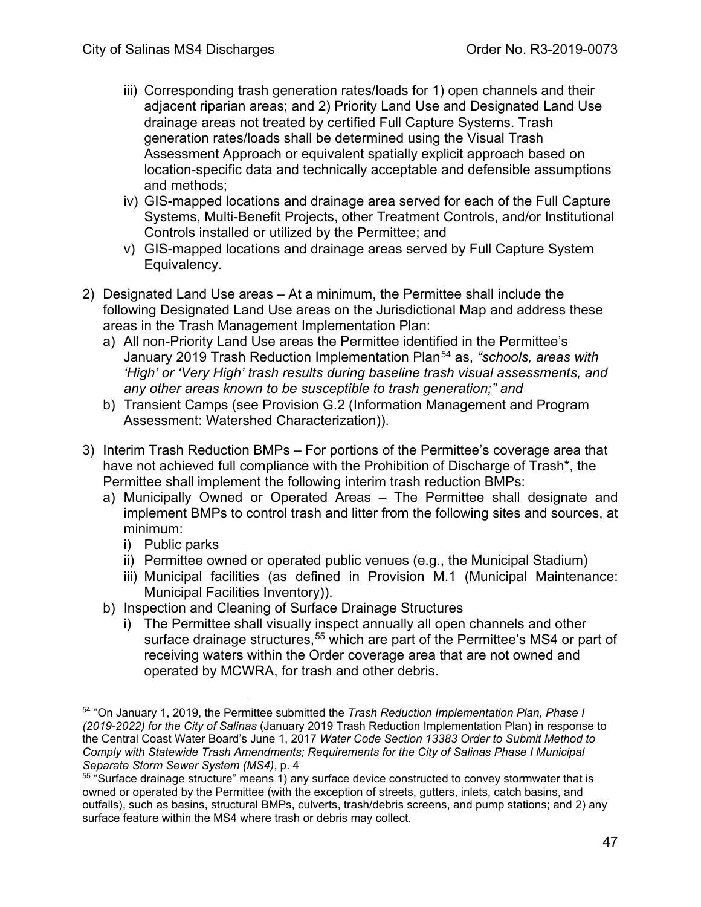- iii) Corresponding trash generation rates/loads for 1) open channels and their adjacent riparian areas; and 2) Priority Land Use and Designated Land Use drainage areas not treated by certified Full Capture Systems. Trash generation rates/loads shall be determined using the Visual Trash Assessment Approach or equivalent spatially explicit approach based on location-specific data and technically acceptable and defensible assumptions and methods;
- iv) GIS-mapped locations and drainage area served for each of the Full Capture Systems, Multi-Benefit Projects, other Treatment Controls, and/or Institutional Controls installed or utilized by the Permittee; and
- v) GIS-mapped locations and drainage areas served by Full Capture System Equivalency.
- 2) Designated Land Use areas At a minimum, the Permittee shall include the following Designated Land Use areas on the Jurisdictional Map and address these areas in the Trash Management Implementation Plan:
	- a) All non-Priority Land Use areas the Permittee identified in the Permittee's January 2019 Trash Reduction Implementation Plan[54](#page-46-0) as, *"schools, areas with 'High' or 'Very High' trash results during baseline trash visual assessments, and any other areas known to be susceptible to trash generation;" and*
	- b) Transient Camps (see Provision G.2 (Information Management and Program Assessment: Watershed Characterization)).
- 3) Interim Trash Reduction BMPs For portions of the Permittee's coverage area that have not achieved full compliance with the Prohibition of Discharge of Trash\*, the Permittee shall implement the following interim trash reduction BMPs:
	- a) Municipally Owned or Operated Areas The Permittee shall designate and implement BMPs to control trash and litter from the following sites and sources, at minimum:
		- i) Public parks
		- ii) Permittee owned or operated public venues (e.g., the Municipal Stadium)
		- iii) Municipal facilities (as defined in Provision M.1 (Municipal Maintenance: Municipal Facilities Inventory)).
	- b) Inspection and Cleaning of Surface Drainage Structures
		- i) The Permittee shall visually inspect annually all open channels and other surface drainage structures,<sup>[55](#page-46-1)</sup> which are part of the Permittee's MS4 or part of receiving waters within the Order coverage area that are not owned and operated by MCWRA, for trash and other debris.

<span id="page-46-0"></span><sup>54</sup> "On January 1, 2019, the Permittee submitted the *Trash Reduction Implementation Plan, Phase I (2019-2022) for the City of Salinas* (January 2019 Trash Reduction Implementation Plan) in response to the Central Coast Water Board's June 1, 2017 *Water Code Section 13383 Order to Submit Method to Comply with Statewide Trash Amendments; Requirements for the City of Salinas Phase I Municipal Separate Storm Sewer System (MS4)*, p. 4

<span id="page-46-1"></span><sup>&</sup>lt;sup>55</sup> "Surface drainage structure" means 1) any surface device constructed to convey stormwater that is owned or operated by the Permittee (with the exception of streets, gutters, inlets, catch basins, and outfalls), such as basins, structural BMPs, culverts, trash/debris screens, and pump stations; and 2) any surface feature within the MS4 where trash or debris may collect.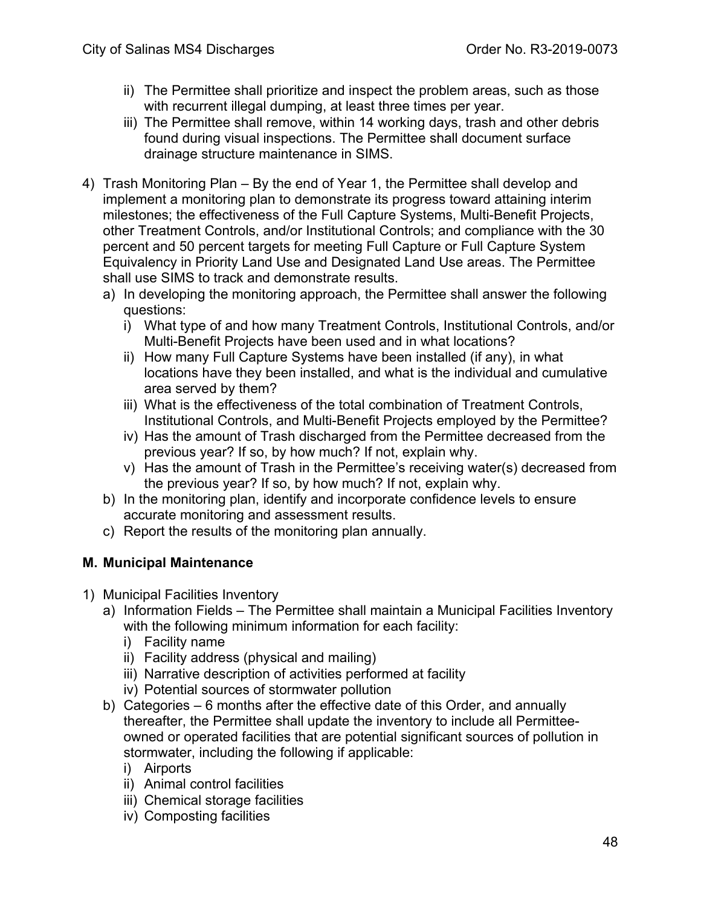- ii) The Permittee shall prioritize and inspect the problem areas, such as those with recurrent illegal dumping, at least three times per year.
- iii) The Permittee shall remove, within 14 working days, trash and other debris found during visual inspections. The Permittee shall document surface drainage structure maintenance in SIMS.
- 4) Trash Monitoring Plan By the end of Year 1, the Permittee shall develop and implement a monitoring plan to demonstrate its progress toward attaining interim milestones; the effectiveness of the Full Capture Systems, Multi-Benefit Projects, other Treatment Controls, and/or Institutional Controls; and compliance with the 30 percent and 50 percent targets for meeting Full Capture or Full Capture System Equivalency in Priority Land Use and Designated Land Use areas. The Permittee shall use SIMS to track and demonstrate results.
	- a) In developing the monitoring approach, the Permittee shall answer the following questions:
		- i) What type of and how many Treatment Controls, Institutional Controls, and/or Multi-Benefit Projects have been used and in what locations?
		- ii) How many Full Capture Systems have been installed (if any), in what locations have they been installed, and what is the individual and cumulative area served by them?
		- iii) What is the effectiveness of the total combination of Treatment Controls, Institutional Controls, and Multi-Benefit Projects employed by the Permittee?
		- iv) Has the amount of Trash discharged from the Permittee decreased from the previous year? If so, by how much? If not, explain why.
		- v) Has the amount of Trash in the Permittee's receiving water(s) decreased from the previous year? If so, by how much? If not, explain why.
	- b) In the monitoring plan, identify and incorporate confidence levels to ensure accurate monitoring and assessment results.
	- c) Report the results of the monitoring plan annually.

## **M. Municipal Maintenance**

- 1) Municipal Facilities Inventory
	- a) Information Fields The Permittee shall maintain a Municipal Facilities Inventory with the following minimum information for each facility:
		- i) Facility name
		- ii) Facility address (physical and mailing)
		- iii) Narrative description of activities performed at facility
		- iv) Potential sources of stormwater pollution
	- b) Categories 6 months after the effective date of this Order, and annually thereafter, the Permittee shall update the inventory to include all Permitteeowned or operated facilities that are potential significant sources of pollution in stormwater, including the following if applicable:
		- i) Airports
		- ii) Animal control facilities
		- iii) Chemical storage facilities
		- iv) Composting facilities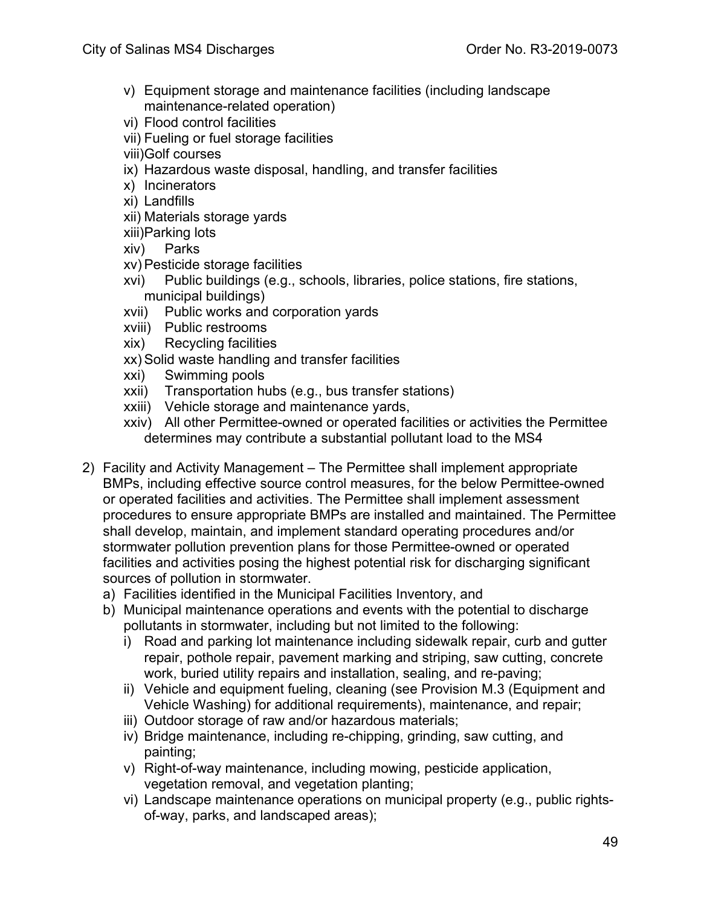- v) Equipment storage and maintenance facilities (including landscape maintenance-related operation)
- vi) Flood control facilities
- vii) Fueling or fuel storage facilities
- viii)Golf courses
- ix) Hazardous waste disposal, handling, and transfer facilities
- x) Incinerators
- xi) Landfills
- xii) Materials storage yards
- xiii)Parking lots
- xiv) Parks
- xv) Pesticide storage facilities
- xvi) Public buildings (e.g., schools, libraries, police stations, fire stations, municipal buildings)
- xvii) Public works and corporation yards
- xviii) Public restrooms
- xix) Recycling facilities
- xx) Solid waste handling and transfer facilities
- xxi) Swimming pools
- xxii) Transportation hubs (e.g., bus transfer stations)
- xxiii) Vehicle storage and maintenance yards,
- xxiv) All other Permittee-owned or operated facilities or activities the Permittee determines may contribute a substantial pollutant load to the MS4
- 2) Facility and Activity Management The Permittee shall implement appropriate BMPs, including effective source control measures, for the below Permittee-owned or operated facilities and activities. The Permittee shall implement assessment procedures to ensure appropriate BMPs are installed and maintained. The Permittee shall develop, maintain, and implement standard operating procedures and/or stormwater pollution prevention plans for those Permittee-owned or operated facilities and activities posing the highest potential risk for discharging significant sources of pollution in stormwater.
	- a) Facilities identified in the Municipal Facilities Inventory, and
	- b) Municipal maintenance operations and events with the potential to discharge pollutants in stormwater, including but not limited to the following:
		- i) Road and parking lot maintenance including sidewalk repair, curb and gutter repair, pothole repair, pavement marking and striping, saw cutting, concrete work, buried utility repairs and installation, sealing, and re-paving;
		- ii) Vehicle and equipment fueling, cleaning (see Provision M.3 (Equipment and Vehicle Washing) for additional requirements), maintenance, and repair;
		- iii) Outdoor storage of raw and/or hazardous materials;
		- iv) Bridge maintenance, including re-chipping, grinding, saw cutting, and painting;
		- v) Right-of-way maintenance, including mowing, pesticide application, vegetation removal, and vegetation planting;
		- vi) Landscape maintenance operations on municipal property (e.g., public rightsof-way, parks, and landscaped areas);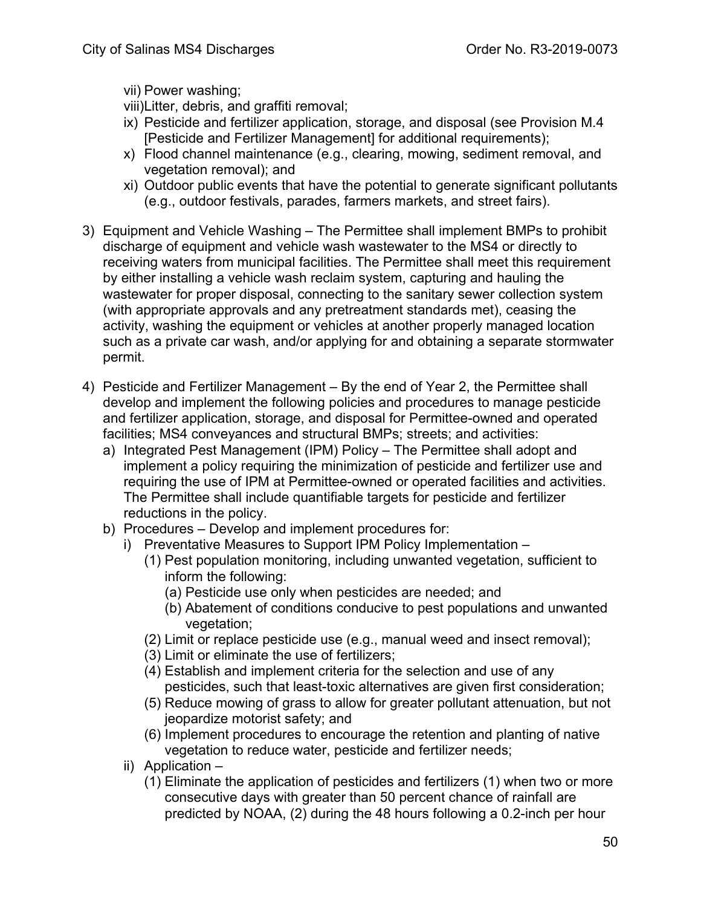vii) Power washing;

viii)Litter, debris, and graffiti removal;

- ix) Pesticide and fertilizer application, storage, and disposal (see Provision M.4 [Pesticide and Fertilizer Management] for additional requirements);
- x) Flood channel maintenance (e.g., clearing, mowing, sediment removal, and vegetation removal); and
- xi) Outdoor public events that have the potential to generate significant pollutants (e.g., outdoor festivals, parades, farmers markets, and street fairs).
- 3) Equipment and Vehicle Washing The Permittee shall implement BMPs to prohibit discharge of equipment and vehicle wash wastewater to the MS4 or directly to receiving waters from municipal facilities. The Permittee shall meet this requirement by either installing a vehicle wash reclaim system, capturing and hauling the wastewater for proper disposal, connecting to the sanitary sewer collection system (with appropriate approvals and any pretreatment standards met), ceasing the activity, washing the equipment or vehicles at another properly managed location such as a private car wash, and/or applying for and obtaining a separate stormwater permit.
- 4) Pesticide and Fertilizer Management By the end of Year 2, the Permittee shall develop and implement the following policies and procedures to manage pesticide and fertilizer application, storage, and disposal for Permittee-owned and operated facilities; MS4 conveyances and structural BMPs; streets; and activities:
	- a) Integrated Pest Management (IPM) Policy The Permittee shall adopt and implement a policy requiring the minimization of pesticide and fertilizer use and requiring the use of IPM at Permittee-owned or operated facilities and activities. The Permittee shall include quantifiable targets for pesticide and fertilizer reductions in the policy.
	- b) Procedures Develop and implement procedures for:
		- i) Preventative Measures to Support IPM Policy Implementation
			- (1) Pest population monitoring, including unwanted vegetation, sufficient to inform the following:
				- (a) Pesticide use only when pesticides are needed; and
				- (b) Abatement of conditions conducive to pest populations and unwanted vegetation;
			- (2) Limit or replace pesticide use (e.g., manual weed and insect removal);
			- (3) Limit or eliminate the use of fertilizers;
			- (4) Establish and implement criteria for the selection and use of any pesticides, such that least-toxic alternatives are given first consideration;
			- (5) Reduce mowing of grass to allow for greater pollutant attenuation, but not jeopardize motorist safety; and
			- (6) Implement procedures to encourage the retention and planting of native vegetation to reduce water, pesticide and fertilizer needs;
		- ii) Application
			- (1) Eliminate the application of pesticides and fertilizers (1) when two or more consecutive days with greater than 50 percent chance of rainfall are predicted by NOAA, (2) during the 48 hours following a 0.2-inch per hour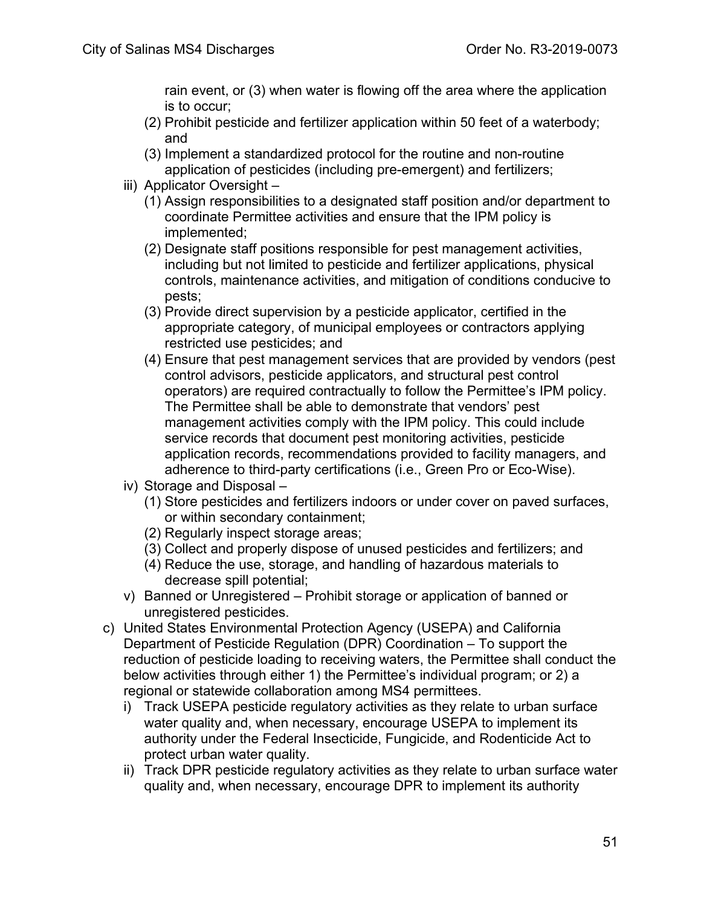rain event, or (3) when water is flowing off the area where the application is to occur;

- (2) Prohibit pesticide and fertilizer application within 50 feet of a waterbody; and
- (3) Implement a standardized protocol for the routine and non-routine application of pesticides (including pre-emergent) and fertilizers;
- iii) Applicator Oversight
	- (1) Assign responsibilities to a designated staff position and/or department to coordinate Permittee activities and ensure that the IPM policy is implemented;
	- (2) Designate staff positions responsible for pest management activities, including but not limited to pesticide and fertilizer applications, physical controls, maintenance activities, and mitigation of conditions conducive to pests;
	- (3) Provide direct supervision by a pesticide applicator, certified in the appropriate category, of municipal employees or contractors applying restricted use pesticides; and
	- (4) Ensure that pest management services that are provided by vendors (pest control advisors, pesticide applicators, and structural pest control operators) are required contractually to follow the Permittee's IPM policy. The Permittee shall be able to demonstrate that vendors' pest management activities comply with the IPM policy. This could include service records that document pest monitoring activities, pesticide application records, recommendations provided to facility managers, and adherence to third-party certifications (i.e., Green Pro or Eco-Wise).
- iv) Storage and Disposal
	- (1) Store pesticides and fertilizers indoors or under cover on paved surfaces, or within secondary containment;
	- (2) Regularly inspect storage areas;
	- (3) Collect and properly dispose of unused pesticides and fertilizers; and
	- (4) Reduce the use, storage, and handling of hazardous materials to decrease spill potential;
- v) Banned or Unregistered Prohibit storage or application of banned or unregistered pesticides.
- c) United States Environmental Protection Agency (USEPA) and California Department of Pesticide Regulation (DPR) Coordination – To support the reduction of pesticide loading to receiving waters, the Permittee shall conduct the below activities through either 1) the Permittee's individual program; or 2) a regional or statewide collaboration among MS4 permittees.
	- i) Track USEPA pesticide regulatory activities as they relate to urban surface water quality and, when necessary, encourage USEPA to implement its authority under the Federal Insecticide, Fungicide, and Rodenticide Act to protect urban water quality.
	- ii) Track DPR pesticide regulatory activities as they relate to urban surface water quality and, when necessary, encourage DPR to implement its authority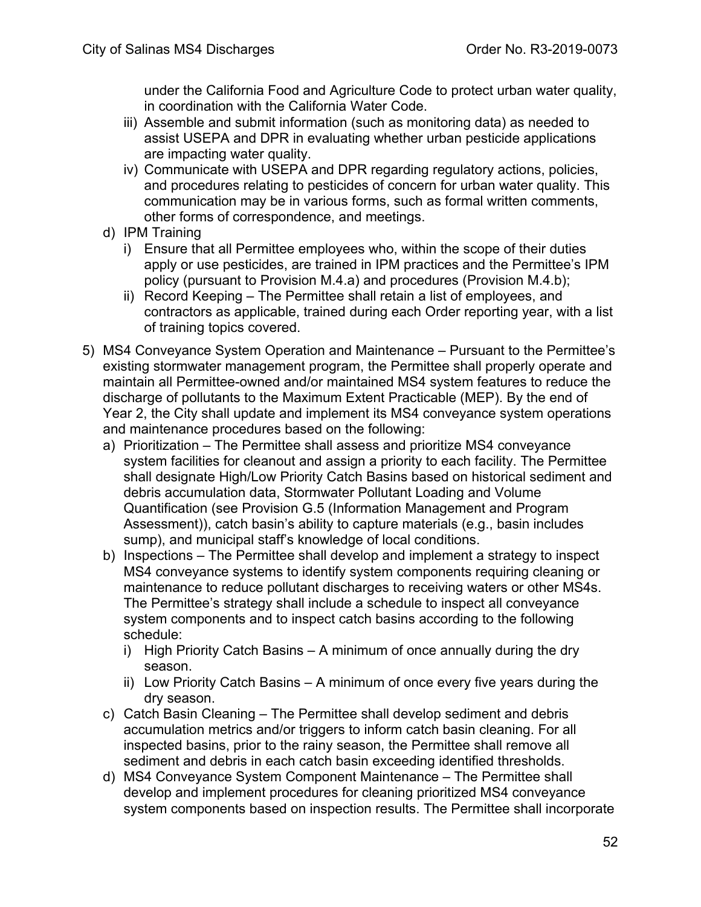under the California Food and Agriculture Code to protect urban water quality, in coordination with the California Water Code.

- iii) Assemble and submit information (such as monitoring data) as needed to assist USEPA and DPR in evaluating whether urban pesticide applications are impacting water quality.
- iv) Communicate with USEPA and DPR regarding regulatory actions, policies, and procedures relating to pesticides of concern for urban water quality. This communication may be in various forms, such as formal written comments, other forms of correspondence, and meetings.
- d) IPM Training
	- i) Ensure that all Permittee employees who, within the scope of their duties apply or use pesticides, are trained in IPM practices and the Permittee's IPM policy (pursuant to Provision M.4.a) and procedures (Provision M.4.b);
	- ii) Record Keeping The Permittee shall retain a list of employees, and contractors as applicable, trained during each Order reporting year, with a list of training topics covered.
- 5) MS4 Conveyance System Operation and Maintenance Pursuant to the Permittee's existing stormwater management program, the Permittee shall properly operate and maintain all Permittee-owned and/or maintained MS4 system features to reduce the discharge of pollutants to the Maximum Extent Practicable (MEP). By the end of Year 2, the City shall update and implement its MS4 conveyance system operations and maintenance procedures based on the following:
	- a) Prioritization The Permittee shall assess and prioritize MS4 conveyance system facilities for cleanout and assign a priority to each facility. The Permittee shall designate High/Low Priority Catch Basins based on historical sediment and debris accumulation data, Stormwater Pollutant Loading and Volume Quantification (see Provision G.5 (Information Management and Program Assessment)), catch basin's ability to capture materials (e.g., basin includes sump), and municipal staff's knowledge of local conditions.
	- b) Inspections The Permittee shall develop and implement a strategy to inspect MS4 conveyance systems to identify system components requiring cleaning or maintenance to reduce pollutant discharges to receiving waters or other MS4s. The Permittee's strategy shall include a schedule to inspect all conveyance system components and to inspect catch basins according to the following schedule:
		- i) High Priority Catch Basins A minimum of once annually during the dry season.
		- ii) Low Priority Catch Basins A minimum of once every five years during the dry season.
	- c) Catch Basin Cleaning The Permittee shall develop sediment and debris accumulation metrics and/or triggers to inform catch basin cleaning. For all inspected basins, prior to the rainy season, the Permittee shall remove all sediment and debris in each catch basin exceeding identified thresholds.
	- d) MS4 Conveyance System Component Maintenance The Permittee shall develop and implement procedures for cleaning prioritized MS4 conveyance system components based on inspection results. The Permittee shall incorporate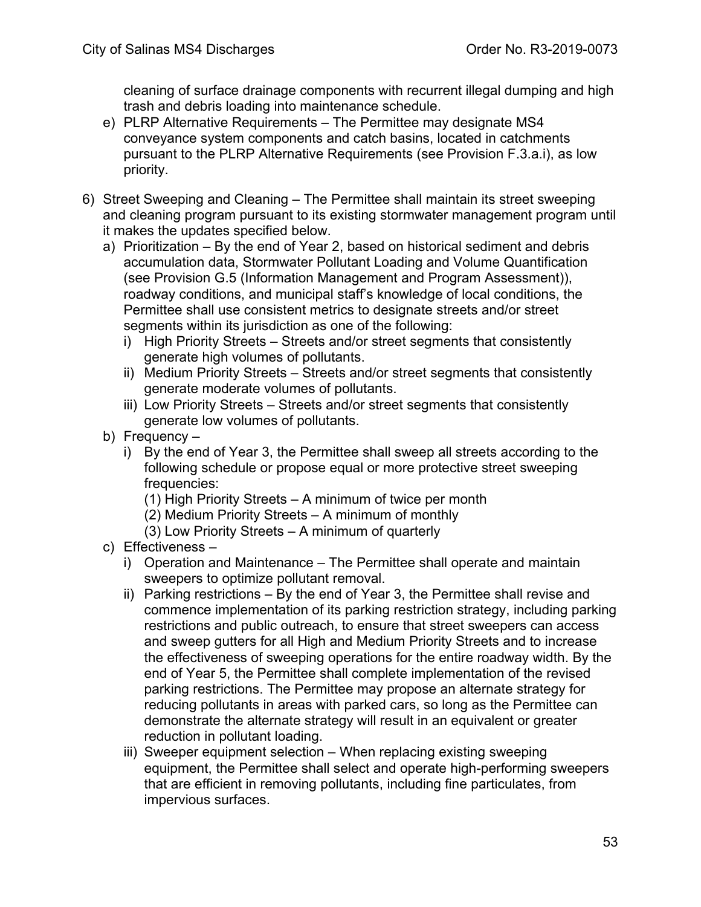cleaning of surface drainage components with recurrent illegal dumping and high trash and debris loading into maintenance schedule.

- e) PLRP Alternative Requirements The Permittee may designate MS4 conveyance system components and catch basins, located in catchments pursuant to the PLRP Alternative Requirements (see Provision F.3.a.i), as low priority.
- 6) Street Sweeping and Cleaning The Permittee shall maintain its street sweeping and cleaning program pursuant to its existing stormwater management program until it makes the updates specified below.
	- a) Prioritization By the end of Year 2, based on historical sediment and debris accumulation data, Stormwater Pollutant Loading and Volume Quantification (see Provision G.5 (Information Management and Program Assessment)), roadway conditions, and municipal staff's knowledge of local conditions, the Permittee shall use consistent metrics to designate streets and/or street segments within its jurisdiction as one of the following:
		- i) High Priority Streets Streets and/or street segments that consistently generate high volumes of pollutants.
		- ii) Medium Priority Streets Streets and/or street segments that consistently generate moderate volumes of pollutants.
		- iii) Low Priority Streets Streets and/or street segments that consistently generate low volumes of pollutants.
	- b) Frequency
		- i) By the end of Year 3, the Permittee shall sweep all streets according to the following schedule or propose equal or more protective street sweeping frequencies:
			- (1) High Priority Streets A minimum of twice per month
			- (2) Medium Priority Streets A minimum of monthly
			- (3) Low Priority Streets A minimum of quarterly
	- c) Effectiveness
		- i) Operation and Maintenance The Permittee shall operate and maintain sweepers to optimize pollutant removal.
		- ii) Parking restrictions By the end of Year 3, the Permittee shall revise and commence implementation of its parking restriction strategy, including parking restrictions and public outreach, to ensure that street sweepers can access and sweep gutters for all High and Medium Priority Streets and to increase the effectiveness of sweeping operations for the entire roadway width. By the end of Year 5, the Permittee shall complete implementation of the revised parking restrictions. The Permittee may propose an alternate strategy for reducing pollutants in areas with parked cars, so long as the Permittee can demonstrate the alternate strategy will result in an equivalent or greater reduction in pollutant loading.
		- iii) Sweeper equipment selection When replacing existing sweeping equipment, the Permittee shall select and operate high-performing sweepers that are efficient in removing pollutants, including fine particulates, from impervious surfaces.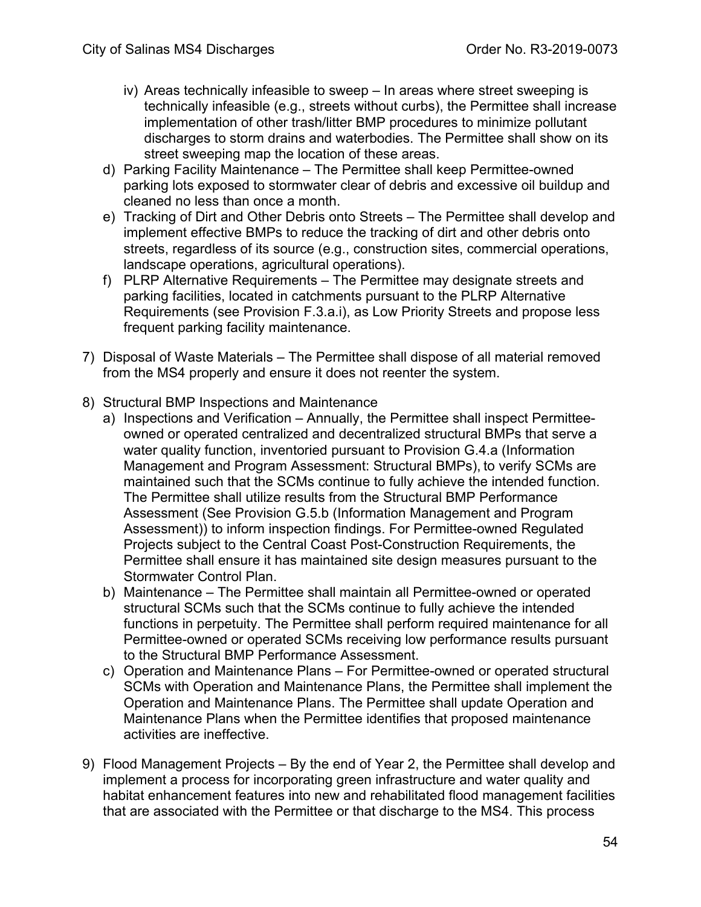- iv) Areas technically infeasible to sweep In areas where street sweeping is technically infeasible (e.g., streets without curbs), the Permittee shall increase implementation of other trash/litter BMP procedures to minimize pollutant discharges to storm drains and waterbodies. The Permittee shall show on its street sweeping map the location of these areas.
- d) Parking Facility Maintenance The Permittee shall keep Permittee-owned parking lots exposed to stormwater clear of debris and excessive oil buildup and cleaned no less than once a month.
- e) Tracking of Dirt and Other Debris onto Streets The Permittee shall develop and implement effective BMPs to reduce the tracking of dirt and other debris onto streets, regardless of its source (e.g., construction sites, commercial operations, landscape operations, agricultural operations).
- f) PLRP Alternative Requirements The Permittee may designate streets and parking facilities, located in catchments pursuant to the PLRP Alternative Requirements (see Provision F.3.a.i), as Low Priority Streets and propose less frequent parking facility maintenance.
- 7) Disposal of Waste Materials The Permittee shall dispose of all material removed from the MS4 properly and ensure it does not reenter the system.
- 8) Structural BMP Inspections and Maintenance
	- a) Inspections and Verification Annually, the Permittee shall inspect Permitteeowned or operated centralized and decentralized structural BMPs that serve a water quality function, inventoried pursuant to Provision G.4.a (Information Management and Program Assessment: Structural BMPs), to verify SCMs are maintained such that the SCMs continue to fully achieve the intended function. The Permittee shall utilize results from the Structural BMP Performance Assessment (See Provision G.5.b (Information Management and Program Assessment)) to inform inspection findings. For Permittee-owned Regulated Projects subject to the Central Coast Post-Construction Requirements, the Permittee shall ensure it has maintained site design measures pursuant to the Stormwater Control Plan.
	- b) Maintenance The Permittee shall maintain all Permittee-owned or operated structural SCMs such that the SCMs continue to fully achieve the intended functions in perpetuity. The Permittee shall perform required maintenance for all Permittee-owned or operated SCMs receiving low performance results pursuant to the Structural BMP Performance Assessment.
	- c) Operation and Maintenance Plans For Permittee-owned or operated structural SCMs with Operation and Maintenance Plans, the Permittee shall implement the Operation and Maintenance Plans. The Permittee shall update Operation and Maintenance Plans when the Permittee identifies that proposed maintenance activities are ineffective.
- 9) Flood Management Projects By the end of Year 2, the Permittee shall develop and implement a process for incorporating green infrastructure and water quality and habitat enhancement features into new and rehabilitated flood management facilities that are associated with the Permittee or that discharge to the MS4. This process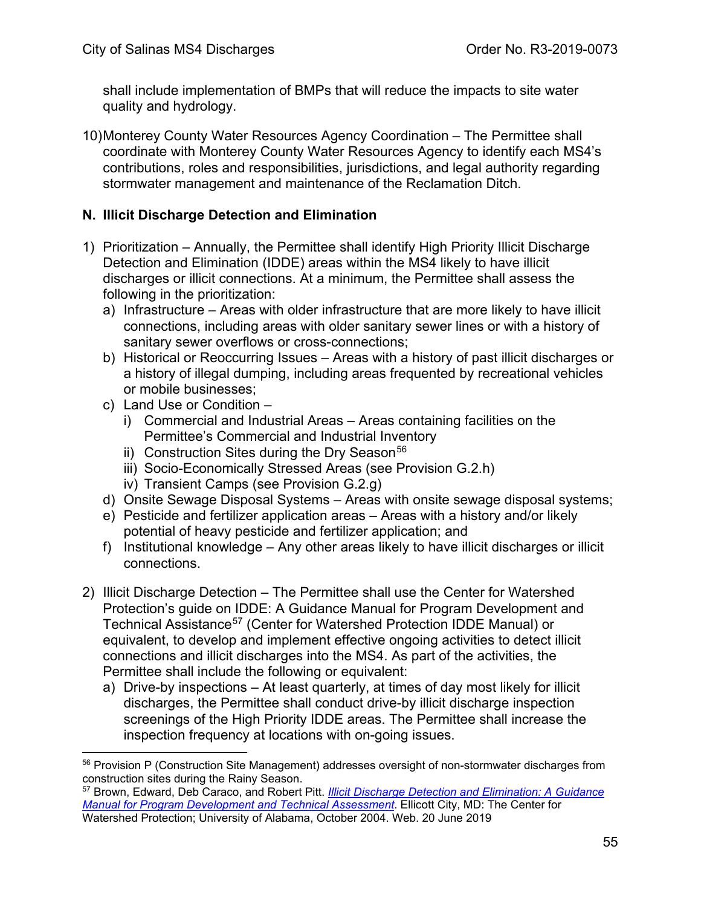shall include implementation of BMPs that will reduce the impacts to site water quality and hydrology.

10)Monterey County Water Resources Agency Coordination – The Permittee shall coordinate with Monterey County Water Resources Agency to identify each MS4's contributions, roles and responsibilities, jurisdictions, and legal authority regarding stormwater management and maintenance of the Reclamation Ditch.

### **N. Illicit Discharge Detection and Elimination**

- 1) Prioritization Annually, the Permittee shall identify High Priority Illicit Discharge Detection and Elimination (IDDE) areas within the MS4 likely to have illicit discharges or illicit connections. At a minimum, the Permittee shall assess the following in the prioritization:
	- a) Infrastructure Areas with older infrastructure that are more likely to have illicit connections, including areas with older sanitary sewer lines or with a history of sanitary sewer overflows or cross-connections;
	- b) Historical or Reoccurring Issues Areas with a history of past illicit discharges or a history of illegal dumping, including areas frequented by recreational vehicles or mobile businesses;
	- c) Land Use or Condition
		- i) Commercial and Industrial Areas Areas containing facilities on the Permittee's Commercial and Industrial Inventory
		- ii) Construction Sites during the Dry Season<sup>[56](#page-54-0)</sup>
		- iii) Socio-Economically Stressed Areas (see Provision G.2.h)
		- iv) Transient Camps (see Provision G.2.g)
	- d) Onsite Sewage Disposal Systems Areas with onsite sewage disposal systems;
	- e) Pesticide and fertilizer application areas Areas with a history and/or likely potential of heavy pesticide and fertilizer application; and
	- f) Institutional knowledge Any other areas likely to have illicit discharges or illicit connections.
- 2) Illicit Discharge Detection The Permittee shall use the Center for Watershed Protection's guide on IDDE: A Guidance Manual for Program Development and Technical Assistance<sup>[57](#page-54-1)</sup> (Center for Watershed Protection IDDE Manual) or equivalent, to develop and implement effective ongoing activities to detect illicit connections and illicit discharges into the MS4. As part of the activities, the Permittee shall include the following or equivalent:
	- a) Drive-by inspections At least quarterly, at times of day most likely for illicit discharges, the Permittee shall conduct drive-by illicit discharge inspection screenings of the High Priority IDDE areas. The Permittee shall increase the inspection frequency at locations with on-going issues.

<span id="page-54-0"></span><sup>&</sup>lt;sup>56</sup> Provision P (Construction Site Management) addresses oversight of non-stormwater discharges from construction sites during the Rainy Season.

<span id="page-54-1"></span><sup>57</sup> Brown, Edward, Deb Caraco, and Robert Pitt. *[Illicit Discharge Detection and Elimination: A Guidance](https://www3.epa.gov/npdes/pubs/idde_manualwithappendices.pdf)  [Manual for Program Development and Technical Assessment](https://www3.epa.gov/npdes/pubs/idde_manualwithappendices.pdf)*. Ellicott City, MD: The Center for Watershed Protection; University of Alabama, October 2004. Web. 20 June 2019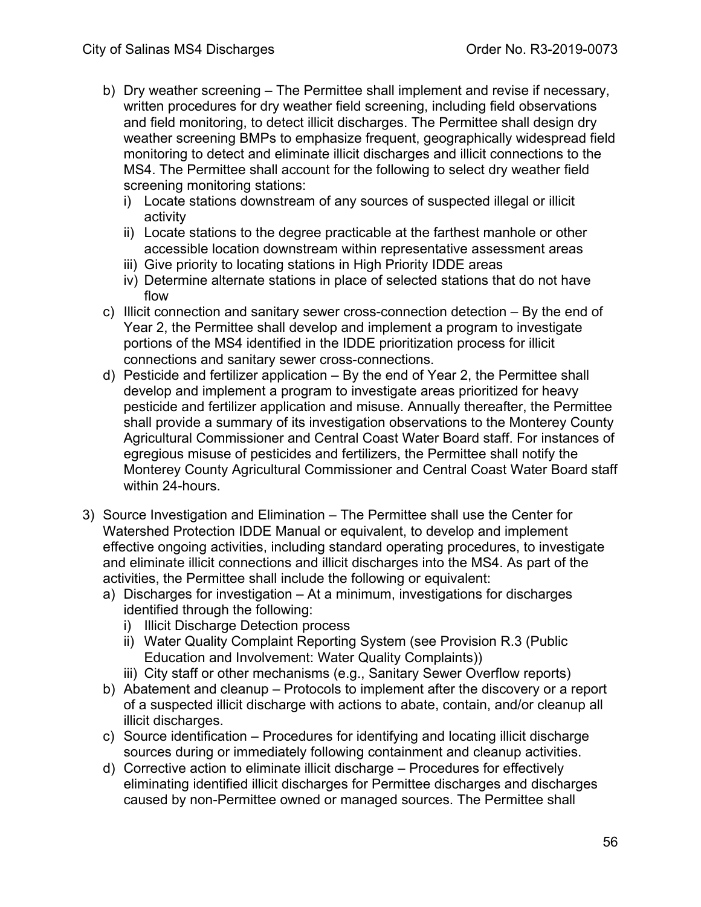- b) Dry weather screening The Permittee shall implement and revise if necessary, written procedures for dry weather field screening, including field observations and field monitoring, to detect illicit discharges. The Permittee shall design dry weather screening BMPs to emphasize frequent, geographically widespread field monitoring to detect and eliminate illicit discharges and illicit connections to the MS4. The Permittee shall account for the following to select dry weather field screening monitoring stations:
	- i) Locate stations downstream of any sources of suspected illegal or illicit activity
	- ii) Locate stations to the degree practicable at the farthest manhole or other accessible location downstream within representative assessment areas
	- iii) Give priority to locating stations in High Priority IDDE areas
	- iv) Determine alternate stations in place of selected stations that do not have flow
- c) Illicit connection and sanitary sewer cross-connection detection By the end of Year 2, the Permittee shall develop and implement a program to investigate portions of the MS4 identified in the IDDE prioritization process for illicit connections and sanitary sewer cross-connections.
- d) Pesticide and fertilizer application By the end of Year 2, the Permittee shall develop and implement a program to investigate areas prioritized for heavy pesticide and fertilizer application and misuse. Annually thereafter, the Permittee shall provide a summary of its investigation observations to the Monterey County Agricultural Commissioner and Central Coast Water Board staff. For instances of egregious misuse of pesticides and fertilizers, the Permittee shall notify the Monterey County Agricultural Commissioner and Central Coast Water Board staff within 24-hours.
- 3) Source Investigation and Elimination The Permittee shall use the Center for Watershed Protection IDDE Manual or equivalent, to develop and implement effective ongoing activities, including standard operating procedures, to investigate and eliminate illicit connections and illicit discharges into the MS4. As part of the activities, the Permittee shall include the following or equivalent:
	- a) Discharges for investigation At a minimum, investigations for discharges identified through the following:
		- i) Illicit Discharge Detection process
		- ii) Water Quality Complaint Reporting System (see Provision R.3 (Public Education and Involvement: Water Quality Complaints))
		- iii) City staff or other mechanisms (e.g., Sanitary Sewer Overflow reports)
	- b) Abatement and cleanup Protocols to implement after the discovery or a report of a suspected illicit discharge with actions to abate, contain, and/or cleanup all illicit discharges.
	- c) Source identification Procedures for identifying and locating illicit discharge sources during or immediately following containment and cleanup activities.
	- d) Corrective action to eliminate illicit discharge Procedures for effectively eliminating identified illicit discharges for Permittee discharges and discharges caused by non-Permittee owned or managed sources. The Permittee shall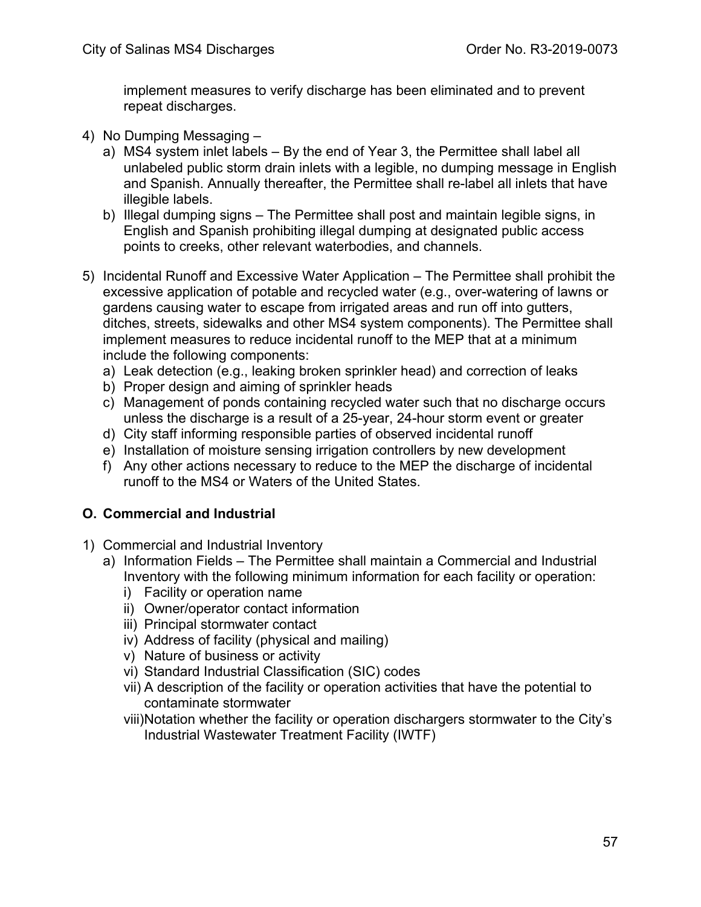implement measures to verify discharge has been eliminated and to prevent repeat discharges.

- 4) No Dumping Messaging
	- a) MS4 system inlet labels By the end of Year 3, the Permittee shall label all unlabeled public storm drain inlets with a legible, no dumping message in English and Spanish. Annually thereafter, the Permittee shall re-label all inlets that have illegible labels.
	- b) Illegal dumping signs The Permittee shall post and maintain legible signs, in English and Spanish prohibiting illegal dumping at designated public access points to creeks, other relevant waterbodies, and channels.
- 5) Incidental Runoff and Excessive Water Application The Permittee shall prohibit the excessive application of potable and recycled water (e.g., over-watering of lawns or gardens causing water to escape from irrigated areas and run off into gutters, ditches, streets, sidewalks and other MS4 system components). The Permittee shall implement measures to reduce incidental runoff to the MEP that at a minimum include the following components:
	- a) Leak detection (e.g., leaking broken sprinkler head) and correction of leaks
	- b) Proper design and aiming of sprinkler heads
	- c) Management of ponds containing recycled water such that no discharge occurs unless the discharge is a result of a 25-year, 24-hour storm event or greater
	- d) City staff informing responsible parties of observed incidental runoff
	- e) Installation of moisture sensing irrigation controllers by new development
	- f) Any other actions necessary to reduce to the MEP the discharge of incidental runoff to the MS4 or Waters of the United States.

## **O. Commercial and Industrial**

- 1) Commercial and Industrial Inventory
	- a) Information Fields The Permittee shall maintain a Commercial and Industrial Inventory with the following minimum information for each facility or operation:
		- i) Facility or operation name
		- ii) Owner/operator contact information
		- iii) Principal stormwater contact
		- iv) Address of facility (physical and mailing)
		- v) Nature of business or activity
		- vi) Standard Industrial Classification (SIC) codes
		- vii) A description of the facility or operation activities that have the potential to contaminate stormwater
		- viii)Notation whether the facility or operation dischargers stormwater to the City's Industrial Wastewater Treatment Facility (IWTF)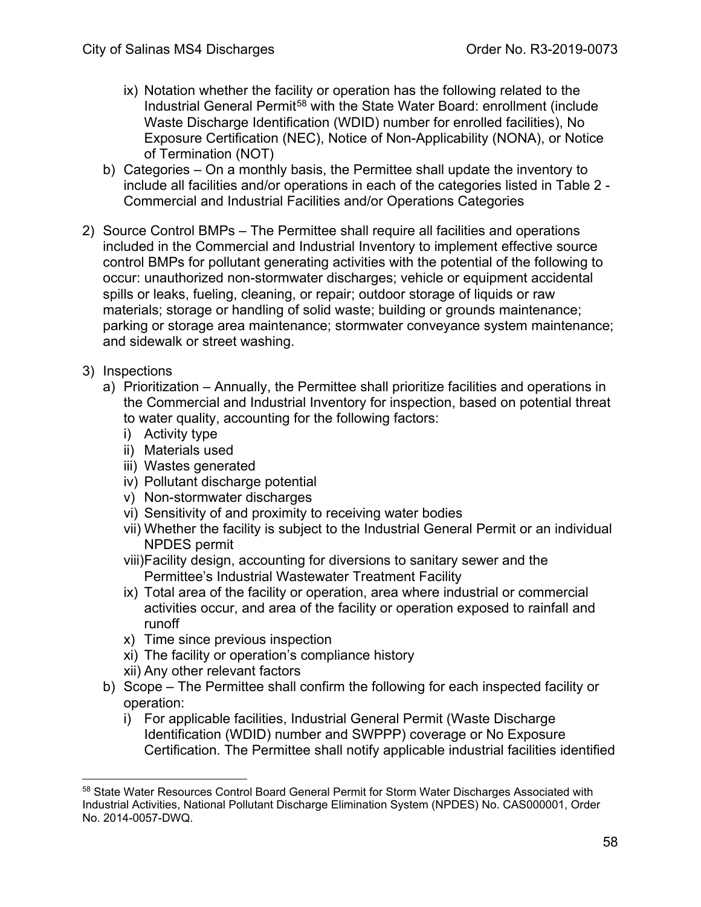- ix) Notation whether the facility or operation has the following related to the Industrial General Permit<sup>[58](#page-57-0)</sup> with the State Water Board: enrollment (include Waste Discharge Identification (WDID) number for enrolled facilities), No Exposure Certification (NEC), Notice of Non-Applicability (NONA), or Notice of Termination (NOT)
- b) Categories On a monthly basis, the Permittee shall update the inventory to include all facilities and/or operations in each of the categories listed in Table 2 - Commercial and Industrial Facilities and/or Operations Categories
- 2) Source Control BMPs The Permittee shall require all facilities and operations included in the Commercial and Industrial Inventory to implement effective source control BMPs for pollutant generating activities with the potential of the following to occur: unauthorized non-stormwater discharges; vehicle or equipment accidental spills or leaks, fueling, cleaning, or repair; outdoor storage of liquids or raw materials; storage or handling of solid waste; building or grounds maintenance; parking or storage area maintenance; stormwater conveyance system maintenance; and sidewalk or street washing.
- 3) Inspections
	- a) Prioritization Annually, the Permittee shall prioritize facilities and operations in the Commercial and Industrial Inventory for inspection, based on potential threat to water quality, accounting for the following factors:
		- i) Activity type
		- ii) Materials used
		- iii) Wastes generated
		- iv) Pollutant discharge potential
		- v) Non-stormwater discharges
		- vi) Sensitivity of and proximity to receiving water bodies
		- vii) Whether the facility is subject to the Industrial General Permit or an individual NPDES permit
		- viii)Facility design, accounting for diversions to sanitary sewer and the Permittee's Industrial Wastewater Treatment Facility
		- ix) Total area of the facility or operation, area where industrial or commercial activities occur, and area of the facility or operation exposed to rainfall and runoff
		- x) Time since previous inspection
		- xi) The facility or operation's compliance history
		- xii) Any other relevant factors
	- b) Scope The Permittee shall confirm the following for each inspected facility or operation:
		- i) For applicable facilities, Industrial General Permit (Waste Discharge Identification (WDID) number and SWPPP) coverage or No Exposure Certification. The Permittee shall notify applicable industrial facilities identified

<span id="page-57-0"></span><sup>&</sup>lt;sup>58</sup> State Water Resources Control Board General Permit for Storm Water Discharges Associated with Industrial Activities, National Pollutant Discharge Elimination System (NPDES) No. CAS000001, Order No. 2014-0057-DWQ.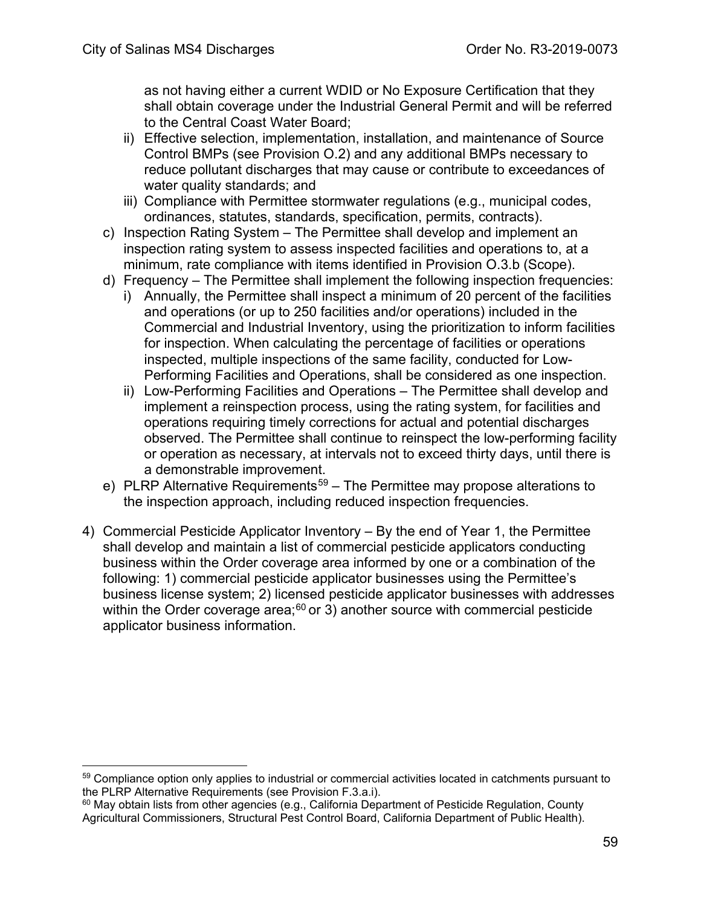as not having either a current WDID or No Exposure Certification that they shall obtain coverage under the Industrial General Permit and will be referred to the Central Coast Water Board;

- ii) Effective selection, implementation, installation, and maintenance of Source Control BMPs (see Provision O.2) and any additional BMPs necessary to reduce pollutant discharges that may cause or contribute to exceedances of water quality standards; and
- iii) Compliance with Permittee stormwater regulations (e.g., municipal codes, ordinances, statutes, standards, specification, permits, contracts).
- c) Inspection Rating System The Permittee shall develop and implement an inspection rating system to assess inspected facilities and operations to, at a minimum, rate compliance with items identified in Provision O.3.b (Scope).
- d) Frequency The Permittee shall implement the following inspection frequencies:
	- i) Annually, the Permittee shall inspect a minimum of 20 percent of the facilities and operations (or up to 250 facilities and/or operations) included in the Commercial and Industrial Inventory, using the prioritization to inform facilities for inspection. When calculating the percentage of facilities or operations inspected, multiple inspections of the same facility, conducted for Low-Performing Facilities and Operations, shall be considered as one inspection.
	- ii) Low-Performing Facilities and Operations The Permittee shall develop and implement a reinspection process, using the rating system, for facilities and operations requiring timely corrections for actual and potential discharges observed. The Permittee shall continue to reinspect the low-performing facility or operation as necessary, at intervals not to exceed thirty days, until there is a demonstrable improvement.
- e) PLRP Alternative Requirements<sup>59</sup> The Permittee may propose alterations to the inspection approach, including reduced inspection frequencies.
- 4) Commercial Pesticide Applicator Inventory By the end of Year 1, the Permittee shall develop and maintain a list of commercial pesticide applicators conducting business within the Order coverage area informed by one or a combination of the following: 1) commercial pesticide applicator businesses using the Permittee's business license system; 2) licensed pesticide applicator businesses with addresses within the Order coverage area; $60$  or 3) another source with commercial pesticide applicator business information.

<span id="page-58-0"></span><sup>&</sup>lt;sup>59</sup> Compliance option only applies to industrial or commercial activities located in catchments pursuant to the PLRP Alternative Requirements (see Provision F.3.a.i).<br><sup>60</sup> May obtain lists from other agencies (e.g., California Department of Pesticide Regulation, County

<span id="page-58-1"></span>Agricultural Commissioners, Structural Pest Control Board, California Department of Public Health).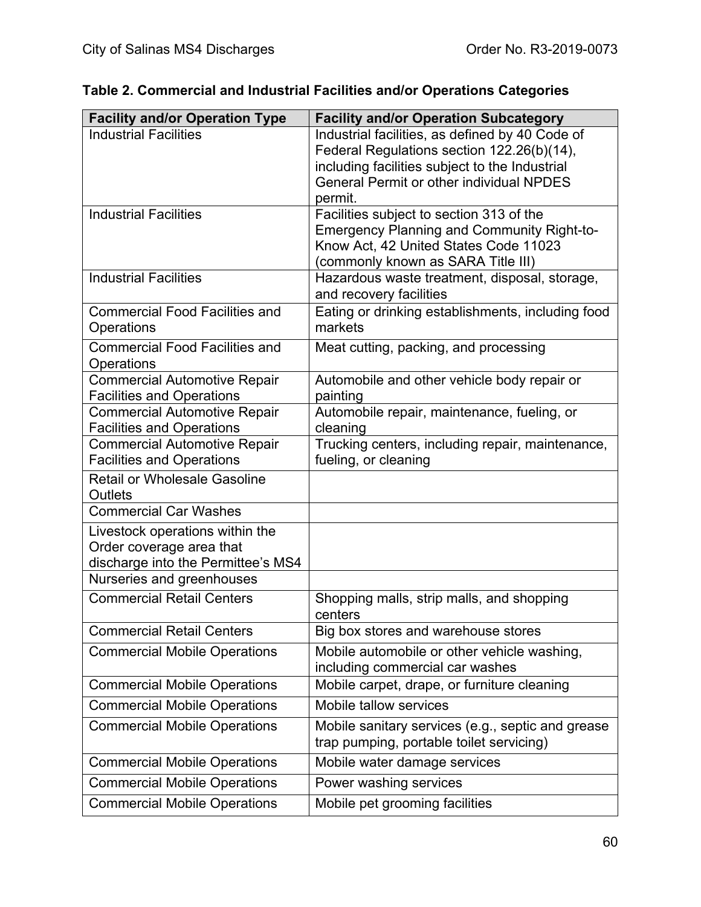| <b>Facility and/or Operation Type</b> | <b>Facility and/or Operation Subcategory</b>                                        |
|---------------------------------------|-------------------------------------------------------------------------------------|
| <b>Industrial Facilities</b>          | Industrial facilities, as defined by 40 Code of                                     |
|                                       | Federal Regulations section 122.26(b)(14),                                          |
|                                       | including facilities subject to the Industrial                                      |
|                                       | <b>General Permit or other individual NPDES</b>                                     |
|                                       | permit.                                                                             |
| <b>Industrial Facilities</b>          | Facilities subject to section 313 of the                                            |
|                                       | <b>Emergency Planning and Community Right-to-</b>                                   |
|                                       | Know Act, 42 United States Code 11023                                               |
| <b>Industrial Facilities</b>          | (commonly known as SARA Title III)<br>Hazardous waste treatment, disposal, storage, |
|                                       | and recovery facilities                                                             |
| <b>Commercial Food Facilities and</b> | Eating or drinking establishments, including food                                   |
| Operations                            | markets                                                                             |
| <b>Commercial Food Facilities and</b> |                                                                                     |
| Operations                            | Meat cutting, packing, and processing                                               |
| <b>Commercial Automotive Repair</b>   | Automobile and other vehicle body repair or                                         |
| <b>Facilities and Operations</b>      | painting                                                                            |
| <b>Commercial Automotive Repair</b>   | Automobile repair, maintenance, fueling, or                                         |
| <b>Facilities and Operations</b>      | cleaning                                                                            |
| <b>Commercial Automotive Repair</b>   | Trucking centers, including repair, maintenance,                                    |
| <b>Facilities and Operations</b>      | fueling, or cleaning                                                                |
| <b>Retail or Wholesale Gasoline</b>   |                                                                                     |
| Outlets                               |                                                                                     |
| <b>Commercial Car Washes</b>          |                                                                                     |
| Livestock operations within the       |                                                                                     |
| Order coverage area that              |                                                                                     |
| discharge into the Permittee's MS4    |                                                                                     |
| Nurseries and greenhouses             |                                                                                     |
| <b>Commercial Retail Centers</b>      | Shopping malls, strip malls, and shopping<br>centers                                |
| <b>Commercial Retail Centers</b>      | Big box stores and warehouse stores                                                 |
| <b>Commercial Mobile Operations</b>   | Mobile automobile or other vehicle washing,                                         |
|                                       | including commercial car washes                                                     |
| <b>Commercial Mobile Operations</b>   | Mobile carpet, drape, or furniture cleaning                                         |
| <b>Commercial Mobile Operations</b>   | Mobile tallow services                                                              |
| <b>Commercial Mobile Operations</b>   | Mobile sanitary services (e.g., septic and grease                                   |
|                                       | trap pumping, portable toilet servicing)                                            |
| <b>Commercial Mobile Operations</b>   | Mobile water damage services                                                        |
| <b>Commercial Mobile Operations</b>   | Power washing services                                                              |
| <b>Commercial Mobile Operations</b>   | Mobile pet grooming facilities                                                      |

# **Table 2. Commercial and Industrial Facilities and/or Operations Categories**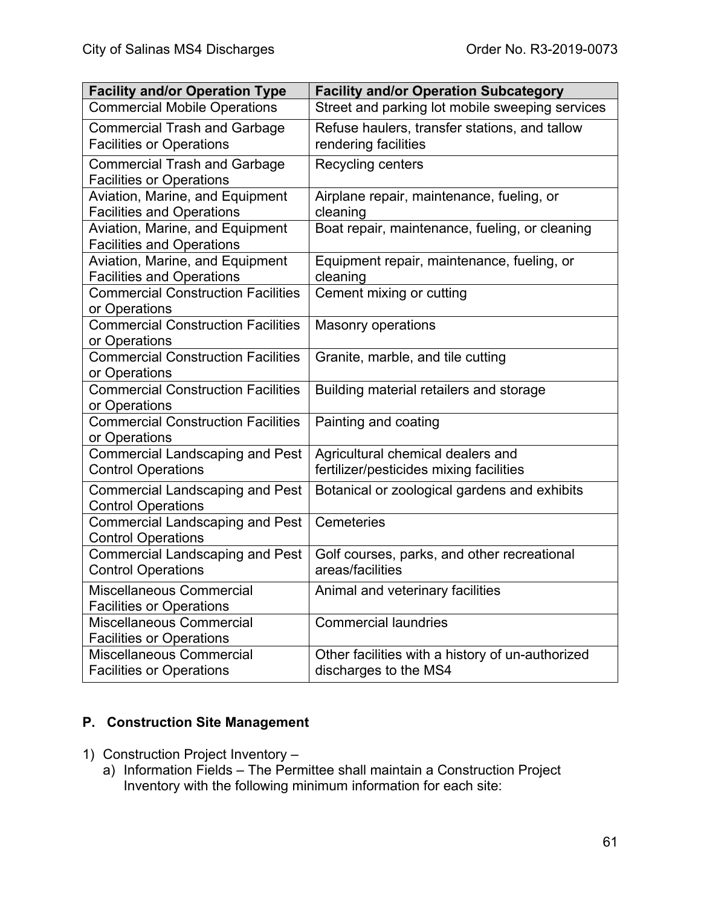| <b>Facility and/or Operation Type</b>                      | <b>Facility and/or Operation Subcategory</b>     |
|------------------------------------------------------------|--------------------------------------------------|
| <b>Commercial Mobile Operations</b>                        | Street and parking lot mobile sweeping services  |
| <b>Commercial Trash and Garbage</b>                        | Refuse haulers, transfer stations, and tallow    |
| <b>Facilities or Operations</b>                            | rendering facilities                             |
| <b>Commercial Trash and Garbage</b>                        | Recycling centers                                |
| <b>Facilities or Operations</b>                            |                                                  |
| Aviation, Marine, and Equipment                            | Airplane repair, maintenance, fueling, or        |
| <b>Facilities and Operations</b>                           | cleaning                                         |
| Aviation, Marine, and Equipment                            | Boat repair, maintenance, fueling, or cleaning   |
| <b>Facilities and Operations</b>                           |                                                  |
| Aviation, Marine, and Equipment                            | Equipment repair, maintenance, fueling, or       |
| <b>Facilities and Operations</b>                           | cleaning                                         |
| <b>Commercial Construction Facilities</b><br>or Operations | Cement mixing or cutting                         |
| <b>Commercial Construction Facilities</b>                  | <b>Masonry operations</b>                        |
| or Operations                                              |                                                  |
| <b>Commercial Construction Facilities</b>                  | Granite, marble, and tile cutting                |
| or Operations                                              |                                                  |
| <b>Commercial Construction Facilities</b>                  | Building material retailers and storage          |
| or Operations                                              |                                                  |
| <b>Commercial Construction Facilities</b>                  | Painting and coating                             |
| or Operations                                              |                                                  |
| <b>Commercial Landscaping and Pest</b>                     | Agricultural chemical dealers and                |
| <b>Control Operations</b>                                  | fertilizer/pesticides mixing facilities          |
| <b>Commercial Landscaping and Pest</b>                     | Botanical or zoological gardens and exhibits     |
| <b>Control Operations</b>                                  |                                                  |
| <b>Commercial Landscaping and Pest</b>                     | Cemeteries                                       |
| <b>Control Operations</b>                                  |                                                  |
| <b>Commercial Landscaping and Pest</b>                     | Golf courses, parks, and other recreational      |
| <b>Control Operations</b>                                  | areas/facilities                                 |
| Miscellaneous Commercial                                   | Animal and veterinary facilities                 |
| <b>Facilities or Operations</b>                            |                                                  |
| Miscellaneous Commercial                                   | <b>Commercial laundries</b>                      |
| <b>Facilities or Operations</b>                            |                                                  |
| <b>Miscellaneous Commercial</b>                            | Other facilities with a history of un-authorized |
| <b>Facilities or Operations</b>                            | discharges to the MS4                            |

#### **P. Construction Site Management**

- 1) Construction Project Inventory
	- a) Information Fields The Permittee shall maintain a Construction Project Inventory with the following minimum information for each site: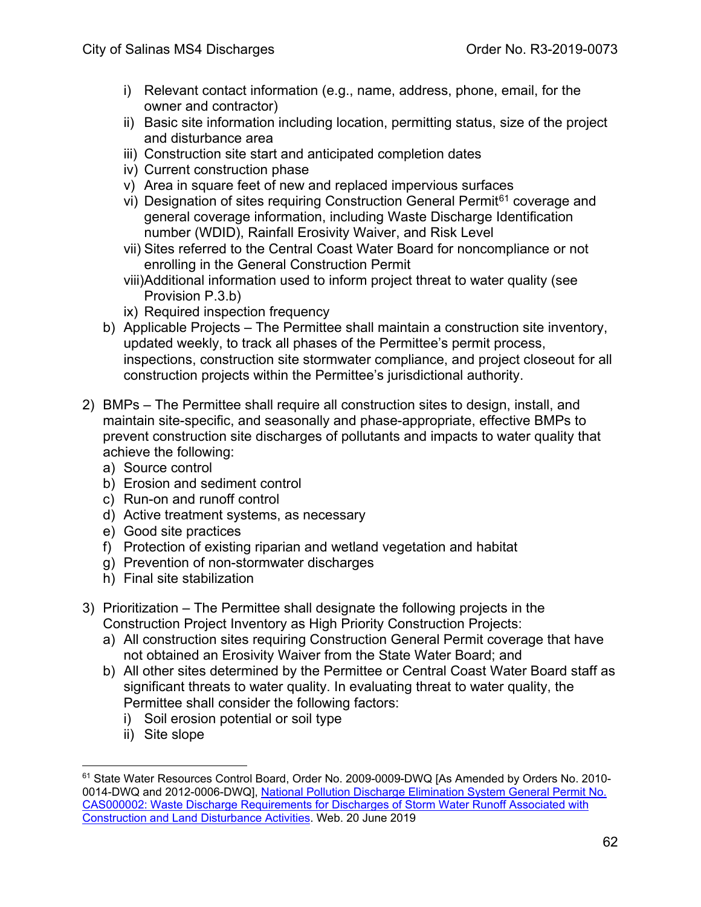- i) Relevant contact information (e.g., name, address, phone, email, for the owner and contractor)
- ii) Basic site information including location, permitting status, size of the project and disturbance area
- iii) Construction site start and anticipated completion dates
- iv) Current construction phase
- v) Area in square feet of new and replaced impervious surfaces
- vi) Designation of sites requiring Construction General Permit<sup>[61](#page-61-0)</sup> coverage and general coverage information, including Waste Discharge Identification number (WDID), Rainfall Erosivity Waiver, and Risk Level
- vii) Sites referred to the Central Coast Water Board for noncompliance or not enrolling in the General Construction Permit
- viii)Additional information used to inform project threat to water quality (see Provision P.3.b)
- ix) Required inspection frequency
- b) Applicable Projects The Permittee shall maintain a construction site inventory, updated weekly, to track all phases of the Permittee's permit process, inspections, construction site stormwater compliance, and project closeout for all construction projects within the Permittee's jurisdictional authority.
- 2) BMPs The Permittee shall require all construction sites to design, install, and maintain site-specific, and seasonally and phase-appropriate, effective BMPs to prevent construction site discharges of pollutants and impacts to water quality that achieve the following:
	- a) Source control
	- b) Erosion and sediment control
	- c) Run-on and runoff control
	- d) Active treatment systems, as necessary
	- e) Good site practices
	- f) Protection of existing riparian and wetland vegetation and habitat
	- g) Prevention of non-stormwater discharges
	- h) Final site stabilization
- 3) Prioritization The Permittee shall designate the following projects in the Construction Project Inventory as High Priority Construction Projects:
	- a) All construction sites requiring Construction General Permit coverage that have not obtained an Erosivity Waiver from the State Water Board; and
	- b) All other sites determined by the Permittee or Central Coast Water Board staff as significant threats to water quality. In evaluating threat to water quality, the Permittee shall consider the following factors:
		- i) Soil erosion potential or soil type
		- ii) Site slope

<span id="page-61-0"></span><sup>61</sup> State Water Resources Control Board, Order No. 2009-0009-DWQ [As Amended by Orders No. 2010- 0014-DWQ and 2012-0006-DWQ], [National Pollution Discharge Elimination System General Permit No.](https://www.waterboards.ca.gov/board_decisions/adopted_orders/water_quality/2009/wqo/wqo2009_0009_dwq.pdf)  [CAS000002: Waste Discharge Requirements for Discharges of Storm Water Runoff Associated with](https://www.waterboards.ca.gov/board_decisions/adopted_orders/water_quality/2009/wqo/wqo2009_0009_dwq.pdf)  [Construction and Land Disturbance Activities.](https://www.waterboards.ca.gov/board_decisions/adopted_orders/water_quality/2009/wqo/wqo2009_0009_dwq.pdf) Web. 20 June 2019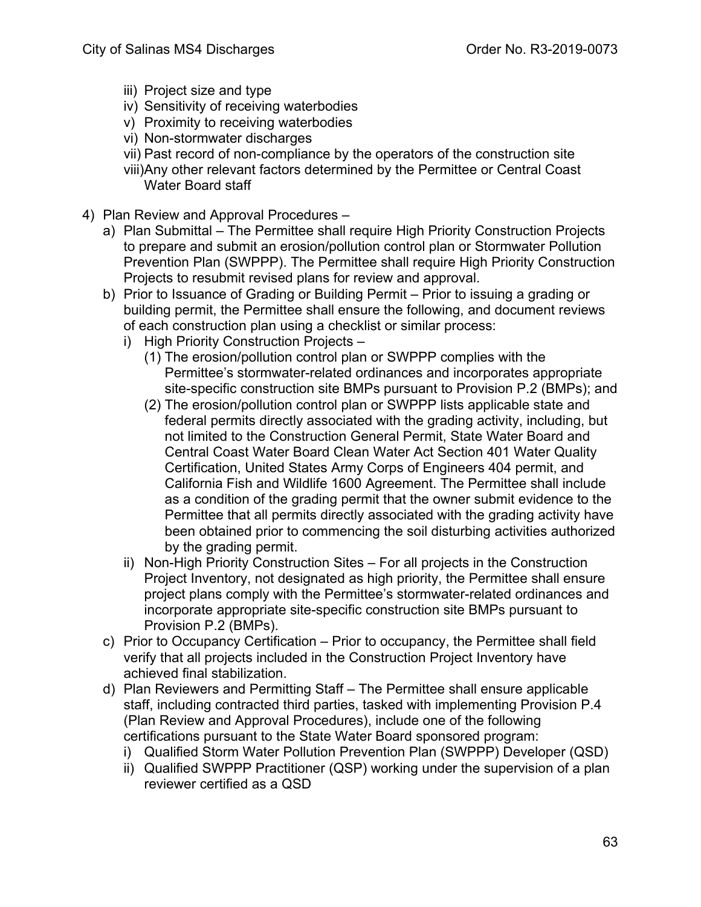- iii) Project size and type
- iv) Sensitivity of receiving waterbodies
- v) Proximity to receiving waterbodies
- vi) Non-stormwater discharges
- vii) Past record of non-compliance by the operators of the construction site
- viii)Any other relevant factors determined by the Permittee or Central Coast Water Board staff
- 4) Plan Review and Approval Procedures
	- a) Plan Submittal The Permittee shall require High Priority Construction Projects to prepare and submit an erosion/pollution control plan or Stormwater Pollution Prevention Plan (SWPPP). The Permittee shall require High Priority Construction Projects to resubmit revised plans for review and approval.
	- b) Prior to Issuance of Grading or Building Permit Prior to issuing a grading or building permit, the Permittee shall ensure the following, and document reviews of each construction plan using a checklist or similar process:
		- i) High Priority Construction Projects
			- (1) The erosion/pollution control plan or SWPPP complies with the Permittee's stormwater-related ordinances and incorporates appropriate site-specific construction site BMPs pursuant to Provision P.2 (BMPs); and
			- (2) The erosion/pollution control plan or SWPPP lists applicable state and federal permits directly associated with the grading activity, including, but not limited to the Construction General Permit, State Water Board and Central Coast Water Board Clean Water Act Section 401 Water Quality Certification, United States Army Corps of Engineers 404 permit, and California Fish and Wildlife 1600 Agreement. The Permittee shall include as a condition of the grading permit that the owner submit evidence to the Permittee that all permits directly associated with the grading activity have been obtained prior to commencing the soil disturbing activities authorized by the grading permit.
		- ii) Non-High Priority Construction Sites For all projects in the Construction Project Inventory, not designated as high priority, the Permittee shall ensure project plans comply with the Permittee's stormwater-related ordinances and incorporate appropriate site-specific construction site BMPs pursuant to Provision P.2 (BMPs).
	- c) Prior to Occupancy Certification Prior to occupancy, the Permittee shall field verify that all projects included in the Construction Project Inventory have achieved final stabilization.
	- d) Plan Reviewers and Permitting Staff The Permittee shall ensure applicable staff, including contracted third parties, tasked with implementing Provision P.4 (Plan Review and Approval Procedures), include one of the following certifications pursuant to the State Water Board sponsored program:
		- i) Qualified Storm Water Pollution Prevention Plan (SWPPP) Developer (QSD)
		- ii) Qualified SWPPP Practitioner (QSP) working under the supervision of a plan reviewer certified as a QSD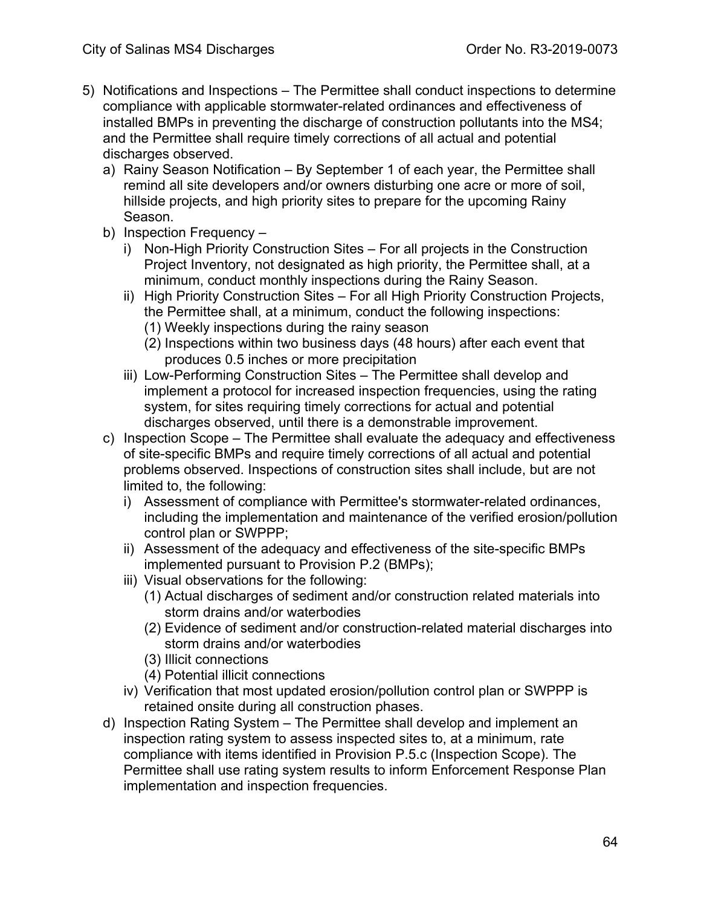- 5) Notifications and Inspections The Permittee shall conduct inspections to determine compliance with applicable stormwater-related ordinances and effectiveness of installed BMPs in preventing the discharge of construction pollutants into the MS4; and the Permittee shall require timely corrections of all actual and potential discharges observed.
	- a) Rainy Season Notification By September 1 of each year, the Permittee shall remind all site developers and/or owners disturbing one acre or more of soil, hillside projects, and high priority sites to prepare for the upcoming Rainy Season.
	- b) Inspection Frequency
		- i) Non-High Priority Construction Sites For all projects in the Construction Project Inventory, not designated as high priority, the Permittee shall, at a minimum, conduct monthly inspections during the Rainy Season.
		- ii) High Priority Construction Sites For all High Priority Construction Projects, the Permittee shall, at a minimum, conduct the following inspections:
			- (1) Weekly inspections during the rainy season
			- (2) Inspections within two business days (48 hours) after each event that produces 0.5 inches or more precipitation
		- iii) Low-Performing Construction Sites The Permittee shall develop and implement a protocol for increased inspection frequencies, using the rating system, for sites requiring timely corrections for actual and potential discharges observed, until there is a demonstrable improvement.
	- c) Inspection Scope The Permittee shall evaluate the adequacy and effectiveness of site-specific BMPs and require timely corrections of all actual and potential problems observed. Inspections of construction sites shall include, but are not limited to, the following:
		- i) Assessment of compliance with Permittee's stormwater-related ordinances, including the implementation and maintenance of the verified erosion/pollution control plan or SWPPP;
		- ii) Assessment of the adequacy and effectiveness of the site-specific BMPs implemented pursuant to Provision P.2 (BMPs);
		- iii) Visual observations for the following:
			- (1) Actual discharges of sediment and/or construction related materials into storm drains and/or waterbodies
			- (2) Evidence of sediment and/or construction-related material discharges into storm drains and/or waterbodies
			- (3) Illicit connections
			- (4) Potential illicit connections
		- iv) Verification that most updated erosion/pollution control plan or SWPPP is retained onsite during all construction phases.
	- d) Inspection Rating System The Permittee shall develop and implement an inspection rating system to assess inspected sites to, at a minimum, rate compliance with items identified in Provision P.5.c (Inspection Scope). The Permittee shall use rating system results to inform Enforcement Response Plan implementation and inspection frequencies.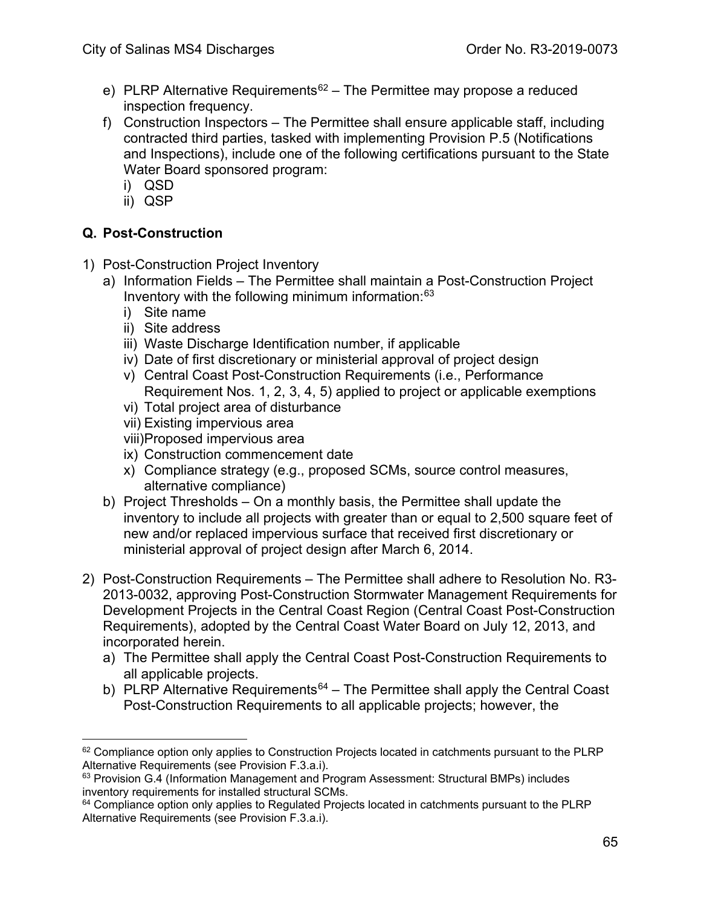- e) PLRP Alternative Requirements<sup>62</sup> The Permittee may propose a reduced inspection frequency.
- f) Construction Inspectors The Permittee shall ensure applicable staff, including contracted third parties, tasked with implementing Provision P.5 (Notifications and Inspections), include one of the following certifications pursuant to the State Water Board sponsored program:
	- i) QSD
	- ii) QSP

# **Q. Post-Construction**

- 1) Post-Construction Project Inventory
	- a) Information Fields The Permittee shall maintain a Post-Construction Project Inventory with the following minimum information: [63](#page-64-1)
		- i) Site name
		- ii) Site address
		- iii) Waste Discharge Identification number, if applicable
		- iv) Date of first discretionary or ministerial approval of project design
		- v) Central Coast Post-Construction Requirements (i.e., Performance Requirement Nos. 1, 2, 3, 4, 5) applied to project or applicable exemptions
		- vi) Total project area of disturbance
		- vii) Existing impervious area
		- viii)Proposed impervious area
		- ix) Construction commencement date
		- x) Compliance strategy (e.g., proposed SCMs, source control measures, alternative compliance)
	- b) Project Thresholds On a monthly basis, the Permittee shall update the inventory to include all projects with greater than or equal to 2,500 square feet of new and/or replaced impervious surface that received first discretionary or ministerial approval of project design after March 6, 2014.
- 2) Post-Construction Requirements The Permittee shall adhere to Resolution No. R3- 2013-0032, approving Post-Construction Stormwater Management Requirements for Development Projects in the Central Coast Region (Central Coast Post-Construction Requirements), adopted by the Central Coast Water Board on July 12, 2013, and incorporated herein.
	- a) The Permittee shall apply the Central Coast Post-Construction Requirements to all applicable projects.
	- b) PLRP Alternative Requirements<sup>64</sup> The Permittee shall apply the Central Coast Post-Construction Requirements to all applicable projects; however, the

<span id="page-64-0"></span> $62$  Compliance option only applies to Construction Projects located in catchments pursuant to the PLRP Alternative Requirements (see Provision F.3.a.i).<br><sup>63</sup> Provision G.4 (Information Management and Program Assessment: Structural BMPs) includes

<span id="page-64-1"></span>inventory requirements for installed structural SCMs.

<span id="page-64-2"></span> $64$  Compliance option only applies to Regulated Projects located in catchments pursuant to the PLRP Alternative Requirements (see Provision F.3.a.i).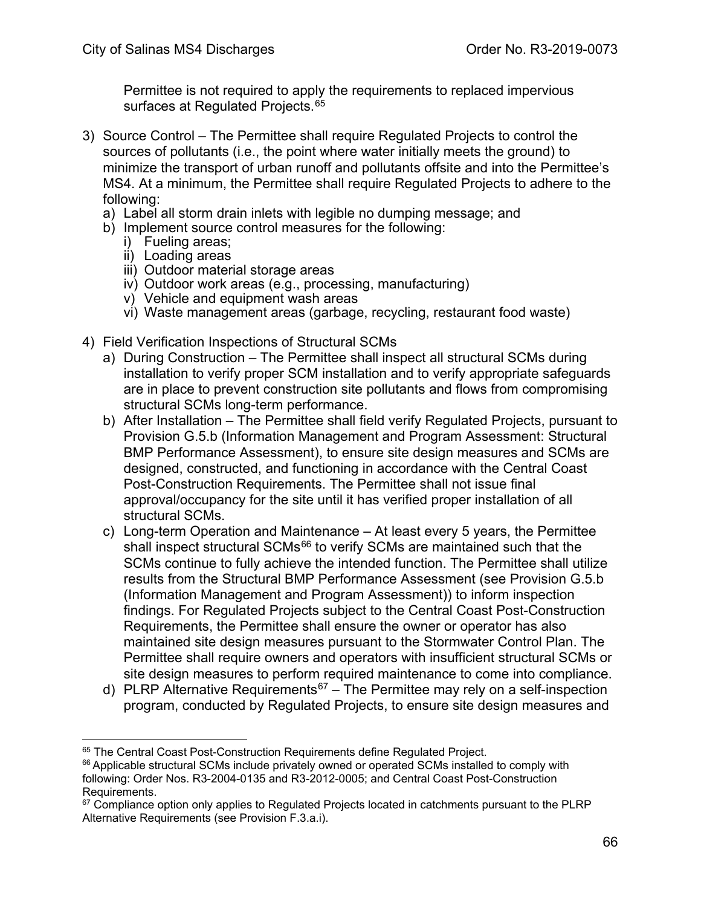Permittee is not required to apply the requirements to replaced impervious surfaces at Regulated Projects. [65](#page-65-0)

- 3) Source Control The Permittee shall require Regulated Projects to control the sources of pollutants (i.e., the point where water initially meets the ground) to minimize the transport of urban runoff and pollutants offsite and into the Permittee's MS4. At a minimum, the Permittee shall require Regulated Projects to adhere to the following:
	- a) Label all storm drain inlets with legible no dumping message; and
	- b) Implement source control measures for the following:
		- i) Fueling areas;
		- ii) Loading areas
		- iii) Outdoor material storage areas
		- iv) Outdoor work areas (e.g., processing, manufacturing)
		- v) Vehicle and equipment wash areas
		- vi) Waste management areas (garbage, recycling, restaurant food waste)
- 4) Field Verification Inspections of Structural SCMs
	- a) During Construction The Permittee shall inspect all structural SCMs during installation to verify proper SCM installation and to verify appropriate safeguards are in place to prevent construction site pollutants and flows from compromising structural SCMs long-term performance.
	- b) After Installation The Permittee shall field verify Regulated Projects, pursuant to Provision G.5.b (Information Management and Program Assessment: Structural BMP Performance Assessment), to ensure site design measures and SCMs are designed, constructed, and functioning in accordance with the Central Coast Post-Construction Requirements. The Permittee shall not issue final approval/occupancy for the site until it has verified proper installation of all structural SCMs.
	- c) Long-term Operation and Maintenance At least every 5 years, the Permittee shall inspect structural SCMs<sup>[66](#page-65-1)</sup> to verify SCMs are maintained such that the SCMs continue to fully achieve the intended function. The Permittee shall utilize results from the Structural BMP Performance Assessment (see Provision G.5.b (Information Management and Program Assessment)) to inform inspection findings. For Regulated Projects subject to the Central Coast Post-Construction Requirements, the Permittee shall ensure the owner or operator has also maintained site design measures pursuant to the Stormwater Control Plan. The Permittee shall require owners and operators with insufficient structural SCMs or site design measures to perform required maintenance to come into compliance.
	- d) PLRP Alternative Requirements<sup>67</sup> The Permittee may rely on a self-inspection program, conducted by Regulated Projects, to ensure site design measures and

<span id="page-65-0"></span><sup>65</sup> The Central Coast Post-Construction Requirements define Regulated Project.

<span id="page-65-1"></span><sup>&</sup>lt;sup>66</sup> Applicable structural SCMs include privately owned or operated SCMs installed to comply with following: Order Nos. R3-2004-0135 and R3-2012-0005; and Central Coast Post-Construction Requirements.

<span id="page-65-2"></span> $67$  Compliance option only applies to Regulated Projects located in catchments pursuant to the PLRP Alternative Requirements (see Provision F.3.a.i).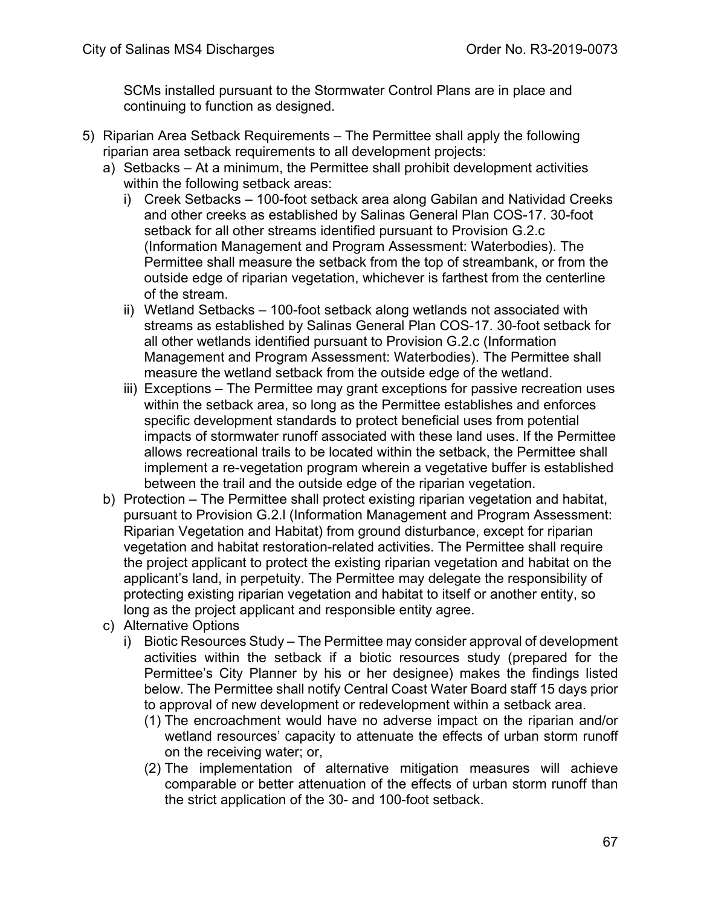SCMs installed pursuant to the Stormwater Control Plans are in place and continuing to function as designed.

- 5) Riparian Area Setback Requirements The Permittee shall apply the following riparian area setback requirements to all development projects:
	- a) Setbacks At a minimum, the Permittee shall prohibit development activities within the following setback areas:
		- i) Creek Setbacks 100-foot setback area along Gabilan and Natividad Creeks and other creeks as established by Salinas General Plan COS-17. 30-foot setback for all other streams identified pursuant to Provision G.2.c (Information Management and Program Assessment: Waterbodies). The Permittee shall measure the setback from the top of streambank, or from the outside edge of riparian vegetation, whichever is farthest from the centerline of the stream.
		- ii) Wetland Setbacks 100-foot setback along wetlands not associated with streams as established by Salinas General Plan COS-17. 30-foot setback for all other wetlands identified pursuant to Provision G.2.c (Information Management and Program Assessment: Waterbodies). The Permittee shall measure the wetland setback from the outside edge of the wetland.
		- iii) Exceptions The Permittee may grant exceptions for passive recreation uses within the setback area, so long as the Permittee establishes and enforces specific development standards to protect beneficial uses from potential impacts of stormwater runoff associated with these land uses. If the Permittee allows recreational trails to be located within the setback, the Permittee shall implement a re-vegetation program wherein a vegetative buffer is established between the trail and the outside edge of the riparian vegetation.
	- b) Protection The Permittee shall protect existing riparian vegetation and habitat, pursuant to Provision G.2.l (Information Management and Program Assessment: Riparian Vegetation and Habitat) from ground disturbance, except for riparian vegetation and habitat restoration-related activities. The Permittee shall require the project applicant to protect the existing riparian vegetation and habitat on the applicant's land, in perpetuity. The Permittee may delegate the responsibility of protecting existing riparian vegetation and habitat to itself or another entity, so long as the project applicant and responsible entity agree.
	- c) Alternative Options
		- i) Biotic Resources Study The Permittee may consider approval of development activities within the setback if a biotic resources study (prepared for the Permittee's City Planner by his or her designee) makes the findings listed below. The Permittee shall notify Central Coast Water Board staff 15 days prior to approval of new development or redevelopment within a setback area.
			- (1) The encroachment would have no adverse impact on the riparian and/or wetland resources' capacity to attenuate the effects of urban storm runoff on the receiving water; or,
			- (2) The implementation of alternative mitigation measures will achieve comparable or better attenuation of the effects of urban storm runoff than the strict application of the 30- and 100-foot setback.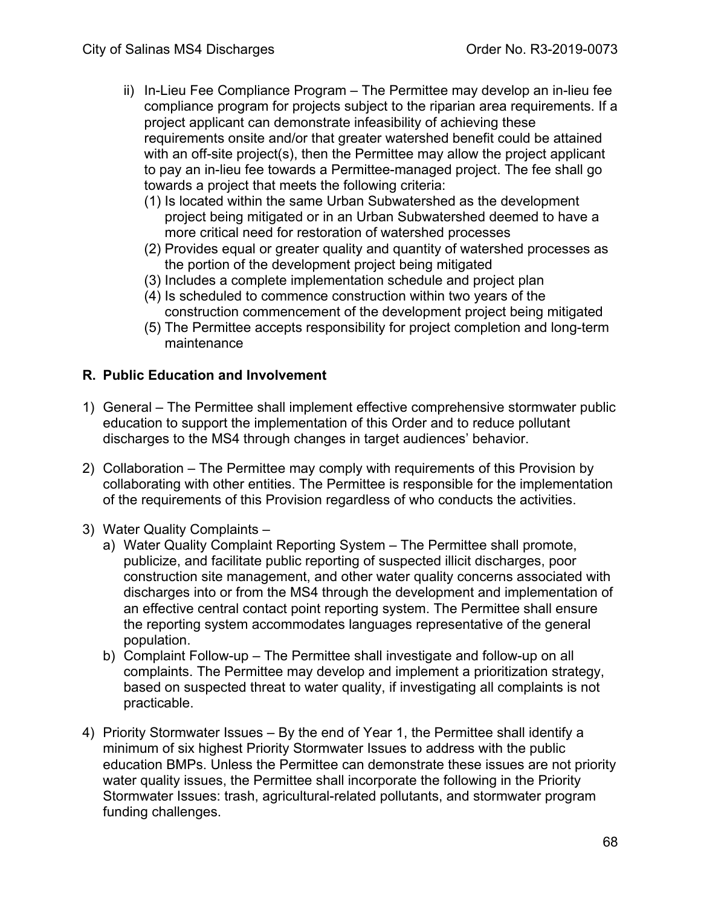- ii) In-Lieu Fee Compliance Program The Permittee may develop an in-lieu fee compliance program for projects subject to the riparian area requirements. If a project applicant can demonstrate infeasibility of achieving these requirements onsite and/or that greater watershed benefit could be attained with an off-site project(s), then the Permittee may allow the project applicant to pay an in-lieu fee towards a Permittee-managed project. The fee shall go towards a project that meets the following criteria:
	- (1) Is located within the same Urban Subwatershed as the development project being mitigated or in an Urban Subwatershed deemed to have a more critical need for restoration of watershed processes
	- (2) Provides equal or greater quality and quantity of watershed processes as the portion of the development project being mitigated
	- (3) Includes a complete implementation schedule and project plan
	- (4) Is scheduled to commence construction within two years of the construction commencement of the development project being mitigated
	- (5) The Permittee accepts responsibility for project completion and long-term maintenance

#### **R. Public Education and Involvement**

- 1) General The Permittee shall implement effective comprehensive stormwater public education to support the implementation of this Order and to reduce pollutant discharges to the MS4 through changes in target audiences' behavior.
- 2) Collaboration The Permittee may comply with requirements of this Provision by collaborating with other entities. The Permittee is responsible for the implementation of the requirements of this Provision regardless of who conducts the activities.
- 3) Water Quality Complaints
	- a) Water Quality Complaint Reporting System The Permittee shall promote, publicize, and facilitate public reporting of suspected illicit discharges, poor construction site management, and other water quality concerns associated with discharges into or from the MS4 through the development and implementation of an effective central contact point reporting system. The Permittee shall ensure the reporting system accommodates languages representative of the general population.
	- b) Complaint Follow-up The Permittee shall investigate and follow-up on all complaints. The Permittee may develop and implement a prioritization strategy, based on suspected threat to water quality, if investigating all complaints is not practicable.
- 4) Priority Stormwater Issues By the end of Year 1, the Permittee shall identify a minimum of six highest Priority Stormwater Issues to address with the public education BMPs. Unless the Permittee can demonstrate these issues are not priority water quality issues, the Permittee shall incorporate the following in the Priority Stormwater Issues: trash, agricultural-related pollutants, and stormwater program funding challenges.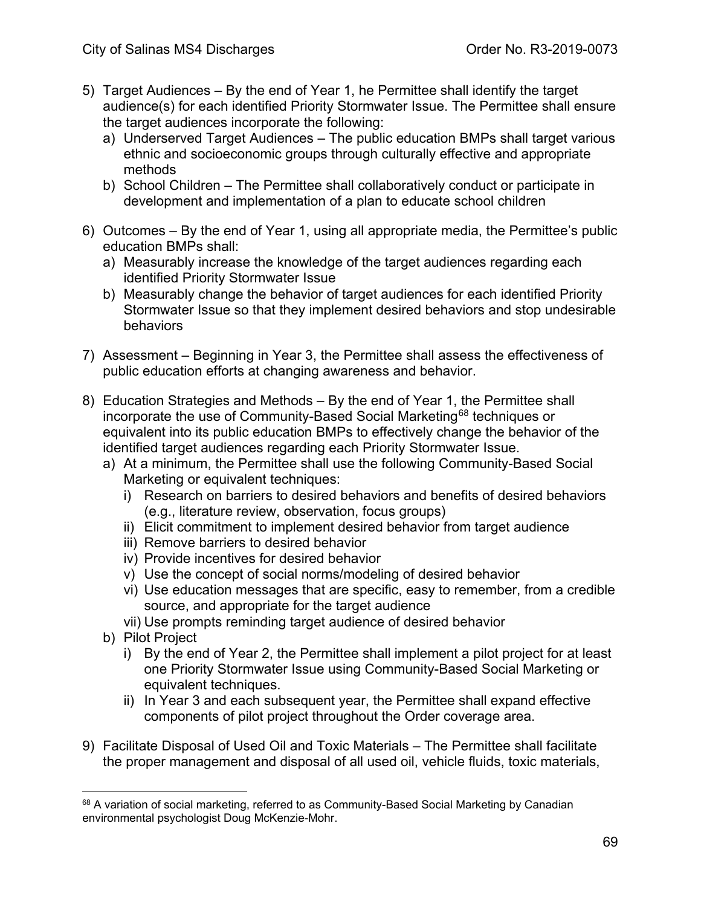- 5) Target Audiences By the end of Year 1, he Permittee shall identify the target audience(s) for each identified Priority Stormwater Issue. The Permittee shall ensure the target audiences incorporate the following:
	- a) Underserved Target Audiences The public education BMPs shall target various ethnic and socioeconomic groups through culturally effective and appropriate methods
	- b) School Children The Permittee shall collaboratively conduct or participate in development and implementation of a plan to educate school children
- 6) Outcomes By the end of Year 1, using all appropriate media, the Permittee's public education BMPs shall:
	- a) Measurably increase the knowledge of the target audiences regarding each identified Priority Stormwater Issue
	- b) Measurably change the behavior of target audiences for each identified Priority Stormwater Issue so that they implement desired behaviors and stop undesirable behaviors
- 7) Assessment Beginning in Year 3, the Permittee shall assess the effectiveness of public education efforts at changing awareness and behavior.
- 8) Education Strategies and Methods By the end of Year 1, the Permittee shall incorporate the use of Community-Based Social Marketing<sup>[68](#page-68-0)</sup> techniques or equivalent into its public education BMPs to effectively change the behavior of the identified target audiences regarding each Priority Stormwater Issue.
	- a) At a minimum, the Permittee shall use the following Community-Based Social Marketing or equivalent techniques:
		- i) Research on barriers to desired behaviors and benefits of desired behaviors (e.g., literature review, observation, focus groups)
		- ii) Elicit commitment to implement desired behavior from target audience
		- iii) Remove barriers to desired behavior
		- iv) Provide incentives for desired behavior
		- v) Use the concept of social norms/modeling of desired behavior
		- vi) Use education messages that are specific, easy to remember, from a credible source, and appropriate for the target audience
		- vii) Use prompts reminding target audience of desired behavior
	- b) Pilot Project
		- i) By the end of Year 2, the Permittee shall implement a pilot project for at least one Priority Stormwater Issue using Community-Based Social Marketing or equivalent techniques.
		- ii) In Year 3 and each subsequent year, the Permittee shall expand effective components of pilot project throughout the Order coverage area.
- 9) Facilitate Disposal of Used Oil and Toxic Materials The Permittee shall facilitate the proper management and disposal of all used oil, vehicle fluids, toxic materials,

<span id="page-68-0"></span><sup>&</sup>lt;sup>68</sup> A variation of social marketing, referred to as Community-Based Social Marketing by Canadian environmental psychologist Doug McKenzie-Mohr.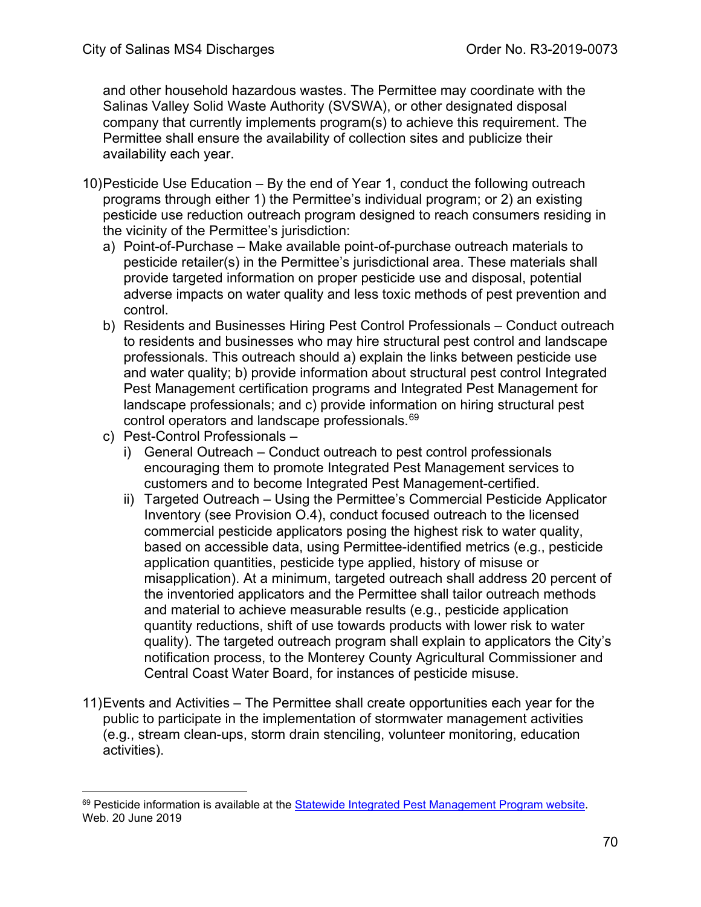and other household hazardous wastes. The Permittee may coordinate with the Salinas Valley Solid Waste Authority (SVSWA), or other designated disposal company that currently implements program(s) to achieve this requirement. The Permittee shall ensure the availability of collection sites and publicize their availability each year.

- 10)Pesticide Use Education By the end of Year 1, conduct the following outreach programs through either 1) the Permittee's individual program; or 2) an existing pesticide use reduction outreach program designed to reach consumers residing in the vicinity of the Permittee's jurisdiction:
	- a) Point-of-Purchase Make available point-of-purchase outreach materials to pesticide retailer(s) in the Permittee's jurisdictional area. These materials shall provide targeted information on proper pesticide use and disposal, potential adverse impacts on water quality and less toxic methods of pest prevention and control.
	- b) Residents and Businesses Hiring Pest Control Professionals Conduct outreach to residents and businesses who may hire structural pest control and landscape professionals. This outreach should a) explain the links between pesticide use and water quality; b) provide information about structural pest control Integrated Pest Management certification programs and Integrated Pest Management for landscape professionals; and c) provide information on hiring structural pest control operators and landscape professionals.<sup>[69](#page-69-0)</sup>
	- c) Pest-Control Professionals
		- i) General Outreach Conduct outreach to pest control professionals encouraging them to promote Integrated Pest Management services to customers and to become Integrated Pest Management-certified.
		- ii) Targeted Outreach Using the Permittee's Commercial Pesticide Applicator Inventory (see Provision O.4), conduct focused outreach to the licensed commercial pesticide applicators posing the highest risk to water quality, based on accessible data, using Permittee-identified metrics (e.g., pesticide application quantities, pesticide type applied, history of misuse or misapplication). At a minimum, targeted outreach shall address 20 percent of the inventoried applicators and the Permittee shall tailor outreach methods and material to achieve measurable results (e.g., pesticide application quantity reductions, shift of use towards products with lower risk to water quality). The targeted outreach program shall explain to applicators the City's notification process, to the Monterey County Agricultural Commissioner and Central Coast Water Board, for instances of pesticide misuse.
- 11)Events and Activities The Permittee shall create opportunities each year for the public to participate in the implementation of stormwater management activities (e.g., stream clean-ups, storm drain stenciling, volunteer monitoring, education activities).

<span id="page-69-0"></span> $69$  Pesticide information is available at the [Statewide Integrated Pest Management Program website.](http://ipm.ucanr.edu/PMG/PESTNOTES/pn74125.html) Web. 20 June 2019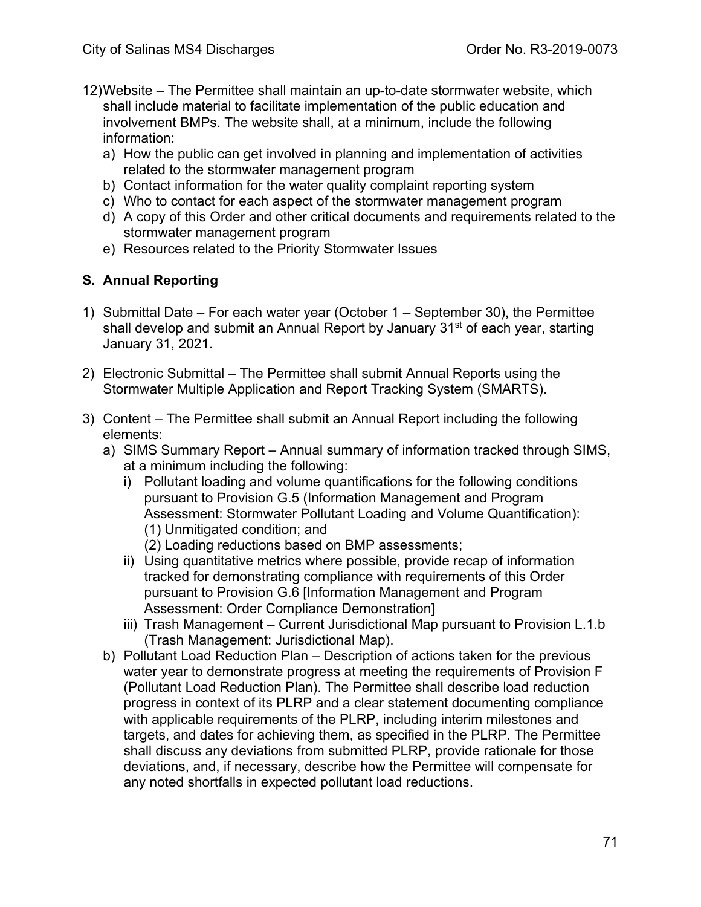- 12)Website The Permittee shall maintain an up-to-date stormwater website, which shall include material to facilitate implementation of the public education and involvement BMPs. The website shall, at a minimum, include the following information:
	- a) How the public can get involved in planning and implementation of activities related to the stormwater management program
	- b) Contact information for the water quality complaint reporting system
	- c) Who to contact for each aspect of the stormwater management program
	- d) A copy of this Order and other critical documents and requirements related to the stormwater management program
	- e) Resources related to the Priority Stormwater Issues

### **S. Annual Reporting**

- 1) Submittal Date For each water year (October 1 September 30), the Permittee shall develop and submit an Annual Report by January 31<sup>st</sup> of each year, starting January 31, 2021.
- 2) Electronic Submittal The Permittee shall submit Annual Reports using the Stormwater Multiple Application and Report Tracking System (SMARTS).
- 3) Content The Permittee shall submit an Annual Report including the following elements:
	- a) SIMS Summary Report Annual summary of information tracked through SIMS, at a minimum including the following:
		- i) Pollutant loading and volume quantifications for the following conditions pursuant to Provision G.5 (Information Management and Program Assessment: Stormwater Pollutant Loading and Volume Quantification): (1) Unmitigated condition; and
			- (2) Loading reductions based on BMP assessments;
		- ii) Using quantitative metrics where possible, provide recap of information tracked for demonstrating compliance with requirements of this Order pursuant to Provision G.6 [Information Management and Program Assessment: Order Compliance Demonstration]
		- iii) Trash Management Current Jurisdictional Map pursuant to Provision L.1.b (Trash Management: Jurisdictional Map).
	- b) Pollutant Load Reduction Plan Description of actions taken for the previous water year to demonstrate progress at meeting the requirements of Provision F (Pollutant Load Reduction Plan). The Permittee shall describe load reduction progress in context of its PLRP and a clear statement documenting compliance with applicable requirements of the PLRP, including interim milestones and targets, and dates for achieving them, as specified in the PLRP. The Permittee shall discuss any deviations from submitted PLRP, provide rationale for those deviations, and, if necessary, describe how the Permittee will compensate for any noted shortfalls in expected pollutant load reductions.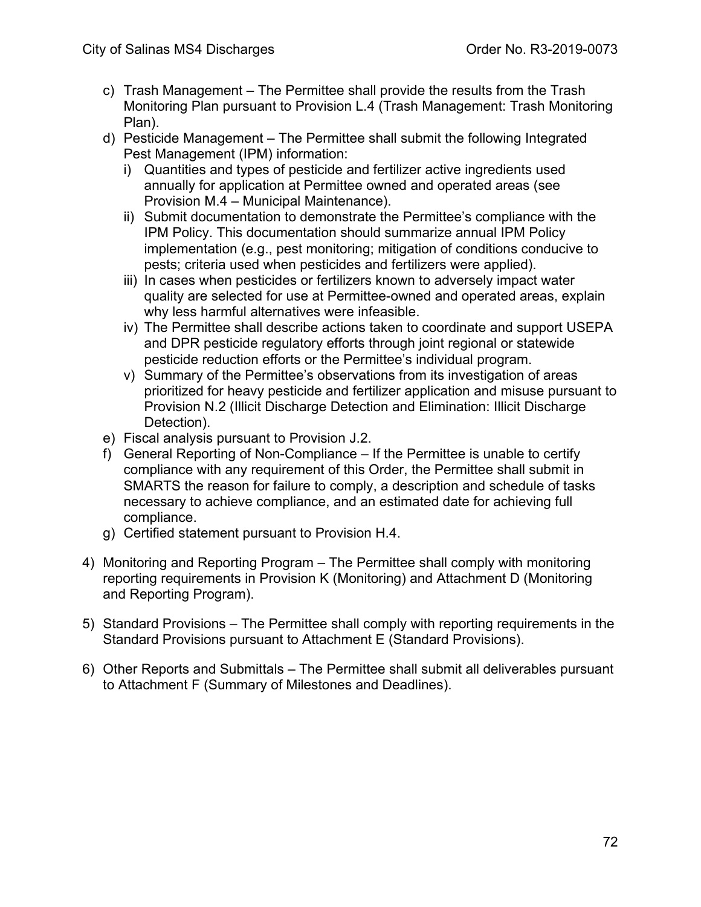- c) Trash Management The Permittee shall provide the results from the Trash Monitoring Plan pursuant to Provision L.4 (Trash Management: Trash Monitoring Plan).
- d) Pesticide Management The Permittee shall submit the following Integrated Pest Management (IPM) information:
	- i) Quantities and types of pesticide and fertilizer active ingredients used annually for application at Permittee owned and operated areas (see Provision M.4 – Municipal Maintenance).
	- ii) Submit documentation to demonstrate the Permittee's compliance with the IPM Policy. This documentation should summarize annual IPM Policy implementation (e.g., pest monitoring; mitigation of conditions conducive to pests; criteria used when pesticides and fertilizers were applied).
	- iii) In cases when pesticides or fertilizers known to adversely impact water quality are selected for use at Permittee-owned and operated areas, explain why less harmful alternatives were infeasible.
	- iv) The Permittee shall describe actions taken to coordinate and support USEPA and DPR pesticide regulatory efforts through joint regional or statewide pesticide reduction efforts or the Permittee's individual program.
	- v) Summary of the Permittee's observations from its investigation of areas prioritized for heavy pesticide and fertilizer application and misuse pursuant to Provision N.2 (Illicit Discharge Detection and Elimination: Illicit Discharge Detection).
- e) Fiscal analysis pursuant to Provision J.2.
- f) General Reporting of Non-Compliance If the Permittee is unable to certify compliance with any requirement of this Order, the Permittee shall submit in SMARTS the reason for failure to comply, a description and schedule of tasks necessary to achieve compliance, and an estimated date for achieving full compliance.
- g) Certified statement pursuant to Provision H.4.
- 4) Monitoring and Reporting Program The Permittee shall comply with monitoring reporting requirements in Provision K (Monitoring) and Attachment D (Monitoring and Reporting Program).
- 5) Standard Provisions The Permittee shall comply with reporting requirements in the Standard Provisions pursuant to Attachment E (Standard Provisions).
- 6) Other Reports and Submittals The Permittee shall submit all deliverables pursuant to Attachment F (Summary of Milestones and Deadlines).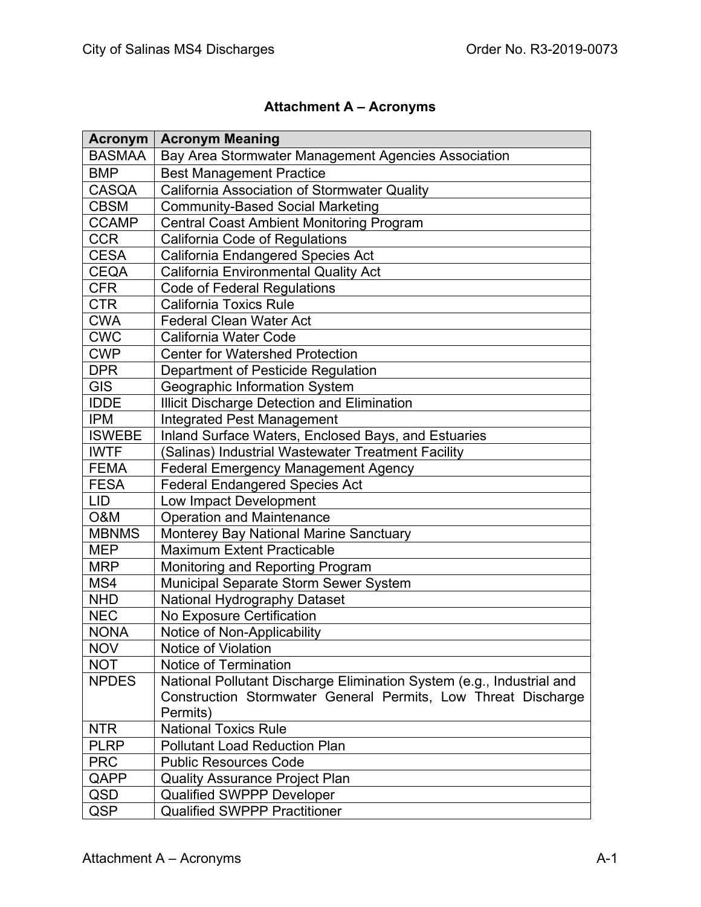# **Attachment A – Acronyms**

| <b>Acronym</b> | <b>Acronym Meaning</b>                                                |
|----------------|-----------------------------------------------------------------------|
| <b>BASMAA</b>  | Bay Area Stormwater Management Agencies Association                   |
| <b>BMP</b>     | <b>Best Management Practice</b>                                       |
| <b>CASQA</b>   | California Association of Stormwater Quality                          |
| <b>CBSM</b>    | <b>Community-Based Social Marketing</b>                               |
| <b>CCAMP</b>   | <b>Central Coast Ambient Monitoring Program</b>                       |
| <b>CCR</b>     | <b>California Code of Regulations</b>                                 |
| <b>CESA</b>    | California Endangered Species Act                                     |
| <b>CEQA</b>    | <b>California Environmental Quality Act</b>                           |
| <b>CFR</b>     | <b>Code of Federal Regulations</b>                                    |
| <b>CTR</b>     | <b>California Toxics Rule</b>                                         |
| <b>CWA</b>     | <b>Federal Clean Water Act</b>                                        |
| <b>CWC</b>     | <b>California Water Code</b>                                          |
| <b>CWP</b>     | <b>Center for Watershed Protection</b>                                |
| <b>DPR</b>     | Department of Pesticide Regulation                                    |
| <b>GIS</b>     | Geographic Information System                                         |
| <b>IDDE</b>    | Illicit Discharge Detection and Elimination                           |
| <b>IPM</b>     | <b>Integrated Pest Management</b>                                     |
| <b>ISWEBE</b>  | Inland Surface Waters, Enclosed Bays, and Estuaries                   |
| <b>IWTF</b>    | (Salinas) Industrial Wastewater Treatment Facility                    |
| <b>FEMA</b>    | <b>Federal Emergency Management Agency</b>                            |
| <b>FESA</b>    | <b>Federal Endangered Species Act</b>                                 |
| <b>LID</b>     | Low Impact Development                                                |
| O&M            | <b>Operation and Maintenance</b>                                      |
| <b>MBNMS</b>   | Monterey Bay National Marine Sanctuary                                |
| <b>MEP</b>     | <b>Maximum Extent Practicable</b>                                     |
| <b>MRP</b>     | Monitoring and Reporting Program                                      |
| MS4            | <b>Municipal Separate Storm Sewer System</b>                          |
| <b>NHD</b>     | National Hydrography Dataset                                          |
| <b>NEC</b>     | No Exposure Certification                                             |
| <b>NONA</b>    | Notice of Non-Applicability                                           |
| <b>NOV</b>     | <b>Notice of Violation</b>                                            |
| <b>NOT</b>     | Notice of Termination                                                 |
| <b>NPDES</b>   | National Pollutant Discharge Elimination System (e.g., Industrial and |
|                | Construction Stormwater General Permits, Low Threat Discharge         |
|                | Permits)                                                              |
| <b>NTR</b>     | <b>National Toxics Rule</b>                                           |
| <b>PLRP</b>    | <b>Pollutant Load Reduction Plan</b>                                  |
| <b>PRC</b>     | <b>Public Resources Code</b>                                          |
| QAPP           | <b>Quality Assurance Project Plan</b>                                 |
| QSD            | <b>Qualified SWPPP Developer</b>                                      |
| QSP            | <b>Qualified SWPPP Practitioner</b>                                   |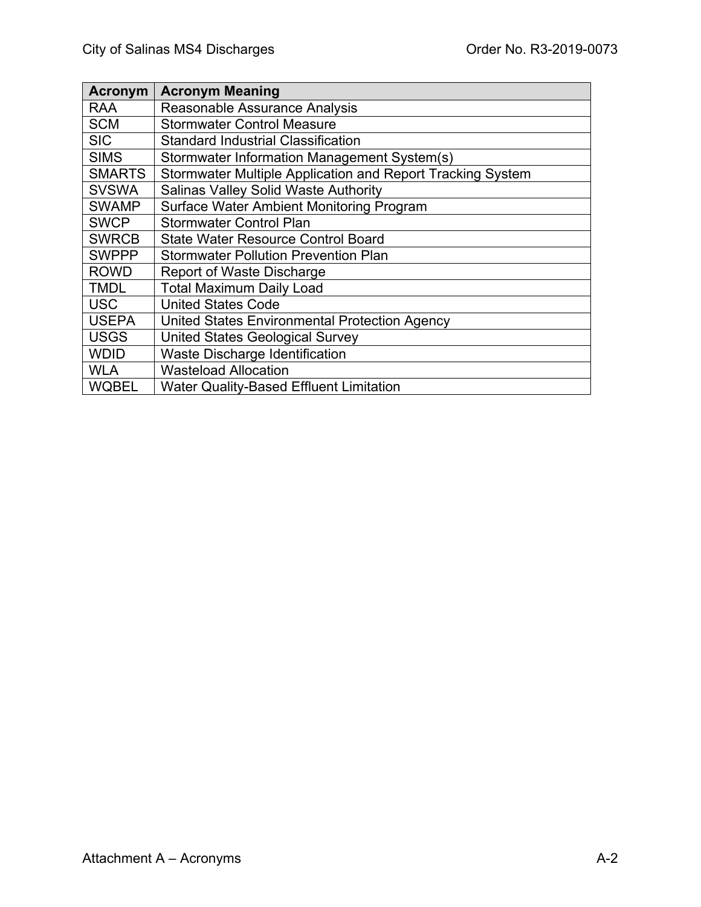| <b>Acronym</b> | <b>Acronym Meaning</b>                                     |
|----------------|------------------------------------------------------------|
| <b>RAA</b>     | Reasonable Assurance Analysis                              |
| <b>SCM</b>     | <b>Stormwater Control Measure</b>                          |
| <b>SIC</b>     | <b>Standard Industrial Classification</b>                  |
| <b>SIMS</b>    | Stormwater Information Management System(s)                |
| <b>SMARTS</b>  | Stormwater Multiple Application and Report Tracking System |
| <b>SVSWA</b>   | <b>Salinas Valley Solid Waste Authority</b>                |
| <b>SWAMP</b>   | <b>Surface Water Ambient Monitoring Program</b>            |
| <b>SWCP</b>    | <b>Stormwater Control Plan</b>                             |
| <b>SWRCB</b>   | <b>State Water Resource Control Board</b>                  |
| <b>SWPPP</b>   | <b>Stormwater Pollution Prevention Plan</b>                |
| <b>ROWD</b>    | <b>Report of Waste Discharge</b>                           |
| <b>TMDL</b>    | <b>Total Maximum Daily Load</b>                            |
| <b>USC</b>     | <b>United States Code</b>                                  |
| <b>USEPA</b>   | United States Environmental Protection Agency              |
| <b>USGS</b>    | <b>United States Geological Survey</b>                     |
| <b>WDID</b>    | Waste Discharge Identification                             |
| <b>WLA</b>     | <b>Wasteload Allocation</b>                                |
| <b>WQBEL</b>   | <b>Water Quality-Based Effluent Limitation</b>             |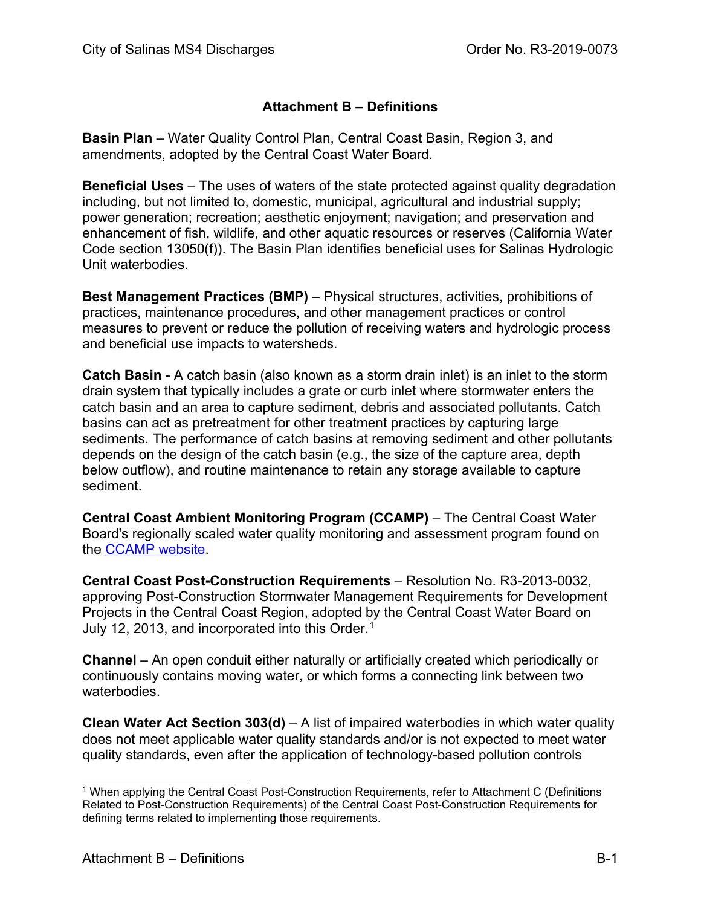## **Attachment B – Definitions**

**Basin Plan** – Water Quality Control Plan, Central Coast Basin, Region 3, and amendments, adopted by the Central Coast Water Board.

**Beneficial Uses** – The uses of waters of the state protected against quality degradation including, but not limited to, domestic, municipal, agricultural and industrial supply; power generation; recreation; aesthetic enjoyment; navigation; and preservation and enhancement of fish, wildlife, and other aquatic resources or reserves (California Water Code section 13050(f)). The Basin Plan identifies beneficial uses for Salinas Hydrologic Unit waterbodies.

**Best Management Practices (BMP)** – Physical structures, activities, prohibitions of practices, maintenance procedures, and other management practices or control measures to prevent or reduce the pollution of receiving waters and hydrologic process and beneficial use impacts to watersheds.

**Catch Basin** - A catch basin (also known as a storm drain inlet) is an inlet to the storm drain system that typically includes a grate or curb inlet where stormwater enters the catch basin and an area to capture sediment, debris and associated pollutants. Catch basins can act as pretreatment for other treatment practices by capturing large sediments. The performance of catch basins at removing sediment and other pollutants depends on the design of the catch basin (e.g., the size of the capture area, depth below outflow), and routine maintenance to retain any storage available to capture sediment.

**Central Coast Ambient Monitoring Program (CCAMP)** – The Central Coast Water Board's regionally scaled water quality monitoring and assessment program found on the [CCAMP website.](http://www.ccamp.org/)

**Central Coast Post-Construction Requirements** – Resolution No. R3-2013-0032, approving Post-Construction Stormwater Management Requirements for Development Projects in the Central Coast Region, adopted by the Central Coast Water Board on July 12, 2013, and incorporated into this Order. [1](#page-74-0)

**Channel** – An open conduit either naturally or artificially created which periodically or continuously contains moving water, or which forms a connecting link between two waterbodies.

**Clean Water Act Section 303(d)** – A list of impaired waterbodies in which water quality does not meet applicable water quality standards and/or is not expected to meet water quality standards, even after the application of technology-based pollution controls

<span id="page-74-0"></span><sup>1</sup> When applying the Central Coast Post-Construction Requirements, refer to Attachment C (Definitions Related to Post-Construction Requirements) of the Central Coast Post-Construction Requirements for defining terms related to implementing those requirements.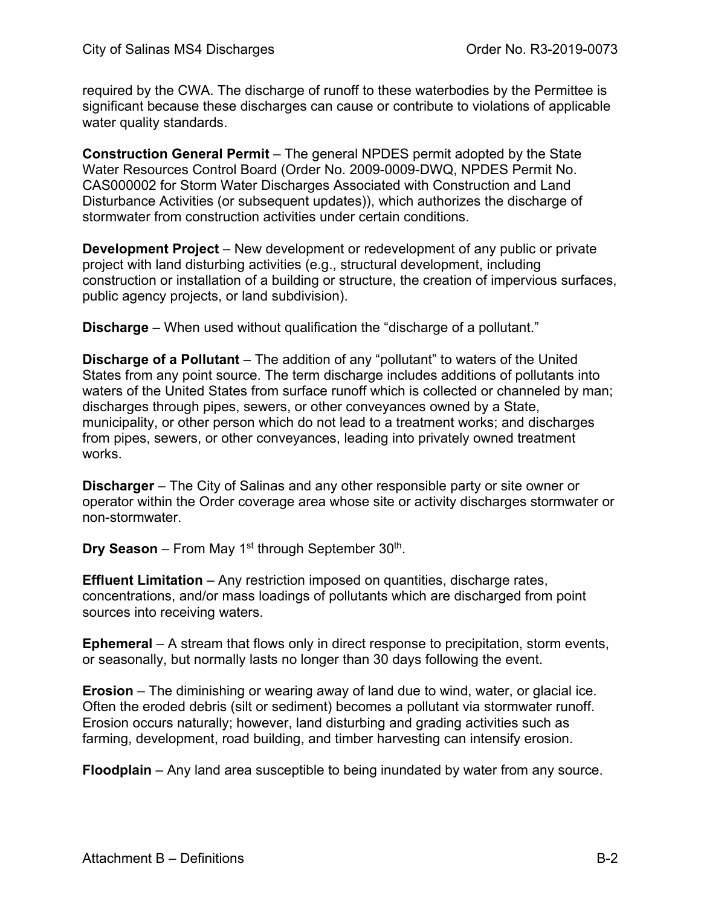required by the CWA. The discharge of runoff to these waterbodies by the Permittee is significant because these discharges can cause or contribute to violations of applicable water quality standards.

**Construction General Permit** – The general NPDES permit adopted by the State Water Resources Control Board (Order No. 2009-0009-DWQ, NPDES Permit No. CAS000002 for Storm Water Discharges Associated with Construction and Land Disturbance Activities (or subsequent updates)), which authorizes the discharge of stormwater from construction activities under certain conditions.

**Development Project** – New development or redevelopment of any public or private project with land disturbing activities (e.g., structural development, including construction or installation of a building or structure, the creation of impervious surfaces, public agency projects, or land subdivision).

**Discharge** – When used without qualification the "discharge of a pollutant."

**Discharge of a Pollutant** – The addition of any "pollutant" to waters of the United States from any point source. The term discharge includes additions of pollutants into waters of the United States from surface runoff which is collected or channeled by man; discharges through pipes, sewers, or other conveyances owned by a State, municipality, or other person which do not lead to a treatment works; and discharges from pipes, sewers, or other conveyances, leading into privately owned treatment works.

**Discharger** – The City of Salinas and any other responsible party or site owner or operator within the Order coverage area whose site or activity discharges stormwater or non-stormwater.

**Dry Season** – From May 1<sup>st</sup> through September 30<sup>th</sup>.

**Effluent Limitation** – Any restriction imposed on quantities, discharge rates, concentrations, and/or mass loadings of pollutants which are discharged from point sources into receiving waters.

**Ephemeral** – A stream that flows only in direct response to precipitation, storm events, or seasonally, but normally lasts no longer than 30 days following the event.

**Erosion** – The diminishing or wearing away of land due to wind, water, or glacial ice. Often the eroded debris (silt or sediment) becomes a pollutant via stormwater runoff. Erosion occurs naturally; however, land disturbing and grading activities such as farming, development, road building, and timber harvesting can intensify erosion.

**Floodplain** – Any land area susceptible to being inundated by water from any source.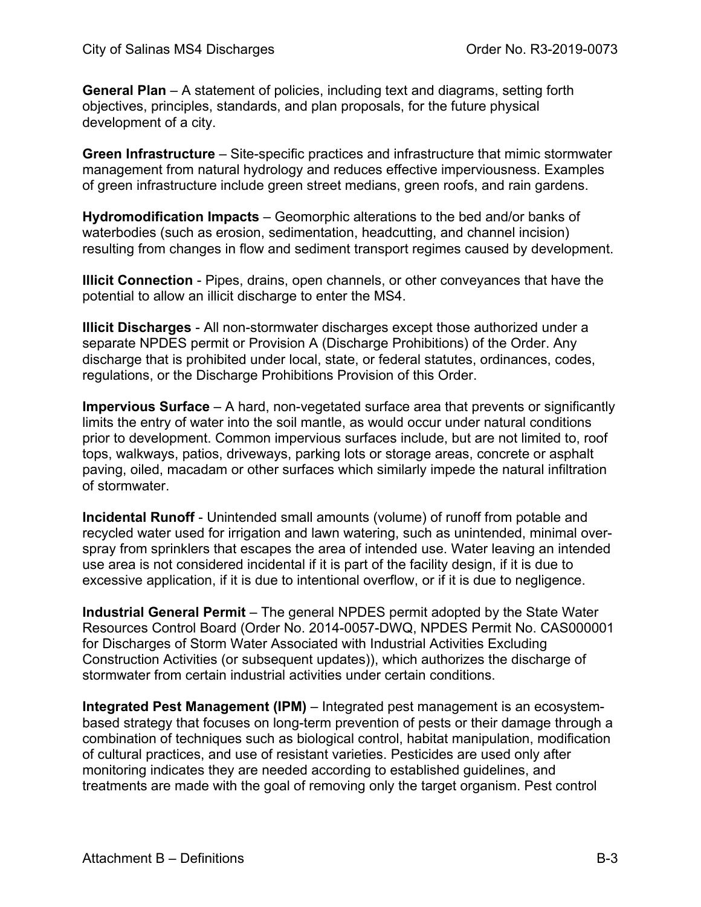**General Plan** – A statement of policies, including text and diagrams, setting forth objectives, principles, standards, and plan proposals, for the future physical development of a city.

**Green Infrastructure** – Site-specific practices and infrastructure that mimic stormwater management from natural hydrology and reduces effective imperviousness. Examples of green infrastructure include green street medians, green roofs, and rain gardens.

**Hydromodification Impacts** – Geomorphic alterations to the bed and/or banks of waterbodies (such as erosion, sedimentation, headcutting, and channel incision) resulting from changes in flow and sediment transport regimes caused by development.

**Illicit Connection** - Pipes, drains, open channels, or other conveyances that have the potential to allow an illicit discharge to enter the MS4.

**Illicit Discharges** - All non-stormwater discharges except those authorized under a separate NPDES permit or Provision A (Discharge Prohibitions) of the Order. Any discharge that is prohibited under local, state, or federal statutes, ordinances, codes, regulations, or the Discharge Prohibitions Provision of this Order.

**Impervious Surface** – A hard, non-vegetated surface area that prevents or significantly limits the entry of water into the soil mantle, as would occur under natural conditions prior to development. Common impervious surfaces include, but are not limited to, roof tops, walkways, patios, driveways, parking lots or storage areas, concrete or asphalt paving, oiled, macadam or other surfaces which similarly impede the natural infiltration of stormwater.

**Incidental Runoff** - Unintended small amounts (volume) of runoff from potable and recycled water used for irrigation and lawn watering, such as unintended, minimal overspray from sprinklers that escapes the area of intended use. Water leaving an intended use area is not considered incidental if it is part of the facility design, if it is due to excessive application, if it is due to intentional overflow, or if it is due to negligence.

**Industrial General Permit** – The general NPDES permit adopted by the State Water Resources Control Board (Order No. 2014-0057-DWQ, NPDES Permit No. CAS000001 for Discharges of Storm Water Associated with Industrial Activities Excluding Construction Activities (or subsequent updates)), which authorizes the discharge of stormwater from certain industrial activities under certain conditions.

**Integrated Pest Management (IPM)** – Integrated pest management is an ecosystembased strategy that focuses on long-term prevention of pests or their damage through a combination of techniques such as biological control, habitat manipulation, modification of cultural practices, and use of resistant varieties. Pesticides are used only after monitoring indicates they are needed according to established guidelines, and treatments are made with the goal of removing only the target organism. Pest control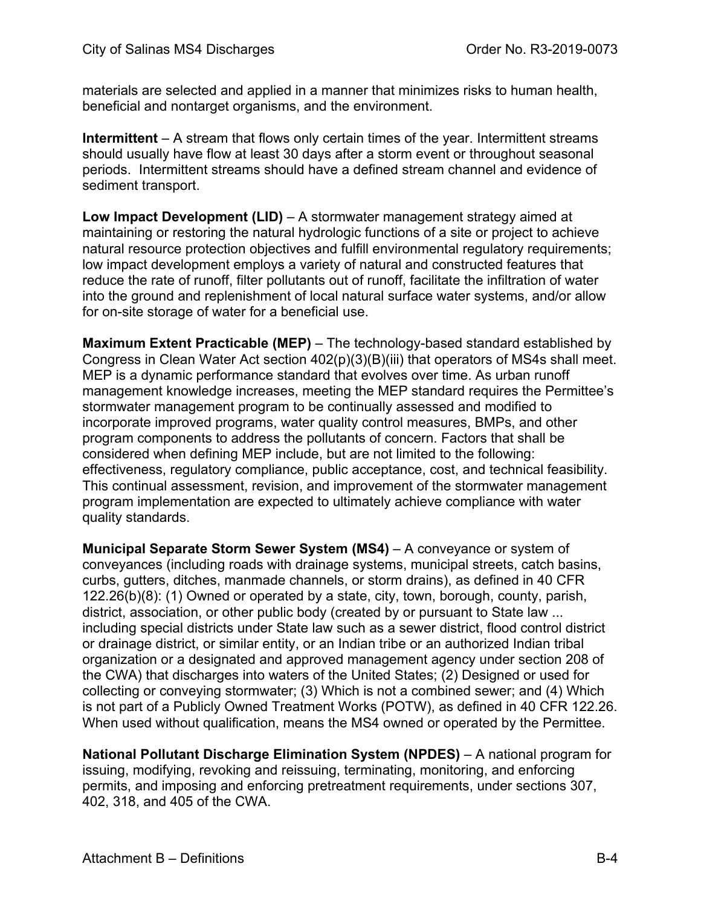materials are selected and applied in a manner that minimizes risks to human health, beneficial and nontarget organisms, and the environment.

**Intermittent** – A stream that flows only certain times of the year. Intermittent streams should usually have flow at least 30 days after a storm event or throughout seasonal periods. Intermittent streams should have a defined stream channel and evidence of sediment transport.

**Low Impact Development (LID)** – A stormwater management strategy aimed at maintaining or restoring the natural hydrologic functions of a site or project to achieve natural resource protection objectives and fulfill environmental regulatory requirements; low impact development employs a variety of natural and constructed features that reduce the rate of runoff, filter pollutants out of runoff, facilitate the infiltration of water into the ground and replenishment of local natural surface water systems, and/or allow for on-site storage of water for a beneficial use.

**Maximum Extent Practicable (MEP)** – The technology-based standard established by Congress in Clean Water Act section 402(p)(3)(B)(iii) that operators of MS4s shall meet. MEP is a dynamic performance standard that evolves over time. As urban runoff management knowledge increases, meeting the MEP standard requires the Permittee's stormwater management program to be continually assessed and modified to incorporate improved programs, water quality control measures, BMPs, and other program components to address the pollutants of concern. Factors that shall be considered when defining MEP include, but are not limited to the following: effectiveness, regulatory compliance, public acceptance, cost, and technical feasibility. This continual assessment, revision, and improvement of the stormwater management program implementation are expected to ultimately achieve compliance with water quality standards.

**Municipal Separate Storm Sewer System (MS4)** - A conveyance or system of conveyances (including roads with drainage systems, municipal streets, catch basins, curbs, gutters, ditches, manmade channels, or storm drains), as defined in 40 CFR 122.26(b)(8): (1) Owned or operated by a state, city, town, borough, county, parish, district, association, or other public body (created by or pursuant to State law ... including special districts under State law such as a sewer district, flood control district or drainage district, or similar entity, or an Indian tribe or an authorized Indian tribal organization or a designated and approved management agency under section 208 of the CWA) that discharges into waters of the United States; (2) Designed or used for collecting or conveying stormwater; (3) Which is not a combined sewer; and (4) Which is not part of a Publicly Owned Treatment Works (POTW), as defined in 40 CFR 122.26. When used without qualification, means the MS4 owned or operated by the Permittee.

**National Pollutant Discharge Elimination System (NPDES)** – A national program for issuing, modifying, revoking and reissuing, terminating, monitoring, and enforcing permits, and imposing and enforcing pretreatment requirements, under sections 307, 402, 318, and 405 of the CWA.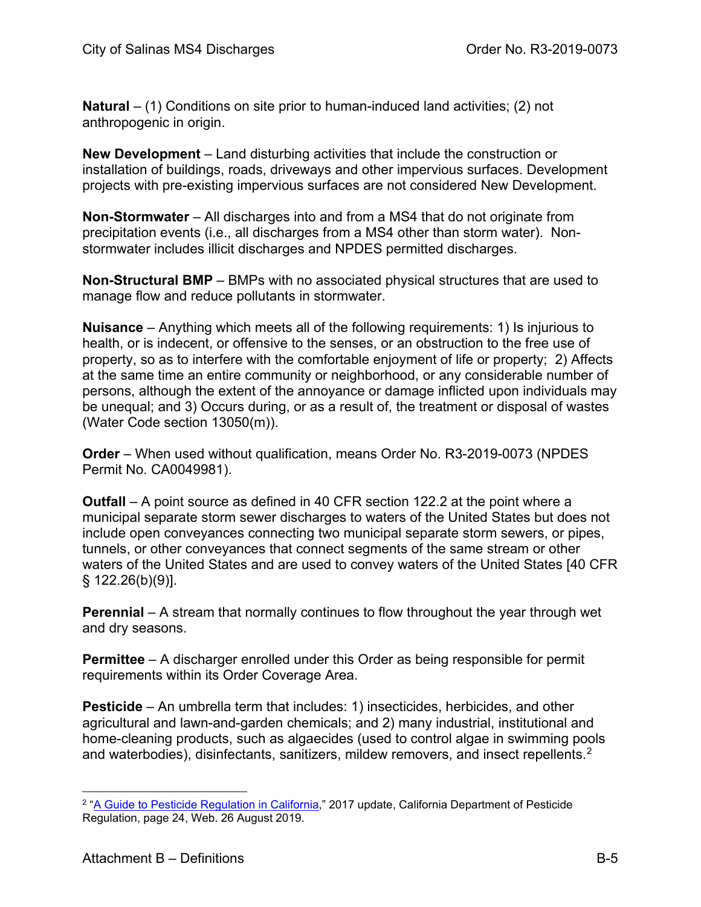**Natural** – (1) Conditions on site prior to human-induced land activities; (2) not anthropogenic in origin.

**New Development** – Land disturbing activities that include the construction or installation of buildings, roads, driveways and other impervious surfaces. Development projects with pre-existing impervious surfaces are not considered New Development.

**Non-Stormwater** – All discharges into and from a MS4 that do not originate from precipitation events (i.e., all discharges from a MS4 other than storm water). Nonstormwater includes illicit discharges and NPDES permitted discharges.

**Non-Structural BMP** – BMPs with no associated physical structures that are used to manage flow and reduce pollutants in stormwater.

**Nuisance** – Anything which meets all of the following requirements: 1) Is injurious to health, or is indecent, or offensive to the senses, or an obstruction to the free use of property, so as to interfere with the comfortable enjoyment of life or property; 2) Affects at the same time an entire community or neighborhood, or any considerable number of persons, although the extent of the annoyance or damage inflicted upon individuals may be unequal; and 3) Occurs during, or as a result of, the treatment or disposal of wastes (Water Code section 13050(m)).

**Order** – When used without qualification, means Order No. R3-2019-0073 (NPDES Permit No. CA0049981).

**Outfall** – A point source as defined in 40 CFR section 122.2 at the point where a municipal separate storm sewer discharges to waters of the United States but does not include open conveyances connecting two municipal separate storm sewers, or pipes, tunnels, or other conveyances that connect segments of the same stream or other waters of the United States and are used to convey waters of the United States [40 CFR § 122.26(b)(9)].

**Perennial** – A stream that normally continues to flow throughout the year through wet and dry seasons.

**Permittee** – A discharger enrolled under this Order as being responsible for permit requirements within its Order Coverage Area.

**Pesticide** – An umbrella term that includes: 1) insecticides, herbicides, and other agricultural and lawn-and-garden chemicals; and 2) many industrial, institutional and home-cleaning products, such as algaecides (used to control algae in swimming pools and waterbodies), disinfectants, sanitizers, mildew removers, and insect repellents.<sup>[2](#page-78-0)</sup>

<span id="page-78-0"></span><sup>&</sup>lt;sup>2</sup> ["A Guide to Pesticide Regulation in California,](https://www.cdpr.ca.gov/docs/pressrls/dprguide/dprguide.pdf)" 2017 update, California Department of Pesticide Regulation, page 24, Web. 26 August 2019.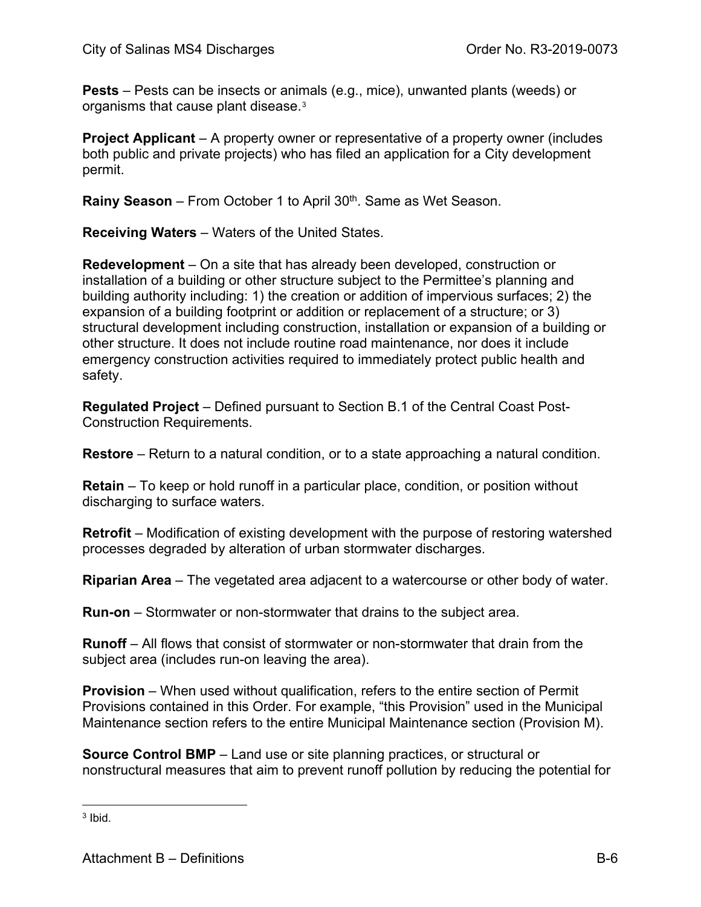**Pests** – Pests can be insects or animals (e.g., mice), unwanted plants (weeds) or organisms that cause plant disease.[3](#page-79-0)

**Project Applicant** – A property owner or representative of a property owner (includes both public and private projects) who has filed an application for a City development permit.

**Rainy Season** – From October 1 to April 30<sup>th</sup>. Same as Wet Season.

**Receiving Waters** – Waters of the United States.

**Redevelopment** – On a site that has already been developed, construction or installation of a building or other structure subject to the Permittee's planning and building authority including: 1) the creation or addition of impervious surfaces; 2) the expansion of a building footprint or addition or replacement of a structure; or 3) structural development including construction, installation or expansion of a building or other structure. It does not include routine road maintenance, nor does it include emergency construction activities required to immediately protect public health and safety.

**Regulated Project** – Defined pursuant to Section B.1 of the Central Coast Post-Construction Requirements.

**Restore** – Return to a natural condition, or to a state approaching a natural condition.

**Retain** – To keep or hold runoff in a particular place, condition, or position without discharging to surface waters.

**Retrofit** – Modification of existing development with the purpose of restoring watershed processes degraded by alteration of urban stormwater discharges.

**Riparian Area** – The vegetated area adjacent to a watercourse or other body of water.

**Run-on** – Stormwater or non-stormwater that drains to the subject area.

**Runoff** – All flows that consist of stormwater or non-stormwater that drain from the subject area (includes run-on leaving the area).

**Provision** – When used without qualification, refers to the entire section of Permit Provisions contained in this Order. For example, "this Provision" used in the Municipal Maintenance section refers to the entire Municipal Maintenance section (Provision M).

**Source Control BMP** – Land use or site planning practices, or structural or nonstructural measures that aim to prevent runoff pollution by reducing the potential for

<span id="page-79-0"></span> $3$  Ibid.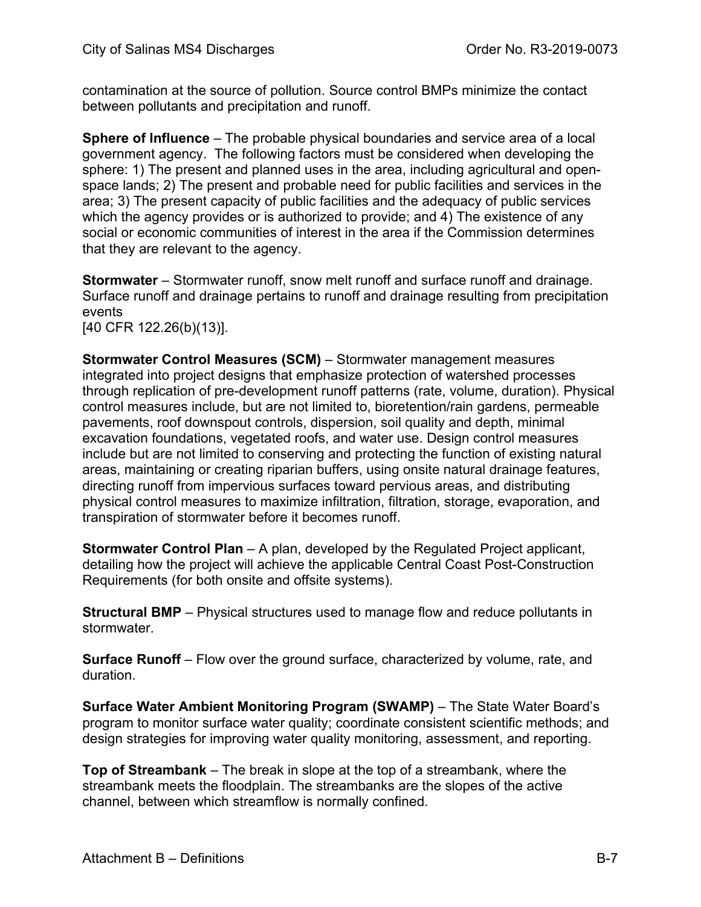contamination at the source of pollution. Source control BMPs minimize the contact between pollutants and precipitation and runoff.

**Sphere of Influence** – The probable physical boundaries and service area of a local government agency. The following factors must be considered when developing the sphere: 1) The present and planned uses in the area, including agricultural and openspace lands; 2) The present and probable need for public facilities and services in the area; 3) The present capacity of public facilities and the adequacy of public services which the agency provides or is authorized to provide; and 4) The existence of any social or economic communities of interest in the area if the Commission determines that they are relevant to the agency.

**Stormwater** – Stormwater runoff, snow melt runoff and surface runoff and drainage. Surface runoff and drainage pertains to runoff and drainage resulting from precipitation events

[40 CFR 122.26(b)(13)].

**Stormwater Control Measures (SCM)** – Stormwater management measures integrated into project designs that emphasize protection of watershed processes through replication of pre-development runoff patterns (rate, volume, duration). Physical control measures include, but are not limited to, bioretention/rain gardens, permeable pavements, roof downspout controls, dispersion, soil quality and depth, minimal excavation foundations, vegetated roofs, and water use. Design control measures include but are not limited to conserving and protecting the function of existing natural areas, maintaining or creating riparian buffers, using onsite natural drainage features, directing runoff from impervious surfaces toward pervious areas, and distributing physical control measures to maximize infiltration, filtration, storage, evaporation, and transpiration of stormwater before it becomes runoff.

**Stormwater Control Plan** – A plan, developed by the Regulated Project applicant, detailing how the project will achieve the applicable Central Coast Post-Construction Requirements (for both onsite and offsite systems).

**Structural BMP** – Physical structures used to manage flow and reduce pollutants in stormwater.

**Surface Runoff** – Flow over the ground surface, characterized by volume, rate, and duration.

**Surface Water Ambient Monitoring Program (SWAMP)** – The State Water Board's program to monitor surface water quality; coordinate consistent scientific methods; and design strategies for improving water quality monitoring, assessment, and reporting.

**Top of Streambank** – The break in slope at the top of a streambank, where the streambank meets the floodplain. The streambanks are the slopes of the active channel, between which streamflow is normally confined.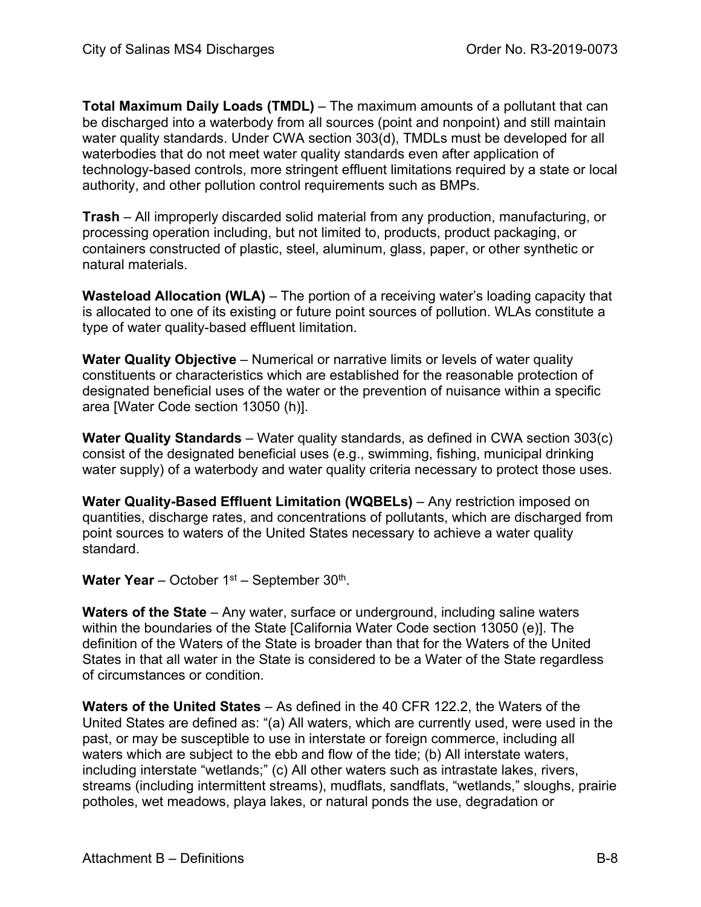**Total Maximum Daily Loads (TMDL)** – The maximum amounts of a pollutant that can be discharged into a waterbody from all sources (point and nonpoint) and still maintain water quality standards. Under CWA section 303(d), TMDLs must be developed for all waterbodies that do not meet water quality standards even after application of technology-based controls, more stringent effluent limitations required by a state or local authority, and other pollution control requirements such as BMPs.

**Trash** – All improperly discarded solid material from any production, manufacturing, or processing operation including, but not limited to, products, product packaging, or containers constructed of plastic, steel, aluminum, glass, paper, or other synthetic or natural materials.

**Wasteload Allocation (WLA)** – The portion of a receiving water's loading capacity that is allocated to one of its existing or future point sources of pollution. WLAs constitute a type of water quality-based effluent limitation.

**Water Quality Objective** – Numerical or narrative limits or levels of water quality constituents or characteristics which are established for the reasonable protection of designated beneficial uses of the water or the prevention of nuisance within a specific area [Water Code section 13050 (h)].

**Water Quality Standards** – Water quality standards, as defined in CWA section 303(c) consist of the designated beneficial uses (e.g., swimming, fishing, municipal drinking water supply) of a waterbody and water quality criteria necessary to protect those uses.

**Water Quality-Based Effluent Limitation (WQBELs)** - Any restriction imposed on quantities, discharge rates, and concentrations of pollutants, which are discharged from point sources to waters of the United States necessary to achieve a water quality standard.

Water Year – October 1<sup>st</sup> – September 30<sup>th</sup>.

**Waters of the State** – Any water, surface or underground, including saline waters within the boundaries of the State [California Water Code section 13050 (e)]. The definition of the Waters of the State is broader than that for the Waters of the United States in that all water in the State is considered to be a Water of the State regardless of circumstances or condition.

**Waters of the United States** – As defined in the 40 CFR 122.2, the Waters of the United States are defined as: "(a) All waters, which are currently used, were used in the past, or may be susceptible to use in interstate or foreign commerce, including all waters which are subject to the ebb and flow of the tide; (b) All interstate waters, including interstate "wetlands;" (c) All other waters such as intrastate lakes, rivers, streams (including intermittent streams), mudflats, sandflats, "wetlands," sloughs, prairie potholes, wet meadows, playa lakes, or natural ponds the use, degradation or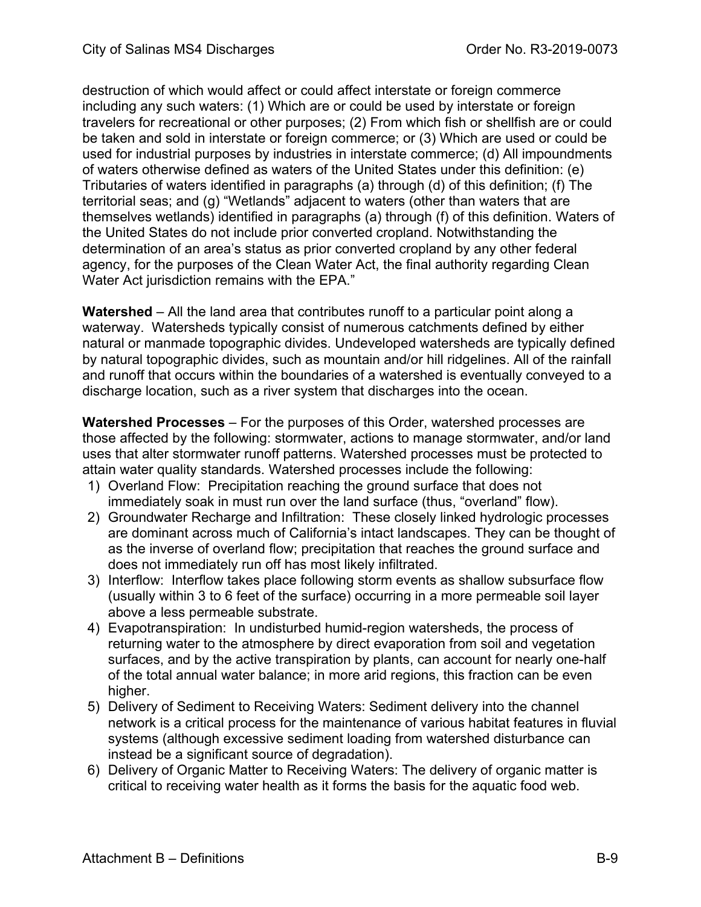destruction of which would affect or could affect interstate or foreign commerce including any such waters: (1) Which are or could be used by interstate or foreign travelers for recreational or other purposes; (2) From which fish or shellfish are or could be taken and sold in interstate or foreign commerce; or (3) Which are used or could be used for industrial purposes by industries in interstate commerce; (d) All impoundments of waters otherwise defined as waters of the United States under this definition: (e) Tributaries of waters identified in paragraphs (a) through (d) of this definition; (f) The territorial seas; and (g) "Wetlands" adjacent to waters (other than waters that are themselves wetlands) identified in paragraphs (a) through (f) of this definition. Waters of the United States do not include prior converted cropland. Notwithstanding the determination of an area's status as prior converted cropland by any other federal agency, for the purposes of the Clean Water Act, the final authority regarding Clean Water Act jurisdiction remains with the EPA."

**Watershed** – All the land area that contributes runoff to a particular point along a waterway. Watersheds typically consist of numerous catchments defined by either natural or manmade topographic divides. Undeveloped watersheds are typically defined by natural topographic divides, such as mountain and/or hill ridgelines. All of the rainfall and runoff that occurs within the boundaries of a watershed is eventually conveyed to a discharge location, such as a river system that discharges into the ocean.

**Watershed Processes** – For the purposes of this Order, watershed processes are those affected by the following: stormwater, actions to manage stormwater, and/or land uses that alter stormwater runoff patterns. Watershed processes must be protected to attain water quality standards. Watershed processes include the following:

- 1) Overland Flow: Precipitation reaching the ground surface that does not immediately soak in must run over the land surface (thus, "overland" flow).
- 2) Groundwater Recharge and Infiltration: These closely linked hydrologic processes are dominant across much of California's intact landscapes. They can be thought of as the inverse of overland flow; precipitation that reaches the ground surface and does not immediately run off has most likely infiltrated.
- 3) Interflow: Interflow takes place following storm events as shallow subsurface flow (usually within 3 to 6 feet of the surface) occurring in a more permeable soil layer above a less permeable substrate.
- 4) Evapotranspiration: In undisturbed humid-region watersheds, the process of returning water to the atmosphere by direct evaporation from soil and vegetation surfaces, and by the active transpiration by plants, can account for nearly one-half of the total annual water balance; in more arid regions, this fraction can be even higher.
- 5) Delivery of Sediment to Receiving Waters: Sediment delivery into the channel network is a critical process for the maintenance of various habitat features in fluvial systems (although excessive sediment loading from watershed disturbance can instead be a significant source of degradation).
- 6) Delivery of Organic Matter to Receiving Waters: The delivery of organic matter is critical to receiving water health as it forms the basis for the aquatic food web.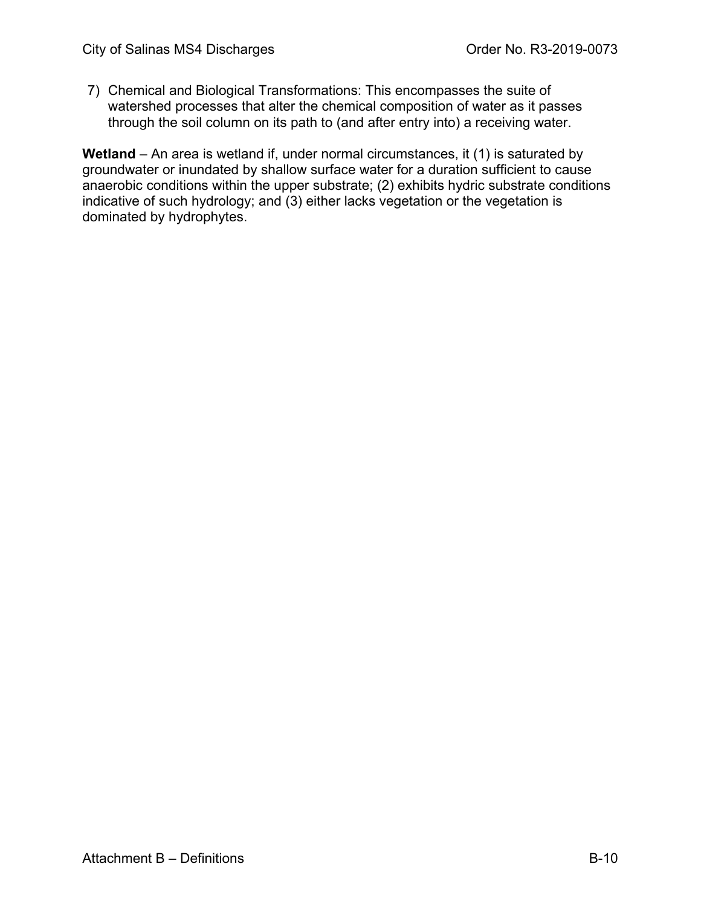7) Chemical and Biological Transformations: This encompasses the suite of watershed processes that alter the chemical composition of water as it passes through the soil column on its path to (and after entry into) a receiving water.

Wetland – An area is wetland if, under normal circumstances, it (1) is saturated by groundwater or inundated by shallow surface water for a duration sufficient to cause anaerobic conditions within the upper substrate; (2) exhibits hydric substrate conditions indicative of such hydrology; and (3) either lacks vegetation or the vegetation is dominated by hydrophytes.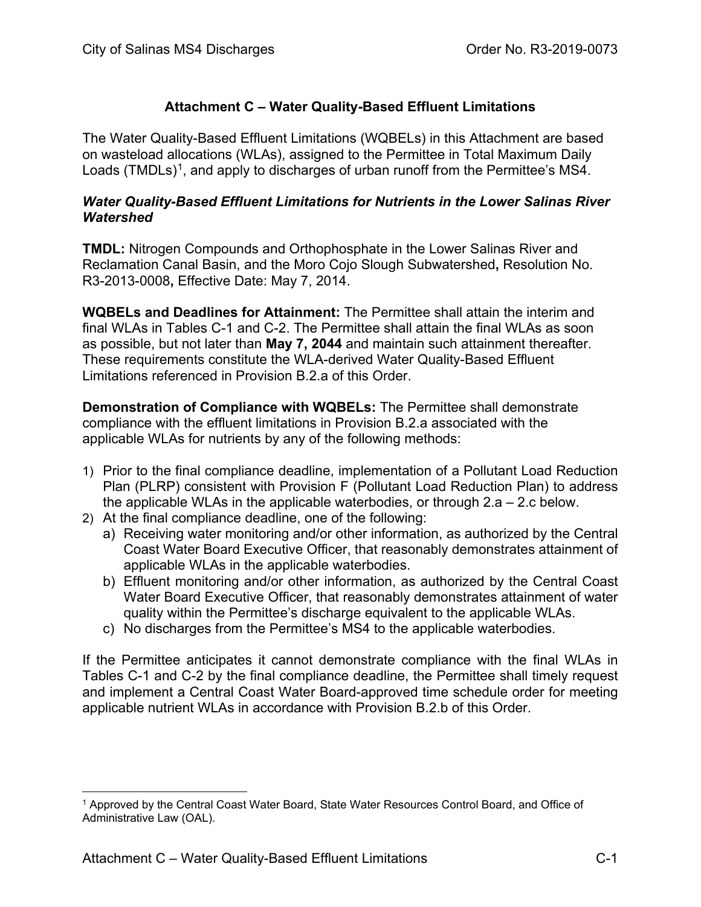## **Attachment C – Water Quality-Based Effluent Limitations**

The Water Quality-Based Effluent Limitations (WQBELs) in this Attachment are based on wasteload allocations (WLAs), assigned to the Permittee in Total Maximum Daily Loads (TMDLs)<sup>1</sup>, and apply to discharges of urban runoff from the Permittee's MS4.

#### *Water Quality-Based Effluent Limitations for Nutrients in the Lower Salinas River Watershed*

**TMDL:** Nitrogen Compounds and Orthophosphate in the Lower Salinas River and Reclamation Canal Basin, and the Moro Cojo Slough Subwatershed**,** Resolution No. R3-2013-0008**,** Effective Date: May 7, 2014.

**WQBELs and Deadlines for Attainment:** The Permittee shall attain the interim and final WLAs in Tables C-1 and C-2. The Permittee shall attain the final WLAs as soon as possible, but not later than **May 7, 2044** and maintain such attainment thereafter. These requirements constitute the WLA-derived Water Quality-Based Effluent Limitations referenced in Provision B.2.a of this Order.

**Demonstration of Compliance with WQBELs:** The Permittee shall demonstrate compliance with the effluent limitations in Provision B.2.a associated with the applicable WLAs for nutrients by any of the following methods:

- 1) Prior to the final compliance deadline, implementation of a Pollutant Load Reduction Plan (PLRP) consistent with Provision F (Pollutant Load Reduction Plan) to address the applicable WLAs in the applicable waterbodies, or through  $2.a - 2.c$  below.
- 2) At the final compliance deadline, one of the following:
	- a) Receiving water monitoring and/or other information, as authorized by the Central Coast Water Board Executive Officer, that reasonably demonstrates attainment of applicable WLAs in the applicable waterbodies.
	- b) Effluent monitoring and/or other information, as authorized by the Central Coast Water Board Executive Officer, that reasonably demonstrates attainment of water quality within the Permittee's discharge equivalent to the applicable WLAs.
	- c) No discharges from the Permittee's MS4 to the applicable waterbodies.

If the Permittee anticipates it cannot demonstrate compliance with the final WLAs in Tables C-1 and C-2 by the final compliance deadline, the Permittee shall timely request and implement a Central Coast Water Board-approved time schedule order for meeting applicable nutrient WLAs in accordance with Provision B.2.b of this Order.

<span id="page-84-0"></span><sup>1</sup> Approved by the Central Coast Water Board, State Water Resources Control Board, and Office of Administrative Law (OAL).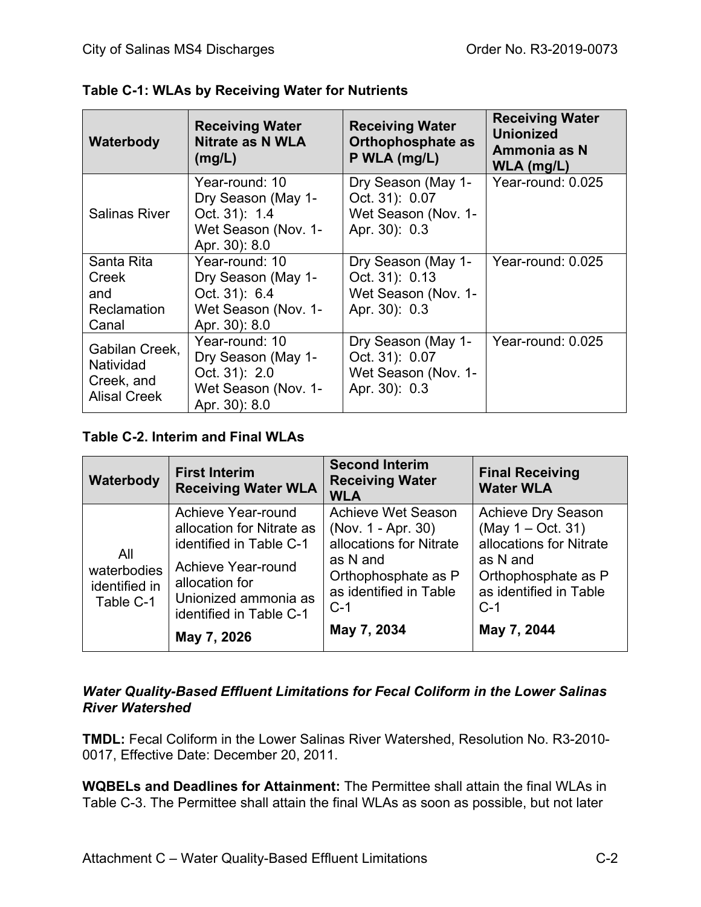| Waterbody                                                        | <b>Receiving Water</b><br><b>Nitrate as N WLA</b><br>(mg/L)                                   | <b>Receiving Water</b><br><b>Orthophosphate as</b><br>P WLA (mg/L)           | <b>Receiving Water</b><br><b>Unionized</b><br>Ammonia as N<br>$WLA$ (mg/L) |
|------------------------------------------------------------------|-----------------------------------------------------------------------------------------------|------------------------------------------------------------------------------|----------------------------------------------------------------------------|
| <b>Salinas River</b>                                             | Year-round: 10<br>Dry Season (May 1-<br>Oct. 31): 1.4<br>Wet Season (Nov. 1-<br>Apr. 30): 8.0 | Dry Season (May 1-<br>Oct. 31): 0.07<br>Wet Season (Nov. 1-<br>Apr. 30): 0.3 | Year-round: 0.025                                                          |
| Santa Rita<br>Creek<br>and<br><b>Reclamation</b><br>Canal        | Year-round: 10<br>Dry Season (May 1-<br>Oct. 31): 6.4<br>Wet Season (Nov. 1-<br>Apr. 30): 8.0 | Dry Season (May 1-<br>Oct. 31): 0.13<br>Wet Season (Nov. 1-<br>Apr. 30): 0.3 | Year-round: 0.025                                                          |
| Gabilan Creek,<br>Natividad<br>Creek, and<br><b>Alisal Creek</b> | Year-round: 10<br>Dry Season (May 1-<br>Oct. 31): 2.0<br>Wet Season (Nov. 1-<br>Apr. 30): 8.0 | Dry Season (May 1-<br>Oct. 31): 0.07<br>Wet Season (Nov. 1-<br>Apr. 30): 0.3 | Year-round: 0.025                                                          |

| Table C-1: WLAs by Receiving Water for Nutrients |  |  |  |  |
|--------------------------------------------------|--|--|--|--|
|--------------------------------------------------|--|--|--|--|

## **Table C-2. Interim and Final WLAs**

| Waterbody                                        | <b>First Interim</b><br><b>Receiving Water WLA</b>                                                                                                                                   | <b>Second Interim</b><br><b>Receiving Water</b><br><b>WLA</b>                                                                                                   | <b>Final Receiving</b><br><b>Water WLA</b>                                                                                                                     |
|--------------------------------------------------|--------------------------------------------------------------------------------------------------------------------------------------------------------------------------------------|-----------------------------------------------------------------------------------------------------------------------------------------------------------------|----------------------------------------------------------------------------------------------------------------------------------------------------------------|
| All<br>waterbodies<br>identified in<br>Table C-1 | Achieve Year-round<br>allocation for Nitrate as<br>identified in Table C-1<br>Achieve Year-round<br>allocation for<br>Unionized ammonia as<br>identified in Table C-1<br>May 7, 2026 | <b>Achieve Wet Season</b><br>(Nov. 1 - Apr. 30)<br>allocations for Nitrate<br>as N and<br>Orthophosphate as P<br>as identified in Table<br>$C-1$<br>May 7, 2034 | <b>Achieve Dry Season</b><br>(May 1 – Oct. 31)<br>allocations for Nitrate<br>as N and<br>Orthophosphate as P<br>as identified in Table<br>$C-1$<br>May 7, 2044 |

## *Water Quality-Based Effluent Limitations for Fecal Coliform in the Lower Salinas River Watershed*

**TMDL:** Fecal Coliform in the Lower Salinas River Watershed, Resolution No. R3-2010- 0017, Effective Date: December 20, 2011.

**WQBELs and Deadlines for Attainment:** The Permittee shall attain the final WLAs in Table C-3. The Permittee shall attain the final WLAs as soon as possible, but not later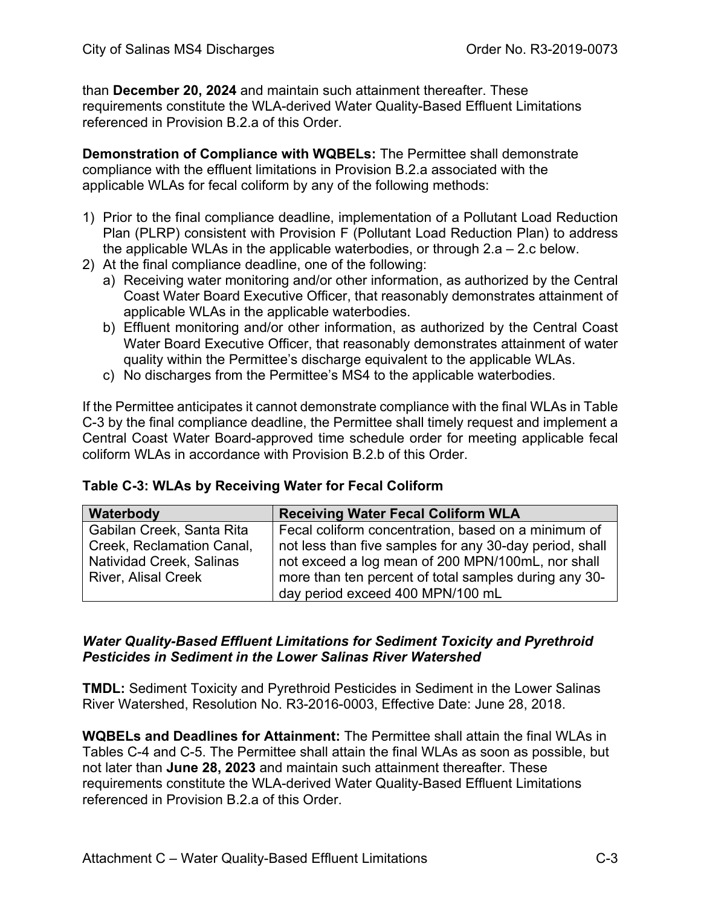than **December 20, 2024** and maintain such attainment thereafter. These requirements constitute the WLA-derived Water Quality-Based Effluent Limitations referenced in Provision B.2.a of this Order.

**Demonstration of Compliance with WQBELs:** The Permittee shall demonstrate compliance with the effluent limitations in Provision B.2.a associated with the applicable WLAs for fecal coliform by any of the following methods:

- 1) Prior to the final compliance deadline, implementation of a Pollutant Load Reduction Plan (PLRP) consistent with Provision F (Pollutant Load Reduction Plan) to address the applicable WLAs in the applicable waterbodies, or through 2.a – 2.c below.
- 2) At the final compliance deadline, one of the following:
	- a) Receiving water monitoring and/or other information, as authorized by the Central Coast Water Board Executive Officer, that reasonably demonstrates attainment of applicable WLAs in the applicable waterbodies.
	- b) Effluent monitoring and/or other information, as authorized by the Central Coast Water Board Executive Officer, that reasonably demonstrates attainment of water quality within the Permittee's discharge equivalent to the applicable WLAs.
	- c) No discharges from the Permittee's MS4 to the applicable waterbodies.

If the Permittee anticipates it cannot demonstrate compliance with the final WLAs in Table C-3 by the final compliance deadline, the Permittee shall timely request and implement a Central Coast Water Board-approved time schedule order for meeting applicable fecal coliform WLAs in accordance with Provision B.2.b of this Order.

|  | Table C-3: WLAs by Receiving Water for Fecal Coliform |
|--|-------------------------------------------------------|
|--|-------------------------------------------------------|

| Waterbody                                              | <b>Receiving Water Fecal Coliform WLA</b>                                                                      |
|--------------------------------------------------------|----------------------------------------------------------------------------------------------------------------|
| Gabilan Creek, Santa Rita<br>Creek, Reclamation Canal, | Fecal coliform concentration, based on a minimum of<br>not less than five samples for any 30-day period, shall |
| Natividad Creek, Salinas                               | not exceed a log mean of 200 MPN/100mL, nor shall                                                              |
| <b>River, Alisal Creek</b>                             | more than ten percent of total samples during any 30-<br>day period exceed 400 MPN/100 mL                      |

#### *Water Quality-Based Effluent Limitations for Sediment Toxicity and Pyrethroid Pesticides in Sediment in the Lower Salinas River Watershed*

**TMDL:** Sediment Toxicity and Pyrethroid Pesticides in Sediment in the Lower Salinas River Watershed, Resolution No. R3-2016-0003, Effective Date: June 28, 2018.

**WQBELs and Deadlines for Attainment:** The Permittee shall attain the final WLAs in Tables C-4 and C-5. The Permittee shall attain the final WLAs as soon as possible, but not later than **June 28, 2023** and maintain such attainment thereafter. These requirements constitute the WLA-derived Water Quality-Based Effluent Limitations referenced in Provision B.2.a of this Order.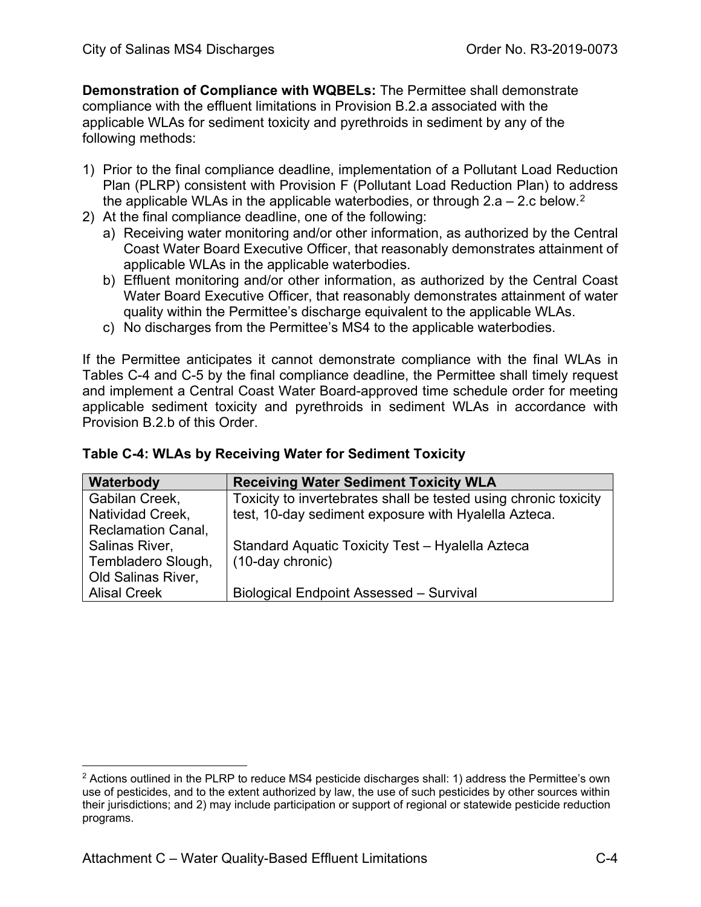**Demonstration of Compliance with WQBELs:** The Permittee shall demonstrate compliance with the effluent limitations in Provision B.2.a associated with the applicable WLAs for sediment toxicity and pyrethroids in sediment by any of the following methods:

- 1) Prior to the final compliance deadline, implementation of a Pollutant Load Reduction Plan (PLRP) consistent with Provision F (Pollutant Load Reduction Plan) to address the applicable WLAs in the applicable waterbodies, or through [2](#page-87-0).a – 2.c below.<sup>2</sup>
- 2) At the final compliance deadline, one of the following:
	- a) Receiving water monitoring and/or other information, as authorized by the Central Coast Water Board Executive Officer, that reasonably demonstrates attainment of applicable WLAs in the applicable waterbodies.
	- b) Effluent monitoring and/or other information, as authorized by the Central Coast Water Board Executive Officer, that reasonably demonstrates attainment of water quality within the Permittee's discharge equivalent to the applicable WLAs.
	- c) No discharges from the Permittee's MS4 to the applicable waterbodies.

If the Permittee anticipates it cannot demonstrate compliance with the final WLAs in Tables C-4 and C-5 by the final compliance deadline, the Permittee shall timely request and implement a Central Coast Water Board-approved time schedule order for meeting applicable sediment toxicity and pyrethroids in sediment WLAs in accordance with Provision B.2.b of this Order.

| Table C-4: WLAs by Receiving Water for Sediment Toxicity |  |  |  |  |
|----------------------------------------------------------|--|--|--|--|
|----------------------------------------------------------|--|--|--|--|

| Waterbody                 | <b>Receiving Water Sediment Toxicity WLA</b>                     |
|---------------------------|------------------------------------------------------------------|
| Gabilan Creek,            | Toxicity to invertebrates shall be tested using chronic toxicity |
| Natividad Creek,          | test, 10-day sediment exposure with Hyalella Azteca.             |
| <b>Reclamation Canal,</b> |                                                                  |
| Salinas River,            | Standard Aquatic Toxicity Test - Hyalella Azteca                 |
| Tembladero Slough,        | (10-day chronic)                                                 |
| Old Salinas River,        |                                                                  |
| <b>Alisal Creek</b>       | Biological Endpoint Assessed - Survival                          |

<span id="page-87-0"></span> $2$  Actions outlined in the PLRP to reduce MS4 pesticide discharges shall: 1) address the Permittee's own use of pesticides, and to the extent authorized by law, the use of such pesticides by other sources within their jurisdictions; and 2) may include participation or support of regional or statewide pesticide reduction programs.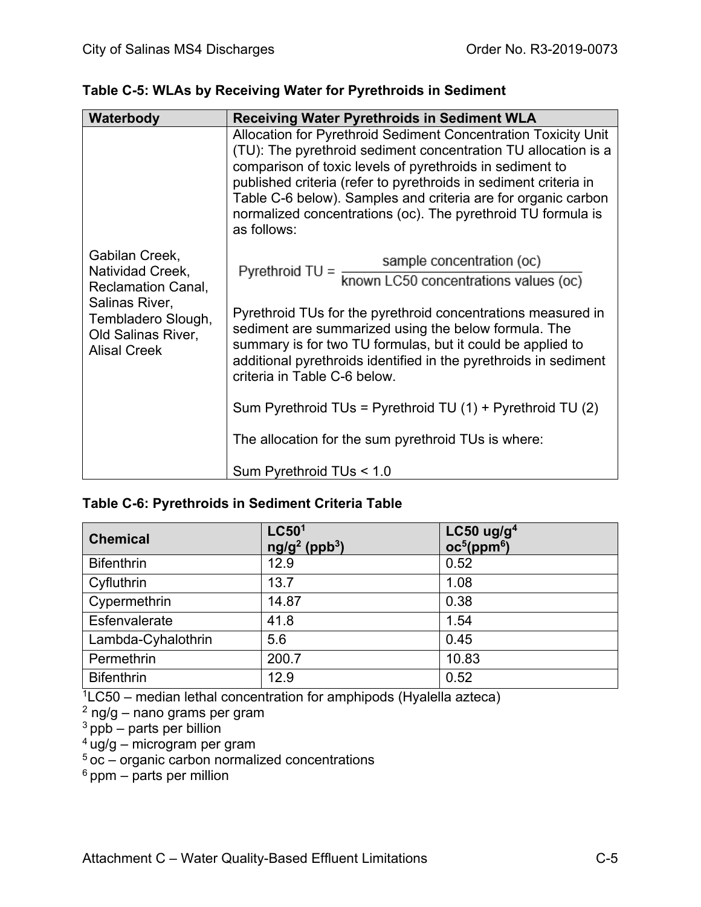| Waterbody                                                                                                                                            | <b>Receiving Water Pyrethroids in Sediment WLA</b>                                                                                                                                                                                                                                                                                                                                                                                                                                                                                  |
|------------------------------------------------------------------------------------------------------------------------------------------------------|-------------------------------------------------------------------------------------------------------------------------------------------------------------------------------------------------------------------------------------------------------------------------------------------------------------------------------------------------------------------------------------------------------------------------------------------------------------------------------------------------------------------------------------|
|                                                                                                                                                      | Allocation for Pyrethroid Sediment Concentration Toxicity Unit<br>(TU): The pyrethroid sediment concentration TU allocation is a<br>comparison of toxic levels of pyrethroids in sediment to<br>published criteria (refer to pyrethroids in sediment criteria in<br>Table C-6 below). Samples and criteria are for organic carbon<br>normalized concentrations (oc). The pyrethroid TU formula is<br>as follows:                                                                                                                    |
| Gabilan Creek,<br>Natividad Creek,<br><b>Reclamation Canal,</b><br>Salinas River,<br>Tembladero Slough,<br>Old Salinas River,<br><b>Alisal Creek</b> | sample concentration (oc)<br>Pyrethroid TU = $\frac{500 \text{ m/s}}{\text{known } LCS0}$ concentrations values (oc)<br>Pyrethroid TUs for the pyrethroid concentrations measured in<br>sediment are summarized using the below formula. The<br>summary is for two TU formulas, but it could be applied to<br>additional pyrethroids identified in the pyrethroids in sediment<br>criteria in Table C-6 below.<br>Sum Pyrethroid TUs = Pyrethroid TU (1) + Pyrethroid TU (2)<br>The allocation for the sum pyrethroid TUs is where: |
|                                                                                                                                                      | Sum Pyrethroid TUs < 1.0                                                                                                                                                                                                                                                                                                                                                                                                                                                                                                            |

# **Table C-5: WLAs by Receiving Water for Pyrethroids in Sediment**

## **Table C-6: Pyrethroids in Sediment Criteria Table**

| <b>Chemical</b>    | LC50 <sup>1</sup><br>$ng/g^2$ (ppb <sup>3</sup> ) | LC50 $ug/g4$<br>oc <sup>5</sup> (ppm <sup>6</sup> ) |
|--------------------|---------------------------------------------------|-----------------------------------------------------|
| <b>Bifenthrin</b>  | 12.9                                              | 0.52                                                |
| Cyfluthrin         | 13.7                                              | 1.08                                                |
| Cypermethrin       | 14.87                                             | 0.38                                                |
| Esfenvalerate      | 41.8                                              | 1.54                                                |
| Lambda-Cyhalothrin | 5.6                                               | 0.45                                                |
| Permethrin         | 200.7                                             | 10.83                                               |
| <b>Bifenthrin</b>  | 12.9                                              | 0.52                                                |

 $1$ LC50 – median lethal concentration for amphipods (Hyalella azteca)

<sup>2</sup> ng/g – nano grams per gram

 $3$  ppb – parts per billion

 $4 \text{ u}$ g/g – microgram per gram

 $5$  oc – organic carbon normalized concentrations

 $6$  ppm – parts per million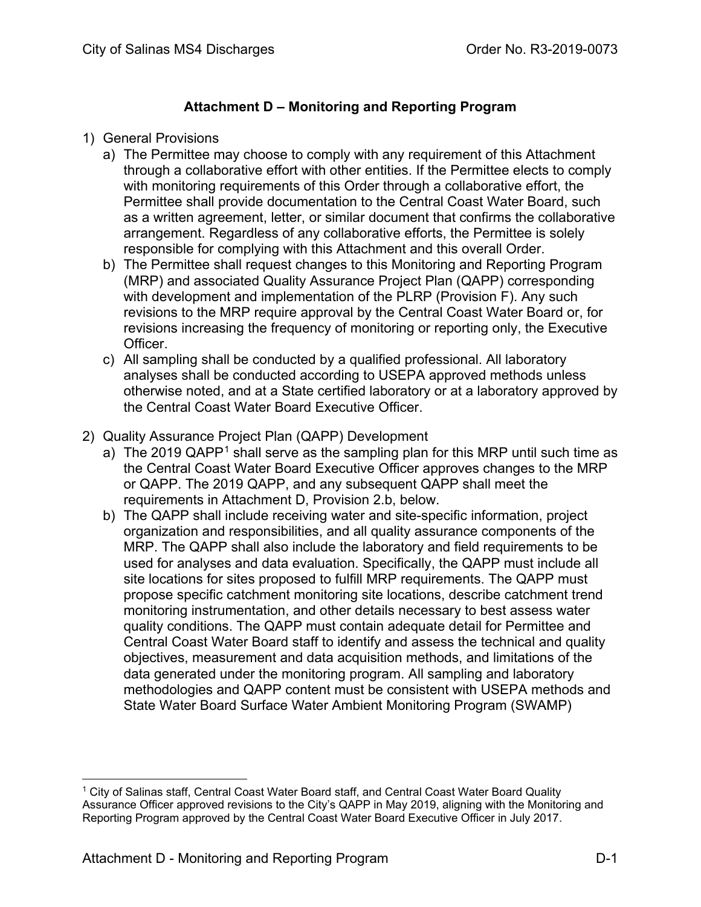## **Attachment D – Monitoring and Reporting Program**

#### 1) General Provisions

- a) The Permittee may choose to comply with any requirement of this Attachment through a collaborative effort with other entities. If the Permittee elects to comply with monitoring requirements of this Order through a collaborative effort, the Permittee shall provide documentation to the Central Coast Water Board, such as a written agreement, letter, or similar document that confirms the collaborative arrangement. Regardless of any collaborative efforts, the Permittee is solely responsible for complying with this Attachment and this overall Order.
- b) The Permittee shall request changes to this Monitoring and Reporting Program (MRP) and associated Quality Assurance Project Plan (QAPP) corresponding with development and implementation of the PLRP (Provision F). Any such revisions to the MRP require approval by the Central Coast Water Board or, for revisions increasing the frequency of monitoring or reporting only, the Executive Officer.
- c) All sampling shall be conducted by a qualified professional. All laboratory analyses shall be conducted according to USEPA approved methods unless otherwise noted, and at a State certified laboratory or at a laboratory approved by the Central Coast Water Board Executive Officer.
- 2) Quality Assurance Project Plan (QAPP) Development
	- a) The 20[1](#page-89-0)9  $QAPP<sup>1</sup>$  shall serve as the sampling plan for this MRP until such time as the Central Coast Water Board Executive Officer approves changes to the MRP or QAPP. The 2019 QAPP, and any subsequent QAPP shall meet the requirements in Attachment D, Provision 2.b, below.
	- b) The QAPP shall include receiving water and site-specific information, project organization and responsibilities, and all quality assurance components of the MRP. The QAPP shall also include the laboratory and field requirements to be used for analyses and data evaluation. Specifically, the QAPP must include all site locations for sites proposed to fulfill MRP requirements. The QAPP must propose specific catchment monitoring site locations, describe catchment trend monitoring instrumentation, and other details necessary to best assess water quality conditions. The QAPP must contain adequate detail for Permittee and Central Coast Water Board staff to identify and assess the technical and quality objectives, measurement and data acquisition methods, and limitations of the data generated under the monitoring program. All sampling and laboratory methodologies and QAPP content must be consistent with USEPA methods and State Water Board Surface Water Ambient Monitoring Program (SWAMP)

<span id="page-89-0"></span><sup>1</sup> City of Salinas staff, Central Coast Water Board staff, and Central Coast Water Board Quality Assurance Officer approved revisions to the City's QAPP in May 2019, aligning with the Monitoring and Reporting Program approved by the Central Coast Water Board Executive Officer in July 2017.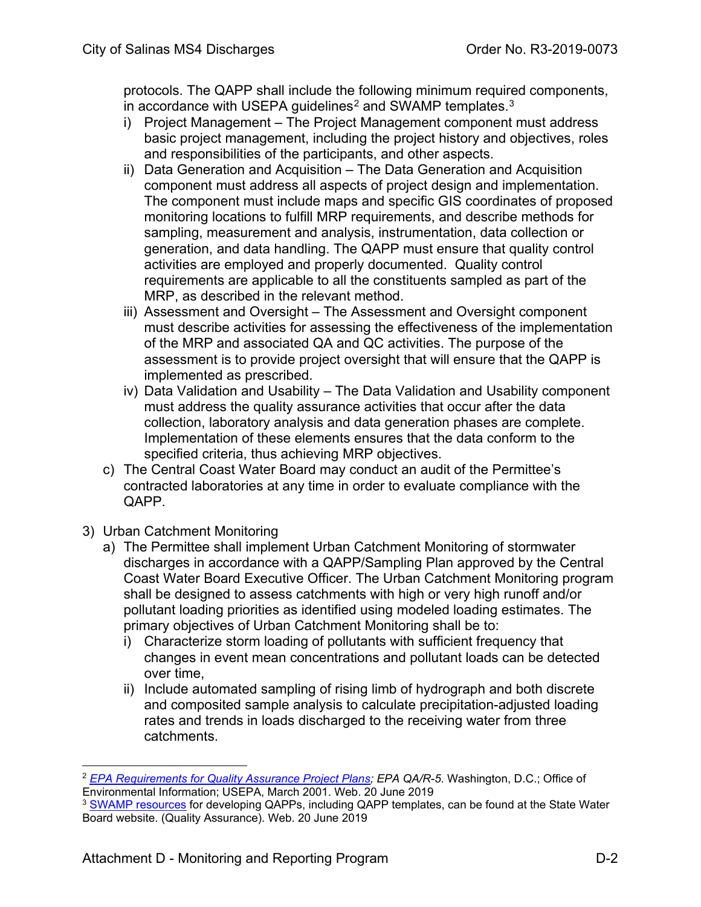protocols. The QAPP shall include the following minimum required components, in accordance with USEPA guidelines<sup>[2](#page-90-0)</sup> and SWAMP templates.<sup>[3](#page-90-1)</sup>

- i) Project Management The Project Management component must address basic project management, including the project history and objectives, roles and responsibilities of the participants, and other aspects.
- ii) Data Generation and Acquisition The Data Generation and Acquisition component must address all aspects of project design and implementation. The component must include maps and specific GIS coordinates of proposed monitoring locations to fulfill MRP requirements, and describe methods for sampling, measurement and analysis, instrumentation, data collection or generation, and data handling. The QAPP must ensure that quality control activities are employed and properly documented. Quality control requirements are applicable to all the constituents sampled as part of the MRP, as described in the relevant method.
- iii) Assessment and Oversight The Assessment and Oversight component must describe activities for assessing the effectiveness of the implementation of the MRP and associated QA and QC activities. The purpose of the assessment is to provide project oversight that will ensure that the QAPP is implemented as prescribed.
- iv) Data Validation and Usability The Data Validation and Usability component must address the quality assurance activities that occur after the data collection, laboratory analysis and data generation phases are complete. Implementation of these elements ensures that the data conform to the specified criteria, thus achieving MRP objectives.
- c) The Central Coast Water Board may conduct an audit of the Permittee's contracted laboratories at any time in order to evaluate compliance with the QAPP.
- 3) Urban Catchment Monitoring
	- a) The Permittee shall implement Urban Catchment Monitoring of stormwater discharges in accordance with a QAPP/Sampling Plan approved by the Central Coast Water Board Executive Officer. The Urban Catchment Monitoring program shall be designed to assess catchments with high or very high runoff and/or pollutant loading priorities as identified using modeled loading estimates. The primary objectives of Urban Catchment Monitoring shall be to:
		- i) Characterize storm loading of pollutants with sufficient frequency that changes in event mean concentrations and pollutant loads can be detected over time,
		- ii) Include automated sampling of rising limb of hydrograph and both discrete and composited sample analysis to calculate precipitation-adjusted loading rates and trends in loads discharged to the receiving water from three catchments.

<span id="page-90-0"></span><sup>&</sup>lt;sup>2</sup> *[EPA Requirements for Quality Assurance Project Plans;](http://www.epa.gov/quality/qs-docs/r5-final.pdf) EPA QA/R-5.* Washington, D.C.; Office of Environmental Information; USEPA, March 2001. Web. 20 June 2019

<span id="page-90-1"></span><sup>&</sup>lt;sup>3</sup> [SWAMP resources](http://www.waterboards.ca.gov/water_issues/programs/swamp/tools.shtml#qa) for developing QAPPs, including QAPP templates, can be found at the State Water Board website. (Quality Assurance). Web. 20 June 2019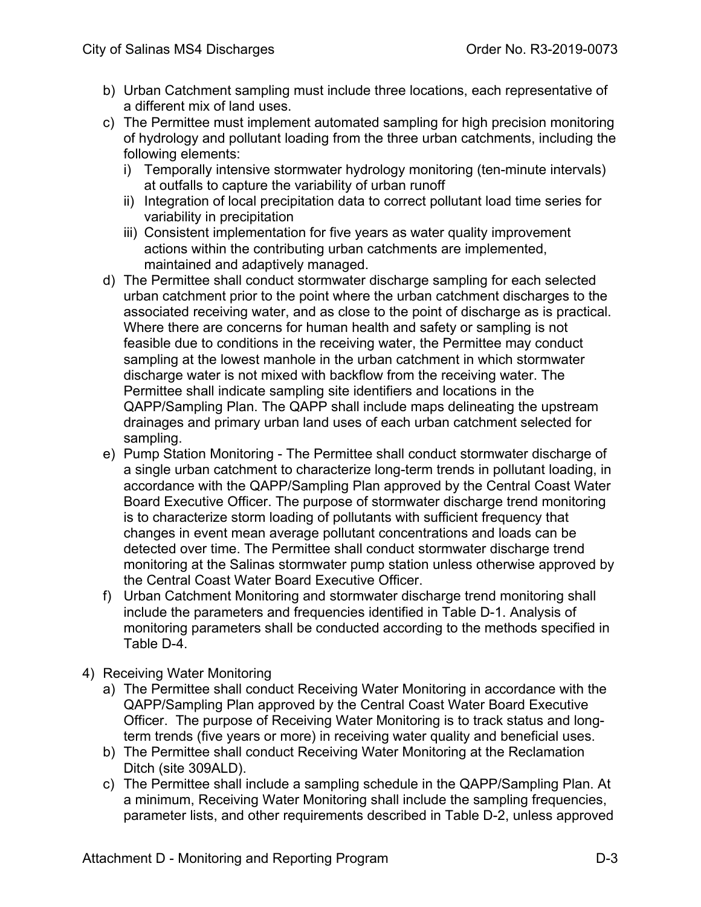- b) Urban Catchment sampling must include three locations, each representative of a different mix of land uses.
- c) The Permittee must implement automated sampling for high precision monitoring of hydrology and pollutant loading from the three urban catchments, including the following elements:
	- i) Temporally intensive stormwater hydrology monitoring (ten-minute intervals) at outfalls to capture the variability of urban runoff
	- ii) Integration of local precipitation data to correct pollutant load time series for variability in precipitation
	- iii) Consistent implementation for five years as water quality improvement actions within the contributing urban catchments are implemented, maintained and adaptively managed.
- d) The Permittee shall conduct stormwater discharge sampling for each selected urban catchment prior to the point where the urban catchment discharges to the associated receiving water, and as close to the point of discharge as is practical. Where there are concerns for human health and safety or sampling is not feasible due to conditions in the receiving water, the Permittee may conduct sampling at the lowest manhole in the urban catchment in which stormwater discharge water is not mixed with backflow from the receiving water. The Permittee shall indicate sampling site identifiers and locations in the QAPP/Sampling Plan. The QAPP shall include maps delineating the upstream drainages and primary urban land uses of each urban catchment selected for sampling.
- e) Pump Station Monitoring The Permittee shall conduct stormwater discharge of a single urban catchment to characterize long-term trends in pollutant loading, in accordance with the QAPP/Sampling Plan approved by the Central Coast Water Board Executive Officer. The purpose of stormwater discharge trend monitoring is to characterize storm loading of pollutants with sufficient frequency that changes in event mean average pollutant concentrations and loads can be detected over time. The Permittee shall conduct stormwater discharge trend monitoring at the Salinas stormwater pump station unless otherwise approved by the Central Coast Water Board Executive Officer.
- f) Urban Catchment Monitoring and stormwater discharge trend monitoring shall include the parameters and frequencies identified in Table D-1. Analysis of monitoring parameters shall be conducted according to the methods specified in Table D-4.
- 4) Receiving Water Monitoring
	- a) The Permittee shall conduct Receiving Water Monitoring in accordance with the QAPP/Sampling Plan approved by the Central Coast Water Board Executive Officer. The purpose of Receiving Water Monitoring is to track status and longterm trends (five years or more) in receiving water quality and beneficial uses.
	- b) The Permittee shall conduct Receiving Water Monitoring at the Reclamation Ditch (site 309ALD).
	- c) The Permittee shall include a sampling schedule in the QAPP/Sampling Plan. At a minimum, Receiving Water Monitoring shall include the sampling frequencies, parameter lists, and other requirements described in Table D-2, unless approved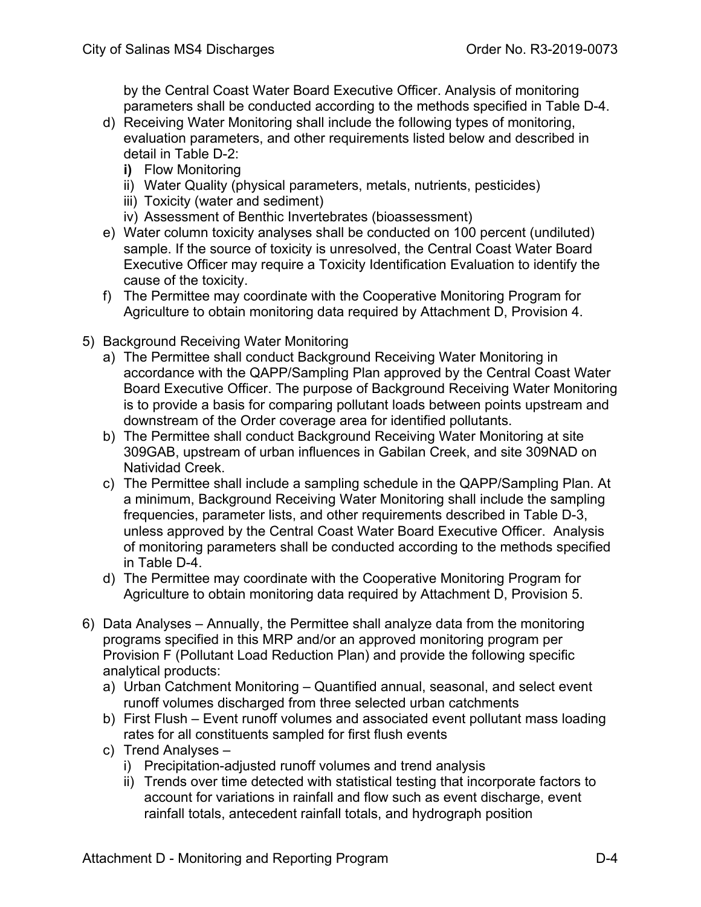by the Central Coast Water Board Executive Officer. Analysis of monitoring parameters shall be conducted according to the methods specified in Table D-4.

- d) Receiving Water Monitoring shall include the following types of monitoring, evaluation parameters, and other requirements listed below and described in detail in Table D-2:
	- **i)** Flow Monitoring
	- ii) Water Quality (physical parameters, metals, nutrients, pesticides)
	- iii) Toxicity (water and sediment)
	- iv) Assessment of Benthic Invertebrates (bioassessment)
- e) Water column toxicity analyses shall be conducted on 100 percent (undiluted) sample. If the source of toxicity is unresolved, the Central Coast Water Board Executive Officer may require a Toxicity Identification Evaluation to identify the cause of the toxicity.
- f) The Permittee may coordinate with the Cooperative Monitoring Program for Agriculture to obtain monitoring data required by Attachment D, Provision 4.
- 5) Background Receiving Water Monitoring
	- a) The Permittee shall conduct Background Receiving Water Monitoring in accordance with the QAPP/Sampling Plan approved by the Central Coast Water Board Executive Officer. The purpose of Background Receiving Water Monitoring is to provide a basis for comparing pollutant loads between points upstream and downstream of the Order coverage area for identified pollutants.
	- b) The Permittee shall conduct Background Receiving Water Monitoring at site 309GAB, upstream of urban influences in Gabilan Creek, and site 309NAD on Natividad Creek.
	- c) The Permittee shall include a sampling schedule in the QAPP/Sampling Plan. At a minimum, Background Receiving Water Monitoring shall include the sampling frequencies, parameter lists, and other requirements described in Table D-3, unless approved by the Central Coast Water Board Executive Officer. Analysis of monitoring parameters shall be conducted according to the methods specified in Table D-4.
	- d) The Permittee may coordinate with the Cooperative Monitoring Program for Agriculture to obtain monitoring data required by Attachment D, Provision 5.
- 6) Data Analyses Annually, the Permittee shall analyze data from the monitoring programs specified in this MRP and/or an approved monitoring program per Provision F (Pollutant Load Reduction Plan) and provide the following specific analytical products:
	- a) Urban Catchment Monitoring Quantified annual, seasonal, and select event runoff volumes discharged from three selected urban catchments
	- b) First Flush Event runoff volumes and associated event pollutant mass loading rates for all constituents sampled for first flush events
	- c) Trend Analyses
		- i) Precipitation-adjusted runoff volumes and trend analysis
		- ii) Trends over time detected with statistical testing that incorporate factors to account for variations in rainfall and flow such as event discharge, event rainfall totals, antecedent rainfall totals, and hydrograph position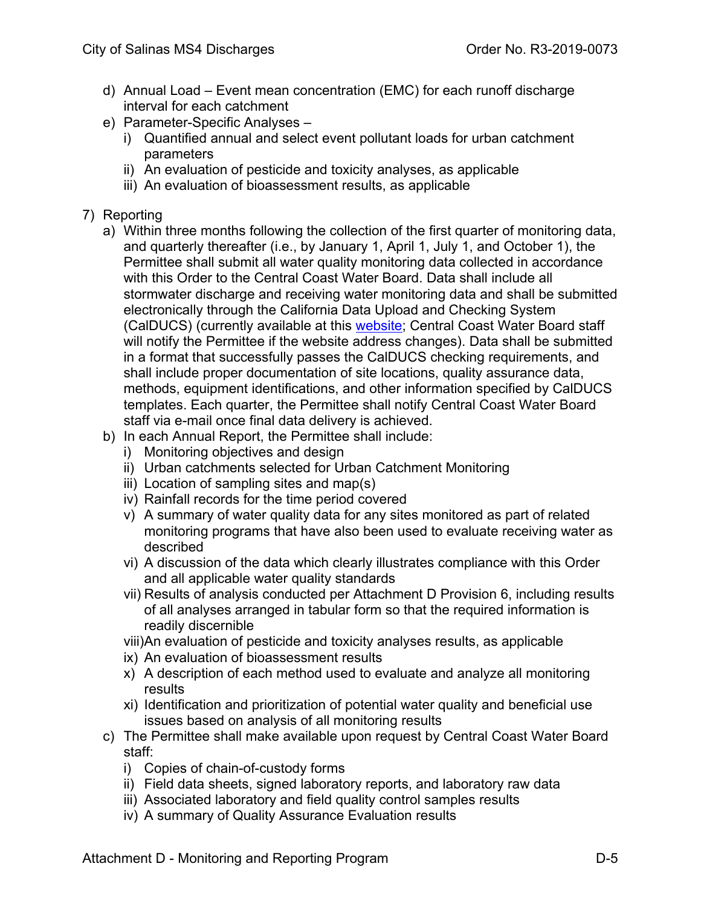- d) Annual Load Event mean concentration (EMC) for each runoff discharge interval for each catchment
- e) Parameter-Specific Analyses
	- i) Quantified annual and select event pollutant loads for urban catchment parameters
	- ii) An evaluation of pesticide and toxicity analyses, as applicable
	- iii) An evaluation of bioassessment results, as applicable
- 7) Reporting
	- a) Within three months following the collection of the first quarter of monitoring data, and quarterly thereafter (i.e., by January 1, April 1, July 1, and October 1), the Permittee shall submit all water quality monitoring data collected in accordance with this Order to the Central Coast Water Board. Data shall include all stormwater discharge and receiving water monitoring data and shall be submitted electronically through the California Data Upload and Checking System (CalDUCS) (currently available at this **website**; Central Coast Water Board staff will notify the Permittee if the website address changes). Data shall be submitted in a format that successfully passes the CalDUCS checking requirements, and shall include proper documentation of site locations, quality assurance data, methods, equipment identifications, and other information specified by CalDUCS templates. Each quarter, the Permittee shall notify Central Coast Water Board staff via e-mail once final data delivery is achieved.
	- b) In each Annual Report, the Permittee shall include:
		- i) Monitoring objectives and design
		- ii) Urban catchments selected for Urban Catchment Monitoring
		- iii) Location of sampling sites and map(s)
		- iv) Rainfall records for the time period covered
		- v) A summary of water quality data for any sites monitored as part of related monitoring programs that have also been used to evaluate receiving water as described
		- vi) A discussion of the data which clearly illustrates compliance with this Order and all applicable water quality standards
		- vii) Results of analysis conducted per Attachment D Provision 6, including results of all analyses arranged in tabular form so that the required information is readily discernible
		- viii)An evaluation of pesticide and toxicity analyses results, as applicable
		- ix) An evaluation of bioassessment results
		- x) A description of each method used to evaluate and analyze all monitoring results
		- xi) Identification and prioritization of potential water quality and beneficial use issues based on analysis of all monitoring results
	- c) The Permittee shall make available upon request by Central Coast Water Board staff:
		- i) Copies of chain-of-custody forms
		- ii) Field data sheets, signed laboratory reports, and laboratory raw data
		- iii) Associated laboratory and field quality control samples results
		- iv) A summary of Quality Assurance Evaluation results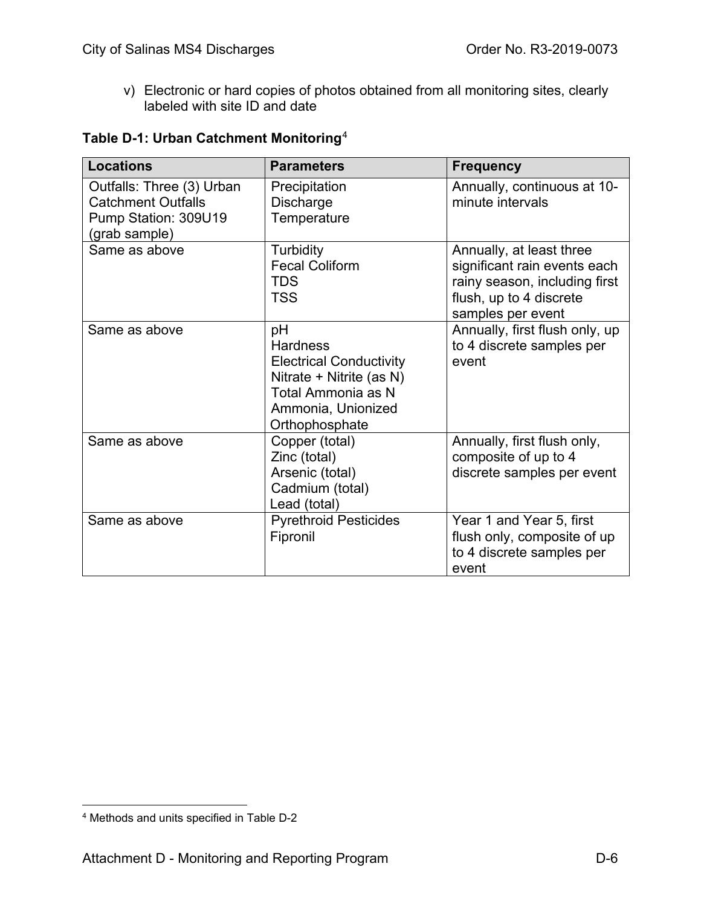v) Electronic or hard copies of photos obtained from all monitoring sites, clearly labeled with site ID and date

## **Table D-1: Urban Catchment Monitoring**[4](#page-94-0)

| <b>Locations</b>                                                                                | <b>Parameters</b>                                                                                                                                 | <b>Frequency</b>                                                                                                                          |
|-------------------------------------------------------------------------------------------------|---------------------------------------------------------------------------------------------------------------------------------------------------|-------------------------------------------------------------------------------------------------------------------------------------------|
| Outfalls: Three (3) Urban<br><b>Catchment Outfalls</b><br>Pump Station: 309U19<br>(grab sample) | Precipitation<br>Discharge<br>Temperature                                                                                                         | Annually, continuous at 10-<br>minute intervals                                                                                           |
| Same as above                                                                                   | Turbidity<br><b>Fecal Coliform</b><br><b>TDS</b><br><b>TSS</b>                                                                                    | Annually, at least three<br>significant rain events each<br>rainy season, including first<br>flush, up to 4 discrete<br>samples per event |
| Same as above                                                                                   | pH<br><b>Hardness</b><br><b>Electrical Conductivity</b><br>Nitrate + Nitrite (as N)<br>Total Ammonia as N<br>Ammonia, Unionized<br>Orthophosphate | Annually, first flush only, up<br>to 4 discrete samples per<br>event                                                                      |
| Same as above                                                                                   | Copper (total)<br>Zinc (total)<br>Arsenic (total)<br>Cadmium (total)<br>Lead (total)                                                              | Annually, first flush only,<br>composite of up to 4<br>discrete samples per event                                                         |
| Same as above                                                                                   | <b>Pyrethroid Pesticides</b><br>Fipronil                                                                                                          | Year 1 and Year 5, first<br>flush only, composite of up<br>to 4 discrete samples per<br>event                                             |

<span id="page-94-0"></span><sup>4</sup> Methods and units specified in Table D-2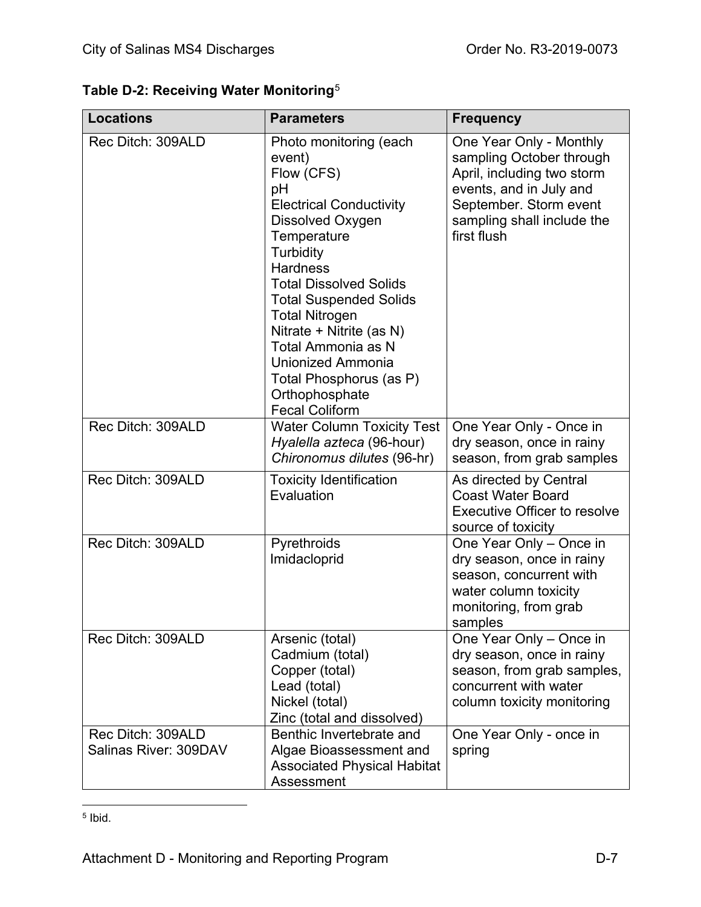|  |  | Table D-2: Receiving Water Monitoring ${}^{5}$ |
|--|--|------------------------------------------------|
|  |  |                                                |

| <b>Locations</b>                           | <b>Parameters</b>                                                                                                                                                                                                                                                                                                                                                                                        | <b>Frequency</b>                                                                                                                                                                    |
|--------------------------------------------|----------------------------------------------------------------------------------------------------------------------------------------------------------------------------------------------------------------------------------------------------------------------------------------------------------------------------------------------------------------------------------------------------------|-------------------------------------------------------------------------------------------------------------------------------------------------------------------------------------|
| Rec Ditch: 309ALD                          | Photo monitoring (each<br>event)<br>Flow (CFS)<br>pH<br><b>Electrical Conductivity</b><br>Dissolved Oxygen<br>Temperature<br>Turbidity<br><b>Hardness</b><br><b>Total Dissolved Solids</b><br><b>Total Suspended Solids</b><br><b>Total Nitrogen</b><br>Nitrate + Nitrite (as N)<br>Total Ammonia as N<br><b>Unionized Ammonia</b><br>Total Phosphorus (as P)<br>Orthophosphate<br><b>Fecal Coliform</b> | One Year Only - Monthly<br>sampling October through<br>April, including two storm<br>events, and in July and<br>September. Storm event<br>sampling shall include the<br>first flush |
| Rec Ditch: 309ALD                          | <b>Water Column Toxicity Test</b><br>Hyalella azteca (96-hour)<br>Chironomus dilutes (96-hr)                                                                                                                                                                                                                                                                                                             | One Year Only - Once in<br>dry season, once in rainy<br>season, from grab samples                                                                                                   |
| Rec Ditch: 309ALD                          | <b>Toxicity Identification</b><br>Evaluation                                                                                                                                                                                                                                                                                                                                                             | As directed by Central<br><b>Coast Water Board</b><br><b>Executive Officer to resolve</b><br>source of toxicity                                                                     |
| Rec Ditch: 309ALD                          | Pyrethroids<br>Imidacloprid                                                                                                                                                                                                                                                                                                                                                                              | One Year Only - Once in<br>dry season, once in rainy<br>season, concurrent with<br>water column toxicity<br>monitoring, from grab<br>samples                                        |
| Rec Ditch: 309ALD                          | Arsenic (total)<br>Cadmium (total)<br>Copper (total)<br>Lead (total)<br>Nickel (total)<br>Zinc (total and dissolved)                                                                                                                                                                                                                                                                                     | One Year Only - Once in<br>dry season, once in rainy<br>season, from grab samples,<br>concurrent with water<br>column toxicity monitoring                                           |
| Rec Ditch: 309ALD<br>Salinas River: 309DAV | Benthic Invertebrate and<br>Algae Bioassessment and<br><b>Associated Physical Habitat</b><br>Assessment                                                                                                                                                                                                                                                                                                  | One Year Only - once in<br>spring                                                                                                                                                   |

<span id="page-95-0"></span><sup>5</sup> Ibid.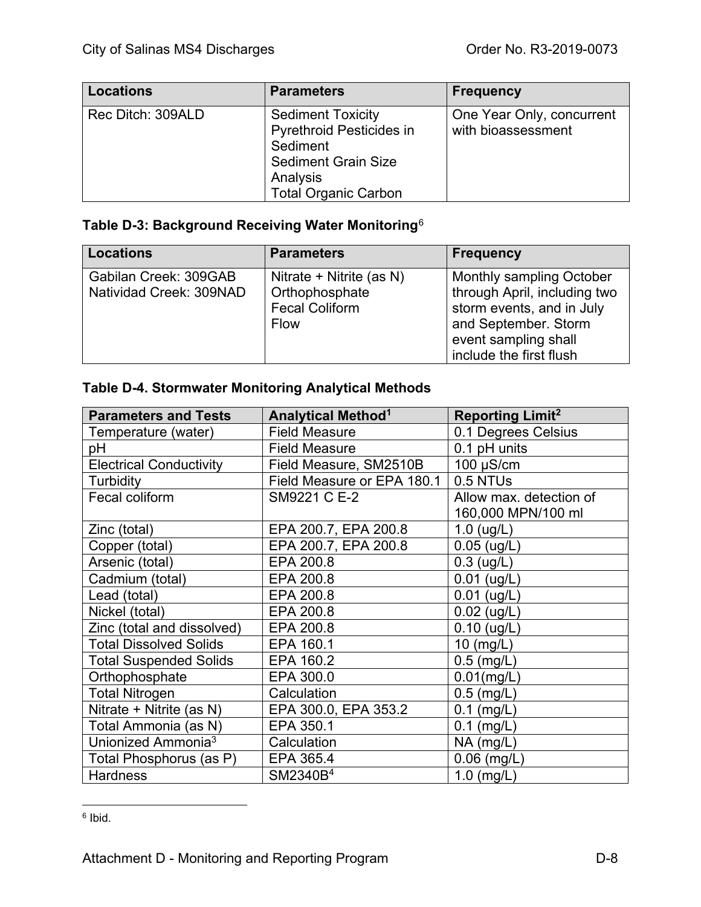| <b>Locations</b>  | <b>Parameters</b>                                                                                                                                | <b>Frequency</b>                                |
|-------------------|--------------------------------------------------------------------------------------------------------------------------------------------------|-------------------------------------------------|
| Rec Ditch: 309ALD | <b>Sediment Toxicity</b><br><b>Pyrethroid Pesticides in</b><br>Sediment<br><b>Sediment Grain Size</b><br>Analysis<br><b>Total Organic Carbon</b> | One Year Only, concurrent<br>with bioassessment |

# **Table D-3: Background Receiving Water Monitoring**[6](#page-96-0)

| <b>Locations</b>                                 | <b>Parameters</b>                                                                  | <b>Frequency</b>                                                                                                                                                        |
|--------------------------------------------------|------------------------------------------------------------------------------------|-------------------------------------------------------------------------------------------------------------------------------------------------------------------------|
| Gabilan Creek: 309GAB<br>Natividad Creek: 309NAD | Nitrate + Nitrite (as N)<br>Orthophosphate<br><b>Fecal Coliform</b><br><b>Flow</b> | <b>Monthly sampling October</b><br>through April, including two<br>storm events, and in July<br>and September. Storm<br>event sampling shall<br>include the first flush |

# **Table D-4. Stormwater Monitoring Analytical Methods**

| <b>Parameters and Tests</b>    | <b>Analytical Method<sup>1</sup></b> | <b>Reporting Limit<sup>2</sup></b> |
|--------------------------------|--------------------------------------|------------------------------------|
| Temperature (water)            | <b>Field Measure</b>                 | 0.1 Degrees Celsius                |
| рH                             | <b>Field Measure</b>                 | 0.1 pH units                       |
| <b>Electrical Conductivity</b> | Field Measure, SM2510B               | $100 \mu S/cm$                     |
| Turbidity                      | Field Measure or EPA 180.1           | 0.5 NTUs                           |
| Fecal coliform                 | SM9221 C E-2                         | Allow max. detection of            |
|                                |                                      | 160,000 MPN/100 ml                 |
| Zinc (total)                   | EPA 200.7, EPA 200.8                 | $1.0$ (ug/L)                       |
| Copper (total)                 | EPA 200.7, EPA 200.8                 | $0.05$ (ug/L)                      |
| Arsenic (total)                | EPA 200.8                            | $0.3$ (ug/L)                       |
| Cadmium (total)                | EPA 200.8                            | $0.01$ (ug/L)                      |
| Lead (total)                   | EPA 200.8                            | $0.01$ (ug/L)                      |
| Nickel (total)                 | EPA 200.8                            | $0.02$ (ug/L)                      |
| Zinc (total and dissolved)     | EPA 200.8                            | $0.10$ (ug/L)                      |
| <b>Total Dissolved Solids</b>  | EPA 160.1                            | 10 (mg/L)                          |
| <b>Total Suspended Solids</b>  | EPA 160.2                            | $0.5$ (mg/L)                       |
| Orthophosphate                 | EPA 300.0                            | $0.01$ (mg/L)                      |
| <b>Total Nitrogen</b>          | Calculation                          | $0.5$ (mg/L)                       |
| Nitrate + Nitrite (as N)       | EPA 300.0, EPA 353.2                 | $0.1$ (mg/L)                       |
| Total Ammonia (as N)           | EPA 350.1                            | $0.1$ (mg/L)                       |
| Unionized Ammonia <sup>3</sup> | Calculation                          | $NA$ (mg/L)                        |
| Total Phosphorus (as P)        | EPA 365.4                            | $0.06$ (mg/L)                      |
| <b>Hardness</b>                | SM2340B <sup>4</sup>                 | $1.0$ (mg/L)                       |

<span id="page-96-0"></span> $6$  Ibid.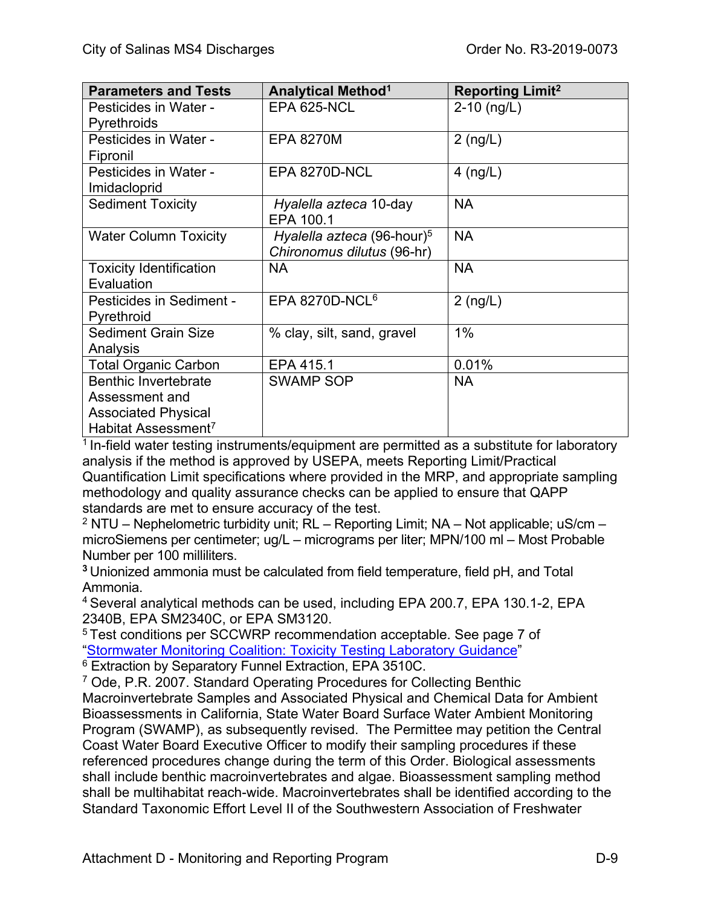| <b>Parameters and Tests</b>     | <b>Analytical Method<sup>1</sup></b>   | <b>Reporting Limit<sup>2</sup></b> |
|---------------------------------|----------------------------------------|------------------------------------|
| Pesticides in Water -           | EPA 625-NCL                            | $2-10$ (ng/L)                      |
| Pyrethroids                     |                                        |                                    |
| Pesticides in Water -           | <b>EPA 8270M</b>                       | $2$ (ng/L)                         |
| Fipronil                        |                                        |                                    |
| Pesticides in Water -           | EPA 8270D-NCL                          | $4$ (ng/L)                         |
| Imidacloprid                    |                                        |                                    |
| <b>Sediment Toxicity</b>        | Hyalella azteca 10-day<br>EPA 100.1    | <b>NA</b>                          |
| <b>Water Column Toxicity</b>    | Hyalella azteca (96-hour) <sup>5</sup> | <b>NA</b>                          |
|                                 | Chironomus dilutus (96-hr)             |                                    |
| <b>Toxicity Identification</b>  | <b>NA</b>                              | <b>NA</b>                          |
| Evaluation                      |                                        |                                    |
| Pesticides in Sediment -        | EPA 8270D-NCL $6$                      | $2$ (ng/L)                         |
| Pyrethroid                      |                                        |                                    |
| <b>Sediment Grain Size</b>      | % clay, silt, sand, gravel             | 1%                                 |
| Analysis                        |                                        |                                    |
| <b>Total Organic Carbon</b>     | EPA 415.1                              | 0.01%                              |
| <b>Benthic Invertebrate</b>     | <b>SWAMP SOP</b>                       | <b>NA</b>                          |
| Assessment and                  |                                        |                                    |
| <b>Associated Physical</b>      |                                        |                                    |
| Habitat Assessment <sup>7</sup> |                                        |                                    |

 $1$  In-field water testing instruments/equipment are permitted as a substitute for laboratory analysis if the method is approved by USEPA, meets Reporting Limit/Practical Quantification Limit specifications where provided in the MRP, and appropriate sampling methodology and quality assurance checks can be applied to ensure that QAPP standards are met to ensure accuracy of the test.

 $2$  NTU – Nephelometric turbidity unit; RL – Reporting Limit; NA – Not applicable; uS/cm – microSiemens per centimeter; ug/L – micrograms per liter; MPN/100 ml – Most Probable Number per 100 milliliters.

**<sup>3</sup>**Unionized ammonia must be calculated from field temperature, field pH, and Total Ammonia.

4 Several analytical methods can be used, including EPA 200.7, EPA 130.1-2, EPA 2340B, EPA SM2340C, or EPA SM3120.

<sup>5</sup> Test conditions per SCCWRP recommendation acceptable. See page 7 of ["Stormwater Monitoring Coalition: Toxicity Testing Laboratory Guidance"](http://ftp.sccwrp.org/pub/download/DOCUMENTS/TechnicalReports/956_StrmWtrMonitCoalitToxTestingLabGuid.pdf)

<sup>6</sup> Extraction by Separatory Funnel Extraction, EPA 3510C.

<sup>7</sup> Ode, P.R. 2007. Standard Operating Procedures for Collecting Benthic Macroinvertebrate Samples and Associated Physical and Chemical Data for Ambient Bioassessments in California, State Water Board Surface Water Ambient Monitoring Program (SWAMP), as subsequently revised. The Permittee may petition the Central Coast Water Board Executive Officer to modify their sampling procedures if these referenced procedures change during the term of this Order. Biological assessments shall include benthic macroinvertebrates and algae. Bioassessment sampling method shall be multihabitat reach-wide. Macroinvertebrates shall be identified according to the Standard Taxonomic Effort Level II of the Southwestern Association of Freshwater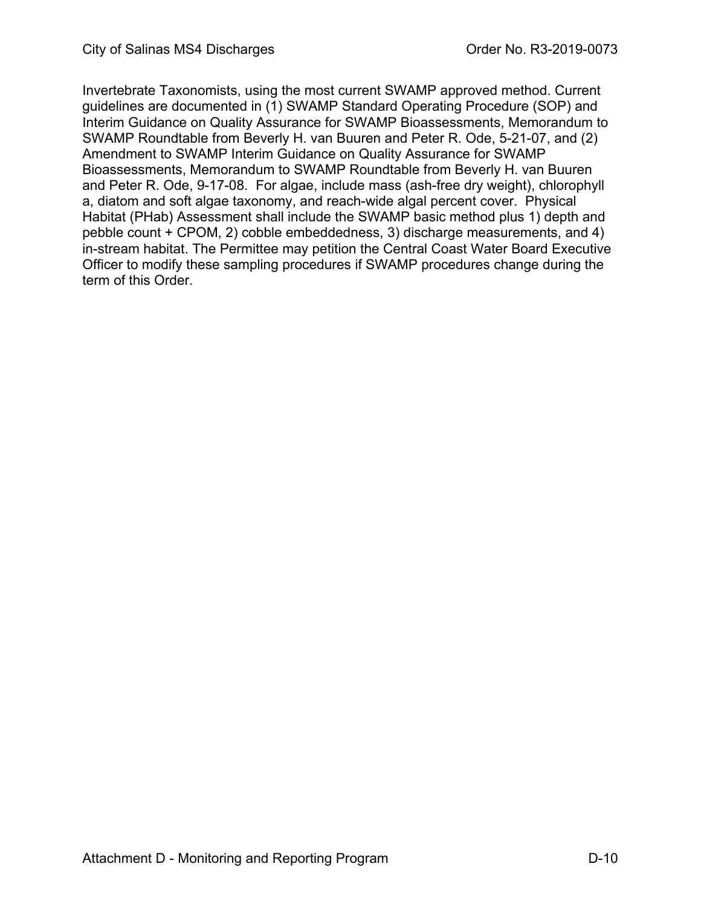Invertebrate Taxonomists, using the most current SWAMP approved method. Current guidelines are documented in (1) SWAMP Standard Operating Procedure (SOP) and Interim Guidance on Quality Assurance for SWAMP Bioassessments, Memorandum to SWAMP Roundtable from Beverly H. van Buuren and Peter R. Ode, 5-21-07, and (2) Amendment to SWAMP Interim Guidance on Quality Assurance for SWAMP Bioassessments, Memorandum to SWAMP Roundtable from Beverly H. van Buuren and Peter R. Ode, 9-17-08. For algae, include mass (ash-free dry weight), chlorophyll a, diatom and soft algae taxonomy, and reach-wide algal percent cover. Physical Habitat (PHab) Assessment shall include the SWAMP basic method plus 1) depth and pebble count + CPOM, 2) cobble embeddedness, 3) discharge measurements, and 4) in-stream habitat. The Permittee may petition the Central Coast Water Board Executive Officer to modify these sampling procedures if SWAMP procedures change during the term of this Order.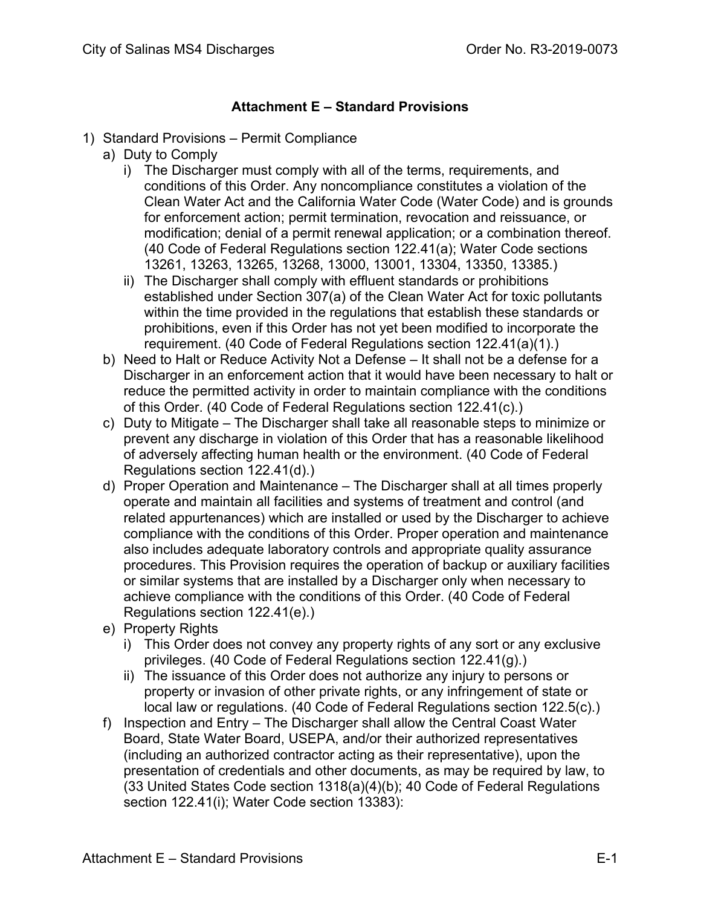## **Attachment E – Standard Provisions**

- 1) Standard Provisions Permit Compliance
	- a) Duty to Comply
		- i) The Discharger must comply with all of the terms, requirements, and conditions of this Order. Any noncompliance constitutes a violation of the Clean Water Act and the California Water Code (Water Code) and is grounds for enforcement action; permit termination, revocation and reissuance, or modification; denial of a permit renewal application; or a combination thereof. (40 Code of Federal Regulations section 122.41(a); Water Code sections 13261, 13263, 13265, 13268, 13000, 13001, 13304, 13350, 13385.)
		- ii) The Discharger shall comply with effluent standards or prohibitions established under Section 307(a) of the Clean Water Act for toxic pollutants within the time provided in the regulations that establish these standards or prohibitions, even if this Order has not yet been modified to incorporate the requirement. (40 Code of Federal Regulations section 122.41(a)(1).)
	- b) Need to Halt or Reduce Activity Not a Defense It shall not be a defense for a Discharger in an enforcement action that it would have been necessary to halt or reduce the permitted activity in order to maintain compliance with the conditions of this Order. (40 Code of Federal Regulations section 122.41(c).)
	- c) Duty to Mitigate The Discharger shall take all reasonable steps to minimize or prevent any discharge in violation of this Order that has a reasonable likelihood of adversely affecting human health or the environment. (40 Code of Federal Regulations section 122.41(d).)
	- d) Proper Operation and Maintenance The Discharger shall at all times properly operate and maintain all facilities and systems of treatment and control (and related appurtenances) which are installed or used by the Discharger to achieve compliance with the conditions of this Order. Proper operation and maintenance also includes adequate laboratory controls and appropriate quality assurance procedures. This Provision requires the operation of backup or auxiliary facilities or similar systems that are installed by a Discharger only when necessary to achieve compliance with the conditions of this Order. (40 Code of Federal Regulations section 122.41(e).)
	- e) Property Rights
		- i) This Order does not convey any property rights of any sort or any exclusive privileges. (40 Code of Federal Regulations section 122.41(g).)
		- ii) The issuance of this Order does not authorize any injury to persons or property or invasion of other private rights, or any infringement of state or local law or regulations. (40 Code of Federal Regulations section 122.5(c).)
	- f) Inspection and Entry The Discharger shall allow the Central Coast Water Board, State Water Board, USEPA, and/or their authorized representatives (including an authorized contractor acting as their representative), upon the presentation of credentials and other documents, as may be required by law, to (33 United States Code section 1318(a)(4)(b); 40 Code of Federal Regulations section 122.41(i); Water Code section 13383):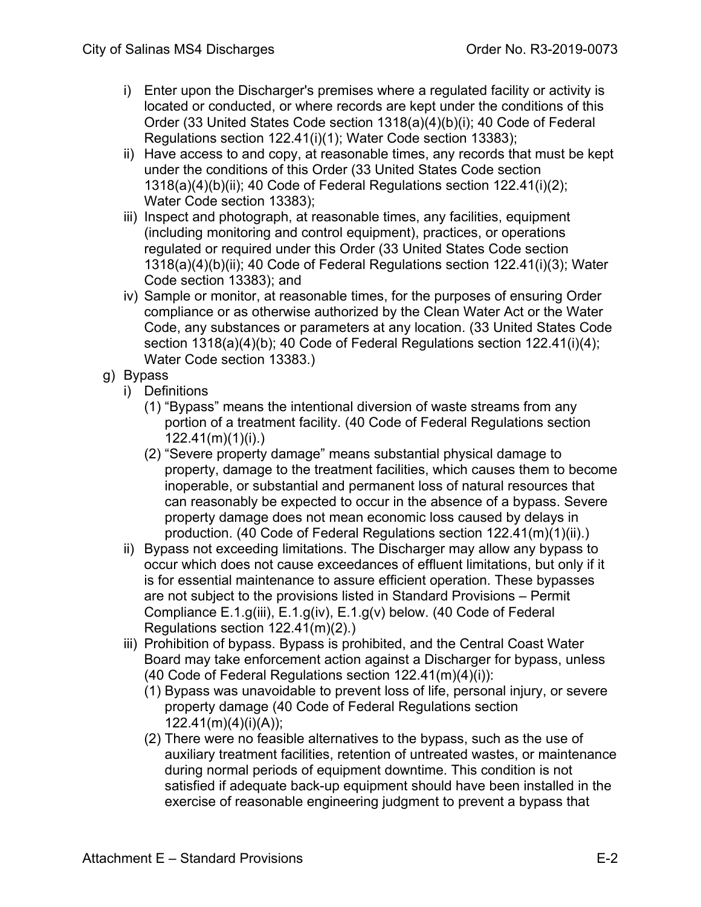- i) Enter upon the Discharger's premises where a regulated facility or activity is located or conducted, or where records are kept under the conditions of this Order (33 United States Code section 1318(a)(4)(b)(i); 40 Code of Federal Regulations section 122.41(i)(1); Water Code section 13383);
- ii) Have access to and copy, at reasonable times, any records that must be kept under the conditions of this Order (33 United States Code section 1318(a)(4)(b)(ii); 40 Code of Federal Regulations section 122.41(i)(2); Water Code section 13383);
- iii) Inspect and photograph, at reasonable times, any facilities, equipment (including monitoring and control equipment), practices, or operations regulated or required under this Order (33 United States Code section 1318(a)(4)(b)(ii); 40 Code of Federal Regulations section 122.41(i)(3); Water Code section 13383); and
- iv) Sample or monitor, at reasonable times, for the purposes of ensuring Order compliance or as otherwise authorized by the Clean Water Act or the Water Code, any substances or parameters at any location. (33 United States Code section 1318(a)(4)(b); 40 Code of Federal Regulations section 122.41(i)(4); Water Code section 13383.)
- g) Bypass
	- i) Definitions
		- (1) "Bypass" means the intentional diversion of waste streams from any portion of a treatment facility. (40 Code of Federal Regulations section 122.41(m)(1)(i).)
		- (2) "Severe property damage" means substantial physical damage to property, damage to the treatment facilities, which causes them to become inoperable, or substantial and permanent loss of natural resources that can reasonably be expected to occur in the absence of a bypass. Severe property damage does not mean economic loss caused by delays in production. (40 Code of Federal Regulations section 122.41(m)(1)(ii).)
	- ii) Bypass not exceeding limitations. The Discharger may allow any bypass to occur which does not cause exceedances of effluent limitations, but only if it is for essential maintenance to assure efficient operation. These bypasses are not subject to the provisions listed in Standard Provisions – Permit Compliance E.1.g(iii), E.1.g(iv), E.1.g(v) below. (40 Code of Federal Regulations section 122.41(m)(2).)
	- iii) Prohibition of bypass. Bypass is prohibited, and the Central Coast Water Board may take enforcement action against a Discharger for bypass, unless (40 Code of Federal Regulations section 122.41(m)(4)(i)):
		- (1) Bypass was unavoidable to prevent loss of life, personal injury, or severe property damage (40 Code of Federal Regulations section  $122.41(m)(4)(i)(A)$ ;
		- (2) There were no feasible alternatives to the bypass, such as the use of auxiliary treatment facilities, retention of untreated wastes, or maintenance during normal periods of equipment downtime. This condition is not satisfied if adequate back-up equipment should have been installed in the exercise of reasonable engineering judgment to prevent a bypass that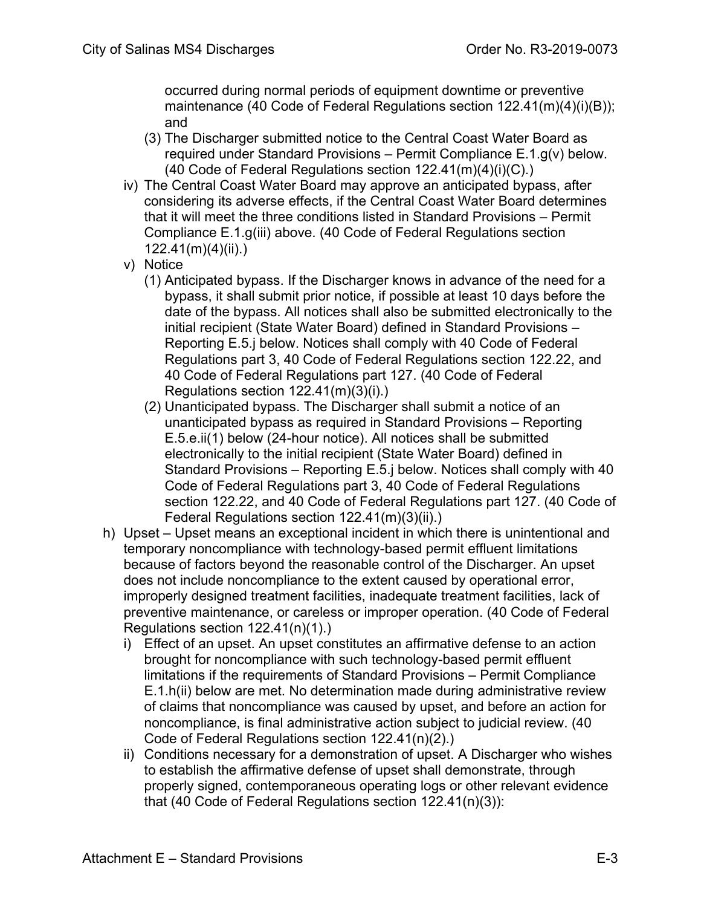occurred during normal periods of equipment downtime or preventive maintenance (40 Code of Federal Regulations section 122.41(m)(4)(i)(B)); and

- (3) The Discharger submitted notice to the Central Coast Water Board as required under Standard Provisions – Permit Compliance E.1.g(v) below. (40 Code of Federal Regulations section 122.41(m)(4)(i)(C).)
- iv) The Central Coast Water Board may approve an anticipated bypass, after considering its adverse effects, if the Central Coast Water Board determines that it will meet the three conditions listed in Standard Provisions – Permit Compliance E.1.g(iii) above. (40 Code of Federal Regulations section  $122.41(m)(4)(ii)$ .)
- v) Notice
	- (1) Anticipated bypass. If the Discharger knows in advance of the need for a bypass, it shall submit prior notice, if possible at least 10 days before the date of the bypass. All notices shall also be submitted electronically to the initial recipient (State Water Board) defined in Standard Provisions – Reporting E.5.j below. Notices shall comply with 40 Code of Federal Regulations part 3, 40 Code of Federal Regulations section 122.22, and 40 Code of Federal Regulations part 127. (40 Code of Federal Regulations section 122.41(m)(3)(i).)
	- (2) Unanticipated bypass. The Discharger shall submit a notice of an unanticipated bypass as required in Standard Provisions – Reporting E.5.e.ii(1) below (24-hour notice). All notices shall be submitted electronically to the initial recipient (State Water Board) defined in Standard Provisions – Reporting E.5.j below. Notices shall comply with 40 Code of Federal Regulations part 3, 40 Code of Federal Regulations section 122.22, and 40 Code of Federal Regulations part 127. (40 Code of Federal Regulations section 122.41(m)(3)(ii).)
- h) Upset Upset means an exceptional incident in which there is unintentional and temporary noncompliance with technology-based permit effluent limitations because of factors beyond the reasonable control of the Discharger. An upset does not include noncompliance to the extent caused by operational error, improperly designed treatment facilities, inadequate treatment facilities, lack of preventive maintenance, or careless or improper operation. (40 Code of Federal Regulations section 122.41(n)(1).)
	- i) Effect of an upset. An upset constitutes an affirmative defense to an action brought for noncompliance with such technology-based permit effluent limitations if the requirements of Standard Provisions – Permit Compliance E.1.h(ii) below are met. No determination made during administrative review of claims that noncompliance was caused by upset, and before an action for noncompliance, is final administrative action subject to judicial review. (40 Code of Federal Regulations section 122.41(n)(2).)
	- ii) Conditions necessary for a demonstration of upset. A Discharger who wishes to establish the affirmative defense of upset shall demonstrate, through properly signed, contemporaneous operating logs or other relevant evidence that (40 Code of Federal Regulations section 122.41(n)(3)):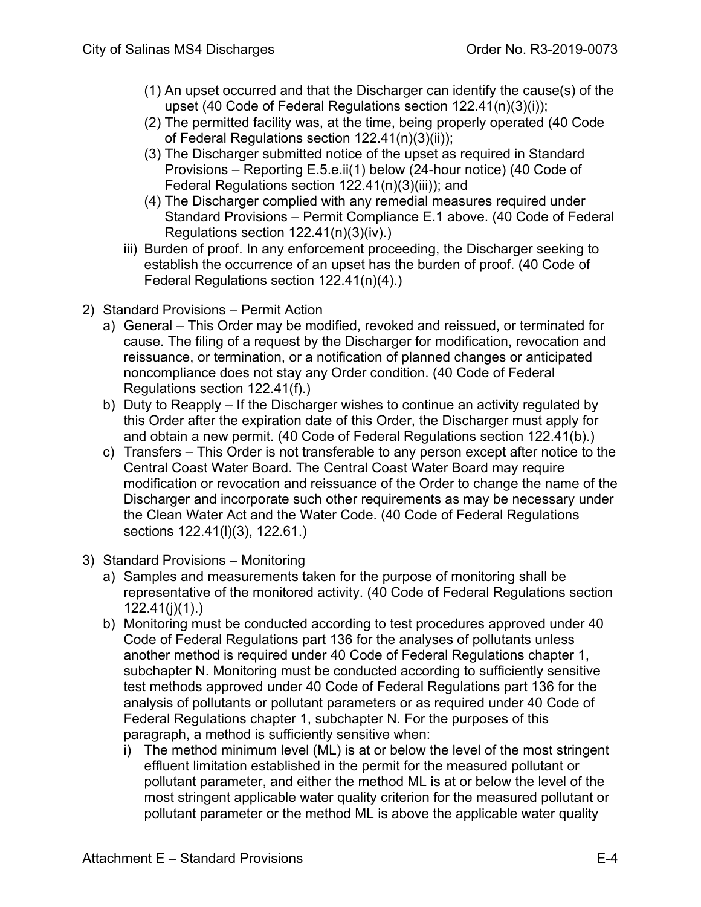- (1) An upset occurred and that the Discharger can identify the cause(s) of the upset (40 Code of Federal Regulations section 122.41(n)(3)(i));
- (2) The permitted facility was, at the time, being properly operated (40 Code of Federal Regulations section 122.41(n)(3)(ii));
- (3) The Discharger submitted notice of the upset as required in Standard Provisions – Reporting E.5.e.ii(1) below (24-hour notice) (40 Code of Federal Regulations section 122.41(n)(3)(iii)); and
- (4) The Discharger complied with any remedial measures required under Standard Provisions – Permit Compliance E.1 above. (40 Code of Federal Regulations section 122.41(n)(3)(iv).)
- iii) Burden of proof. In any enforcement proceeding, the Discharger seeking to establish the occurrence of an upset has the burden of proof. (40 Code of Federal Regulations section 122.41(n)(4).)
- 2) Standard Provisions Permit Action
	- a) General This Order may be modified, revoked and reissued, or terminated for cause. The filing of a request by the Discharger for modification, revocation and reissuance, or termination, or a notification of planned changes or anticipated noncompliance does not stay any Order condition. (40 Code of Federal Regulations section 122.41(f).)
	- b) Duty to Reapply If the Discharger wishes to continue an activity regulated by this Order after the expiration date of this Order, the Discharger must apply for and obtain a new permit. (40 Code of Federal Regulations section 122.41(b).)
	- c) Transfers This Order is not transferable to any person except after notice to the Central Coast Water Board. The Central Coast Water Board may require modification or revocation and reissuance of the Order to change the name of the Discharger and incorporate such other requirements as may be necessary under the Clean Water Act and the Water Code. (40 Code of Federal Regulations sections 122.41(l)(3), 122.61.)
- 3) Standard Provisions Monitoring
	- a) Samples and measurements taken for the purpose of monitoring shall be representative of the monitored activity. (40 Code of Federal Regulations section 122.41(j)(1).)
	- b) Monitoring must be conducted according to test procedures approved under 40 Code of Federal Regulations part 136 for the analyses of pollutants unless another method is required under 40 Code of Federal Regulations chapter 1, subchapter N. Monitoring must be conducted according to sufficiently sensitive test methods approved under 40 Code of Federal Regulations part 136 for the analysis of pollutants or pollutant parameters or as required under 40 Code of Federal Regulations chapter 1, subchapter N. For the purposes of this paragraph, a method is sufficiently sensitive when:
		- i) The method minimum level (ML) is at or below the level of the most stringent effluent limitation established in the permit for the measured pollutant or pollutant parameter, and either the method ML is at or below the level of the most stringent applicable water quality criterion for the measured pollutant or pollutant parameter or the method ML is above the applicable water quality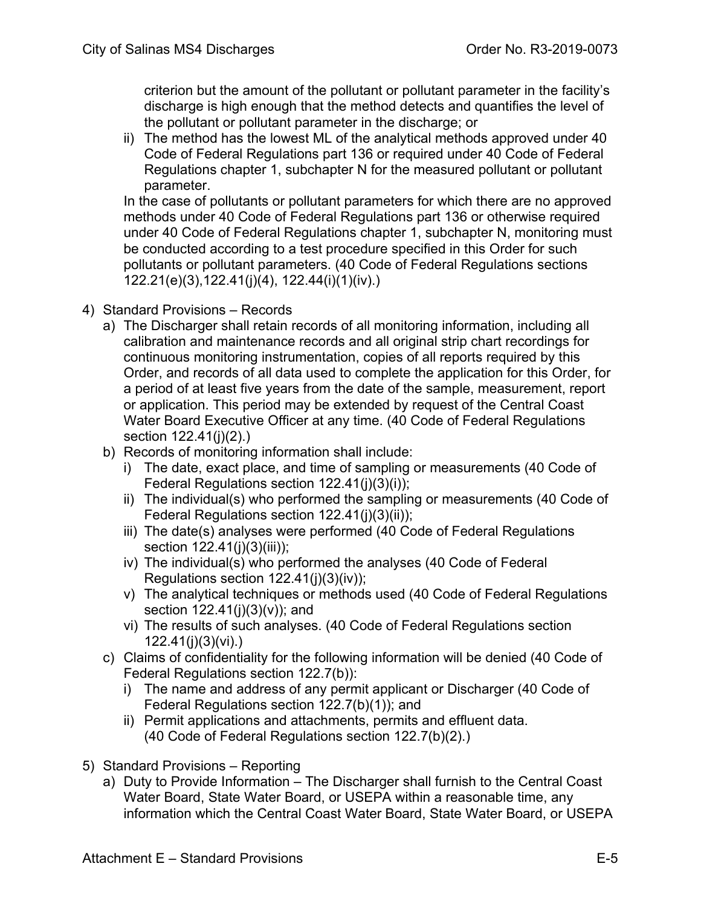criterion but the amount of the pollutant or pollutant parameter in the facility's discharge is high enough that the method detects and quantifies the level of the pollutant or pollutant parameter in the discharge; or

ii) The method has the lowest ML of the analytical methods approved under 40 Code of Federal Regulations part 136 or required under 40 Code of Federal Regulations chapter 1, subchapter N for the measured pollutant or pollutant parameter.

In the case of pollutants or pollutant parameters for which there are no approved methods under 40 Code of Federal Regulations part 136 or otherwise required under 40 Code of Federal Regulations chapter 1, subchapter N, monitoring must be conducted according to a test procedure specified in this Order for such pollutants or pollutant parameters. (40 Code of Federal Regulations sections 122.21(e)(3),122.41(j)(4), 122.44(i)(1)(iv).)

- 4) Standard Provisions Records
	- a) The Discharger shall retain records of all monitoring information, including all calibration and maintenance records and all original strip chart recordings for continuous monitoring instrumentation, copies of all reports required by this Order, and records of all data used to complete the application for this Order, for a period of at least five years from the date of the sample, measurement, report or application. This period may be extended by request of the Central Coast Water Board Executive Officer at any time. (40 Code of Federal Regulations section 122.41(j)(2).)
	- b) Records of monitoring information shall include:
		- i) The date, exact place, and time of sampling or measurements (40 Code of Federal Regulations section 122.41(j)(3)(i));
		- ii) The individual(s) who performed the sampling or measurements (40 Code of Federal Regulations section 122.41(j)(3)(ii));
		- iii) The date(s) analyses were performed (40 Code of Federal Regulations section 122.41(j)(3)(iii));
		- iv) The individual(s) who performed the analyses (40 Code of Federal Regulations section 122.41(j)(3)(iv));
		- v) The analytical techniques or methods used (40 Code of Federal Regulations section 122.41(j)(3)(v)); and
		- vi) The results of such analyses. (40 Code of Federal Regulations section 122.41(j)(3)(vi).)
	- c) Claims of confidentiality for the following information will be denied (40 Code of Federal Regulations section 122.7(b)):
		- i) The name and address of any permit applicant or Discharger (40 Code of Federal Regulations section 122.7(b)(1)); and
		- ii) Permit applications and attachments, permits and effluent data. (40 Code of Federal Regulations section 122.7(b)(2).)
- 5) Standard Provisions Reporting
	- a) Duty to Provide Information The Discharger shall furnish to the Central Coast Water Board, State Water Board, or USEPA within a reasonable time, any information which the Central Coast Water Board, State Water Board, or USEPA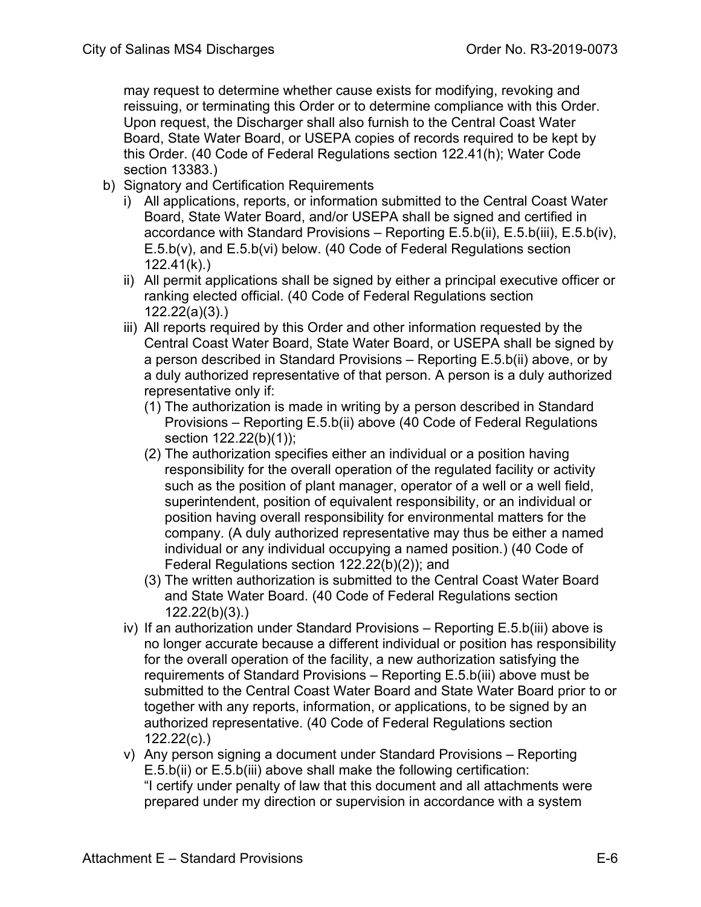may request to determine whether cause exists for modifying, revoking and reissuing, or terminating this Order or to determine compliance with this Order. Upon request, the Discharger shall also furnish to the Central Coast Water Board, State Water Board, or USEPA copies of records required to be kept by this Order. (40 Code of Federal Regulations section 122.41(h); Water Code section 13383.)

- b) Signatory and Certification Requirements
	- i) All applications, reports, or information submitted to the Central Coast Water Board, State Water Board, and/or USEPA shall be signed and certified in accordance with Standard Provisions – Reporting E.5.b(ii), E.5.b(iii), E.5.b(iv), E.5.b(v), and E.5.b(vi) below. (40 Code of Federal Regulations section 122.41(k).)
	- ii) All permit applications shall be signed by either a principal executive officer or ranking elected official. (40 Code of Federal Regulations section 122.22(a)(3).)
	- iii) All reports required by this Order and other information requested by the Central Coast Water Board, State Water Board, or USEPA shall be signed by a person described in Standard Provisions – Reporting E.5.b(ii) above, or by a duly authorized representative of that person. A person is a duly authorized representative only if:
		- (1) The authorization is made in writing by a person described in Standard Provisions – Reporting E.5.b(ii) above (40 Code of Federal Regulations section 122.22(b)(1));
		- (2) The authorization specifies either an individual or a position having responsibility for the overall operation of the regulated facility or activity such as the position of plant manager, operator of a well or a well field, superintendent, position of equivalent responsibility, or an individual or position having overall responsibility for environmental matters for the company. (A duly authorized representative may thus be either a named individual or any individual occupying a named position.) (40 Code of Federal Regulations section 122.22(b)(2)); and
		- (3) The written authorization is submitted to the Central Coast Water Board and State Water Board. (40 Code of Federal Regulations section 122.22(b)(3).)
	- iv) If an authorization under Standard Provisions Reporting E.5.b(iii) above is no longer accurate because a different individual or position has responsibility for the overall operation of the facility, a new authorization satisfying the requirements of Standard Provisions – Reporting E.5.b(iii) above must be submitted to the Central Coast Water Board and State Water Board prior to or together with any reports, information, or applications, to be signed by an authorized representative. (40 Code of Federal Regulations section 122.22(c).)
	- v) Any person signing a document under Standard Provisions Reporting E.5.b(ii) or E.5.b(iii) above shall make the following certification: "I certify under penalty of law that this document and all attachments were prepared under my direction or supervision in accordance with a system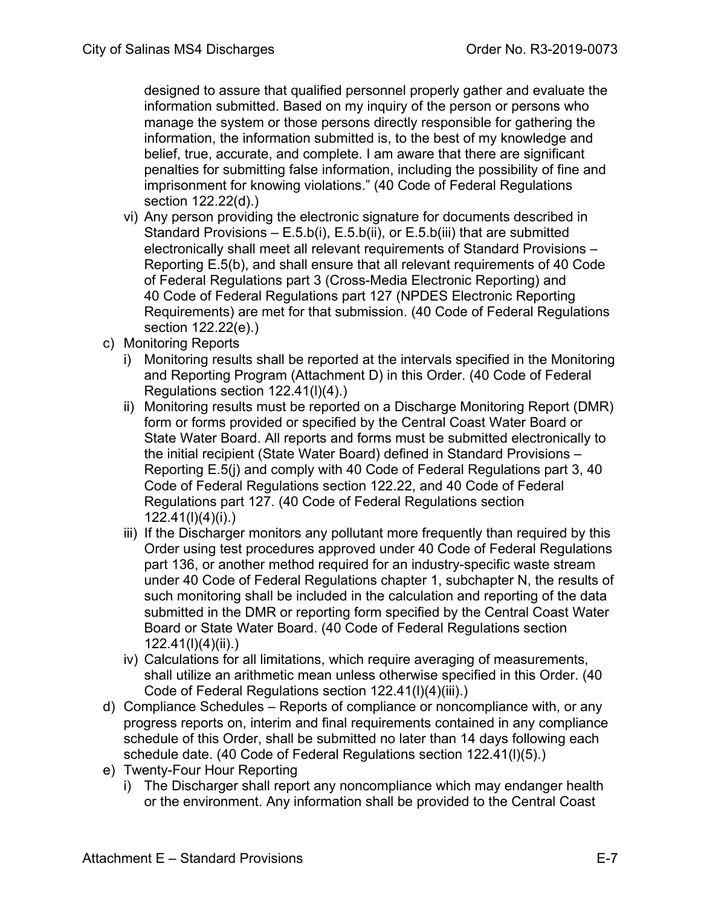designed to assure that qualified personnel properly gather and evaluate the information submitted. Based on my inquiry of the person or persons who manage the system or those persons directly responsible for gathering the information, the information submitted is, to the best of my knowledge and belief, true, accurate, and complete. I am aware that there are significant penalties for submitting false information, including the possibility of fine and imprisonment for knowing violations." (40 Code of Federal Regulations section 122.22(d).)

- vi) Any person providing the electronic signature for documents described in Standard Provisions  $- E.5.b(i)$ , E.5.b(ii), or E.5.b(iii) that are submitted electronically shall meet all relevant requirements of Standard Provisions – Reporting E.5(b), and shall ensure that all relevant requirements of 40 Code of Federal Regulations part 3 (Cross-Media Electronic Reporting) and 40 Code of Federal Regulations part 127 (NPDES Electronic Reporting Requirements) are met for that submission. (40 Code of Federal Regulations section 122.22(e).)
- c) Monitoring Reports
	- i) Monitoring results shall be reported at the intervals specified in the Monitoring and Reporting Program (Attachment D) in this Order. (40 Code of Federal Regulations section 122.41(l)(4).)
	- ii) Monitoring results must be reported on a Discharge Monitoring Report (DMR) form or forms provided or specified by the Central Coast Water Board or State Water Board. All reports and forms must be submitted electronically to the initial recipient (State Water Board) defined in Standard Provisions – Reporting E.5(j) and comply with 40 Code of Federal Regulations part 3, 40 Code of Federal Regulations section 122.22, and 40 Code of Federal Regulations part 127. (40 Code of Federal Regulations section 122.41(l)(4)(i).)
	- iii) If the Discharger monitors any pollutant more frequently than required by this Order using test procedures approved under 40 Code of Federal Regulations part 136, or another method required for an industry-specific waste stream under 40 Code of Federal Regulations chapter 1, subchapter N, the results of such monitoring shall be included in the calculation and reporting of the data submitted in the DMR or reporting form specified by the Central Coast Water Board or State Water Board. (40 Code of Federal Regulations section 122.41(l)(4)(ii).)
	- iv) Calculations for all limitations, which require averaging of measurements, shall utilize an arithmetic mean unless otherwise specified in this Order. (40 Code of Federal Regulations section 122.41(l)(4)(iii).)
- d) Compliance Schedules Reports of compliance or noncompliance with, or any progress reports on, interim and final requirements contained in any compliance schedule of this Order, shall be submitted no later than 14 days following each schedule date. (40 Code of Federal Regulations section 122.41(l)(5).)
- e) Twenty-Four Hour Reporting
	- i) The Discharger shall report any noncompliance which may endanger health or the environment. Any information shall be provided to the Central Coast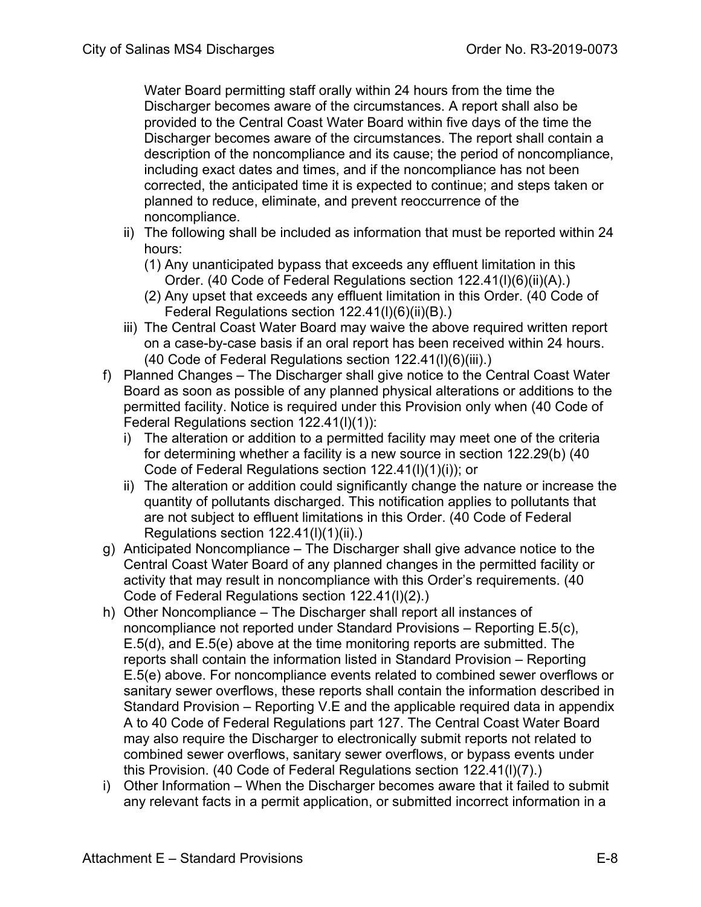Water Board permitting staff orally within 24 hours from the time the Discharger becomes aware of the circumstances. A report shall also be provided to the Central Coast Water Board within five days of the time the Discharger becomes aware of the circumstances. The report shall contain a description of the noncompliance and its cause; the period of noncompliance, including exact dates and times, and if the noncompliance has not been corrected, the anticipated time it is expected to continue; and steps taken or planned to reduce, eliminate, and prevent reoccurrence of the noncompliance.

- ii) The following shall be included as information that must be reported within 24 hours:
	- (1) Any unanticipated bypass that exceeds any effluent limitation in this Order. (40 Code of Federal Regulations section 122.41(l)(6)(ii)(A).)
	- (2) Any upset that exceeds any effluent limitation in this Order. (40 Code of Federal Regulations section 122.41(l)(6)(ii)(B).)
- iii) The Central Coast Water Board may waive the above required written report on a case-by-case basis if an oral report has been received within 24 hours. (40 Code of Federal Regulations section 122.41(l)(6)(iii).)
- f) Planned Changes The Discharger shall give notice to the Central Coast Water Board as soon as possible of any planned physical alterations or additions to the permitted facility. Notice is required under this Provision only when (40 Code of Federal Regulations section 122.41(l)(1)):
	- i) The alteration or addition to a permitted facility may meet one of the criteria for determining whether a facility is a new source in section 122.29(b) (40 Code of Federal Regulations section 122.41(l)(1)(i)); or
	- ii) The alteration or addition could significantly change the nature or increase the quantity of pollutants discharged. This notification applies to pollutants that are not subject to effluent limitations in this Order. (40 Code of Federal Regulations section 122.41(l)(1)(ii).)
- g) Anticipated Noncompliance The Discharger shall give advance notice to the Central Coast Water Board of any planned changes in the permitted facility or activity that may result in noncompliance with this Order's requirements. (40 Code of Federal Regulations section 122.41(l)(2).)
- h) Other Noncompliance The Discharger shall report all instances of noncompliance not reported under Standard Provisions – Reporting E.5(c), E.5(d), and E.5(e) above at the time monitoring reports are submitted. The reports shall contain the information listed in Standard Provision – Reporting E.5(e) above. For noncompliance events related to combined sewer overflows or sanitary sewer overflows, these reports shall contain the information described in Standard Provision – Reporting V.E and the applicable required data in appendix A to 40 Code of Federal Regulations part 127. The Central Coast Water Board may also require the Discharger to electronically submit reports not related to combined sewer overflows, sanitary sewer overflows, or bypass events under this Provision. (40 Code of Federal Regulations section 122.41(l)(7).)
- i) Other Information When the Discharger becomes aware that it failed to submit any relevant facts in a permit application, or submitted incorrect information in a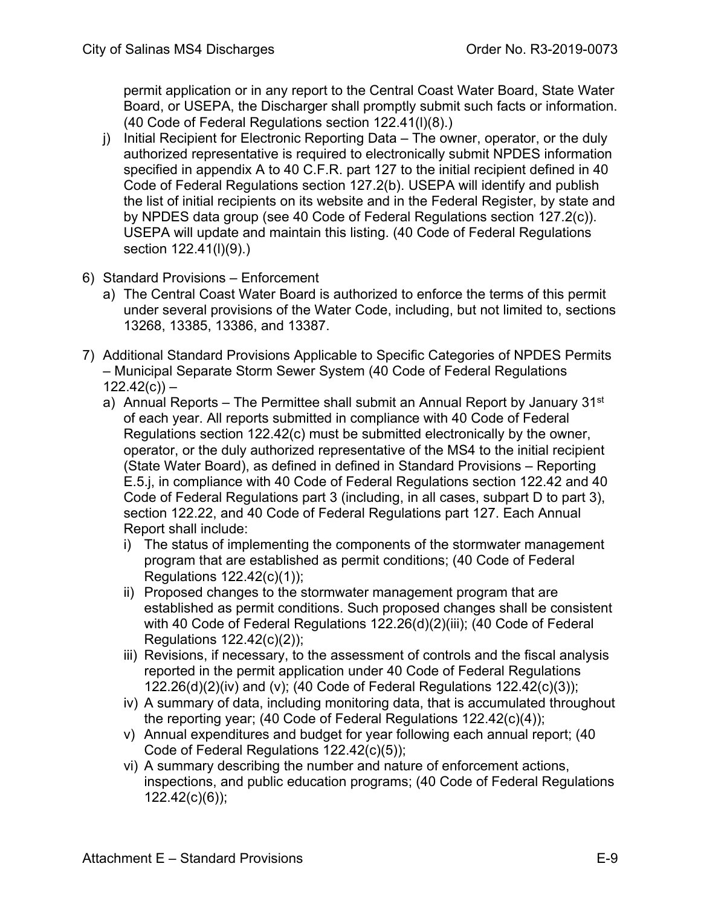permit application or in any report to the Central Coast Water Board, State Water Board, or USEPA, the Discharger shall promptly submit such facts or information. (40 Code of Federal Regulations section 122.41(l)(8).)

- j) Initial Recipient for Electronic Reporting Data The owner, operator, or the duly authorized representative is required to electronically submit NPDES information specified in appendix A to 40 C.F.R. part 127 to the initial recipient defined in 40 Code of Federal Regulations section 127.2(b). USEPA will identify and publish the list of initial recipients on its website and in the Federal Register, by state and by NPDES data group (see 40 Code of Federal Regulations section 127.2(c)). USEPA will update and maintain this listing. (40 Code of Federal Regulations section 122.41(l)(9).)
- 6) Standard Provisions Enforcement
	- a) The Central Coast Water Board is authorized to enforce the terms of this permit under several provisions of the Water Code, including, but not limited to, sections 13268, 13385, 13386, and 13387.
- 7) Additional Standard Provisions Applicable to Specific Categories of NPDES Permits – Municipal Separate Storm Sewer System (40 Code of Federal Regulations  $122.42(c)$ ) –
	- a) Annual Reports The Permittee shall submit an Annual Report by January  $31<sup>st</sup>$ of each year. All reports submitted in compliance with 40 Code of Federal Regulations section 122.42(c) must be submitted electronically by the owner, operator, or the duly authorized representative of the MS4 to the initial recipient (State Water Board), as defined in defined in Standard Provisions – Reporting E.5.j, in compliance with 40 Code of Federal Regulations section 122.42 and 40 Code of Federal Regulations part 3 (including, in all cases, subpart D to part 3), section 122.22, and 40 Code of Federal Regulations part 127. Each Annual Report shall include:
		- i) The status of implementing the components of the stormwater management program that are established as permit conditions; (40 Code of Federal Regulations 122.42(c)(1));
		- ii) Proposed changes to the stormwater management program that are established as permit conditions. Such proposed changes shall be consistent with 40 Code of Federal Regulations 122.26(d)(2)(iii); (40 Code of Federal Regulations 122.42(c)(2));
		- iii) Revisions, if necessary, to the assessment of controls and the fiscal analysis reported in the permit application under 40 Code of Federal Regulations 122.26(d)(2)(iv) and (v); (40 Code of Federal Regulations 122.42(c)(3));
		- iv) A summary of data, including monitoring data, that is accumulated throughout the reporting year; (40 Code of Federal Regulations 122.42(c)(4));
		- v) Annual expenditures and budget for year following each annual report; (40 Code of Federal Regulations 122.42(c)(5));
		- vi) A summary describing the number and nature of enforcement actions, inspections, and public education programs; (40 Code of Federal Regulations 122.42(c)(6));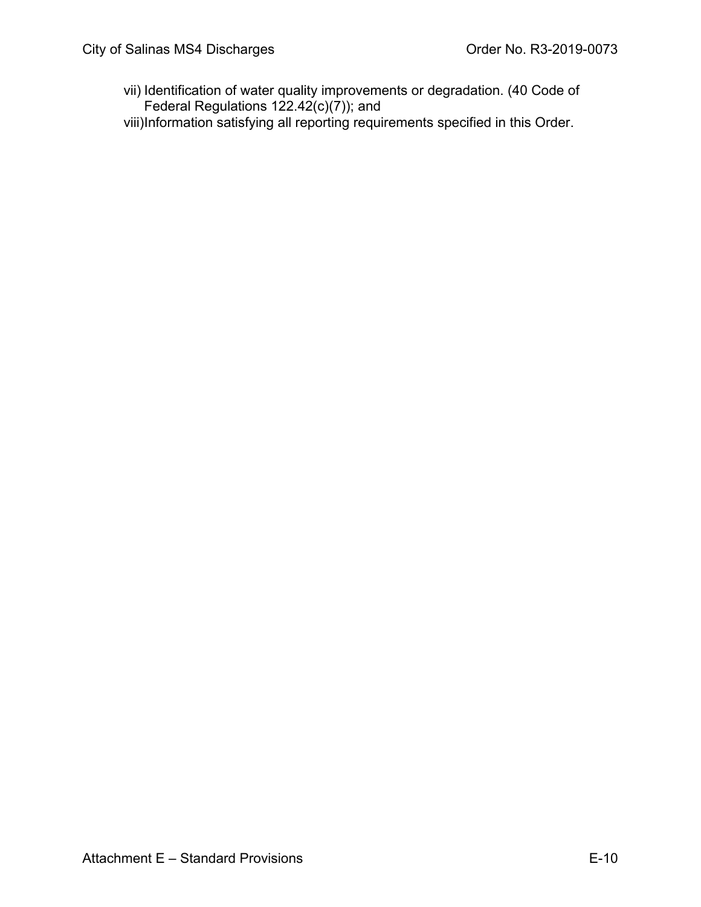- vii) Identification of water quality improvements or degradation. (40 Code of Federal Regulations  $122.42(c)(7)$ ; and
- viii)Information satisfying all reporting requirements specified in this Order.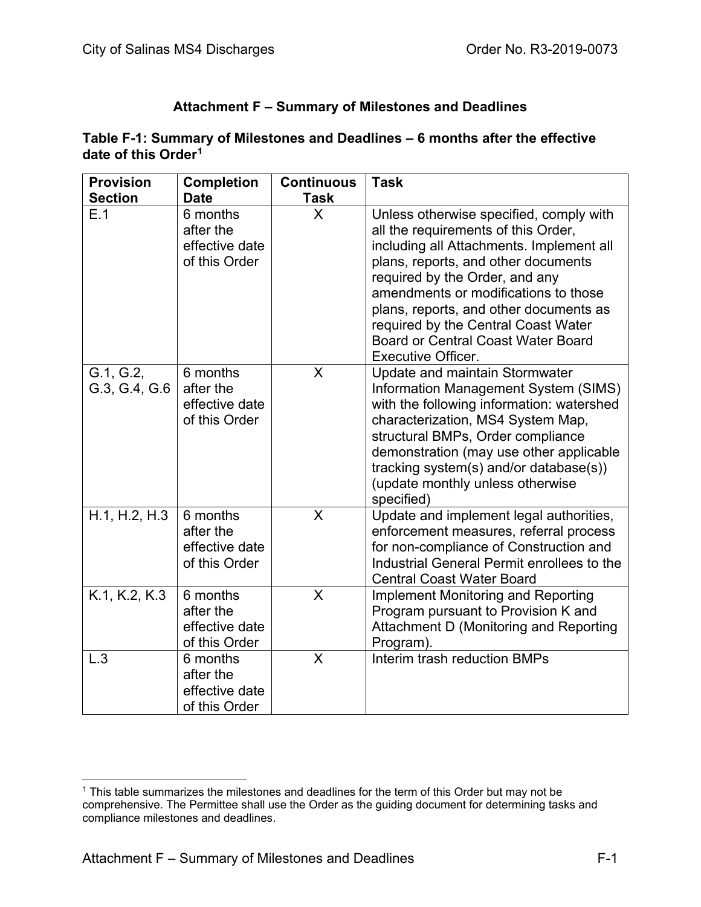### **Attachment F – Summary of Milestones and Deadlines**

#### **Table F-1: Summary of Milestones and Deadlines – 6 months after the effective date of this Order[1](#page-109-0)**

| <b>Provision</b>           | <b>Completion</b>                                        | <b>Continuous</b> | <b>Task</b>                                                                                                                                                                                                                                                                                                                                                                                            |
|----------------------------|----------------------------------------------------------|-------------------|--------------------------------------------------------------------------------------------------------------------------------------------------------------------------------------------------------------------------------------------------------------------------------------------------------------------------------------------------------------------------------------------------------|
| <b>Section</b>             | <b>Date</b>                                              | Task              |                                                                                                                                                                                                                                                                                                                                                                                                        |
| E.1                        | 6 months<br>after the<br>effective date<br>of this Order | X                 | Unless otherwise specified, comply with<br>all the requirements of this Order,<br>including all Attachments. Implement all<br>plans, reports, and other documents<br>required by the Order, and any<br>amendments or modifications to those<br>plans, reports, and other documents as<br>required by the Central Coast Water<br><b>Board or Central Coast Water Board</b><br><b>Executive Officer.</b> |
| G.1, G.2,<br>G.3, G.4, G.6 | 6 months<br>after the<br>effective date<br>of this Order | X                 | Update and maintain Stormwater<br>Information Management System (SIMS)<br>with the following information: watershed<br>characterization, MS4 System Map,<br>structural BMPs, Order compliance<br>demonstration (may use other applicable<br>tracking system(s) and/or database(s))<br>(update monthly unless otherwise<br>specified)                                                                   |
| H.1, H.2, H.3              | 6 months<br>after the<br>effective date<br>of this Order | X                 | Update and implement legal authorities,<br>enforcement measures, referral process<br>for non-compliance of Construction and<br>Industrial General Permit enrollees to the<br><b>Central Coast Water Board</b>                                                                                                                                                                                          |
| K.1, K.2, K.3              | 6 months<br>after the<br>effective date<br>of this Order | X                 | <b>Implement Monitoring and Reporting</b><br>Program pursuant to Provision K and<br>Attachment D (Monitoring and Reporting<br>Program).                                                                                                                                                                                                                                                                |
| L.3                        | 6 months<br>after the<br>effective date<br>of this Order | X                 | Interim trash reduction BMPs                                                                                                                                                                                                                                                                                                                                                                           |

<span id="page-109-0"></span><sup>&</sup>lt;sup>1</sup> This table summarizes the milestones and deadlines for the term of this Order but may not be comprehensive. The Permittee shall use the Order as the guiding document for determining tasks and compliance milestones and deadlines.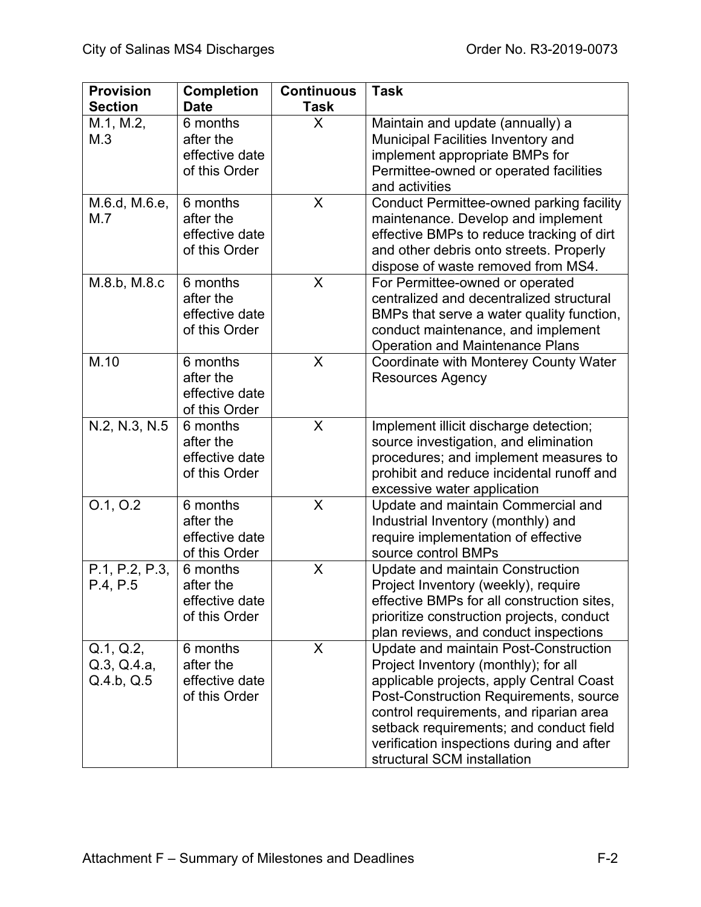| <b>Provision</b><br><b>Section</b>     | <b>Completion</b><br><b>Date</b>                         | <b>Continuous</b><br><b>Task</b> | <b>Task</b>                                                                                                                                                                                                                                                                                                                           |
|----------------------------------------|----------------------------------------------------------|----------------------------------|---------------------------------------------------------------------------------------------------------------------------------------------------------------------------------------------------------------------------------------------------------------------------------------------------------------------------------------|
| M.1, M.2,<br>M.3                       | 6 months<br>after the<br>effective date<br>of this Order | X                                | Maintain and update (annually) a<br><b>Municipal Facilities Inventory and</b><br>implement appropriate BMPs for<br>Permittee-owned or operated facilities<br>and activities                                                                                                                                                           |
| M.6.d, M.6.e,<br>M.7                   | 6 months<br>after the<br>effective date<br>of this Order | X                                | <b>Conduct Permittee-owned parking facility</b><br>maintenance. Develop and implement<br>effective BMPs to reduce tracking of dirt<br>and other debris onto streets. Properly<br>dispose of waste removed from MS4.                                                                                                                   |
| M.8.b, M.8.c                           | 6 months<br>after the<br>effective date<br>of this Order | X                                | For Permittee-owned or operated<br>centralized and decentralized structural<br>BMPs that serve a water quality function,<br>conduct maintenance, and implement<br><b>Operation and Maintenance Plans</b>                                                                                                                              |
| M.10                                   | 6 months<br>after the<br>effective date<br>of this Order | X                                | Coordinate with Monterey County Water<br><b>Resources Agency</b>                                                                                                                                                                                                                                                                      |
| N.2, N.3, N.5                          | 6 months<br>after the<br>effective date<br>of this Order | X                                | Implement illicit discharge detection;<br>source investigation, and elimination<br>procedures; and implement measures to<br>prohibit and reduce incidental runoff and<br>excessive water application                                                                                                                                  |
| 0.1, 0.2                               | 6 months<br>after the<br>effective date<br>of this Order | $\sf X$                          | Update and maintain Commercial and<br>Industrial Inventory (monthly) and<br>require implementation of effective<br>source control BMPs                                                                                                                                                                                                |
| P.1, P.2, P.3,<br>P.4, P.5             | 6 months<br>after the<br>effective date<br>of this Order | X                                | <b>Update and maintain Construction</b><br>Project Inventory (weekly), require<br>effective BMPs for all construction sites,<br>prioritize construction projects, conduct<br>plan reviews, and conduct inspections                                                                                                                    |
| Q.1, Q.2,<br>Q.3, Q.4.a,<br>Q.4.b, Q.5 | 6 months<br>after the<br>effective date<br>of this Order | X                                | Update and maintain Post-Construction<br>Project Inventory (monthly); for all<br>applicable projects, apply Central Coast<br>Post-Construction Requirements, source<br>control requirements, and riparian area<br>setback requirements; and conduct field<br>verification inspections during and after<br>structural SCM installation |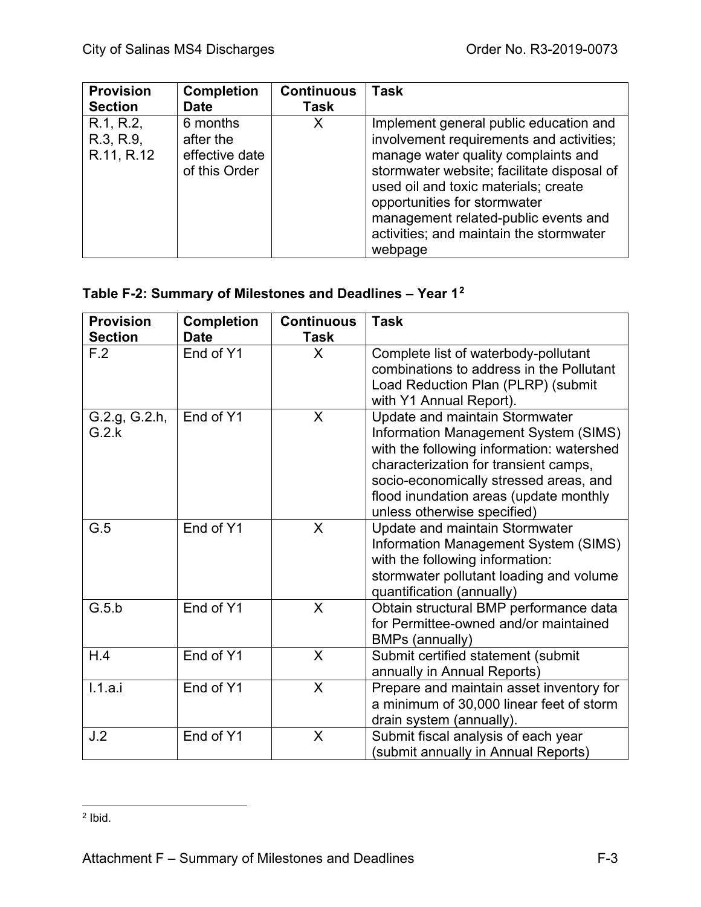| <b>Provision</b>                     | <b>Completion</b>                                        | <b>Continuous</b> | <b>Task</b>                                                                                                                                                                                                                                                                                                                                   |
|--------------------------------------|----------------------------------------------------------|-------------------|-----------------------------------------------------------------------------------------------------------------------------------------------------------------------------------------------------------------------------------------------------------------------------------------------------------------------------------------------|
| <b>Section</b>                       | <b>Date</b>                                              | Task              |                                                                                                                                                                                                                                                                                                                                               |
| R.1, R.2,<br>R.3, R.9,<br>R.11, R.12 | 6 months<br>after the<br>effective date<br>of this Order | Х                 | Implement general public education and<br>involvement requirements and activities;<br>manage water quality complaints and<br>stormwater website; facilitate disposal of<br>used oil and toxic materials; create<br>opportunities for stormwater<br>management related-public events and<br>activities; and maintain the stormwater<br>webpage |

## **Table F-2: Summary of Milestones and Deadlines – Year 1[2](#page-111-0)**

| <b>Provision</b><br><b>Section</b> | <b>Completion</b><br><b>Date</b> | <b>Continuous</b><br><b>Task</b> | <b>Task</b>                                                                                                                                                                                                                                                                     |
|------------------------------------|----------------------------------|----------------------------------|---------------------------------------------------------------------------------------------------------------------------------------------------------------------------------------------------------------------------------------------------------------------------------|
| F.2                                | End of Y1                        | X                                | Complete list of waterbody-pollutant<br>combinations to address in the Pollutant<br>Load Reduction Plan (PLRP) (submit<br>with Y1 Annual Report).                                                                                                                               |
| G.2.g, G.2.h,<br>G.2.k             | End of Y1                        | X                                | Update and maintain Stormwater<br>Information Management System (SIMS)<br>with the following information: watershed<br>characterization for transient camps,<br>socio-economically stressed areas, and<br>flood inundation areas (update monthly<br>unless otherwise specified) |
| G.5                                | End of Y1                        | $\sf X$                          | Update and maintain Stormwater<br>Information Management System (SIMS)<br>with the following information:<br>stormwater pollutant loading and volume<br>quantification (annually)                                                                                               |
| G.5.b                              | End of Y1                        | X                                | Obtain structural BMP performance data<br>for Permittee-owned and/or maintained<br>BMPs (annually)                                                                                                                                                                              |
| H.4                                | End of Y1                        | X                                | Submit certified statement (submit<br>annually in Annual Reports)                                                                                                                                                                                                               |
| 1.1.a.i                            | End of Y1                        | X                                | Prepare and maintain asset inventory for<br>a minimum of 30,000 linear feet of storm<br>drain system (annually).                                                                                                                                                                |
| J.2                                | End of Y1                        | X                                | Submit fiscal analysis of each year<br>(submit annually in Annual Reports)                                                                                                                                                                                                      |

<span id="page-111-0"></span> $2$  Ibid.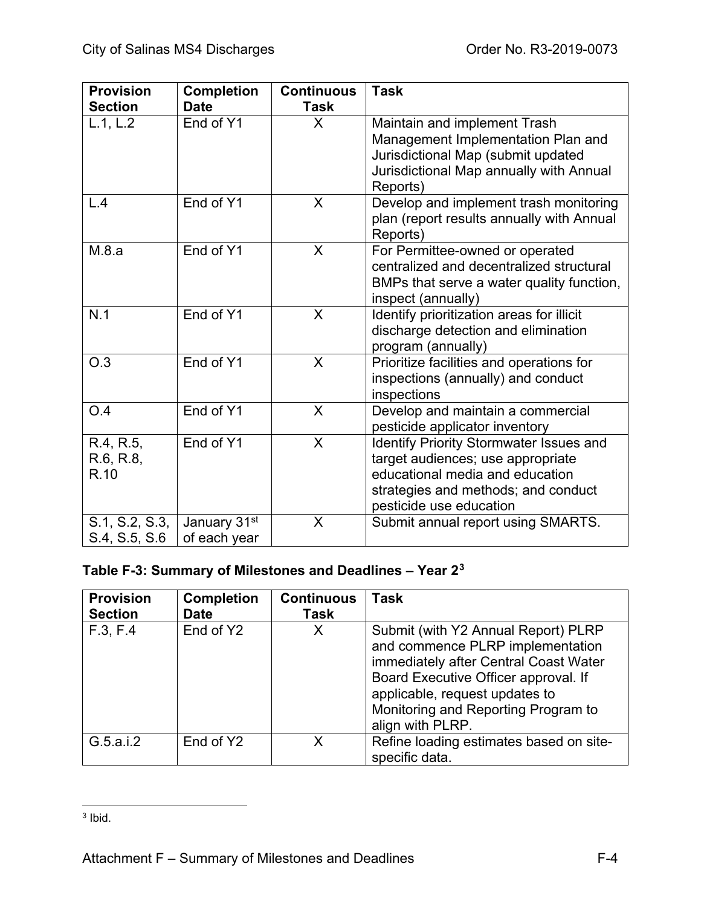| <b>Provision</b><br><b>Section</b> | <b>Completion</b><br><b>Date</b>         | <b>Continuous</b><br><b>Task</b> | <b>Task</b>                                                                                                                                                                              |
|------------------------------------|------------------------------------------|----------------------------------|------------------------------------------------------------------------------------------------------------------------------------------------------------------------------------------|
| L.1, L.2                           | End of Y1                                | $\mathsf{X}$                     | Maintain and implement Trash<br>Management Implementation Plan and<br>Jurisdictional Map (submit updated<br>Jurisdictional Map annually with Annual<br>Reports)                          |
| L.4                                | End of Y1                                | X                                | Develop and implement trash monitoring<br>plan (report results annually with Annual<br>Reports)                                                                                          |
| M.8.a                              | End of Y1                                | X                                | For Permittee-owned or operated<br>centralized and decentralized structural<br>BMPs that serve a water quality function,<br>inspect (annually)                                           |
| N.1                                | End of Y1                                | X                                | Identify prioritization areas for illicit<br>discharge detection and elimination<br>program (annually)                                                                                   |
| O.3                                | End of Y1                                | X                                | Prioritize facilities and operations for<br>inspections (annually) and conduct<br>inspections                                                                                            |
| O.4                                | End of Y1                                | X                                | Develop and maintain a commercial<br>pesticide applicator inventory                                                                                                                      |
| R.4, R.5,<br>R.6, R.8,<br>R.10     | End of Y1                                | X                                | <b>Identify Priority Stormwater Issues and</b><br>target audiences; use appropriate<br>educational media and education<br>strategies and methods; and conduct<br>pesticide use education |
| S.1, S.2, S.3,<br>S.4, S.5, S.6    | January 31 <sup>st</sup><br>of each year | X                                | Submit annual report using SMARTS.                                                                                                                                                       |

# **Table F-3: Summary of Milestones and Deadlines – Year 2[3](#page-112-0)**

| <b>Provision</b><br><b>Section</b> | <b>Completion</b><br><b>Date</b> | <b>Continuous</b><br><b>Task</b> | <b>Task</b>                                                                                                                                                                                                                                           |
|------------------------------------|----------------------------------|----------------------------------|-------------------------------------------------------------------------------------------------------------------------------------------------------------------------------------------------------------------------------------------------------|
| F.3, F.4                           | End of Y2                        | X                                | Submit (with Y2 Annual Report) PLRP<br>and commence PLRP implementation<br>immediately after Central Coast Water<br>Board Executive Officer approval. If<br>applicable, request updates to<br>Monitoring and Reporting Program to<br>align with PLRP. |
| G.5.a.i.2                          | End of Y2                        | Χ                                | Refine loading estimates based on site-<br>specific data.                                                                                                                                                                                             |

<span id="page-112-0"></span> $3$  Ibid.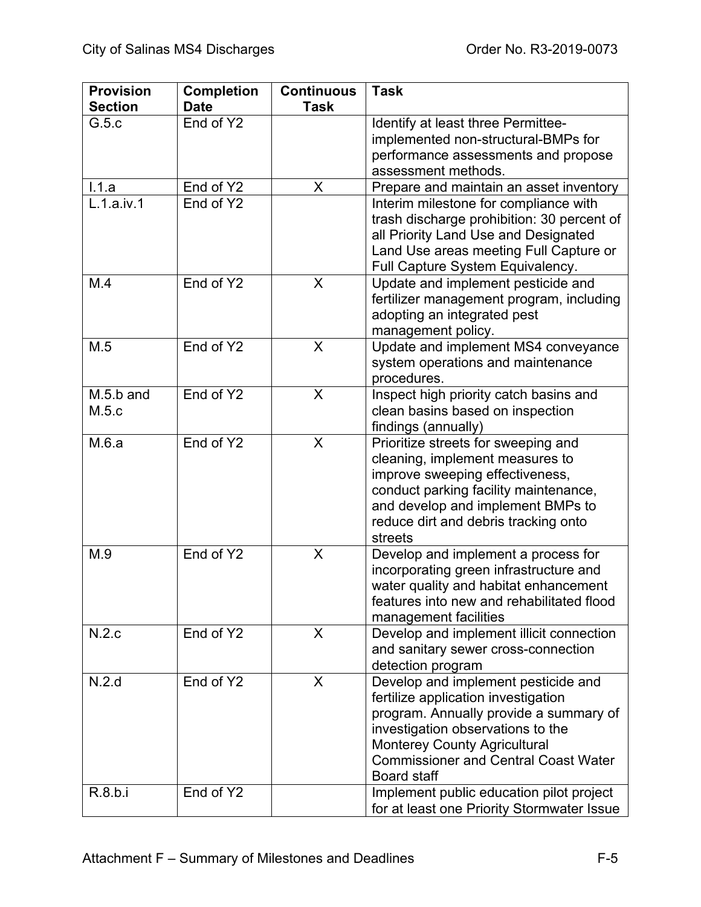| <b>Provision</b>   | <b>Completion</b> | <b>Continuous</b> | <b>Task</b>                                                                                                                                                                                                                                                           |
|--------------------|-------------------|-------------------|-----------------------------------------------------------------------------------------------------------------------------------------------------------------------------------------------------------------------------------------------------------------------|
| <b>Section</b>     | <b>Date</b>       | <b>Task</b>       |                                                                                                                                                                                                                                                                       |
| G.5.c              | End of Y2         |                   | Identify at least three Permittee-<br>implemented non-structural-BMPs for<br>performance assessments and propose<br>assessment methods.                                                                                                                               |
| 1.1.a              | End of Y2         | X                 | Prepare and maintain an asset inventory                                                                                                                                                                                                                               |
| L.1.a.iv.1         | End of Y2         |                   | Interim milestone for compliance with<br>trash discharge prohibition: 30 percent of<br>all Priority Land Use and Designated<br>Land Use areas meeting Full Capture or<br>Full Capture System Equivalency.                                                             |
| M.4                | End of Y2         | X                 | Update and implement pesticide and<br>fertilizer management program, including<br>adopting an integrated pest<br>management policy.                                                                                                                                   |
| M.5                | End of Y2         | X                 | Update and implement MS4 conveyance<br>system operations and maintenance<br>procedures.                                                                                                                                                                               |
| M.5.b and<br>M.5.c | End of Y2         | X                 | Inspect high priority catch basins and<br>clean basins based on inspection<br>findings (annually)                                                                                                                                                                     |
| M.6.a              | End of Y2         | X                 | Prioritize streets for sweeping and<br>cleaning, implement measures to<br>improve sweeping effectiveness,<br>conduct parking facility maintenance,<br>and develop and implement BMPs to<br>reduce dirt and debris tracking onto<br>streets                            |
| M.9                | End of Y2         | X                 | Develop and implement a process for<br>incorporating green infrastructure and<br>water quality and habitat enhancement<br>features into new and rehabilitated flood<br>management facilities                                                                          |
| N.2.c              | End of Y2         | X                 | Develop and implement illicit connection<br>and sanitary sewer cross-connection<br>detection program                                                                                                                                                                  |
| N.2.d              | End of Y2         | X                 | Develop and implement pesticide and<br>fertilize application investigation<br>program. Annually provide a summary of<br>investigation observations to the<br><b>Monterey County Agricultural</b><br><b>Commissioner and Central Coast Water</b><br><b>Board staff</b> |
| R.8.b.i            | End of Y2         |                   | Implement public education pilot project<br>for at least one Priority Stormwater Issue                                                                                                                                                                                |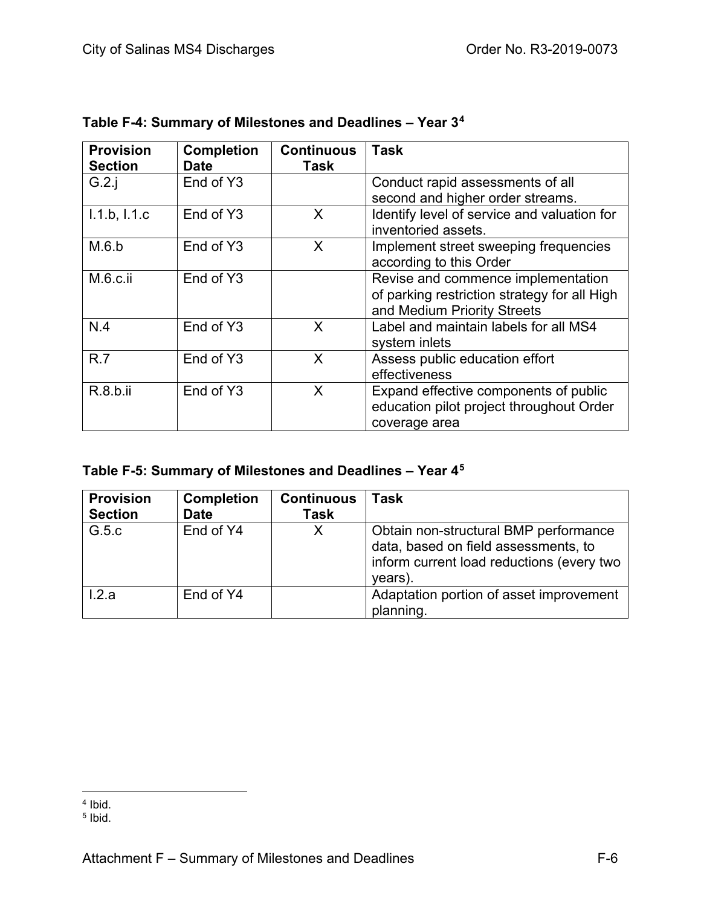| <b>Provision</b><br><b>Section</b> | <b>Completion</b><br><b>Date</b> | <b>Continuous</b><br>Task | <b>Task</b>                                                                                                       |
|------------------------------------|----------------------------------|---------------------------|-------------------------------------------------------------------------------------------------------------------|
| G.2.i                              | End of Y3                        |                           | Conduct rapid assessments of all                                                                                  |
|                                    |                                  |                           | second and higher order streams.                                                                                  |
| 1.1.b, 1.1.c                       | End of Y3                        | X                         | Identify level of service and valuation for<br>inventoried assets.                                                |
| M.6.b                              | End of Y3                        | X                         | Implement street sweeping frequencies<br>according to this Order                                                  |
| $M.6.c.$ ii                        | End of Y3                        |                           | Revise and commence implementation<br>of parking restriction strategy for all High<br>and Medium Priority Streets |
| N.4                                | End of Y3                        | X                         | Label and maintain labels for all MS4<br>system inlets                                                            |
| R.7                                | End of Y3                        | X                         | Assess public education effort<br>effectiveness                                                                   |
| R.8.b.ii                           | End of Y3                        | X                         | Expand effective components of public<br>education pilot project throughout Order<br>coverage area                |

|  | Table F-4: Summary of Milestones and Deadlines - Year 3 <sup>4</sup> |  |
|--|----------------------------------------------------------------------|--|
|  |                                                                      |  |

|  |  |  | Table F-5: Summary of Milestones and Deadlines - Year 4 <sup>5</sup> |  |
|--|--|--|----------------------------------------------------------------------|--|
|--|--|--|----------------------------------------------------------------------|--|

| <b>Provision</b><br><b>Section</b> | <b>Completion</b><br><b>Date</b> | <b>Continuous</b><br>Task | <b>Task</b>                                                                                                                           |
|------------------------------------|----------------------------------|---------------------------|---------------------------------------------------------------------------------------------------------------------------------------|
| G.5.c                              | End of Y4                        | Χ                         | Obtain non-structural BMP performance<br>data, based on field assessments, to<br>inform current load reductions (every two<br>years). |
| 1.2.a                              | End of Y4                        |                           | Adaptation portion of asset improvement<br>planning.                                                                                  |

<span id="page-114-0"></span><sup>&</sup>lt;sup>4</sup> Ibid.

<span id="page-114-1"></span><sup>5</sup> Ibid.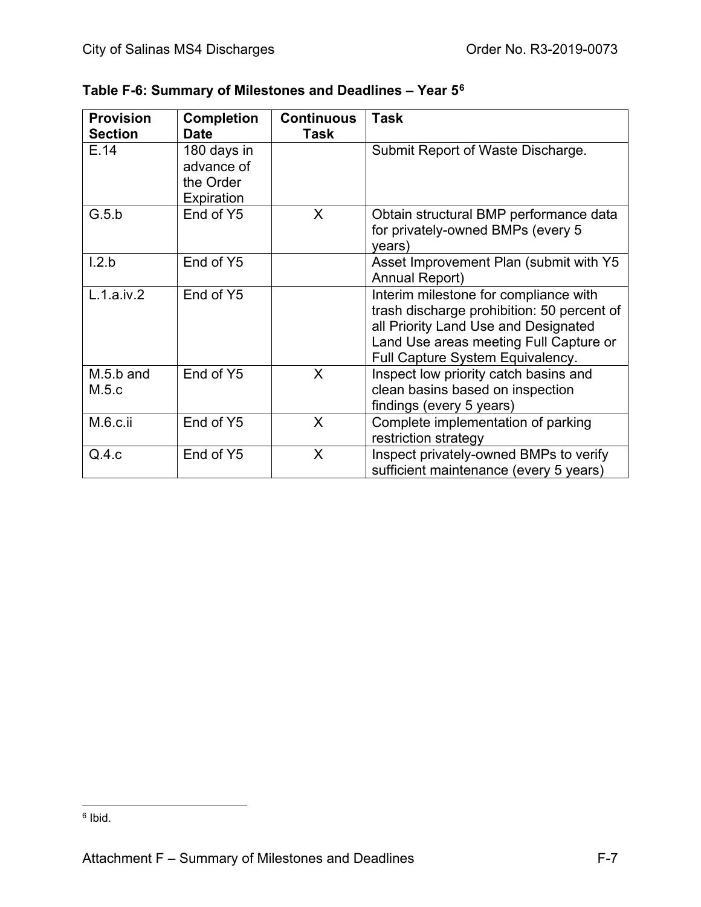| <b>Provision</b> | <b>Completion</b> | <b>Continuous</b> | <b>Task</b>                                |
|------------------|-------------------|-------------------|--------------------------------------------|
| <b>Section</b>   | <b>Date</b>       | Task              |                                            |
| E.14             | 180 days in       |                   | Submit Report of Waste Discharge.          |
|                  | advance of        |                   |                                            |
|                  | the Order         |                   |                                            |
|                  | Expiration        |                   |                                            |
| G.5.b            | End of Y5         | $\sf X$           | Obtain structural BMP performance data     |
|                  |                   |                   | for privately-owned BMPs (every 5          |
|                  |                   |                   | years)                                     |
| 1.2.b            | End of Y5         |                   | Asset Improvement Plan (submit with Y5     |
|                  |                   |                   | <b>Annual Report)</b>                      |
| L.1.a.iv.2       | End of Y5         |                   | Interim milestone for compliance with      |
|                  |                   |                   | trash discharge prohibition: 50 percent of |
|                  |                   |                   | all Priority Land Use and Designated       |
|                  |                   |                   | Land Use areas meeting Full Capture or     |
|                  |                   |                   | Full Capture System Equivalency.           |
| $M.5.b$ and      | End of Y5         | X                 | Inspect low priority catch basins and      |
| M.5.c            |                   |                   | clean basins based on inspection           |
|                  |                   |                   | findings (every 5 years)                   |
| M.6.c.ii         | End of Y5         | X                 | Complete implementation of parking         |
|                  |                   |                   | restriction strategy                       |
| Q.4.c            | End of Y5         | X                 | Inspect privately-owned BMPs to verify     |
|                  |                   |                   | sufficient maintenance (every 5 years)     |

<span id="page-115-0"></span><sup>6</sup> Ibid.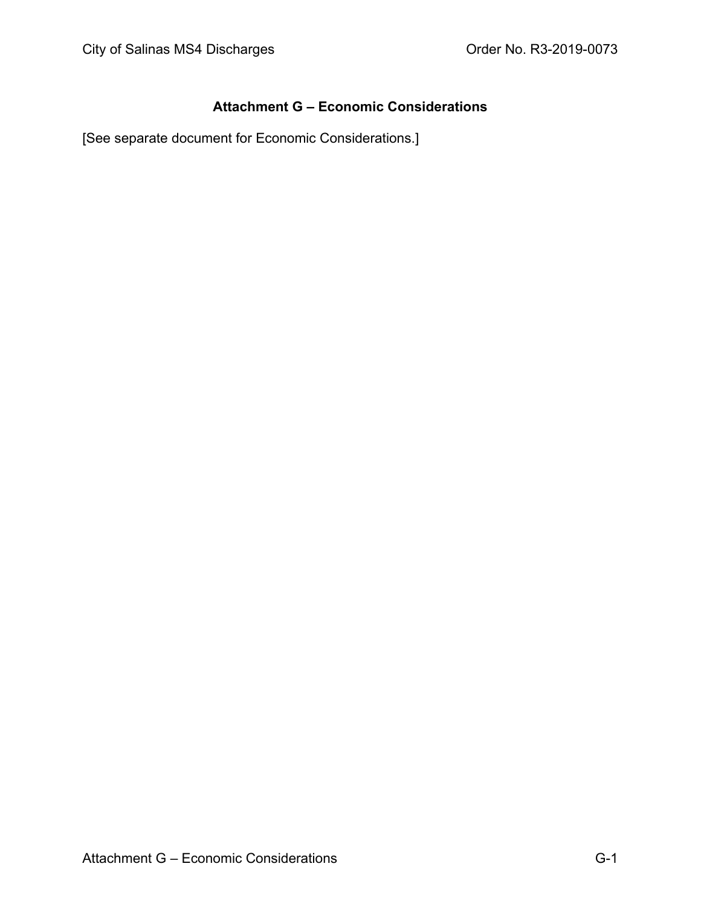### **Attachment G – Economic Considerations**

[See separate document for Economic Considerations.]